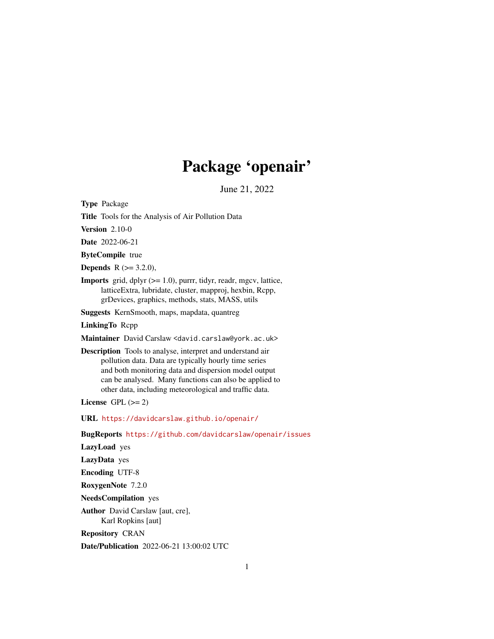# Package 'openair'

June 21, 2022

<span id="page-0-0"></span>Type Package

Title Tools for the Analysis of Air Pollution Data

**Version** 2.10-0

Date 2022-06-21

ByteCompile true

**Depends** R  $(>= 3.2.0)$ ,

**Imports** grid, dplyr  $(>= 1.0)$ , purrr, tidyr, readr, mgcv, lattice, latticeExtra, lubridate, cluster, mapproj, hexbin, Rcpp, grDevices, graphics, methods, stats, MASS, utils

Suggests KernSmooth, maps, mapdata, quantreg

LinkingTo Rcpp

Maintainer David Carslaw <david.carslaw@york.ac.uk>

Description Tools to analyse, interpret and understand air pollution data. Data are typically hourly time series and both monitoring data and dispersion model output can be analysed. Many functions can also be applied to other data, including meteorological and traffic data.

License GPL  $(>= 2)$ 

URL <https://davidcarslaw.github.io/openair/>

BugReports <https://github.com/davidcarslaw/openair/issues>

LazyLoad yes

LazyData yes

Encoding UTF-8

RoxygenNote 7.2.0

NeedsCompilation yes

Author David Carslaw [aut, cre], Karl Ropkins [aut]

Repository CRAN

Date/Publication 2022-06-21 13:00:02 UTC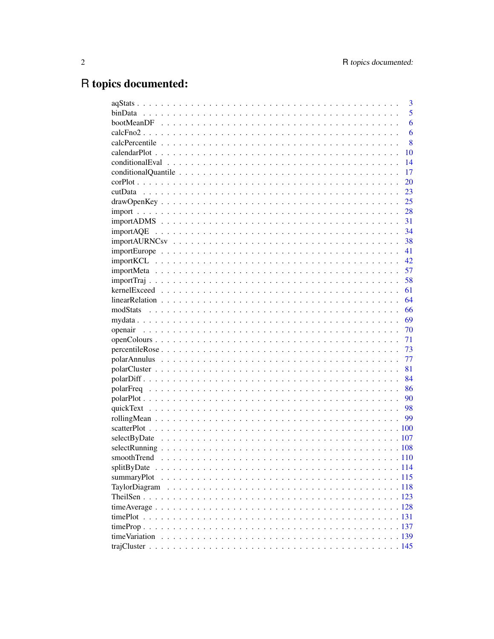# R topics documented:

|                                                                                                                     | 3  |
|---------------------------------------------------------------------------------------------------------------------|----|
|                                                                                                                     | 5  |
|                                                                                                                     | 6  |
|                                                                                                                     | 6  |
|                                                                                                                     | 8  |
|                                                                                                                     | 10 |
|                                                                                                                     | 14 |
|                                                                                                                     | 17 |
|                                                                                                                     | 20 |
|                                                                                                                     | 23 |
| $drawOpenKey \dots \dots \dots \dots \dots \dots \dots \dots \dots \dots \dots \dots \dots \dots \dots \dots \dots$ | 25 |
|                                                                                                                     | 28 |
|                                                                                                                     | 31 |
|                                                                                                                     | 34 |
|                                                                                                                     | 38 |
|                                                                                                                     | 41 |
|                                                                                                                     | 42 |
|                                                                                                                     | 57 |
|                                                                                                                     | 58 |
|                                                                                                                     | 61 |
|                                                                                                                     | 64 |
| modStats                                                                                                            | 66 |
|                                                                                                                     | 69 |
|                                                                                                                     | 70 |
|                                                                                                                     | 71 |
|                                                                                                                     | 73 |
|                                                                                                                     | 77 |
|                                                                                                                     | 81 |
|                                                                                                                     | 84 |
|                                                                                                                     | 86 |
|                                                                                                                     | 90 |
|                                                                                                                     |    |
|                                                                                                                     | 99 |
|                                                                                                                     |    |
|                                                                                                                     |    |
|                                                                                                                     |    |
|                                                                                                                     |    |
|                                                                                                                     |    |
|                                                                                                                     |    |
|                                                                                                                     |    |
|                                                                                                                     |    |
|                                                                                                                     |    |
|                                                                                                                     |    |
|                                                                                                                     |    |
|                                                                                                                     |    |
|                                                                                                                     |    |
|                                                                                                                     |    |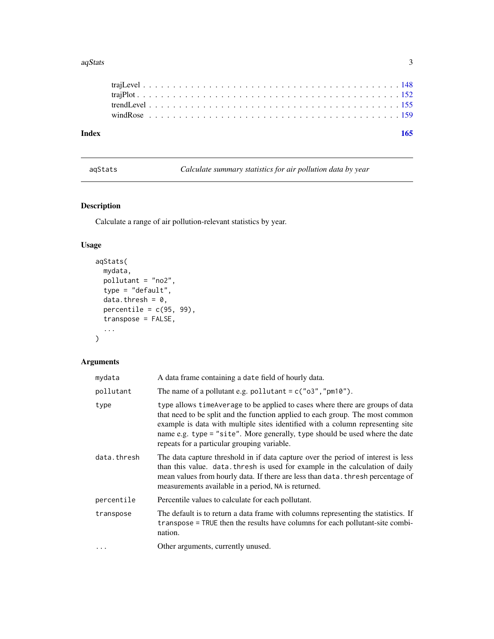#### <span id="page-2-0"></span> $aqStats$  3

| Index |  |  |  |  |  |  |  |  |  |  |  |  |  |  |  |  |  |  |  |  |
|-------|--|--|--|--|--|--|--|--|--|--|--|--|--|--|--|--|--|--|--|--|
|       |  |  |  |  |  |  |  |  |  |  |  |  |  |  |  |  |  |  |  |  |
|       |  |  |  |  |  |  |  |  |  |  |  |  |  |  |  |  |  |  |  |  |
|       |  |  |  |  |  |  |  |  |  |  |  |  |  |  |  |  |  |  |  |  |
|       |  |  |  |  |  |  |  |  |  |  |  |  |  |  |  |  |  |  |  |  |
|       |  |  |  |  |  |  |  |  |  |  |  |  |  |  |  |  |  |  |  |  |

aqStats *Calculate summary statistics for air pollution data by year*

# Description

Calculate a range of air pollution-relevant statistics by year.

# Usage

```
aqStats(
 mydata,
 pollutant = "no2",
 type = "default",
 data.thresh = 0,
 percentile = c(95, 99),
  transpose = FALSE,
  ...
)
```

| mydata      | A data frame containing a date field of hourly data.                                                                                                                                                                                                                                                                                                                           |
|-------------|--------------------------------------------------------------------------------------------------------------------------------------------------------------------------------------------------------------------------------------------------------------------------------------------------------------------------------------------------------------------------------|
| pollutant   | The name of a pollutant e.g. pollutant = $c("03", "pm10").$                                                                                                                                                                                                                                                                                                                    |
| type        | type allows timeAverage to be applied to cases where there are groups of data<br>that need to be split and the function applied to each group. The most common<br>example is data with multiple sites identified with a column representing site<br>name e.g. type = "site". More generally, type should be used where the date<br>repeats for a particular grouping variable. |
| data.thresh | The data capture threshold in if data capture over the period of interest is less<br>than this value. data. thresh is used for example in the calculation of daily<br>mean values from hourly data. If there are less than data. thresh percentage of<br>measurements available in a period, NA is returned.                                                                   |
| percentile  | Percentile values to calculate for each pollutant.                                                                                                                                                                                                                                                                                                                             |
| transpose   | The default is to return a data frame with columns representing the statistics. If<br>transpose = TRUE then the results have columns for each pollutant-site combi-<br>nation.                                                                                                                                                                                                 |
| $\cdots$    | Other arguments, currently unused.                                                                                                                                                                                                                                                                                                                                             |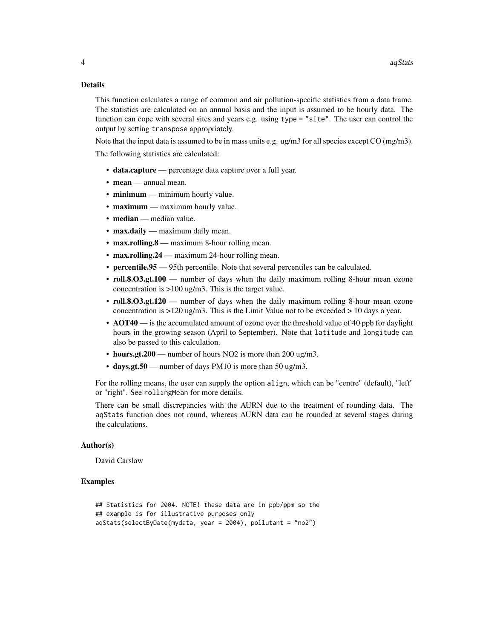This function calculates a range of common and air pollution-specific statistics from a data frame. The statistics are calculated on an annual basis and the input is assumed to be hourly data. The function can cope with several sites and years e.g. using type = "site". The user can control the output by setting transpose appropriately.

Note that the input data is assumed to be in mass units e.g. ug/m3 for all species except CO (mg/m3). The following statistics are calculated:

- data.capture percentage data capture over a full year.
- mean annual mean.
- minimum minimum hourly value.
- maximum maximum hourly value.
- median median value.
- max.daily maximum daily mean.
- max.rolling.8 maximum 8-hour rolling mean.
- max.rolling.24 maximum 24-hour rolling mean.
- percentile.95 95th percentile. Note that several percentiles can be calculated.
- roll.8.O3.gt.100 number of days when the daily maximum rolling 8-hour mean ozone concentration is >100 ug/m3. This is the target value.
- roll.8.O3.gt.120 number of days when the daily maximum rolling 8-hour mean ozone concentration is >120 ug/m3. This is the Limit Value not to be exceeded > 10 days a year.
- AOT40 is the accumulated amount of ozone over the threshold value of 40 ppb for daylight hours in the growing season (April to September). Note that latitude and longitude can also be passed to this calculation.
- hours.gt.200 number of hours NO2 is more than 200 ug/m3.
- days.gt.50 number of days PM10 is more than 50 ug/m3.

For the rolling means, the user can supply the option align, which can be "centre" (default), "left" or "right". See rollingMean for more details.

There can be small discrepancies with the AURN due to the treatment of rounding data. The aqStats function does not round, whereas AURN data can be rounded at several stages during the calculations.

#### Author(s)

David Carslaw

#### Examples

```
## Statistics for 2004. NOTE! these data are in ppb/ppm so the
## example is for illustrative purposes only
aqStats(selectByDate(mydata, year = 2004), pollutant = "no2")
```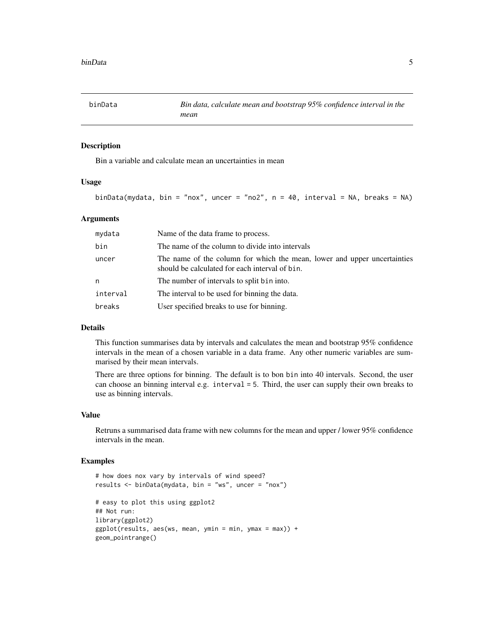<span id="page-4-0"></span>

## Description

Bin a variable and calculate mean an uncertainties in mean

# Usage

```
binData(mydata, bin = "nox", uncer = "no2", n = 40, interval = NA, breaks = NA)
```
#### **Arguments**

| mydata   | Name of the data frame to process.                                                                                         |
|----------|----------------------------------------------------------------------------------------------------------------------------|
| bin      | The name of the column to divide into intervals                                                                            |
| uncer    | The name of the column for which the mean, lower and upper uncertainties<br>should be calculated for each interval of bin. |
| n        | The number of intervals to split bin into.                                                                                 |
| interval | The interval to be used for binning the data.                                                                              |
| breaks   | User specified breaks to use for binning.                                                                                  |

#### Details

This function summarises data by intervals and calculates the mean and bootstrap 95% confidence intervals in the mean of a chosen variable in a data frame. Any other numeric variables are summarised by their mean intervals.

There are three options for binning. The default is to bon bin into 40 intervals. Second, the user can choose an binning interval e.g. interval = 5. Third, the user can supply their own breaks to use as binning intervals.

#### Value

Retruns a summarised data frame with new columns for the mean and upper / lower 95% confidence intervals in the mean.

#### Examples

```
# how does nox vary by intervals of wind speed?
results <- binData(mydata, bin = "ws", uncer = "nox")
# easy to plot this using ggplot2
## Not run:
library(ggplot2)
ggplot(results, aes(ws, mean, ymin = min, ymax = max)) +geom_pointrange()
```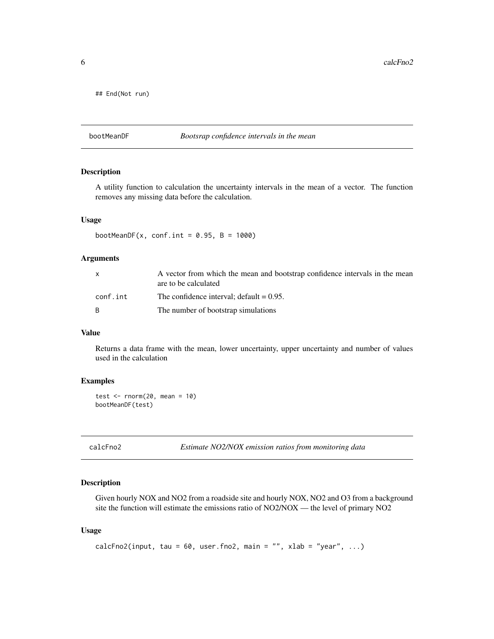<span id="page-5-0"></span> $6$  calcFno2

## End(Not run)

#### bootMeanDF *Bootsrap confidence intervals in the mean*

#### Description

A utility function to calculation the uncertainty intervals in the mean of a vector. The function removes any missing data before the calculation.

#### Usage

bootMeanDF(x, conf.int =  $0.95$ , B = 1000)

# Arguments

|          | A vector from which the mean and bootstrap confidence intervals in the mean<br>are to be calculated |
|----------|-----------------------------------------------------------------------------------------------------|
| conf.int | The confidence interval: $\delta$ default = 0.95.                                                   |
| R.       | The number of bootstrap simulations                                                                 |

# Value

Returns a data frame with the mean, lower uncertainty, upper uncertainty and number of values used in the calculation

#### Examples

test  $\leq$  rnorm(20, mean = 10) bootMeanDF(test)

calcFno2 *Estimate NO2/NOX emission ratios from monitoring data*

#### Description

Given hourly NOX and NO2 from a roadside site and hourly NOX, NO2 and O3 from a background site the function will estimate the emissions ratio of NO2/NOX — the level of primary NO2

#### Usage

```
calcFno2(input, tau = 60, user.fno2, main = "", xlab = "year", ...)
```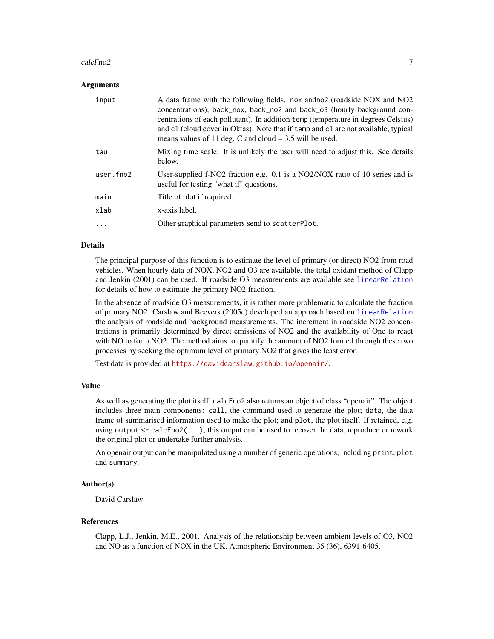#### calcFno2 7

#### Arguments

| input     | A data frame with the following fields. nox and not provided NOX and NO2<br>concentrations), back_nox, back_no2 and back_o3 (hourly background con-<br>centrations of each pollutant). In addition temp (temperature in degrees Celsius)<br>and c1 (cloud cover in Oktas). Note that if temp and c1 are not available, typical<br>means values of 11 deg. C and cloud $=$ 3.5 will be used. |
|-----------|---------------------------------------------------------------------------------------------------------------------------------------------------------------------------------------------------------------------------------------------------------------------------------------------------------------------------------------------------------------------------------------------|
| tau       | Mixing time scale. It is unlikely the user will need to adjust this. See details<br>below.                                                                                                                                                                                                                                                                                                  |
| user.fno2 | User-supplied f-NO2 fraction e.g. 0.1 is a NO2/NOX ratio of 10 series and is<br>useful for testing "what if" questions.                                                                                                                                                                                                                                                                     |
| main      | Title of plot if required.                                                                                                                                                                                                                                                                                                                                                                  |
| xlab      | x-axis label.                                                                                                                                                                                                                                                                                                                                                                               |
| .         | Other graphical parameters send to scatterPlot.                                                                                                                                                                                                                                                                                                                                             |

#### Details

The principal purpose of this function is to estimate the level of primary (or direct) NO2 from road vehicles. When hourly data of NOX, NO2 and O3 are available, the total oxidant method of Clapp and Jenkin (2001) can be used. If roadside O3 measurements are available see [linearRelation](#page-63-1) for details of how to estimate the primary NO2 fraction.

In the absence of roadside O3 measurements, it is rather more problematic to calculate the fraction of primary NO2. Carslaw and Beevers (2005c) developed an approach based on [linearRelation](#page-63-1) the analysis of roadside and background measurements. The increment in roadside NO2 concentrations is primarily determined by direct emissions of NO2 and the availability of One to react with NO to form NO2. The method aims to quantify the amount of NO2 formed through these two processes by seeking the optimum level of primary NO2 that gives the least error.

Test data is provided at <https://davidcarslaw.github.io/openair/>.

## Value

As well as generating the plot itself, calcFno2 also returns an object of class "openair". The object includes three main components: call, the command used to generate the plot; data, the data frame of summarised information used to make the plot; and plot, the plot itself. If retained, e.g. using output  $\leq$  calcFno2( $\ldots$ ), this output can be used to recover the data, reproduce or rework the original plot or undertake further analysis.

An openair output can be manipulated using a number of generic operations, including print, plot and summary.

# Author(s)

David Carslaw

#### References

Clapp, L.J., Jenkin, M.E., 2001. Analysis of the relationship between ambient levels of O3, NO2 and NO as a function of NOX in the UK. Atmospheric Environment 35 (36), 6391-6405.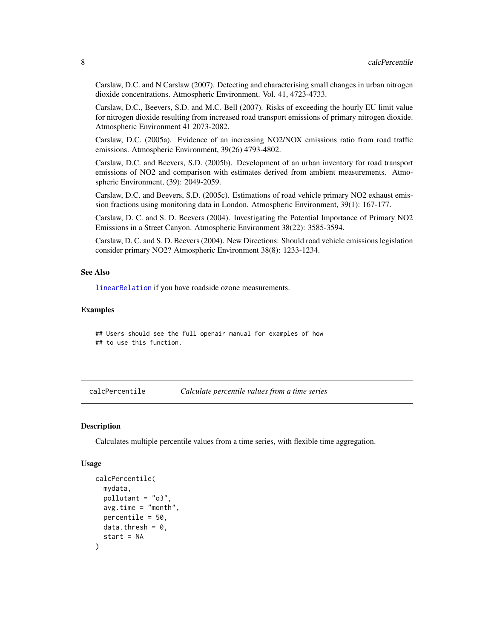<span id="page-7-0"></span>Carslaw, D.C. and N Carslaw (2007). Detecting and characterising small changes in urban nitrogen dioxide concentrations. Atmospheric Environment. Vol. 41, 4723-4733.

Carslaw, D.C., Beevers, S.D. and M.C. Bell (2007). Risks of exceeding the hourly EU limit value for nitrogen dioxide resulting from increased road transport emissions of primary nitrogen dioxide. Atmospheric Environment 41 2073-2082.

Carslaw, D.C. (2005a). Evidence of an increasing NO2/NOX emissions ratio from road traffic emissions. Atmospheric Environment, 39(26) 4793-4802.

Carslaw, D.C. and Beevers, S.D. (2005b). Development of an urban inventory for road transport emissions of NO2 and comparison with estimates derived from ambient measurements. Atmospheric Environment, (39): 2049-2059.

Carslaw, D.C. and Beevers, S.D. (2005c). Estimations of road vehicle primary NO2 exhaust emission fractions using monitoring data in London. Atmospheric Environment, 39(1): 167-177.

Carslaw, D. C. and S. D. Beevers (2004). Investigating the Potential Importance of Primary NO2 Emissions in a Street Canyon. Atmospheric Environment 38(22): 3585-3594.

Carslaw, D. C. and S. D. Beevers (2004). New Directions: Should road vehicle emissions legislation consider primary NO2? Atmospheric Environment 38(8): 1233-1234.

#### See Also

[linearRelation](#page-63-1) if you have roadside ozone measurements.

#### Examples

## Users should see the full openair manual for examples of how ## to use this function.

calcPercentile *Calculate percentile values from a time series*

#### Description

Calculates multiple percentile values from a time series, with flexible time aggregation.

#### Usage

```
calcPercentile(
  mydata,
  pollutant = "o3",
  avg.time = "month",
 percentile = 50,
 data.thresh = 0,
  start = NA
)
```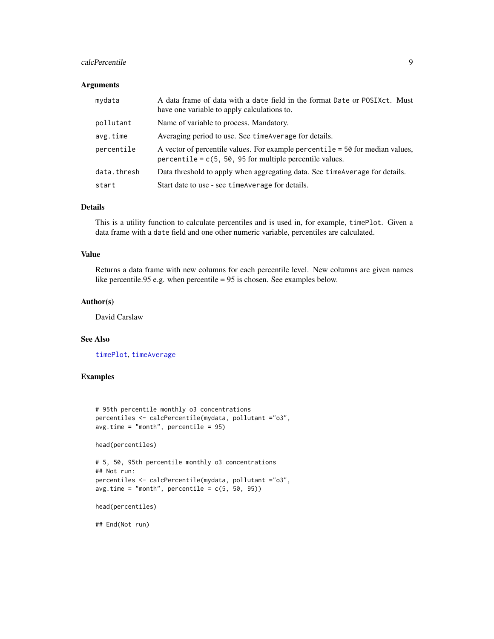## calcPercentile 9

# Arguments

| mydata      | A data frame of data with a date field in the format Date or POSIXct. Must<br>have one variable to apply calculations to.                     |
|-------------|-----------------------------------------------------------------------------------------------------------------------------------------------|
| pollutant   | Name of variable to process. Mandatory.                                                                                                       |
| avg.time    | Averaging period to use. See time Average for details.                                                                                        |
| percentile  | A vector of percentile values. For example percentile $=$ 50 for median values,<br>percentile = $c(5, 50, 95$ for multiple percentile values. |
| data.thresh | Data threshold to apply when aggregating data. See time Average for details.                                                                  |
| start       | Start date to use - see time Average for details.                                                                                             |

#### Details

This is a utility function to calculate percentiles and is used in, for example, timePlot. Given a data frame with a date field and one other numeric variable, percentiles are calculated.

#### Value

Returns a data frame with new columns for each percentile level. New columns are given names like percentile.95 e.g. when percentile = 95 is chosen. See examples below.

#### Author(s)

David Carslaw

# See Also

[timePlot](#page-130-1), [timeAverage](#page-127-1)

# Examples

```
# 95th percentile monthly o3 concentrations
percentiles <- calcPercentile(mydata, pollutant ="o3",
avg.time = "month", percentile = 95)
```
head(percentiles)

```
# 5, 50, 95th percentile monthly o3 concentrations
## Not run:
percentiles <- calcPercentile(mydata, pollutant ="o3",
avg.time = "month", percentile = c(5, 50, 95))
```
head(percentiles)

## End(Not run)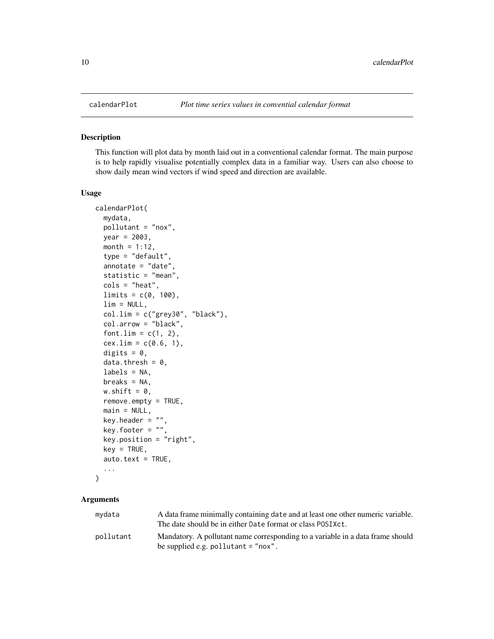<span id="page-9-0"></span>

# Description

This function will plot data by month laid out in a conventional calendar format. The main purpose is to help rapidly visualise potentially complex data in a familiar way. Users can also choose to show daily mean wind vectors if wind speed and direction are available.

#### Usage

```
calendarPlot(
  mydata,
 pollutant = "nox",
 year = 2003,
 month = 1:12,
  type = "default",
  annotate = "date",
  statistic = "mean",
  \text{cols} = \text{"heat",}limits = c(0, 100),
  lim = NULL,
  col.lim = c("grey30", "black"),
  col.arrow = "black",
  font.lim = c(1, 2),
  cex.lim = c(0.6, 1),digits = 0,
  data.thresh = 0,
  labels = NA,
 breaks = NA,
  w.shift = 0,
  remove.empty = TRUE,
 main = NULL,
  key.header = ",
  key.footer = ",
  key.position = "right",
  key = TRUE,auto.text = TRUE,...
```

```
)
```

| mydata    | A data frame minimally containing date and at least one other numeric variable.<br>The date should be in either Date format or class POSIXct. |
|-----------|-----------------------------------------------------------------------------------------------------------------------------------------------|
| pollutant | Mandatory. A pollutant name corresponding to a variable in a data frame should<br>be supplied e.g. pollutant $=$ "nox".                       |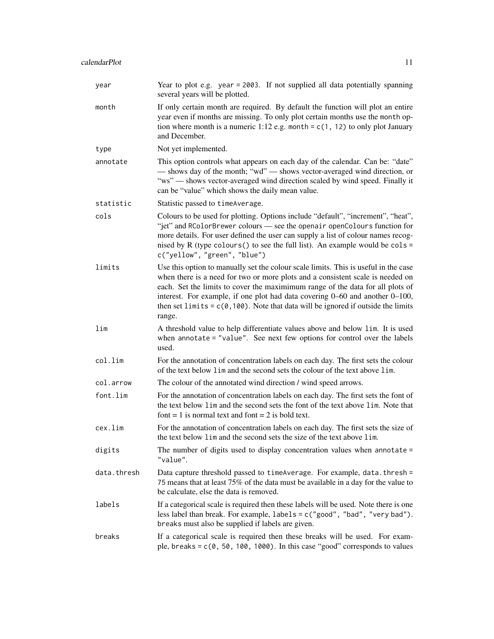| year        | Year to plot e.g. year = 2003. If not supplied all data potentially spanning<br>several years will be plotted.                                                                                                                                                                                                                                                                                                                            |
|-------------|-------------------------------------------------------------------------------------------------------------------------------------------------------------------------------------------------------------------------------------------------------------------------------------------------------------------------------------------------------------------------------------------------------------------------------------------|
| month       | If only certain month are required. By default the function will plot an entire<br>year even if months are missing. To only plot certain months use the month op-<br>tion where month is a numeric 1:12 e.g. month = $c(1, 12)$ to only plot January<br>and December.                                                                                                                                                                     |
| type        | Not yet implemented.                                                                                                                                                                                                                                                                                                                                                                                                                      |
| annotate    | This option controls what appears on each day of the calendar. Can be: "date"<br>— shows day of the month; "wd" — shows vector-averaged wind direction, or<br>"ws" — shows vector-averaged wind direction scaled by wind speed. Finally it<br>can be "value" which shows the daily mean value.                                                                                                                                            |
| statistic   | Statistic passed to timeAverage.                                                                                                                                                                                                                                                                                                                                                                                                          |
| cols        | Colours to be used for plotting. Options include "default", "increment", "heat",<br>"jet" and RColorBrewer colours - see the openair openColours function for<br>more details. For user defined the user can supply a list of colour names recog-<br>nised by R (type colours () to see the full list). An example would be $\text{cols} =$<br>c("yellow", "green", "blue")                                                               |
| limits      | Use this option to manually set the colour scale limits. This is useful in the case<br>when there is a need for two or more plots and a consistent scale is needed on<br>each. Set the limits to cover the maximimum range of the data for all plots of<br>interest. For example, if one plot had data covering 0–60 and another 0–100,<br>then set limits = $c(0, 100)$ . Note that data will be ignored if outside the limits<br>range. |
| lim         | A threshold value to help differentiate values above and below lim. It is used<br>when annotate = "value". See next few options for control over the labels<br>used.                                                                                                                                                                                                                                                                      |
| col.lim     | For the annotation of concentration labels on each day. The first sets the colour<br>of the text below lim and the second sets the colour of the text above lim.                                                                                                                                                                                                                                                                          |
| col.arrow   | The colour of the annotated wind direction / wind speed arrows.                                                                                                                                                                                                                                                                                                                                                                           |
| font.lim    | For the annotation of concentration labels on each day. The first sets the font of<br>the text below 1im and the second sets the font of the text above 1im. Note that<br>font = 1 is normal text and font = 2 is bold text.                                                                                                                                                                                                              |
| cex.lim     | For the annotation of concentration labels on each day. The first sets the size of<br>the text below lim and the second sets the size of the text above lim.                                                                                                                                                                                                                                                                              |
| digits      | The number of digits used to display concentration values when annotate $=$<br>"value".                                                                                                                                                                                                                                                                                                                                                   |
| data.thresh | Data capture threshold passed to timeAverage. For example, data. thresh =<br>75 means that at least 75% of the data must be available in a day for the value to<br>be calculate, else the data is removed.                                                                                                                                                                                                                                |
| labels      | If a categorical scale is required then these labels will be used. Note there is one<br>less label than break. For example, labels = c("good", "bad", "very bad").<br>breaks must also be supplied if labels are given.                                                                                                                                                                                                                   |
| breaks      | If a categorical scale is required then these breaks will be used. For exam-<br>ple, breaks = $c(0, 50, 100, 1000)$ . In this case "good" corresponds to values                                                                                                                                                                                                                                                                           |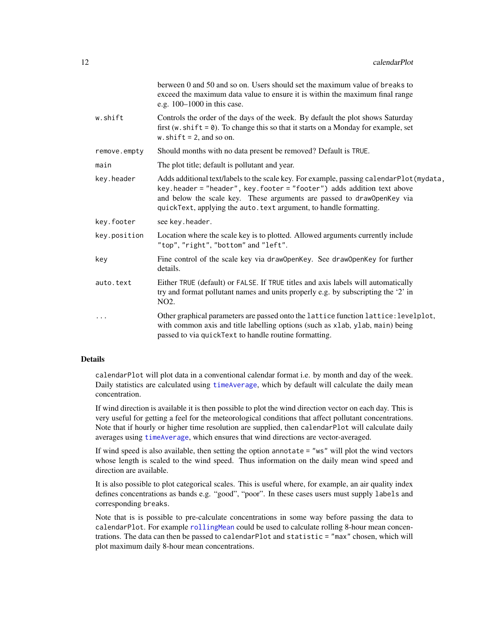|              | berween 0 and 50 and so on. Users should set the maximum value of breaks to<br>exceed the maximum data value to ensure it is within the maximum final range<br>e.g. 100-1000 in this case.                                                                                                                         |
|--------------|--------------------------------------------------------------------------------------------------------------------------------------------------------------------------------------------------------------------------------------------------------------------------------------------------------------------|
| w.shift      | Controls the order of the days of the week. By default the plot shows Saturday<br>first (w. shift = $\theta$ ). To change this so that it starts on a Monday for example, set<br>w.shift = 2, and so on.                                                                                                           |
| remove.empty | Should months with no data present be removed? Default is TRUE.                                                                                                                                                                                                                                                    |
| main         | The plot title; default is pollutant and year.                                                                                                                                                                                                                                                                     |
| key.header   | Adds additional text/labels to the scale key. For example, passing calendarPlot (mydata,<br>key.header = "header", key.footer = "footer") adds addition text above<br>and below the scale key. These arguments are passed to draw0penKey via<br>quickText, applying the auto. text argument, to handle formatting. |
| key.footer   | see key.header.                                                                                                                                                                                                                                                                                                    |
| key.position | Location where the scale key is to plotted. Allowed arguments currently include<br>"top", "right", "bottom" and "left".                                                                                                                                                                                            |
| key          | Fine control of the scale key via draw0penKey. See draw0penKey for further<br>details.                                                                                                                                                                                                                             |
| auto.text    | Either TRUE (default) or FALSE. If TRUE titles and axis labels will automatically<br>try and format pollutant names and units properly e.g. by subscripting the '2' in<br>NO <sub>2</sub> .                                                                                                                        |
| .            | Other graphical parameters are passed onto the lattice function lattice: levelplot,<br>with common axis and title labelling options (such as xlab, ylab, main) being<br>passed to via quickText to handle routine formatting.                                                                                      |
|              |                                                                                                                                                                                                                                                                                                                    |

calendarPlot will plot data in a conventional calendar format i.e. by month and day of the week. Daily statistics are calculated using [timeAverage](#page-127-1), which by default will calculate the daily mean concentration.

If wind direction is available it is then possible to plot the wind direction vector on each day. This is very useful for getting a feel for the meteorological conditions that affect pollutant concentrations. Note that if hourly or higher time resolution are supplied, then calendarPlot will calculate daily averages using [timeAverage](#page-127-1), which ensures that wind directions are vector-averaged.

If wind speed is also available, then setting the option annotate = "ws" will plot the wind vectors whose length is scaled to the wind speed. Thus information on the daily mean wind speed and direction are available.

It is also possible to plot categorical scales. This is useful where, for example, an air quality index defines concentrations as bands e.g. "good", "poor". In these cases users must supply labels and corresponding breaks.

Note that is is possible to pre-calculate concentrations in some way before passing the data to calendarPlot. For example [rollingMean](#page-98-1) could be used to calculate rolling 8-hour mean concentrations. The data can then be passed to calendarPlot and statistic = "max" chosen, which will plot maximum daily 8-hour mean concentrations.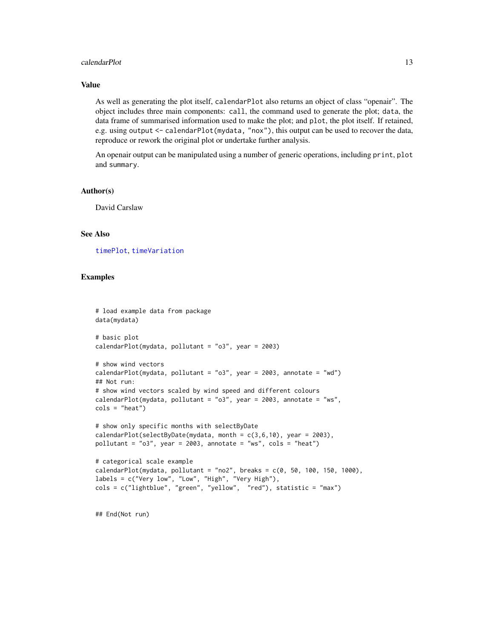#### calendarPlot 13

### Value

As well as generating the plot itself, calendarPlot also returns an object of class "openair". The object includes three main components: call, the command used to generate the plot; data, the data frame of summarised information used to make the plot; and plot, the plot itself. If retained, e.g. using output <- calendarPlot(mydata, "nox"), this output can be used to recover the data, reproduce or rework the original plot or undertake further analysis.

An openair output can be manipulated using a number of generic operations, including print, plot and summary.

#### Author(s)

David Carslaw

#### See Also

[timePlot](#page-130-1), [timeVariation](#page-138-1)

#### Examples

```
# load example data from package
data(mydata)
# basic plot
calendarPlot(mydata, pollutant = "o3", year = 2003)
# show wind vectors
calendarPlot(mydata, pollutant = "o3", year = 2003, annotate = "wd")
## Not run:
# show wind vectors scaled by wind speed and different colours
calendarPlot(mydata, pollutant = "o3", year = 2003, annotate = "ws",
cols = "heat")# show only specific months with selectByDate
calendarPlot(selectByDate(mydata, month = c(3,6,10), year = 2003),
pollutant = "o3", year = 2003, annotate = "ws", cols = "heat")
# categorical scale example
```

```
calarPlot(mydata, pollutant = "no2", breaks = c(0, 50, 100, 150, 1000),labels = c("Very low", "Low", "High", "Very High"),
cols = c("lightblue", "green", "yellow", "red"), statistic = "max")
```
## End(Not run)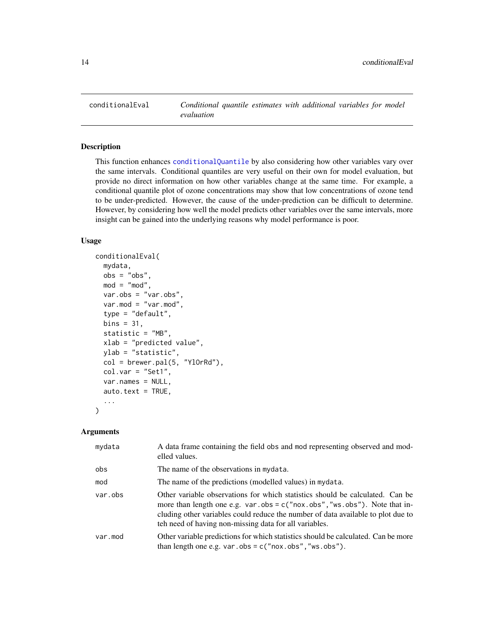<span id="page-13-0"></span>

# Description

This function enhances [conditionalQuantile](#page-16-1) by also considering how other variables vary over the same intervals. Conditional quantiles are very useful on their own for model evaluation, but provide no direct information on how other variables change at the same time. For example, a conditional quantile plot of ozone concentrations may show that low concentrations of ozone tend to be under-predicted. However, the cause of the under-prediction can be difficult to determine. However, by considering how well the model predicts other variables over the same intervals, more insight can be gained into the underlying reasons why model performance is poor.

#### Usage

```
conditionalEval(
  mydata,
  obs = "obs",mod = "mod",
  var.obs = "var.obs",
  var.mod = "var.mod",
  type = "default",
  bins = 31,
  statistic = "MB",
  xlab = "predicted value",
 ylab = "statistic",
  col = brewer.pal(5, 'Y10rRd''),
  col.var = "Set1",var.names = NULL,
  auto.text = TRUE,...
)
```

| mydata  | A data frame containing the field obs and mod representing observed and mod-<br>elled values.                                                                                                                                                                                                               |
|---------|-------------------------------------------------------------------------------------------------------------------------------------------------------------------------------------------------------------------------------------------------------------------------------------------------------------|
| obs     | The name of the observations in mydata.                                                                                                                                                                                                                                                                     |
| mod     | The name of the predictions (modelled values) in mydata.                                                                                                                                                                                                                                                    |
| var.obs | Other variable observations for which statistics should be calculated. Can be<br>more than length one e.g. var.obs = $c("now.obs", "ws.obs")$ . Note that in-<br>cluding other variables could reduce the number of data available to plot due to<br>teh need of having non-missing data for all variables. |
| var.mod | Other variable predictions for which statistics should be calculated. Can be more<br>than length one e.g. var.obs = $c("now.obs", "ws.obs").$                                                                                                                                                               |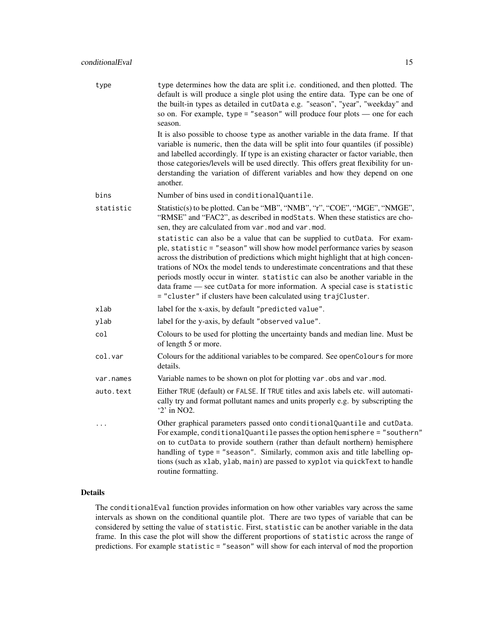| type      | type determines how the data are split i.e. conditioned, and then plotted. The<br>default is will produce a single plot using the entire data. Type can be one of<br>the built-in types as detailed in cutData e.g. "season", "year", "weekday" and<br>so on. For example, type = "season" will produce four plots $-$ one for each<br>season.                                                                                                                                                                                                                              |
|-----------|-----------------------------------------------------------------------------------------------------------------------------------------------------------------------------------------------------------------------------------------------------------------------------------------------------------------------------------------------------------------------------------------------------------------------------------------------------------------------------------------------------------------------------------------------------------------------------|
|           | It is also possible to choose type as another variable in the data frame. If that<br>variable is numeric, then the data will be split into four quantiles (if possible)<br>and labelled accordingly. If type is an existing character or factor variable, then<br>those categories/levels will be used directly. This offers great flexibility for un-<br>derstanding the variation of different variables and how they depend on one<br>another.                                                                                                                           |
| bins      | Number of bins used in conditionalQuantile.                                                                                                                                                                                                                                                                                                                                                                                                                                                                                                                                 |
| statistic | Statistic(s) to be plotted. Can be "MB", "NMB", "r", "COE", "MGE", "NMGE",<br>"RMSE" and "FAC2", as described in modStats. When these statistics are cho-<br>sen, they are calculated from var.mod and var.mod.                                                                                                                                                                                                                                                                                                                                                             |
|           | statistic can also be a value that can be supplied to cutData. For exam-<br>ple, statistic = "season" will show how model performance varies by season<br>across the distribution of predictions which might highlight that at high concen-<br>trations of NO <sub>x</sub> the model tends to underestimate concentrations and that these<br>periods mostly occur in winter. statistic can also be another variable in the<br>data frame - see cutData for more information. A special case is statistic<br>= "cluster" if clusters have been calculated using trajCluster. |
| xlab      | label for the x-axis, by default "predicted value".                                                                                                                                                                                                                                                                                                                                                                                                                                                                                                                         |
| ylab      | label for the y-axis, by default "observed value".                                                                                                                                                                                                                                                                                                                                                                                                                                                                                                                          |
| col       | Colours to be used for plotting the uncertainty bands and median line. Must be<br>of length 5 or more.                                                                                                                                                                                                                                                                                                                                                                                                                                                                      |
| col.var   | Colours for the additional variables to be compared. See openColours for more<br>details.                                                                                                                                                                                                                                                                                                                                                                                                                                                                                   |
| var.names | Variable names to be shown on plot for plotting var.obs and var.mod.                                                                                                                                                                                                                                                                                                                                                                                                                                                                                                        |
| auto.text | Either TRUE (default) or FALSE. If TRUE titles and axis labels etc. will automati-<br>cally try and format pollutant names and units properly e.g. by subscripting the<br>'2' in NO2.                                                                                                                                                                                                                                                                                                                                                                                       |
| .         | Other graphical parameters passed onto conditionalQuantile and cutData.<br>For example, conditional Quantile passes the option hemisphere = "southern"<br>on to cutData to provide southern (rather than default northern) hemisphere<br>handling of type = "season". Similarly, common axis and title labelling op-<br>tions (such as xlab, ylab, main) are passed to xyplot via quickText to handle<br>routine formatting.                                                                                                                                                |

The conditionalEval function provides information on how other variables vary across the same intervals as shown on the conditional quantile plot. There are two types of variable that can be considered by setting the value of statistic. First, statistic can be another variable in the data frame. In this case the plot will show the different proportions of statistic across the range of predictions. For example statistic = "season" will show for each interval of mod the proportion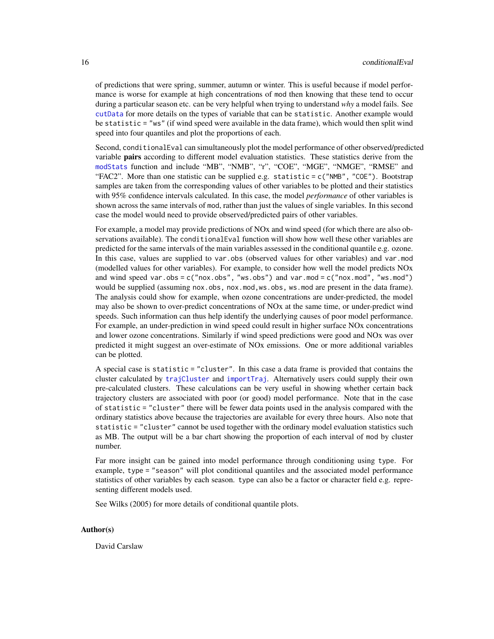of predictions that were spring, summer, autumn or winter. This is useful because if model performance is worse for example at high concentrations of mod then knowing that these tend to occur during a particular season etc. can be very helpful when trying to understand *why* a model fails. See [cutData](#page-22-1) for more details on the types of variable that can be statistic. Another example would be statistic = "ws" (if wind speed were available in the data frame), which would then split wind speed into four quantiles and plot the proportions of each.

Second, conditionalEval can simultaneously plot the model performance of other observed/predicted variable **pairs** according to different model evaluation statistics. These statistics derive from the [modStats](#page-65-1) function and include "MB", "NMB", "r", "COE", "MGE", "NMGE", "RMSE" and "FAC2". More than one statistic can be supplied e.g. statistic =  $c("NMB", "COE").$  Bootstrap samples are taken from the corresponding values of other variables to be plotted and their statistics with 95% confidence intervals calculated. In this case, the model *performance* of other variables is shown across the same intervals of mod, rather than just the values of single variables. In this second case the model would need to provide observed/predicted pairs of other variables.

For example, a model may provide predictions of NOx and wind speed (for which there are also observations available). The conditionalEval function will show how well these other variables are predicted for the same intervals of the main variables assessed in the conditional quantile e.g. ozone. In this case, values are supplied to var.obs (observed values for other variables) and var.mod (modelled values for other variables). For example, to consider how well the model predicts NOx and wind speed var.obs =  $c("nox.obs", "ws.obs")$  and var.mod =  $c("nox.mod", "ws.mod")$ would be supplied (assuming nox.obs, nox.mod, ws.obs, ws.mod are present in the data frame). The analysis could show for example, when ozone concentrations are under-predicted, the model may also be shown to over-predict concentrations of NOx at the same time, or under-predict wind speeds. Such information can thus help identify the underlying causes of poor model performance. For example, an under-prediction in wind speed could result in higher surface NOx concentrations and lower ozone concentrations. Similarly if wind speed predictions were good and NOx was over predicted it might suggest an over-estimate of NOx emissions. One or more additional variables can be plotted.

A special case is statistic = "cluster". In this case a data frame is provided that contains the cluster calculated by [trajCluster](#page-144-1) and [importTraj](#page-57-1). Alternatively users could supply their own pre-calculated clusters. These calculations can be very useful in showing whether certain back trajectory clusters are associated with poor (or good) model performance. Note that in the case of statistic = "cluster" there will be fewer data points used in the analysis compared with the ordinary statistics above because the trajectories are available for every three hours. Also note that statistic = "cluster" cannot be used together with the ordinary model evaluation statistics such as MB. The output will be a bar chart showing the proportion of each interval of mod by cluster number.

Far more insight can be gained into model performance through conditioning using type. For example, type = "season" will plot conditional quantiles and the associated model performance statistics of other variables by each season. type can also be a factor or character field e.g. representing different models used.

See Wilks (2005) for more details of conditional quantile plots.

#### Author(s)

David Carslaw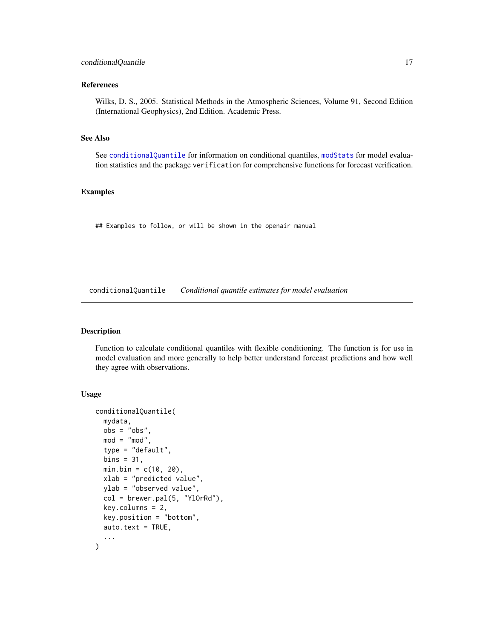#### <span id="page-16-0"></span>References

Wilks, D. S., 2005. Statistical Methods in the Atmospheric Sciences, Volume 91, Second Edition (International Geophysics), 2nd Edition. Academic Press.

#### See Also

See [conditionalQuantile](#page-16-1) for information on conditional quantiles, [modStats](#page-65-1) for model evaluation statistics and the package verification for comprehensive functions for forecast verification.

#### Examples

## Examples to follow, or will be shown in the openair manual

<span id="page-16-1"></span>conditionalQuantile *Conditional quantile estimates for model evaluation*

#### Description

Function to calculate conditional quantiles with flexible conditioning. The function is for use in model evaluation and more generally to help better understand forecast predictions and how well they agree with observations.

### Usage

```
conditionalQuantile(
  mydata,
 obs = "obs",mod = "mod",type = "default",
 bins = 31,
 min.bin = c(10, 20),
 xlab = "predicted value",
 ylab = "observed value",
  col = brewer.pal(5, 'Yl0rRd''),
  key.columns = 2,
  key.position = "bottom",
  auto.text = TRUE,...
)
```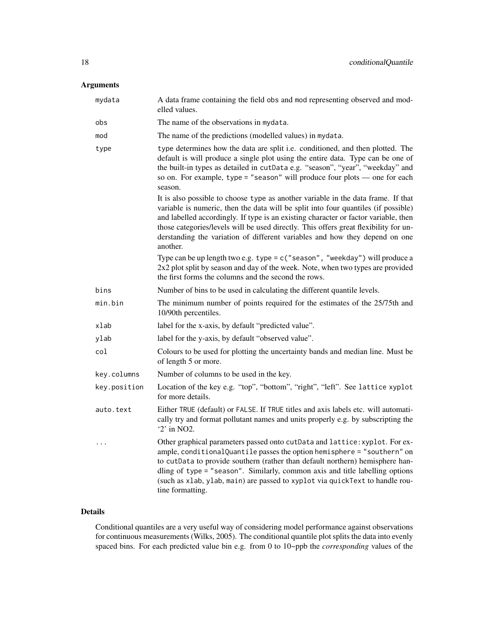# Arguments

| mydata       | A data frame containing the field obs and mod representing observed and mod-<br>elled values.                                                                                                                                                                                                                                                                                                                                                     |
|--------------|---------------------------------------------------------------------------------------------------------------------------------------------------------------------------------------------------------------------------------------------------------------------------------------------------------------------------------------------------------------------------------------------------------------------------------------------------|
| obs          | The name of the observations in mydata.                                                                                                                                                                                                                                                                                                                                                                                                           |
| mod          | The name of the predictions (modelled values) in mydata.                                                                                                                                                                                                                                                                                                                                                                                          |
| type         | type determines how the data are split i.e. conditioned, and then plotted. The<br>default is will produce a single plot using the entire data. Type can be one of<br>the built-in types as detailed in cutData e.g. "season", "year", "weekday" and<br>so on. For example, type = "season" will produce four plots $-$ one for each<br>season.                                                                                                    |
|              | It is also possible to choose type as another variable in the data frame. If that<br>variable is numeric, then the data will be split into four quantiles (if possible)<br>and labelled accordingly. If type is an existing character or factor variable, then<br>those categories/levels will be used directly. This offers great flexibility for un-<br>derstanding the variation of different variables and how they depend on one<br>another. |
|              | Type can be up length two e.g. type = $c$ ("season", "weekday") will produce a<br>2x2 plot split by season and day of the week. Note, when two types are provided<br>the first forms the columns and the second the rows.                                                                                                                                                                                                                         |
| bins         | Number of bins to be used in calculating the different quantile levels.                                                                                                                                                                                                                                                                                                                                                                           |
| min.bin      | The minimum number of points required for the estimates of the 25/75th and<br>10/90th percentiles.                                                                                                                                                                                                                                                                                                                                                |
| xlab         | label for the x-axis, by default "predicted value".                                                                                                                                                                                                                                                                                                                                                                                               |
| ylab         | label for the y-axis, by default "observed value".                                                                                                                                                                                                                                                                                                                                                                                                |
| col          | Colours to be used for plotting the uncertainty bands and median line. Must be<br>of length 5 or more.                                                                                                                                                                                                                                                                                                                                            |
| key.columns  | Number of columns to be used in the key.                                                                                                                                                                                                                                                                                                                                                                                                          |
| key.position | Location of the key e.g. "top", "bottom", "right", "left". See lattice xyplot<br>for more details.                                                                                                                                                                                                                                                                                                                                                |
| auto.text    | Either TRUE (default) or FALSE. If TRUE titles and axis labels etc. will automati-<br>cally try and format pollutant names and units properly e.g. by subscripting the<br>'2' in NO2.                                                                                                                                                                                                                                                             |
| .            | Other graphical parameters passed onto cutData and lattice: xyplot. For ex-<br>ample, conditionalQuantile passes the option hemisphere = "southern" on<br>to cutData to provide southern (rather than default northern) hemisphere han-<br>dling of type = "season". Similarly, common axis and title labelling options<br>(such as xlab, ylab, main) are passed to xyplot via quickText to handle rou-<br>tine formatting.                       |

# Details

Conditional quantiles are a very useful way of considering model performance against observations for continuous measurements (Wilks, 2005). The conditional quantile plot splits the data into evenly spaced bins. For each predicted value bin e.g. from 0 to 10~ppb the *corresponding* values of the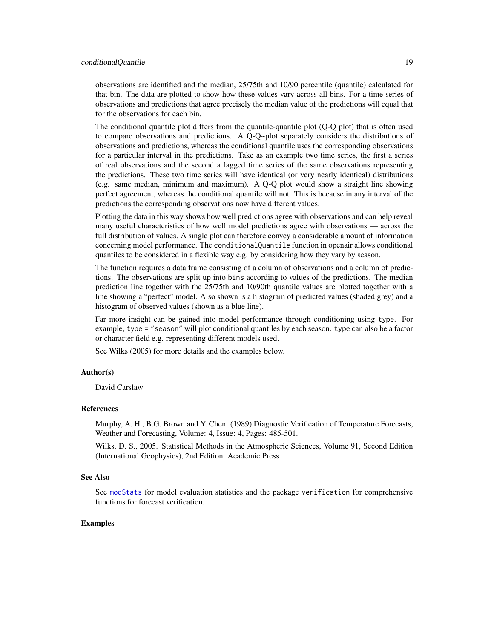## conditionalQuantile 19

observations are identified and the median, 25/75th and 10/90 percentile (quantile) calculated for that bin. The data are plotted to show how these values vary across all bins. For a time series of observations and predictions that agree precisely the median value of the predictions will equal that for the observations for each bin.

The conditional quantile plot differs from the quantile-quantile plot (Q-Q plot) that is often used to compare observations and predictions. A Q-Q~plot separately considers the distributions of observations and predictions, whereas the conditional quantile uses the corresponding observations for a particular interval in the predictions. Take as an example two time series, the first a series of real observations and the second a lagged time series of the same observations representing the predictions. These two time series will have identical (or very nearly identical) distributions (e.g. same median, minimum and maximum). A Q-Q plot would show a straight line showing perfect agreement, whereas the conditional quantile will not. This is because in any interval of the predictions the corresponding observations now have different values.

Plotting the data in this way shows how well predictions agree with observations and can help reveal many useful characteristics of how well model predictions agree with observations — across the full distribution of values. A single plot can therefore convey a considerable amount of information concerning model performance. The conditionalQuantile function in openair allows conditional quantiles to be considered in a flexible way e.g. by considering how they vary by season.

The function requires a data frame consisting of a column of observations and a column of predictions. The observations are split up into bins according to values of the predictions. The median prediction line together with the 25/75th and 10/90th quantile values are plotted together with a line showing a "perfect" model. Also shown is a histogram of predicted values (shaded grey) and a histogram of observed values (shown as a blue line).

Far more insight can be gained into model performance through conditioning using type. For example, type = "season" will plot conditional quantiles by each season. type can also be a factor or character field e.g. representing different models used.

See Wilks (2005) for more details and the examples below.

#### Author(s)

David Carslaw

#### References

Murphy, A. H., B.G. Brown and Y. Chen. (1989) Diagnostic Verification of Temperature Forecasts, Weather and Forecasting, Volume: 4, Issue: 4, Pages: 485-501.

Wilks, D. S., 2005. Statistical Methods in the Atmospheric Sciences, Volume 91, Second Edition (International Geophysics), 2nd Edition. Academic Press.

#### See Also

See [modStats](#page-65-1) for model evaluation statistics and the package verification for comprehensive functions for forecast verification.

#### Examples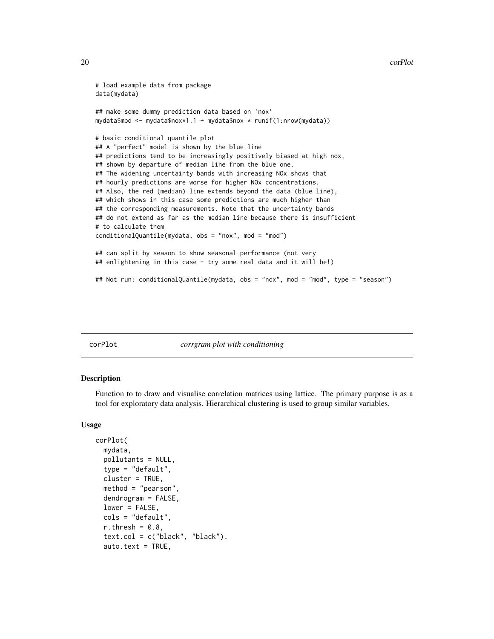```
# load example data from package
data(mydata)
## make some dummy prediction data based on 'nox'
mydata$mod <- mydata$nox*1.1 + mydata$nox * runif(1:nrow(mydata))
# basic conditional quantile plot
## A "perfect" model is shown by the blue line
## predictions tend to be increasingly positively biased at high nox,
## shown by departure of median line from the blue one.
## The widening uncertainty bands with increasing NOx shows that
## hourly predictions are worse for higher NOx concentrations.
## Also, the red (median) line extends beyond the data (blue line),
## which shows in this case some predictions are much higher than
## the corresponding measurements. Note that the uncertainty bands
## do not extend as far as the median line because there is insufficient
# to calculate them
conditionalQuantile(mydata, obs = "nox", mod = "mod")
## can split by season to show seasonal performance (not very
## enlightening in this case - try some real data and it will be!)
## Not run: conditionalQuantile(mydata, obs = "nox", mod = "mod", type = "season")
```
corPlot *corrgram plot with conditioning*

#### **Description**

Function to to draw and visualise correlation matrices using lattice. The primary purpose is as a tool for exploratory data analysis. Hierarchical clustering is used to group similar variables.

#### Usage

```
corPlot(
 mydata,
  pollutants = NULL,
  type = "default",
  cluster = TRUE,
 method = "pearson",
  dendrogram = FALSE,
  lower = FALSE,
  cols = "default",
  r.thresh = 0.8,
  text.col = c("black", "black"),
  auto.text = TRUE,
```
<span id="page-19-0"></span>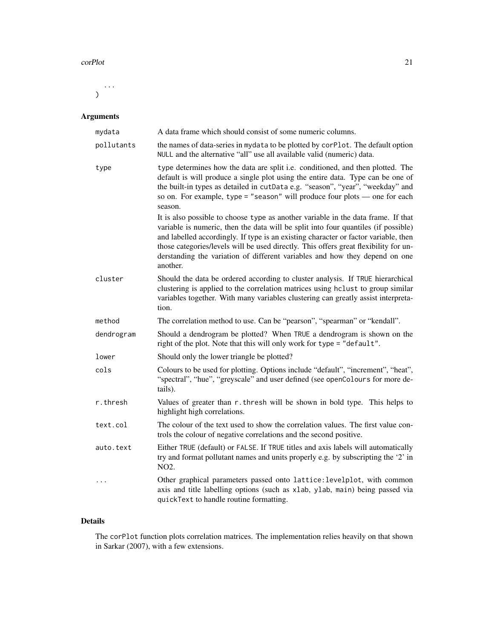#### corPlot 21

...  $\mathcal{L}$ 

# Arguments

| mydata     | A data frame which should consist of some numeric columns.                                                                                                                                                                                                                                                                                                                                                                                        |
|------------|---------------------------------------------------------------------------------------------------------------------------------------------------------------------------------------------------------------------------------------------------------------------------------------------------------------------------------------------------------------------------------------------------------------------------------------------------|
| pollutants | the names of data-series in mydata to be plotted by corPlot. The default option<br>NULL and the alternative "all" use all available valid (numeric) data.                                                                                                                                                                                                                                                                                         |
| type       | type determines how the data are split i.e. conditioned, and then plotted. The<br>default is will produce a single plot using the entire data. Type can be one of<br>the built-in types as detailed in cutData e.g. "season", "year", "weekday" and<br>so on. For example, type = "season" will produce four plots $-$ one for each<br>season.                                                                                                    |
|            | It is also possible to choose type as another variable in the data frame. If that<br>variable is numeric, then the data will be split into four quantiles (if possible)<br>and labelled accordingly. If type is an existing character or factor variable, then<br>those categories/levels will be used directly. This offers great flexibility for un-<br>derstanding the variation of different variables and how they depend on one<br>another. |
| cluster    | Should the data be ordered according to cluster analysis. If TRUE hierarchical<br>clustering is applied to the correlation matrices using hclust to group similar<br>variables together. With many variables clustering can greatly assist interpreta-<br>tion.                                                                                                                                                                                   |
| method     | The correlation method to use. Can be "pearson", "spearman" or "kendall".                                                                                                                                                                                                                                                                                                                                                                         |
| dendrogram | Should a dendrogram be plotted? When TRUE a dendrogram is shown on the<br>right of the plot. Note that this will only work for type = "default".                                                                                                                                                                                                                                                                                                  |
| lower      | Should only the lower triangle be plotted?                                                                                                                                                                                                                                                                                                                                                                                                        |
| cols       | Colours to be used for plotting. Options include "default", "increment", "heat",<br>"spectral", "hue", "greyscale" and user defined (see openColours for more de-<br>tails).                                                                                                                                                                                                                                                                      |
| r.thresh   | Values of greater than r. thresh will be shown in bold type. This helps to<br>highlight high correlations.                                                                                                                                                                                                                                                                                                                                        |
| text.col   | The colour of the text used to show the correlation values. The first value con-<br>trols the colour of negative correlations and the second positive.                                                                                                                                                                                                                                                                                            |
| auto.text  | Either TRUE (default) or FALSE. If TRUE titles and axis labels will automatically<br>try and format pollutant names and units properly e.g. by subscripting the '2' in<br>NO2.                                                                                                                                                                                                                                                                    |
| $\cdots$   | Other graphical parameters passed onto lattice: levelplot, with common<br>axis and title labelling options (such as xlab, ylab, main) being passed via<br>quickText to handle routine formatting.                                                                                                                                                                                                                                                 |

# Details

The corPlot function plots correlation matrices. The implementation relies heavily on that shown in Sarkar (2007), with a few extensions.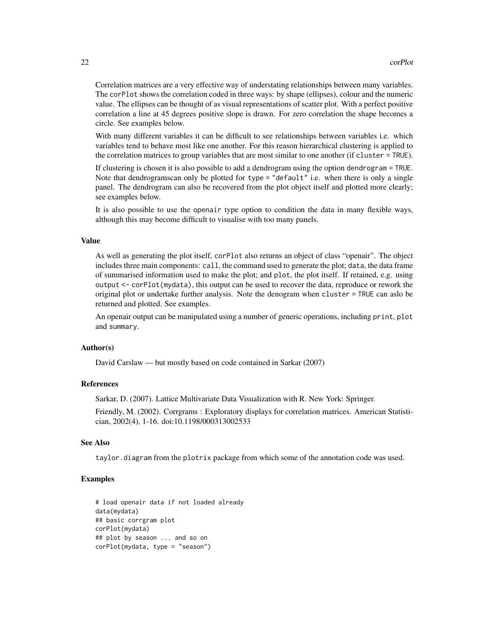Correlation matrices are a very effective way of understating relationships between many variables. The corPlot shows the correlation coded in three ways: by shape (ellipses), colour and the numeric value. The ellipses can be thought of as visual representations of scatter plot. With a perfect positive correlation a line at 45 degrees positive slope is drawn. For zero correlation the shape becomes a circle. See examples below.

With many different variables it can be difficult to see relationships between variables i.e. which variables tend to behave most like one another. For this reason hierarchical clustering is applied to the correlation matrices to group variables that are most similar to one another (if cluster = TRUE).

If clustering is chosen it is also possible to add a dendrogram using the option dendrogram = TRUE. Note that dendrogramscan only be plotted for type = "default" i.e. when there is only a single panel. The dendrogram can also be recovered from the plot object itself and plotted more clearly; see examples below.

It is also possible to use the openair type option to condition the data in many flexible ways, although this may become difficult to visualise with too many panels.

#### Value

As well as generating the plot itself, corPlot also returns an object of class "openair". The object includes three main components: call, the command used to generate the plot; data, the data frame of summarised information used to make the plot; and plot, the plot itself. If retained, e.g. using output <- corPlot(mydata), this output can be used to recover the data, reproduce or rework the original plot or undertake further analysis. Note the denogram when cluster = TRUE can aslo be returned and plotted. See examples.

An openair output can be manipulated using a number of generic operations, including print, plot and summary.

#### Author(s)

David Carslaw — but mostly based on code contained in Sarkar (2007)

### References

Sarkar, D. (2007). Lattice Multivariate Data Visualization with R. New York: Springer.

Friendly, M. (2002). Corrgrams : Exploratory displays for correlation matrices. American Statistician, 2002(4), 1-16. doi:10.1198/000313002533

#### See Also

taylor.diagram from the plotrix package from which some of the annotation code was used.

#### Examples

```
# load openair data if not loaded already
data(mydata)
## basic corrgram plot
corPlot(mydata)
## plot by season ... and so on
corPlot(mydata, type = "season")
```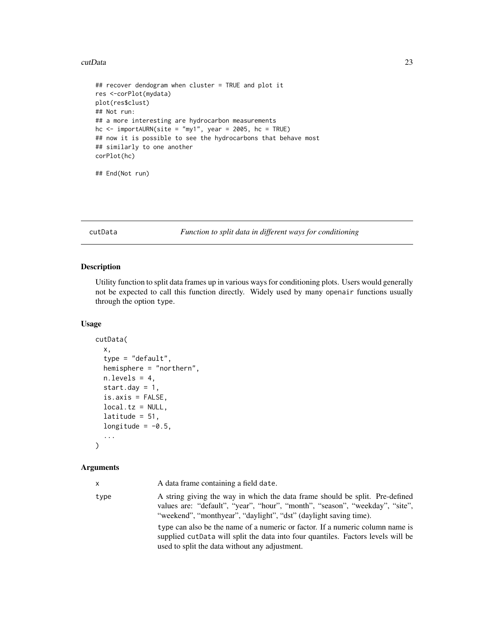#### <span id="page-22-0"></span>cutData 23

```
## recover dendogram when cluster = TRUE and plot it
res <-corPlot(mydata)
plot(res$clust)
## Not run:
## a more interesting are hydrocarbon measurements
hc \le importAURN(site = "my1", year = 2005, hc = TRUE)
## now it is possible to see the hydrocarbons that behave most
## similarly to one another
corPlot(hc)
## End(Not run)
```
#### <span id="page-22-1"></span>cutData *Function to split data in different ways for conditioning*

# Description

Utility function to split data frames up in various ways for conditioning plots. Users would generally not be expected to call this function directly. Widely used by many openair functions usually through the option type.

#### Usage

```
cutData(
  x,
  type = "default",
  hemisphere = "northern",
  n.levels = 4,
  start.day = 1,
  is. axis = FALSE,local.tz = NULL,latitude = 51,
  longitude = -0.5,
  ...
\mathcal{L}
```

| x    | A data frame containing a field date.                                                                                                                                                                                             |
|------|-----------------------------------------------------------------------------------------------------------------------------------------------------------------------------------------------------------------------------------|
| type | A string giving the way in which the data frame should be split. Pre-defined<br>values are: "default", "year", "hour", "month", "season", "weekday", "site",<br>"weekend", "monthyear", "daylight", "dst" (daylight saving time). |
|      | type can also be the name of a numeric or factor. If a numeric column name is<br>supplied cut Data will split the data into four quantiles. Factors levels will be<br>used to split the data without any adjustment.              |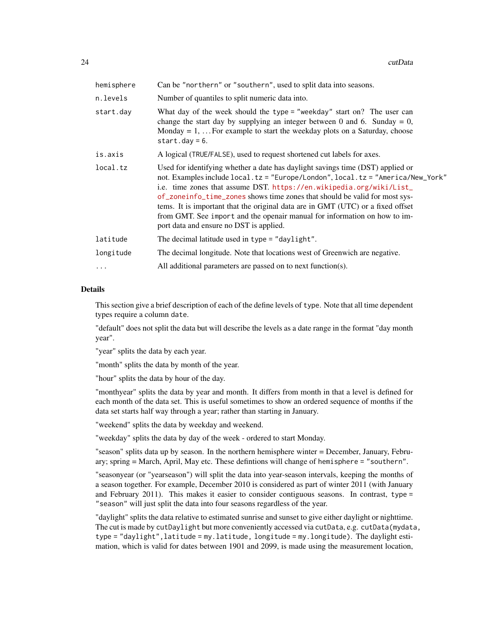| hemisphere | Can be "northern" or "southern", used to split data into seasons.                                                                                                                                                                                                                                                                                                                                                                                                                                                                  |
|------------|------------------------------------------------------------------------------------------------------------------------------------------------------------------------------------------------------------------------------------------------------------------------------------------------------------------------------------------------------------------------------------------------------------------------------------------------------------------------------------------------------------------------------------|
| n.levels   | Number of quantiles to split numeric data into.                                                                                                                                                                                                                                                                                                                                                                                                                                                                                    |
| start.day  | What day of the week should the type = "weekday" start on? The user can<br>change the start day by supplying an integer between 0 and 6. Sunday = 0,<br>Monday = $1, \ldots$ For example to start the weekday plots on a Saturday, choose<br>start.day = $6.$                                                                                                                                                                                                                                                                      |
| is.axis    | A logical (TRUE/FALSE), used to request shortened cut labels for axes.                                                                                                                                                                                                                                                                                                                                                                                                                                                             |
| local.tz   | Used for identifying whether a date has daylight savings time (DST) applied or<br>not. Examples include local.tz = "Europe/London", local.tz = "America/New_York"<br>i.e. time zones that assume DST. https://en.wikipedia.org/wiki/List_<br>of_zoneinfo_time_zones shows time zones that should be valid for most sys-<br>tems. It is important that the original data are in GMT (UTC) or a fixed offset<br>from GMT. See import and the openair manual for information on how to im-<br>port data and ensure no DST is applied. |
| latitude   | The decimal latitude used in type = "daylight".                                                                                                                                                                                                                                                                                                                                                                                                                                                                                    |
| longitude  | The decimal longitude. Note that locations west of Greenwich are negative.                                                                                                                                                                                                                                                                                                                                                                                                                                                         |
| .          | All additional parameters are passed on to next function(s).                                                                                                                                                                                                                                                                                                                                                                                                                                                                       |
|            |                                                                                                                                                                                                                                                                                                                                                                                                                                                                                                                                    |

This section give a brief description of each of the define levels of type. Note that all time dependent types require a column date.

"default" does not split the data but will describe the levels as a date range in the format "day month year".

"year" splits the data by each year.

"month" splits the data by month of the year.

"hour" splits the data by hour of the day.

"monthyear" splits the data by year and month. It differs from month in that a level is defined for each month of the data set. This is useful sometimes to show an ordered sequence of months if the data set starts half way through a year; rather than starting in January.

"weekend" splits the data by weekday and weekend.

"weekday" splits the data by day of the week - ordered to start Monday.

"season" splits data up by season. In the northern hemisphere winter = December, January, February; spring = March, April, May etc. These defintions will change of hemisphere = "southern".

"seasonyear (or "yearseason") will split the data into year-season intervals, keeping the months of a season together. For example, December 2010 is considered as part of winter 2011 (with January and February 2011). This makes it easier to consider contiguous seasons. In contrast, type = "season" will just split the data into four seasons regardless of the year.

"daylight" splits the data relative to estimated sunrise and sunset to give either daylight or nighttime. The cut is made by cutDaylight but more conveniently accessed via cutData, e.g. cutData(mydata, type = "daylight",latitude = my.latitude, longitude = my.longitude). The daylight estimation, which is valid for dates between 1901 and 2099, is made using the measurement location,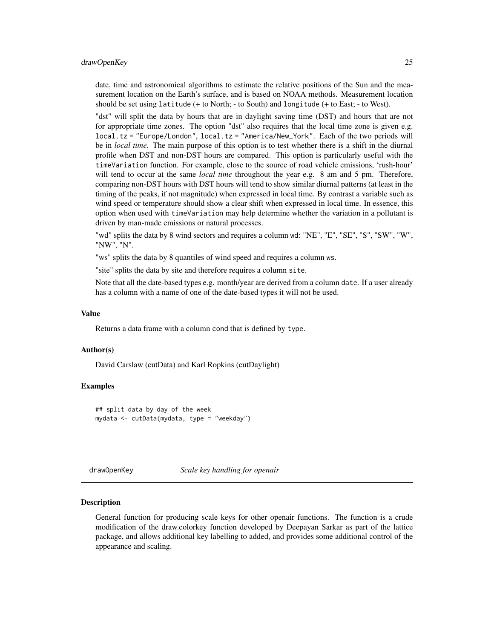#### <span id="page-24-0"></span>drawOpenKey 25

date, time and astronomical algorithms to estimate the relative positions of the Sun and the measurement location on the Earth's surface, and is based on NOAA methods. Measurement location should be set using latitude (+ to North; - to South) and longitude (+ to East; - to West).

"dst" will split the data by hours that are in daylight saving time (DST) and hours that are not for appropriate time zones. The option "dst" also requires that the local time zone is given e.g. local.tz = "Europe/London", local.tz = "America/New\_York". Each of the two periods will be in *local time*. The main purpose of this option is to test whether there is a shift in the diurnal profile when DST and non-DST hours are compared. This option is particularly useful with the timeVariation function. For example, close to the source of road vehicle emissions, 'rush-hour' will tend to occur at the same *local time* throughout the year e.g. 8 am and 5 pm. Therefore, comparing non-DST hours with DST hours will tend to show similar diurnal patterns (at least in the timing of the peaks, if not magnitude) when expressed in local time. By contrast a variable such as wind speed or temperature should show a clear shift when expressed in local time. In essence, this option when used with timeVariation may help determine whether the variation in a pollutant is driven by man-made emissions or natural processes.

"wd" splits the data by 8 wind sectors and requires a column wd: "NE", "E", "SE", "S", "SW", "W", "NW", "N".

"ws" splits the data by 8 quantiles of wind speed and requires a column ws.

"site" splits the data by site and therefore requires a column site.

Note that all the date-based types e.g. month/year are derived from a column date. If a user already has a column with a name of one of the date-based types it will not be used.

#### Value

Returns a data frame with a column cond that is defined by type.

#### Author(s)

David Carslaw (cutData) and Karl Ropkins (cutDaylight)

#### Examples

## split data by day of the week mydata <- cutData(mydata, type = "weekday")

drawOpenKey *Scale key handling for openair*

#### Description

General function for producing scale keys for other openair functions. The function is a crude modification of the draw.colorkey function developed by Deepayan Sarkar as part of the lattice package, and allows additional key labelling to added, and provides some additional control of the appearance and scaling.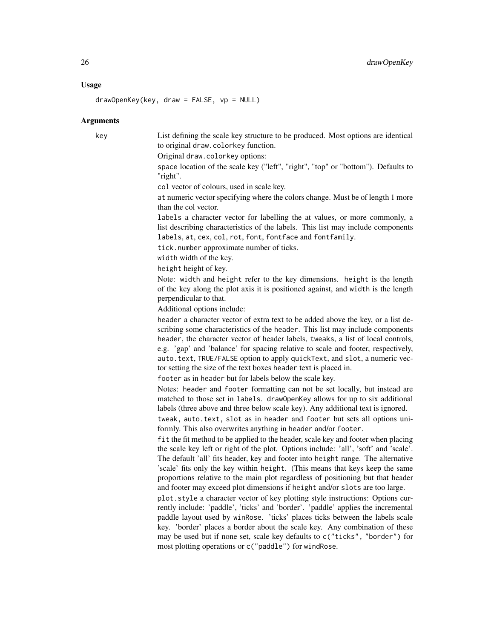#### Usage

 $drawOpenKey(key, draw = FALSE, vp = NULL)$ 

#### Arguments

key List defining the scale key structure to be produced. Most options are identical to original draw.colorkey function. Original draw.colorkey options:

> space location of the scale key ("left", "right", "top" or "bottom"). Defaults to "right".

col vector of colours, used in scale key.

at numeric vector specifying where the colors change. Must be of length 1 more than the col vector.

labels a character vector for labelling the at values, or more commonly, a list describing characteristics of the labels. This list may include components labels, at, cex, col, rot, font, fontface and fontfamily.

tick.number approximate number of ticks.

width width of the key.

height height of key.

Note: width and height refer to the key dimensions. height is the length of the key along the plot axis it is positioned against, and width is the length perpendicular to that.

Additional options include:

header a character vector of extra text to be added above the key, or a list describing some characteristics of the header. This list may include components header, the character vector of header labels, tweaks, a list of local controls, e.g. 'gap' and 'balance' for spacing relative to scale and footer, respectively, auto.text, TRUE/FALSE option to apply quickText, and slot, a numeric vector setting the size of the text boxes header text is placed in.

footer as in header but for labels below the scale key.

Notes: header and footer formatting can not be set locally, but instead are matched to those set in labels. drawOpenKey allows for up to six additional labels (three above and three below scale key). Any additional text is ignored.

tweak, auto.text, slot as in header and footer but sets all options uniformly. This also overwrites anything in header and/or footer.

fit the fit method to be applied to the header, scale key and footer when placing the scale key left or right of the plot. Options include: 'all', 'soft' and 'scale'. The default 'all' fits header, key and footer into height range. The alternative 'scale' fits only the key within height. (This means that keys keep the same proportions relative to the main plot regardless of positioning but that header and footer may exceed plot dimensions if height and/or slots are too large.

plot.style a character vector of key plotting style instructions: Options currently include: 'paddle', 'ticks' and 'border'. 'paddle' applies the incremental paddle layout used by winRose. 'ticks' places ticks between the labels scale key. 'border' places a border about the scale key. Any combination of these may be used but if none set, scale key defaults to c("ticks", "border") for most plotting operations or c("paddle") for windRose.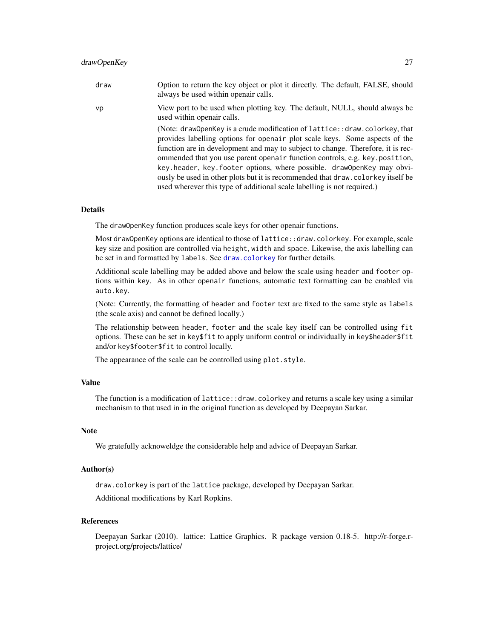# drawOpenKey 27

| draw | Option to return the key object or plot it directly. The default, FALSE, should<br>always be used within openair calls.                                                                                                                                                                                                                                                                                                                                                                                                                                             |
|------|---------------------------------------------------------------------------------------------------------------------------------------------------------------------------------------------------------------------------------------------------------------------------------------------------------------------------------------------------------------------------------------------------------------------------------------------------------------------------------------------------------------------------------------------------------------------|
| vp   | View port to be used when plotting key. The default, NULL, should always be<br>used within openair calls.                                                                                                                                                                                                                                                                                                                                                                                                                                                           |
|      | (Note: draw0penKey is a crude modification of lattice:: draw.colorkey.that)<br>provides labelling options for openair plot scale keys. Some aspects of the<br>function are in development and may to subject to change. Therefore, it is rec-<br>ommended that you use parent openair function controls, e.g. key position,<br>key.header, key.footer options, where possible. draw0penKey may obvi-<br>ously be used in other plots but it is recommended that draw, colorkey itself be<br>used wherever this type of additional scale labelling is not required.) |

#### Details

The drawOpenKey function produces scale keys for other openair functions.

Most drawOpenKey options are identical to those of lattice::draw.colorkey. For example, scale key size and position are controlled via height, width and space. Likewise, the axis labelling can be set in and formatted by labels. See [draw.colorkey](#page-0-0) for further details.

Additional scale labelling may be added above and below the scale using header and footer options within key. As in other openair functions, automatic text formatting can be enabled via auto.key.

(Note: Currently, the formatting of header and footer text are fixed to the same style as labels (the scale axis) and cannot be defined locally.)

The relationship between header, footer and the scale key itself can be controlled using fit options. These can be set in key\$fit to apply uniform control or individually in key\$header\$fit and/or key\$footer\$fit to control locally.

The appearance of the scale can be controlled using plot.style.

#### Value

The function is a modification of lattice::draw.colorkey and returns a scale key using a similar mechanism to that used in in the original function as developed by Deepayan Sarkar.

#### Note

We gratefully acknoweldge the considerable help and advice of Deepayan Sarkar.

#### Author(s)

draw.colorkey is part of the lattice package, developed by Deepayan Sarkar.

Additional modifications by Karl Ropkins.

# References

Deepayan Sarkar (2010). lattice: Lattice Graphics. R package version 0.18-5. http://r-forge.rproject.org/projects/lattice/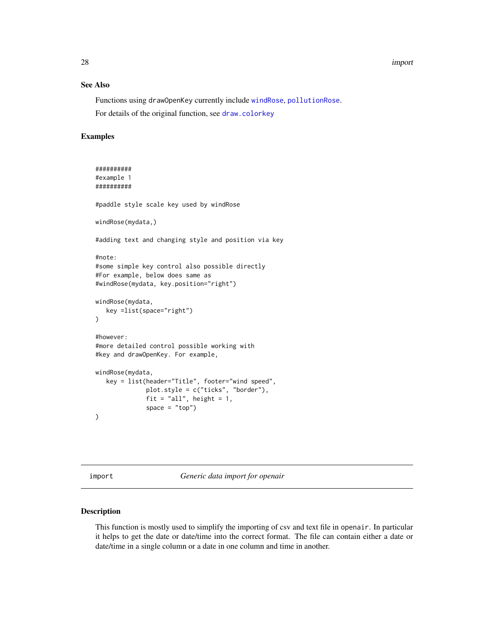# See Also

Functions using drawOpenKey currently include [windRose](#page-158-1), [pollutionRose](#page-158-2). For details of the original function, see [draw.colorkey](#page-0-0)

#### Examples

```
##########
#example 1
##########
#paddle style scale key used by windRose
windRose(mydata,)
#adding text and changing style and position via key
#note:
#some simple key control also possible directly
#For example, below does same as
#windRose(mydata, key.position="right")
windRose(mydata,
  key =list(space="right")
\lambda#however:
#more detailed control possible working with
#key and drawOpenKey. For example,
windRose(mydata,
  key = list(header="Title", footer="wind speed",
              plot.style = c("ticks", "border"),
              fit = "all", height = 1,space = "top")\mathcal{L}
```
<span id="page-27-1"></span>import *Generic data import for openair*

# Description

This function is mostly used to simplify the importing of csv and text file in openair. In particular it helps to get the date or date/time into the correct format. The file can contain either a date or date/time in a single column or a date in one column and time in another.

<span id="page-27-0"></span>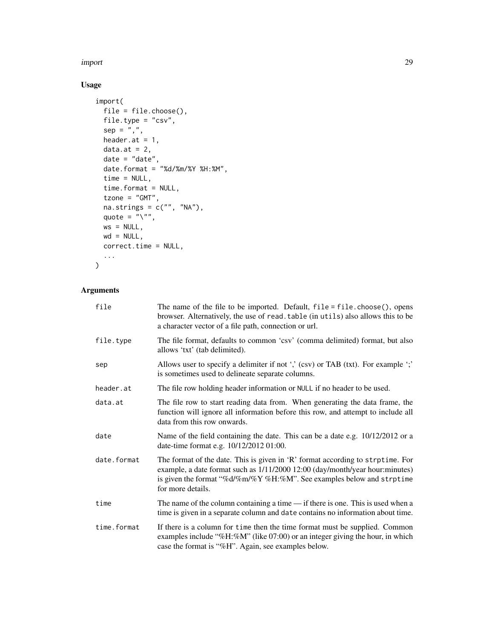import 29

# Usage

```
import(
 file = file.choose(),
 file.type = "csv",
 sep = ","header.at = 1,
 data.at = 2,
 date = "date",date.format = "%d/%m/%Y %H:%M",
  time = NULL,
 time.format = NULL,
 tzone = "GMT",na.strings = c("", "NA"),
 quote = \sum_{n=1}^{\infty}ws = NULL,wd = NULL,correct.time = NULL,
  ...
)
```

| file        | The name of the file to be imported. Default, $file = file.close(), opens$<br>browser. Alternatively, the use of read. table (in utils) also allows this to be<br>a character vector of a file path, connection or url.                                        |
|-------------|----------------------------------------------------------------------------------------------------------------------------------------------------------------------------------------------------------------------------------------------------------------|
| file.type   | The file format, defaults to common 'csv' (comma delimited) format, but also<br>allows 'txt' (tab delimited).                                                                                                                                                  |
| sep         | Allows user to specify a delimiter if not ',' (csv) or TAB (txt). For example ';'<br>is sometimes used to delineate separate columns.                                                                                                                          |
| header.at   | The file row holding header information or NULL if no header to be used.                                                                                                                                                                                       |
| data.at     | The file row to start reading data from. When generating the data frame, the<br>function will ignore all information before this row, and attempt to include all<br>data from this row onwards.                                                                |
| date        | Name of the field containing the date. This can be a date e.g. 10/12/2012 or a<br>date-time format e.g. 10/12/2012 01:00.                                                                                                                                      |
| date.format | The format of the date. This is given in 'R' format according to strptime. For<br>example, a date format such as $1/11/2000$ 12:00 (day/month/year hour:minutes)<br>is given the format "%d/%m/%Y %H:%M". See examples below and strptime<br>for more details. |
| time        | The name of the column containing a time $-$ if there is one. This is used when a<br>time is given in a separate column and date contains no information about time.                                                                                           |
| time.format | If there is a column for time then the time format must be supplied. Common<br>examples include "%H:%M" (like $07:00$ ) or an integer giving the hour, in which<br>case the format is "%H". Again, see examples below.                                         |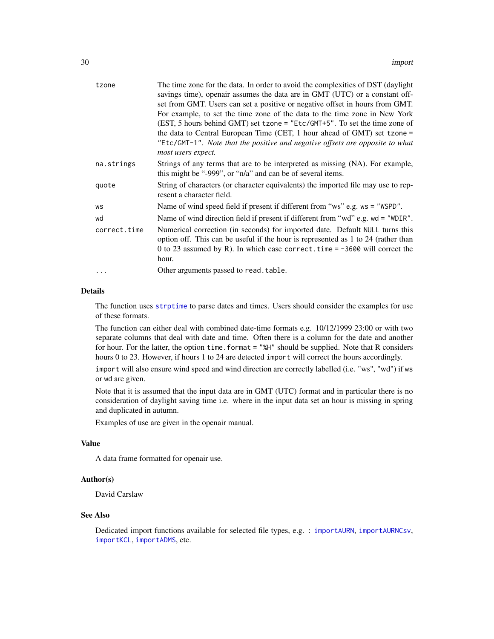| tzone        | The time zone for the data. In order to avoid the complexities of DST (daylight<br>savings time), openair assumes the data are in GMT (UTC) or a constant off-<br>set from GMT. Users can set a positive or negative offset in hours from GMT.<br>For example, to set the time zone of the data to the time zone in New York<br>(EST, 5 hours behind GMT) set tzone = "Etc/GMT+5". To set the time zone of<br>the data to Central European Time (CET, 1 hour ahead of GMT) set tzone =<br>"Etc/GMT-1". Note that the positive and negative offsets are opposite to what<br>most users expect. |
|--------------|-----------------------------------------------------------------------------------------------------------------------------------------------------------------------------------------------------------------------------------------------------------------------------------------------------------------------------------------------------------------------------------------------------------------------------------------------------------------------------------------------------------------------------------------------------------------------------------------------|
| na.strings   | Strings of any terms that are to be interpreted as missing (NA). For example,<br>this might be "-999", or "n/a" and can be of several items.                                                                                                                                                                                                                                                                                                                                                                                                                                                  |
| quote        | String of characters (or character equivalents) the imported file may use to rep-<br>resent a character field.                                                                                                                                                                                                                                                                                                                                                                                                                                                                                |
| WS           | Name of wind speed field if present if different from "ws" e.g. ws = "WSPD".                                                                                                                                                                                                                                                                                                                                                                                                                                                                                                                  |
| wd           | Name of wind direction field if present if different from "wd" e.g. wd = "WDIR".                                                                                                                                                                                                                                                                                                                                                                                                                                                                                                              |
| correct.time | Numerical correction (in seconds) for imported date. Default NULL turns this<br>option off. This can be useful if the hour is represented as 1 to 24 (rather than<br>0 to 23 assumed by R). In which case correct time $= -3600$ will correct the<br>hour.                                                                                                                                                                                                                                                                                                                                    |
| $\ddotsc$    | Other arguments passed to read. table.                                                                                                                                                                                                                                                                                                                                                                                                                                                                                                                                                        |

The function uses [strptime](#page-0-0) to parse dates and times. Users should consider the examples for use of these formats.

The function can either deal with combined date-time formats e.g. 10/12/1999 23:00 or with two separate columns that deal with date and time. Often there is a column for the date and another for hour. For the latter, the option time. format = "%H" should be supplied. Note that R considers hours 0 to 23. However, if hours 1 to 24 are detected import will correct the hours accordingly.

import will also ensure wind speed and wind direction are correctly labelled (i.e. "ws", "wd") if ws or wd are given.

Note that it is assumed that the input data are in GMT (UTC) format and in particular there is no consideration of daylight saving time i.e. where in the input data set an hour is missing in spring and duplicated in autumn.

Examples of use are given in the openair manual.

#### Value

A data frame formatted for openair use.

# Author(s)

David Carslaw

## See Also

Dedicated import functions available for selected file types, e.g. : [importAURN](#page-33-1), [importAURNCsv](#page-37-1), [importKCL](#page-41-1), [importADMS](#page-30-1), etc.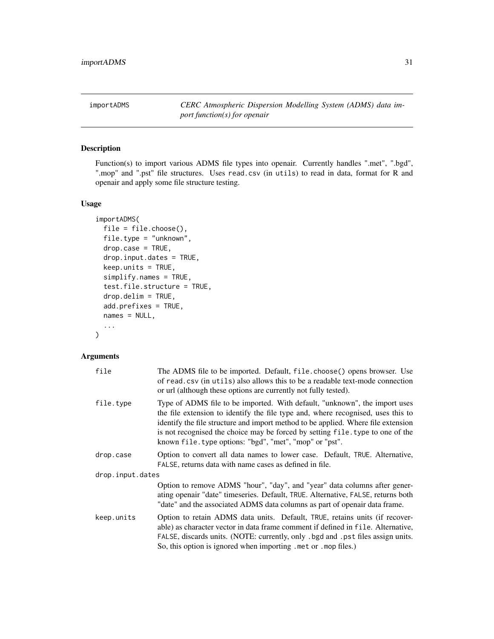<span id="page-30-1"></span><span id="page-30-0"></span>importADMS *CERC Atmospheric Dispersion Modelling System (ADMS) data import function(s) for openair*

# Description

Function(s) to import various ADMS file types into openair. Currently handles ".met", ".bgd", ".mop" and ".pst" file structures. Uses read.csv (in utils) to read in data, format for R and openair and apply some file structure testing.

# Usage

```
importADMS(
 file = file.choose(),
  file.type = "unknown",
 drop-case = TRUE,drop.input.dates = TRUE,
 keep.units = TRUE,
  simplify.names = TRUE,
  test.file.structure = TRUE,
  drop.delim = TRUE,
  add.prefixes = TRUE,
 names = NULL,
  ...
)
```

| file             | The ADMS file to be imported. Default, file.choose() opens browser. Use<br>of read, csv (in utils) also allows this to be a readable text-mode connection<br>or url (although these options are currently not fully tested).                                                                                                                                                                    |  |
|------------------|-------------------------------------------------------------------------------------------------------------------------------------------------------------------------------------------------------------------------------------------------------------------------------------------------------------------------------------------------------------------------------------------------|--|
| file.type        | Type of ADMS file to be imported. With default, "unknown", the import uses<br>the file extension to identify the file type and, where recognised, uses this to<br>identify the file structure and import method to be applied. Where file extension<br>is not recognised the choice may be forced by setting file. type to one of the<br>known file.type options: "bgd", "met", "mop" or "pst". |  |
| drop.case        | Option to convert all data names to lower case. Default, TRUE. Alternative,<br>FALSE, returns data with name cases as defined in file.                                                                                                                                                                                                                                                          |  |
| drop.input.dates |                                                                                                                                                                                                                                                                                                                                                                                                 |  |
|                  | Option to remove ADMS "hour", "day", and "year" data columns after gener-<br>ating openair "date" timeseries. Default, TRUE. Alternative, FALSE, returns both<br>"date" and the associated ADMS data columns as part of openair data frame.                                                                                                                                                     |  |
| keep.units       | Option to retain ADMS data units. Default, TRUE, retains units (if recover-<br>able) as character vector in data frame comment if defined in file. Alternative,<br>FALSE, discards units. (NOTE: currently, only .bgd and .pst files assign units.<br>So, this option is ignored when importing . met or . mop files.)                                                                          |  |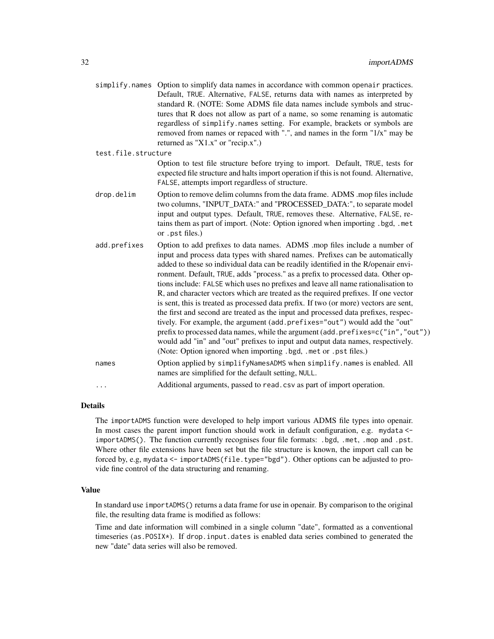|                     | simplify.names Option to simplify data names in accordance with common openair practices.<br>Default, TRUE. Alternative, FALSE, returns data with names as interpreted by<br>standard R. (NOTE: Some ADMS file data names include symbols and struc-<br>tures that R does not allow as part of a name, so some renaming is automatic<br>regardless of simplify.names setting. For example, brackets or symbols are<br>removed from names or repaced with ".", and names in the form "1/x" may be<br>returned as "X1.x" or "recip.x".)                                                                                                                                                                                                                                                                                                                                                                                                                                                                                 |
|---------------------|-----------------------------------------------------------------------------------------------------------------------------------------------------------------------------------------------------------------------------------------------------------------------------------------------------------------------------------------------------------------------------------------------------------------------------------------------------------------------------------------------------------------------------------------------------------------------------------------------------------------------------------------------------------------------------------------------------------------------------------------------------------------------------------------------------------------------------------------------------------------------------------------------------------------------------------------------------------------------------------------------------------------------|
| test.file.structure |                                                                                                                                                                                                                                                                                                                                                                                                                                                                                                                                                                                                                                                                                                                                                                                                                                                                                                                                                                                                                       |
|                     | Option to test file structure before trying to import. Default, TRUE, tests for<br>expected file structure and halts import operation if this is not found. Alternative,<br>FALSE, attempts import regardless of structure.                                                                                                                                                                                                                                                                                                                                                                                                                                                                                                                                                                                                                                                                                                                                                                                           |
| drop.delim          | Option to remove delim columns from the data frame. ADMS .mop files include<br>two columns, "INPUT_DATA:" and "PROCESSED_DATA:", to separate model<br>input and output types. Default, TRUE, removes these. Alternative, FALSE, re-<br>tains them as part of import. (Note: Option ignored when importing .bgd, .met<br>or .pst files.)                                                                                                                                                                                                                                                                                                                                                                                                                                                                                                                                                                                                                                                                               |
| add.prefixes        | Option to add prefixes to data names. ADMS .mop files include a number of<br>input and process data types with shared names. Prefixes can be automatically<br>added to these so individual data can be readily identified in the R/openair envi-<br>ronment. Default, TRUE, adds "process." as a prefix to processed data. Other op-<br>tions include: FALSE which uses no prefixes and leave all name rationalisation to<br>R, and character vectors which are treated as the required prefixes. If one vector<br>is sent, this is treated as processed data prefix. If two (or more) vectors are sent,<br>the first and second are treated as the input and processed data prefixes, respec-<br>tively. For example, the argument (add.prefixes="out") would add the "out"<br>prefix to processed data names, while the argument (add.prefixes=c("in","out"))<br>would add "in" and "out" prefixes to input and output data names, respectively.<br>(Note: Option ignored when importing .bgd, .met or .pst files.) |
| names               | Option applied by simplifyNamesADMS when simplify.names is enabled. All<br>names are simplified for the default setting, NULL.                                                                                                                                                                                                                                                                                                                                                                                                                                                                                                                                                                                                                                                                                                                                                                                                                                                                                        |
| .                   | Additional arguments, passed to read. csv as part of import operation.                                                                                                                                                                                                                                                                                                                                                                                                                                                                                                                                                                                                                                                                                                                                                                                                                                                                                                                                                |
|                     |                                                                                                                                                                                                                                                                                                                                                                                                                                                                                                                                                                                                                                                                                                                                                                                                                                                                                                                                                                                                                       |

The importADMS function were developed to help import various ADMS file types into openair. In most cases the parent import function should work in default configuration, e.g. mydata <importADMS(). The function currently recognises four file formats: .bgd, .met, .mop and .pst. Where other file extensions have been set but the file structure is known, the import call can be forced by, e.g, mydata <- importADMS(file.type="bgd"). Other options can be adjusted to provide fine control of the data structuring and renaming.

#### Value

In standard use importADMS() returns a data frame for use in openair. By comparison to the original file, the resulting data frame is modified as follows:

Time and date information will combined in a single column "date", formatted as a conventional timeseries (as.POSIX\*). If drop.input.dates is enabled data series combined to generated the new "date" data series will also be removed.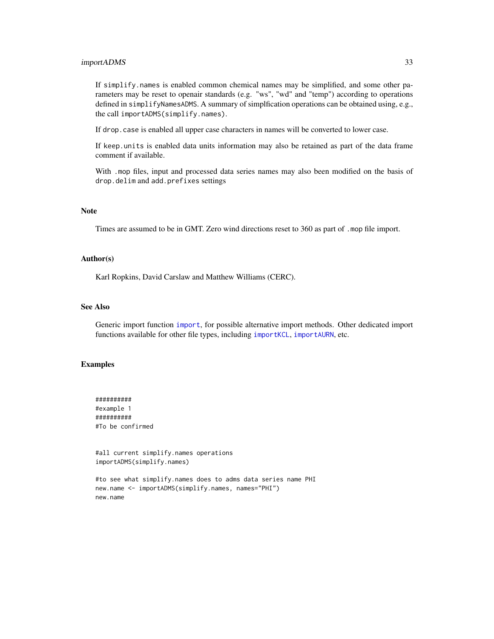#### importADMS 33

If simplify.names is enabled common chemical names may be simplified, and some other parameters may be reset to openair standards (e.g. "ws", "wd" and "temp") according to operations defined in simplifyNamesADMS. A summary of simplfication operations can be obtained using, e.g., the call importADMS(simplify.names).

If drop.case is enabled all upper case characters in names will be converted to lower case.

If keep.units is enabled data units information may also be retained as part of the data frame comment if available.

With .mop files, input and processed data series names may also been modified on the basis of drop.delim and add.prefixes settings

#### Note

Times are assumed to be in GMT. Zero wind directions reset to 360 as part of .mop file import.

#### Author(s)

Karl Ropkins, David Carslaw and Matthew Williams (CERC).

#### See Also

Generic import function [import](#page-27-1), for possible alternative import methods. Other dedicated import functions available for other file types, including [importKCL](#page-41-1), [importAURN](#page-33-1), etc.

# Examples

########## #example 1 ########## #To be confirmed

#all current simplify.names operations importADMS(simplify.names)

```
#to see what simplify.names does to adms data series name PHI
new.name <- importADMS(simplify.names, names="PHI")
new.name
```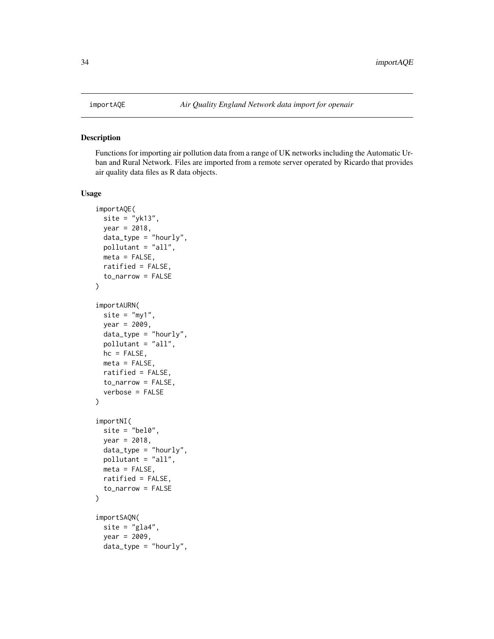<span id="page-33-0"></span>

#### <span id="page-33-1"></span>Description

Functions for importing air pollution data from a range of UK networks including the Automatic Urban and Rural Network. Files are imported from a remote server operated by Ricardo that provides air quality data files as R data objects.

#### Usage

```
importAQE(
 site = "yk13",year = 2018,data_type = "hourly",
 pollutant = "all",
 meta = FALSE,ratified = FALSE,
  to_narrow = FALSE
)
importAURN(
 site = "my1",year = 2009,
 data_type = "hourly",pollutant = "all",
 hc = FALSE,
 meta = FALSE,ratified = FALSE,
 to_narrow = FALSE,
  verbose = FALSE
)
importNI(
 site = "bel0",year = 2018,data_type = "hourly",
 pollutant = "all",
 meta = FALSE,
 ratified = FALSE,
  to_narrow = FALSE
)
importSAQN(
 site = "gla4",
 year = 2009,
 data_type = "hourly",
```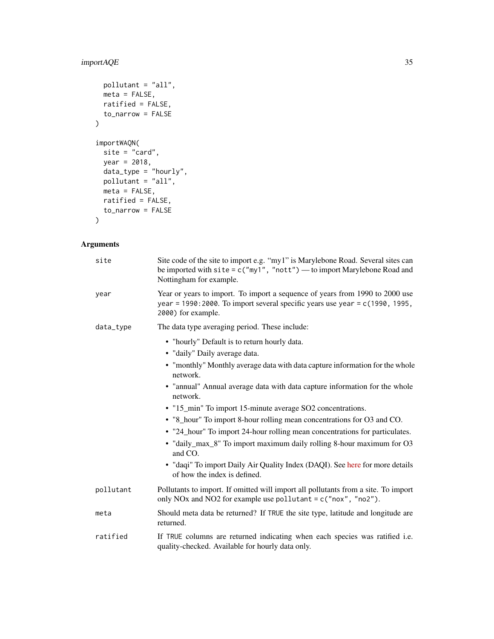# importAQE 35

```
pollutant = "all",
 meta = FALSE,ratified = FALSE,
 to_narrow = FALSE
\mathcal{L}importWAQN(
 site = "card",
 year = 2018,
 data_type = "hourly",
 pollutant = "all",
 meta = FALSE,ratified = FALSE,
 to_narrow = FALSE
\mathcal{L}
```

| site      | Site code of the site to import e.g. "my1" is Marylebone Road. Several sites can<br>be imported with $\text{site} = \text{c("my1", "nott")}$ to import Marylebone Road and<br>Nottingham for example. |
|-----------|-------------------------------------------------------------------------------------------------------------------------------------------------------------------------------------------------------|
| year      | Year or years to import. To import a sequence of years from 1990 to 2000 use<br>year = 1990: 2000. To import several specific years use year = c(1990, 1995,<br>2000) for example.                    |
| data_type | The data type averaging period. These include:                                                                                                                                                        |
|           | • "hourly" Default is to return hourly data.<br>• "daily" Daily average data.<br>• "monthly" Monthly average data with data capture information for the whole                                         |
|           | network.                                                                                                                                                                                              |
|           | • "annual" Annual average data with data capture information for the whole<br>network.                                                                                                                |
|           | • "15_min" To import 15-minute average SO2 concentrations.                                                                                                                                            |
|           | • "8_hour" To import 8-hour rolling mean concentrations for O3 and CO.                                                                                                                                |
|           | • "24_hour" To import 24-hour rolling mean concentrations for particulates.                                                                                                                           |
|           | · "daily_max_8" To import maximum daily rolling 8-hour maximum for O3<br>and CO.                                                                                                                      |
|           | • "daqi" To import Daily Air Quality Index (DAQI). See here for more details<br>of how the index is defined.                                                                                          |
| pollutant | Pollutants to import. If omitted will import all pollutants from a site. To import<br>only NOx and NO2 for example use pollutant = $c("now", "no2").$                                                 |
| meta      | Should meta data be returned? If TRUE the site type, latitude and longitude are<br>returned.                                                                                                          |
| ratified  | If TRUE columns are returned indicating when each species was ratified i.e.<br>quality-checked. Available for hourly data only.                                                                       |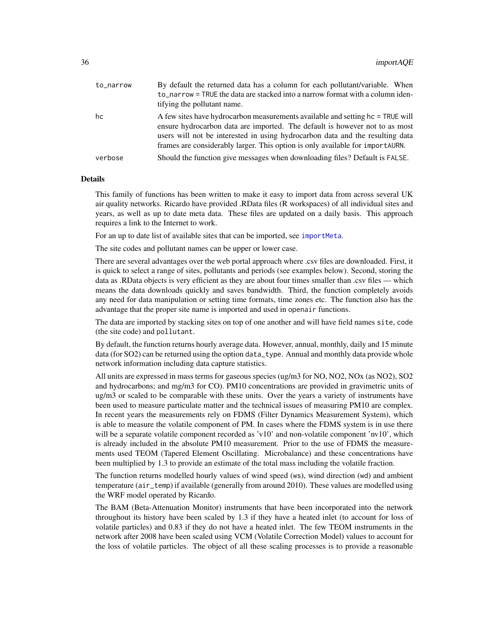| to_narrow | By default the returned data has a column for each pollutant/variable. When<br>to_narrow = TRUE the data are stacked into a narrow format with a column iden-<br>tifying the pollutant name.                                                                                                                                    |
|-----------|---------------------------------------------------------------------------------------------------------------------------------------------------------------------------------------------------------------------------------------------------------------------------------------------------------------------------------|
| hc        | A few sites have hydrocarbon measurements available and setting hc = TRUE will<br>ensure hydrocarbon data are imported. The default is however not to as most<br>users will not be interested in using hydrocarbon data and the resulting data<br>frames are considerably larger. This option is only available for importAURN. |
| verbose   | Should the function give messages when downloading files? Default is FALSE.                                                                                                                                                                                                                                                     |

This family of functions has been written to make it easy to import data from across several UK air quality networks. Ricardo have provided .RData files (R workspaces) of all individual sites and years, as well as up to date meta data. These files are updated on a daily basis. This approach requires a link to the Internet to work.

For an up to date list of available sites that can be imported, see [importMeta](#page-56-1).

The site codes and pollutant names can be upper or lower case.

There are several advantages over the web portal approach where .csv files are downloaded. First, it is quick to select a range of sites, pollutants and periods (see examples below). Second, storing the data as .RData objects is very efficient as they are about four times smaller than .csv files — which means the data downloads quickly and saves bandwidth. Third, the function completely avoids any need for data manipulation or setting time formats, time zones etc. The function also has the advantage that the proper site name is imported and used in openair functions.

The data are imported by stacking sites on top of one another and will have field names site, code (the site code) and pollutant.

By default, the function returns hourly average data. However, annual, monthly, daily and 15 minute data (for SO2) can be returned using the option data\_type. Annual and monthly data provide whole network information including data capture statistics.

All units are expressed in mass terms for gaseous species (ug/m3 for NO, NO2, NOx (as NO2), SO2 and hydrocarbons; and mg/m3 for CO). PM10 concentrations are provided in gravimetric units of ug/m3 or scaled to be comparable with these units. Over the years a variety of instruments have been used to measure particulate matter and the technical issues of measuring PM10 are complex. In recent years the measurements rely on FDMS (Filter Dynamics Measurement System), which is able to measure the volatile component of PM. In cases where the FDMS system is in use there will be a separate volatile component recorded as 'v10' and non-volatile component 'nv10', which is already included in the absolute PM10 measurement. Prior to the use of FDMS the measurements used TEOM (Tapered Element Oscillating. Microbalance) and these concentrations have been multiplied by 1.3 to provide an estimate of the total mass including the volatile fraction.

The function returns modelled hourly values of wind speed (ws), wind direction (wd) and ambient temperature (air\_temp) if available (generally from around 2010). These values are modelled using the WRF model operated by Ricardo.

The BAM (Beta-Attenuation Monitor) instruments that have been incorporated into the network throughout its history have been scaled by 1.3 if they have a heated inlet (to account for loss of volatile particles) and 0.83 if they do not have a heated inlet. The few TEOM instruments in the network after 2008 have been scaled using VCM (Volatile Correction Model) values to account for the loss of volatile particles. The object of all these scaling processes is to provide a reasonable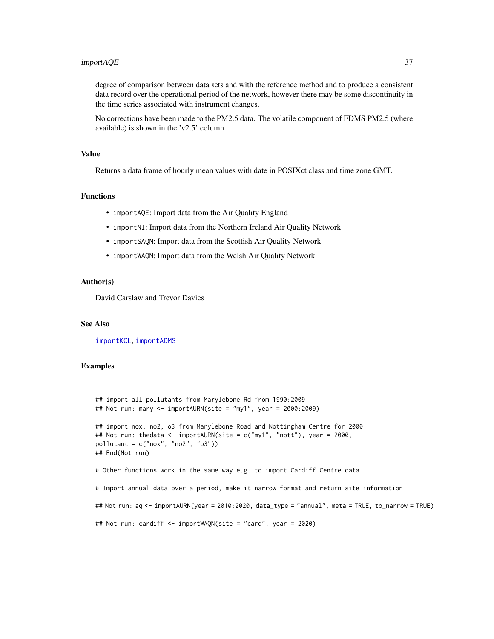# importAQE 37

degree of comparison between data sets and with the reference method and to produce a consistent data record over the operational period of the network, however there may be some discontinuity in the time series associated with instrument changes.

No corrections have been made to the PM2.5 data. The volatile component of FDMS PM2.5 (where available) is shown in the 'v2.5' column.

#### Value

Returns a data frame of hourly mean values with date in POSIXct class and time zone GMT.

# Functions

- importAQE: Import data from the Air Quality England
- importNI: Import data from the Northern Ireland Air Quality Network
- importSAQN: Import data from the Scottish Air Quality Network
- importWAQN: Import data from the Welsh Air Quality Network

#### Author(s)

David Carslaw and Trevor Davies

## See Also

[importKCL](#page-41-0), [importADMS](#page-30-0)

## Examples

```
## import all pollutants from Marylebone Rd from 1990:2009
## Not run: mary <- importAURN(site = "my1", year = 2000:2009)
## import nox, no2, o3 from Marylebone Road and Nottingham Centre for 2000
## Not run: thedata <- importAURN(site = c("my1", "nott"), year = 2000,
pollutant = c("nox", "no2", "o3"))
## End(Not run)
# Other functions work in the same way e.g. to import Cardiff Centre data
# Import annual data over a period, make it narrow format and return site information
## Not run: aq <- importAURN(year = 2010:2020, data_type = "annual", meta = TRUE, to_narrow = TRUE)
## Not run: cardiff <- importWAQN(site = "card", year = 2020)
```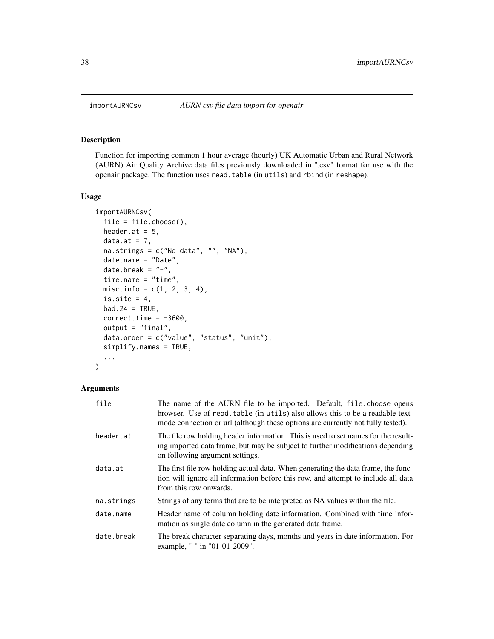#### Description

Function for importing common 1 hour average (hourly) UK Automatic Urban and Rural Network (AURN) Air Quality Archive data files previously downloaded in ".csv" format for use with the openair package. The function uses read.table (in utils) and rbind (in reshape).

# Usage

```
importAURNCsv(
 file = file.choose(),
 header.at = 5,
 data.at = 7,
 na.strings = c("No data", "", "NA"),
 date.name = "Date",
 date.break = "-",
  time.name = "time",
 misc.info = c(1, 2, 3, 4),
 is.site = 4,
 bad.24 = TRUE,correct.time = -3600,output = "final",
 data.order = c("value", "status", "unit"),
  simplify.names = TRUE,
  ...
)
```
#### Arguments

| file       | The name of the AURN file to be imported. Default, file.choose opens<br>browser. Use of read.table (in utils) also allows this to be a readable text-<br>mode connection or url (although these options are currently not fully tested). |
|------------|------------------------------------------------------------------------------------------------------------------------------------------------------------------------------------------------------------------------------------------|
| header.at  | The file row holding header information. This is used to set names for the result-<br>ing imported data frame, but may be subject to further modifications depending<br>on following argument settings.                                  |
| data.at    | The first file row holding actual data. When generating the data frame, the func-<br>tion will ignore all information before this row, and attempt to include all data<br>from this row onwards.                                         |
| na.strings | Strings of any terms that are to be interpreted as NA values within the file.                                                                                                                                                            |
| date.name  | Header name of column holding date information. Combined with time infor-<br>mation as single date column in the generated data frame.                                                                                                   |
| date.break | The break character separating days, months and years in date information. For<br>example, "-" in "01-01-2009".                                                                                                                          |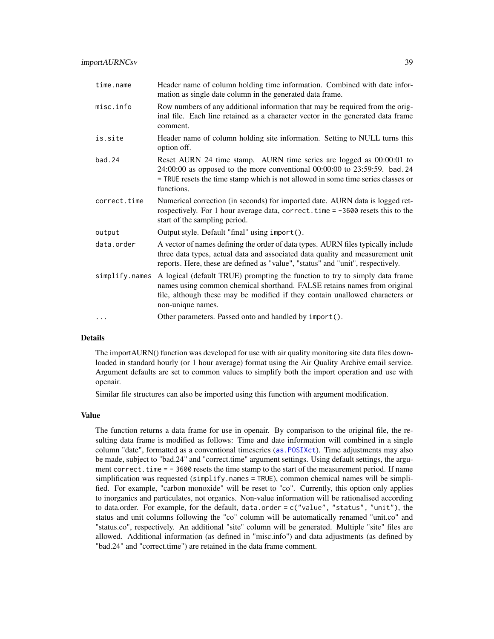| time.name      | Header name of column holding time information. Combined with date infor-<br>mation as single date column in the generated data frame.                                                                                                                       |
|----------------|--------------------------------------------------------------------------------------------------------------------------------------------------------------------------------------------------------------------------------------------------------------|
| misc.info      | Row numbers of any additional information that may be required from the orig-<br>inal file. Each line retained as a character vector in the generated data frame<br>comment.                                                                                 |
| is.site        | Header name of column holding site information. Setting to NULL turns this<br>option off.                                                                                                                                                                    |
| bad.24         | Reset AURN 24 time stamp. AURN time series are logged as 00:00:01 to<br>24:00:00 as opposed to the more conventional 00:00:00 to 23:59:59. bad. 24<br>= TRUE resets the time stamp which is not allowed in some time series classes or<br>functions.         |
| correct.time   | Numerical correction (in seconds) for imported date. AURN data is logged ret-<br>rospectively. For 1 hour average data, correct. time = -3600 resets this to the<br>start of the sampling period.                                                            |
| output         | Output style. Default "final" using import().                                                                                                                                                                                                                |
| data.order     | A vector of names defining the order of data types. AURN files typically include<br>three data types, actual data and associated data quality and measurement unit<br>reports. Here, these are defined as "value", "status" and "unit", respectively.        |
| simplify.names | A logical (default TRUE) prompting the function to try to simply data frame<br>names using common chemical shorthand. FALSE retains names from original<br>file, although these may be modified if they contain unallowed characters or<br>non-unique names. |
| $\cdots$       | Other parameters. Passed onto and handled by import().                                                                                                                                                                                                       |

# Details

The importAURN() function was developed for use with air quality monitoring site data files downloaded in standard hourly (or 1 hour average) format using the Air Quality Archive email service. Argument defaults are set to common values to simplify both the import operation and use with openair.

Similar file structures can also be imported using this function with argument modification.

#### Value

The function returns a data frame for use in openair. By comparison to the original file, the resulting data frame is modified as follows: Time and date information will combined in a single column "date", formatted as a conventional timeseries ([as.POSIXct](#page-0-0)). Time adjustments may also be made, subject to "bad.24" and "correct.time" argument settings. Using default settings, the argument correct.time = - 3600 resets the time stamp to the start of the measurement period. If name simplification was requested (simplify.names = TRUE), common chemical names will be simplified. For example, "carbon monoxide" will be reset to "co". Currently, this option only applies to inorganics and particulates, not organics. Non-value information will be rationalised according to data.order. For example, for the default, data.order = c("value", "status", "unit"), the status and unit columns following the "co" column will be automatically renamed "unit.co" and "status.co", respectively. An additional "site" column will be generated. Multiple "site" files are allowed. Additional information (as defined in "misc.info") and data adjustments (as defined by "bad.24" and "correct.time") are retained in the data frame comment.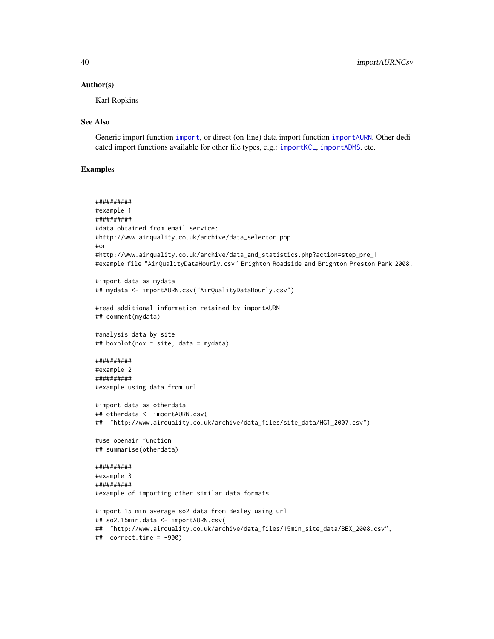#### Author(s)

Karl Ropkins

#### See Also

Generic import function [import](#page-27-0), or direct (on-line) data import function [importAURN](#page-33-0). Other dedicated import functions available for other file types, e.g.: [importKCL](#page-41-0), [importADMS](#page-30-0), etc.

# Examples

```
##########
#example 1
##########
#data obtained from email service:
#http://www.airquality.co.uk/archive/data_selector.php
#or
#http://www.airquality.co.uk/archive/data_and_statistics.php?action=step_pre_1
#example file "AirQualityDataHourly.csv" Brighton Roadside and Brighton Preston Park 2008.
#import data as mydata
## mydata <- importAURN.csv("AirQualityDataHourly.csv")
#read additional information retained by importAURN
## comment(mydata)
#analysis data by site
## boxplot(nox ~ site, data = mydata)
##########
#example 2
##########
#example using data from url
#import data as otherdata
## otherdata <- importAURN.csv(
## "http://www.airquality.co.uk/archive/data_files/site_data/HG1_2007.csv")
#use openair function
## summarise(otherdata)
##########
#example 3
##########
#example of importing other similar data formats
#import 15 min average so2 data from Bexley using url
## so2.15min.data <- importAURN.csv(
## "http://www.airquality.co.uk/archive/data_files/15min_site_data/BEX_2008.csv",
## correct.time = -900)
```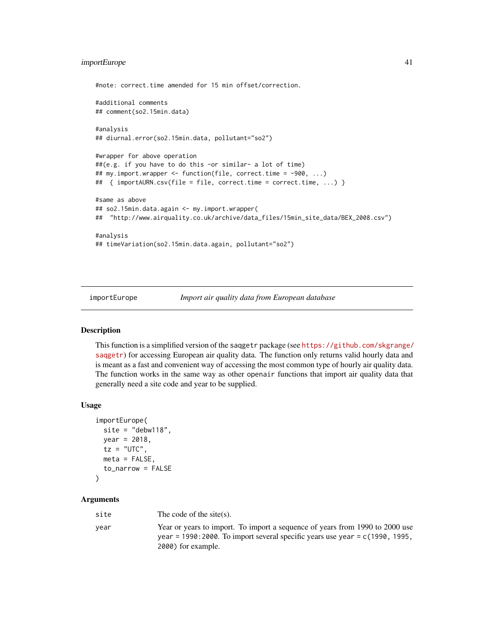# importEurope 41

```
#note: correct.time amended for 15 min offset/correction.
#additional comments
## comment(so2.15min.data)
#analysis
## diurnal.error(so2.15min.data, pollutant="so2")
#wrapper for above operation
##(e.g. if you have to do this -or similar- a lot of time)
## my.import.wrapper <- function(file, correct.time = -900, ...)
## { importAURN.csv(file = file, correct.time = correct.time, ...) }
#same as above
## so2.15min.data.again <- my.import.wrapper(
## "http://www.airquality.co.uk/archive/data_files/15min_site_data/BEX_2008.csv")
#analysis
## timeVariation(so2.15min.data.again, pollutant="so2")
```
importEurope *Import air quality data from European database*

#### Description

This function is a simplified version of the saqgetr package (see [https://github.com/skgrange/](https://github.com/skgrange/saqgetr) [saqgetr](https://github.com/skgrange/saqgetr)) for accessing European air quality data. The function only returns valid hourly data and is meant as a fast and convenient way of accessing the most common type of hourly air quality data. The function works in the same way as other openair functions that import air quality data that generally need a site code and year to be supplied.

#### Usage

```
importEurope(
 site = "debw118",year = 2018,
 tz = "UTC",meta = FALSE,
  to_narrow = FALSE
)
```
# Arguments

| site | The code of the site(s).                                                                                                                                                             |
|------|--------------------------------------------------------------------------------------------------------------------------------------------------------------------------------------|
| vear | Year or years to import. To import a sequence of years from 1990 to 2000 use<br>year = 1990: 2000. To import several specific years use year = $c(1990, 1995,$<br>2000) for example. |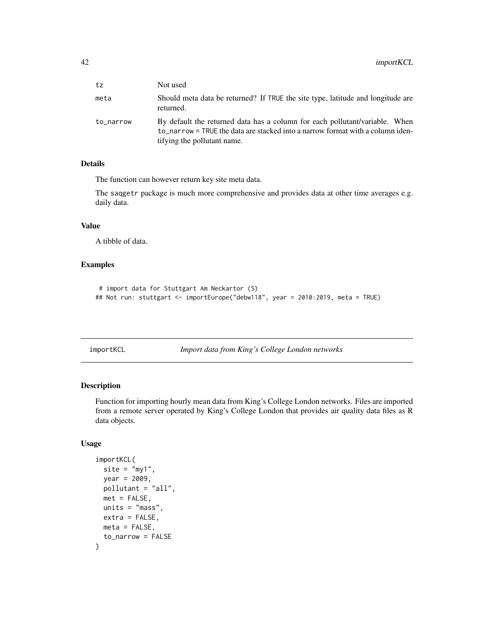| tz        | Not used                                                                                                                                                                                     |
|-----------|----------------------------------------------------------------------------------------------------------------------------------------------------------------------------------------------|
| meta      | Should meta data be returned? If TRUE the site type, latitude and longitude are<br>returned.                                                                                                 |
| to_narrow | By default the returned data has a column for each pollutant/variable. When<br>to narrow = TRUE the data are stacked into a narrow format with a column iden-<br>tifying the pollutant name. |

# Details

The function can however return key site meta data.

The saqgetr package is much more comprehensive and provides data at other time averages e.g. daily data.

## Value

A tibble of data.

# Examples

```
# import data for Stuttgart Am Neckartor (S)
## Not run: stuttgart <- importEurope("debw118", year = 2010:2019, meta = TRUE)
```
<span id="page-41-0"></span>

| importKCL |  |  |
|-----------|--|--|
|           |  |  |
|           |  |  |

```
Import data from King's College London networks
```
# Description

Function for importing hourly mean data from King's College London networks. Files are imported from a remote server operated by King's College London that provides air quality data files as R data objects.

# Usage

```
importKCL(
 site = "my1",year = 2009,
 pollutant = "all",
 met = FALSE,
 units = "mass",
 extra = FALSE,
 meta = FALSE,to_narrow = FALSE
)
```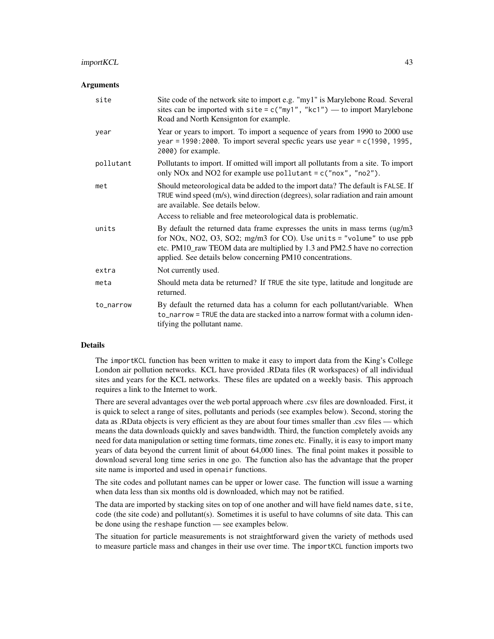#### Arguments

| site      | Site code of the network site to import e.g. "my1" is Marylebone Road. Several<br>sites can be imported with $\text{site} = c("my1", "kc1")$ — to import Marylebone<br>Road and North Kensignton for example.                                                                                    |
|-----------|--------------------------------------------------------------------------------------------------------------------------------------------------------------------------------------------------------------------------------------------------------------------------------------------------|
| year      | Year or years to import. To import a sequence of years from 1990 to 2000 use<br>year = 1990: 2000. To import several specfic years use year = $c(1990, 1995, 1995)$<br>2000) for example.                                                                                                        |
| pollutant | Pollutants to import. If omitted will import all pollutants from a site. To import<br>only NOx and NO2 for example use pollutant = $c("now", "no2").$                                                                                                                                            |
| met       | Should meteorological data be added to the import data? The default is FALSE. If<br>TRUE wind speed (m/s), wind direction (degrees), solar radiation and rain amount<br>are available. See details below.                                                                                        |
|           | Access to reliable and free meteorological data is problematic.                                                                                                                                                                                                                                  |
| units     | By default the returned data frame expresses the units in mass terms (ug/m3<br>for NOx, NO2, O3, SO2; mg/m3 for CO). Use units = "volume" to use ppb<br>etc. PM10_raw TEOM data are multiplied by 1.3 and PM2.5 have no correction<br>applied. See details below concerning PM10 concentrations. |
| extra     | Not currently used.                                                                                                                                                                                                                                                                              |
| meta      | Should meta data be returned? If TRUE the site type, latitude and longitude are<br>returned.                                                                                                                                                                                                     |
| to_narrow | By default the returned data has a column for each pollutant/variable. When<br>to_narrow = TRUE the data are stacked into a narrow format with a column iden-<br>tifying the pollutant name.                                                                                                     |

## Details

The importKCL function has been written to make it easy to import data from the King's College London air pollution networks. KCL have provided .RData files (R workspaces) of all individual sites and years for the KCL networks. These files are updated on a weekly basis. This approach requires a link to the Internet to work.

There are several advantages over the web portal approach where .csv files are downloaded. First, it is quick to select a range of sites, pollutants and periods (see examples below). Second, storing the data as .RData objects is very efficient as they are about four times smaller than .csv files — which means the data downloads quickly and saves bandwidth. Third, the function completely avoids any need for data manipulation or setting time formats, time zones etc. Finally, it is easy to import many years of data beyond the current limit of about 64,000 lines. The final point makes it possible to download several long time series in one go. The function also has the advantage that the proper site name is imported and used in openair functions.

The site codes and pollutant names can be upper or lower case. The function will issue a warning when data less than six months old is downloaded, which may not be ratified.

The data are imported by stacking sites on top of one another and will have field names date, site, code (the site code) and pollutant(s). Sometimes it is useful to have columns of site data. This can be done using the reshape function — see examples below.

The situation for particle measurements is not straightforward given the variety of methods used to measure particle mass and changes in their use over time. The importKCL function imports two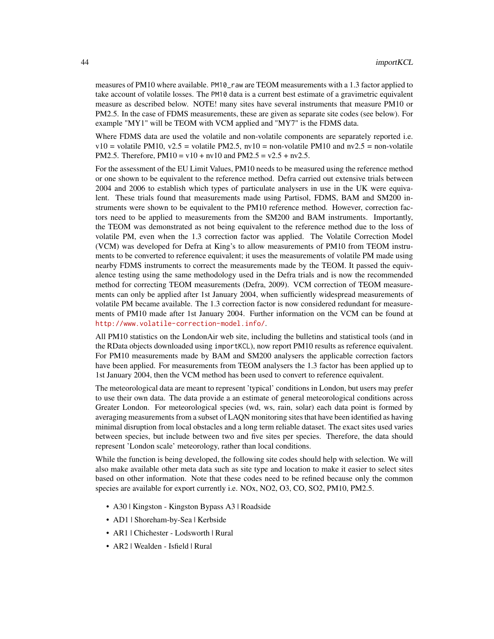measures of PM10 where available. PM10\_raw are TEOM measurements with a 1.3 factor applied to take account of volatile losses. The PM10 data is a current best estimate of a gravimetric equivalent measure as described below. NOTE! many sites have several instruments that measure PM10 or PM2.5. In the case of FDMS measurements, these are given as separate site codes (see below). For example "MY1" will be TEOM with VCM applied and "MY7" is the FDMS data.

Where FDMS data are used the volatile and non-volatile components are separately reported i.e.  $v10 =$  volatile PM10,  $v2.5 =$  volatile PM2.5,  $nv10 =$  non-volatile PM10 and  $nv2.5 =$  non-volatile PM2.5. Therefore,  $PM10 = v10 + nv10$  and  $PM2.5 = v2.5 + nv2.5$ .

For the assessment of the EU Limit Values, PM10 needs to be measured using the reference method or one shown to be equivalent to the reference method. Defra carried out extensive trials between 2004 and 2006 to establish which types of particulate analysers in use in the UK were equivalent. These trials found that measurements made using Partisol, FDMS, BAM and SM200 instruments were shown to be equivalent to the PM10 reference method. However, correction factors need to be applied to measurements from the SM200 and BAM instruments. Importantly, the TEOM was demonstrated as not being equivalent to the reference method due to the loss of volatile PM, even when the 1.3 correction factor was applied. The Volatile Correction Model (VCM) was developed for Defra at King's to allow measurements of PM10 from TEOM instruments to be converted to reference equivalent; it uses the measurements of volatile PM made using nearby FDMS instruments to correct the measurements made by the TEOM. It passed the equivalence testing using the same methodology used in the Defra trials and is now the recommended method for correcting TEOM measurements (Defra, 2009). VCM correction of TEOM measurements can only be applied after 1st January 2004, when sufficiently widespread measurements of volatile PM became available. The 1.3 correction factor is now considered redundant for measurements of PM10 made after 1st January 2004. Further information on the VCM can be found at <http://www.volatile-correction-model.info/>.

All PM10 statistics on the LondonAir web site, including the bulletins and statistical tools (and in the RData objects downloaded using importKCL), now report PM10 results as reference equivalent. For PM10 measurements made by BAM and SM200 analysers the applicable correction factors have been applied. For measurements from TEOM analysers the 1.3 factor has been applied up to 1st January 2004, then the VCM method has been used to convert to reference equivalent.

The meteorological data are meant to represent 'typical' conditions in London, but users may prefer to use their own data. The data provide a an estimate of general meteorological conditions across Greater London. For meteorological species (wd, ws, rain, solar) each data point is formed by averaging measurements from a subset of LAQN monitoring sites that have been identified as having minimal disruption from local obstacles and a long term reliable dataset. The exact sites used varies between species, but include between two and five sites per species. Therefore, the data should represent 'London scale' meteorology, rather than local conditions.

While the function is being developed, the following site codes should help with selection. We will also make available other meta data such as site type and location to make it easier to select sites based on other information. Note that these codes need to be refined because only the common species are available for export currently i.e. NOx, NO2, O3, CO, SO2, PM10, PM2.5.

- A30 | Kingston Kingston Bypass A3 | Roadside
- AD1 | Shoreham-by-Sea | Kerbside
- AR1 | Chichester Lodsworth | Rural
- AR2 | Wealden Isfield | Rural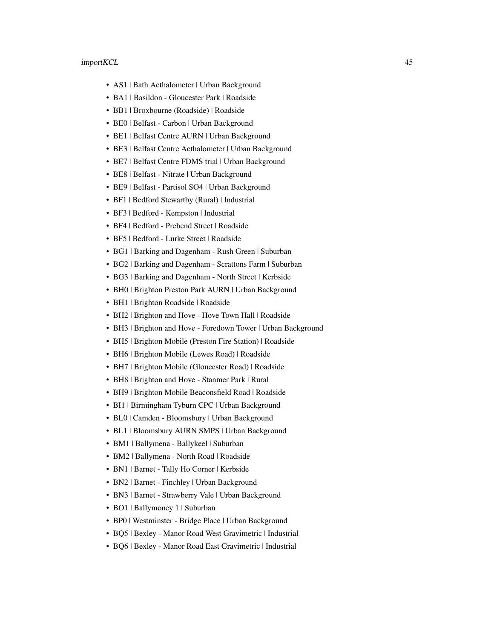- AS1 | Bath Aethalometer | Urban Background
- BA1 | Basildon Gloucester Park | Roadside
- BB1 | Broxbourne (Roadside) | Roadside
- BE0 | Belfast Carbon | Urban Background
- BE1 | Belfast Centre AURN | Urban Background
- BE3 | Belfast Centre Aethalometer | Urban Background
- BE7 | Belfast Centre FDMS trial | Urban Background
- BE8 | Belfast Nitrate | Urban Background
- BE9 | Belfast Partisol SO4 | Urban Background
- BF1 | Bedford Stewartby (Rural) | Industrial
- BF3 | Bedford Kempston | Industrial
- BF4 | Bedford Prebend Street | Roadside
- BF5 | Bedford Lurke Street | Roadside
- BG1 | Barking and Dagenham Rush Green | Suburban
- BG2 | Barking and Dagenham Scrattons Farm | Suburban
- BG3 | Barking and Dagenham North Street | Kerbside
- BH0 | Brighton Preston Park AURN | Urban Background
- BH1 | Brighton Roadside | Roadside
- BH2 | Brighton and Hove Hove Town Hall | Roadside
- BH3 | Brighton and Hove Foredown Tower | Urban Background
- BH5 | Brighton Mobile (Preston Fire Station) | Roadside
- BH6 | Brighton Mobile (Lewes Road) | Roadside
- BH7 | Brighton Mobile (Gloucester Road) | Roadside
- BH8 | Brighton and Hove Stanmer Park | Rural
- BH9 | Brighton Mobile Beaconsfield Road | Roadside
- BI1 | Birmingham Tyburn CPC | Urban Background
- BL0 | Camden Bloomsbury | Urban Background
- BL1 | Bloomsbury AURN SMPS | Urban Background
- BM1 | Ballymena Ballykeel | Suburban
- BM2 | Ballymena North Road | Roadside
- BN1 | Barnet Tally Ho Corner | Kerbside
- BN2 | Barnet Finchley | Urban Background
- BN3 | Barnet Strawberry Vale | Urban Background
- BO1 | Ballymoney 1 | Suburban
- BP0 | Westminster Bridge Place | Urban Background
- BQ5 | Bexley Manor Road West Gravimetric | Industrial
- BQ6 | Bexley Manor Road East Gravimetric | Industrial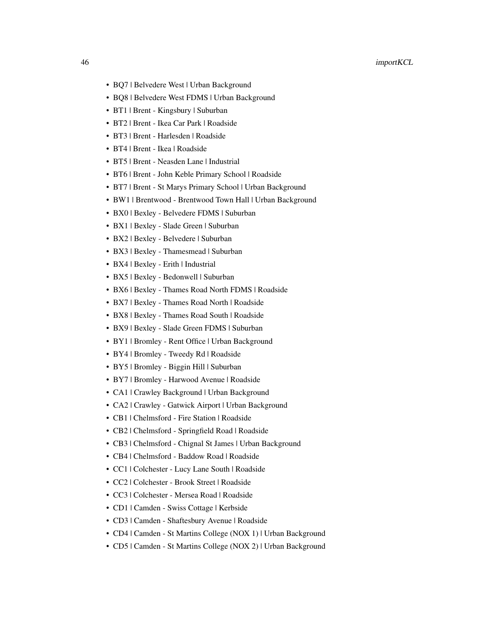- BQ7 | Belvedere West | Urban Background
- BQ8 | Belvedere West FDMS | Urban Background
- BT1 | Brent Kingsbury | Suburban
- BT2 | Brent Ikea Car Park | Roadside
- BT3 | Brent Harlesden | Roadside
- BT4 | Brent Ikea | Roadside
- BT5 | Brent Neasden Lane | Industrial
- BT6 | Brent John Keble Primary School | Roadside
- BT7 | Brent St Marys Primary School | Urban Background
- BW1 | Brentwood Brentwood Town Hall | Urban Background
- BX0 | Bexley Belvedere FDMS | Suburban
- BX1 | Bexley Slade Green | Suburban
- BX2 | Bexley Belvedere | Suburban
- BX3 | Bexley Thamesmead | Suburban
- BX4 | Bexley Erith | Industrial
- BX5 | Bexley Bedonwell | Suburban
- BX6 | Bexley Thames Road North FDMS | Roadside
- BX7 | Bexley Thames Road North | Roadside
- BX8 | Bexley Thames Road South | Roadside
- BX9 | Bexley Slade Green FDMS | Suburban
- BY1 | Bromley Rent Office | Urban Background
- BY4 | Bromley Tweedy Rd | Roadside
- BY5 | Bromley Biggin Hill | Suburban
- BY7 | Bromley Harwood Avenue | Roadside
- CA1 | Crawley Background | Urban Background
- CA2 | Crawley Gatwick Airport | Urban Background
- CB1 | Chelmsford Fire Station | Roadside
- CB2 | Chelmsford Springfield Road | Roadside
- CB3 | Chelmsford Chignal St James | Urban Background
- CB4 | Chelmsford Baddow Road | Roadside
- CC1 | Colchester Lucy Lane South | Roadside
- CC2 | Colchester Brook Street | Roadside
- CC3 | Colchester Mersea Road | Roadside
- CD1 | Camden Swiss Cottage | Kerbside
- CD3 | Camden Shaftesbury Avenue | Roadside
- CD4 | Camden St Martins College (NOX 1) | Urban Background
- CD5 | Camden St Martins College (NOX 2) | Urban Background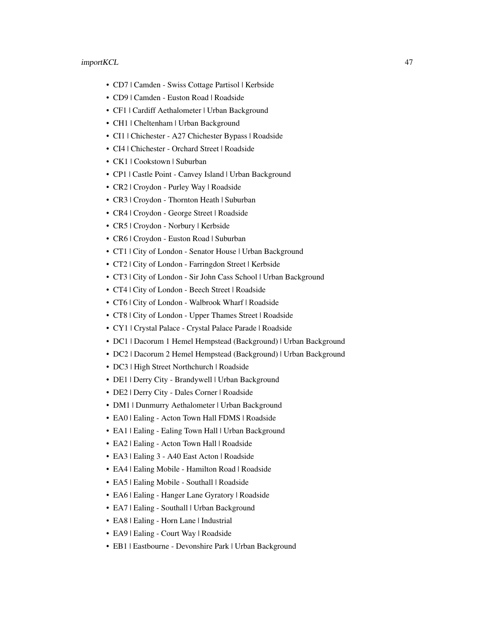- CD7 | Camden Swiss Cottage Partisol | Kerbside
- CD9 | Camden Euston Road | Roadside
- CF1 | Cardiff Aethalometer | Urban Background
- CH1 | Cheltenham | Urban Background
- CI1 | Chichester A27 Chichester Bypass | Roadside
- CI4 | Chichester Orchard Street | Roadside
- CK1 | Cookstown | Suburban
- CP1 | Castle Point Canvey Island | Urban Background
- CR2 | Croydon Purley Way | Roadside
- CR3 | Croydon Thornton Heath | Suburban
- CR4 | Croydon George Street | Roadside
- CR5 | Croydon Norbury | Kerbside
- CR6 | Croydon Euston Road | Suburban
- CT1 | City of London Senator House | Urban Background
- CT2 | City of London Farringdon Street | Kerbside
- CT3 | City of London Sir John Cass School | Urban Background
- CT4 | City of London Beech Street | Roadside
- CT6 | City of London Walbrook Wharf | Roadside
- CT8 | City of London Upper Thames Street | Roadside
- CY1 | Crystal Palace Crystal Palace Parade | Roadside
- DC1 | Dacorum 1 Hemel Hempstead (Background) | Urban Background
- DC2 | Dacorum 2 Hemel Hempstead (Background) | Urban Background
- DC3 | High Street Northchurch | Roadside
- DE1 | Derry City Brandywell | Urban Background
- DE2 | Derry City Dales Corner | Roadside
- DM1 | Dunmurry Aethalometer | Urban Background
- EA0 | Ealing Acton Town Hall FDMS | Roadside
- EA1 | Ealing Ealing Town Hall | Urban Background
- EA2 | Ealing Acton Town Hall | Roadside
- EA3 | Ealing 3 A40 East Acton | Roadside
- EA4 | Ealing Mobile Hamilton Road | Roadside
- EA5 | Ealing Mobile Southall | Roadside
- EA6 | Ealing Hanger Lane Gyratory | Roadside
- EA7 | Ealing Southall | Urban Background
- EA8 | Ealing Horn Lane | Industrial
- EA9 | Ealing Court Way | Roadside
- EB1 | Eastbourne Devonshire Park | Urban Background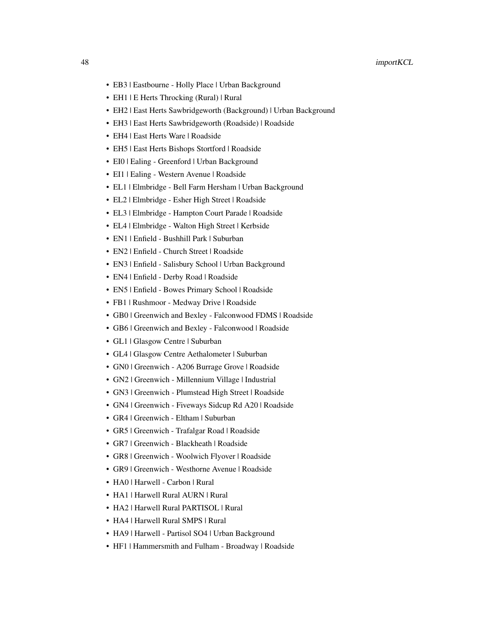- EB3 | Eastbourne Holly Place | Urban Background
- EH1 | E Herts Throcking (Rural) | Rural
- EH2 | East Herts Sawbridgeworth (Background) | Urban Background
- EH3 | East Herts Sawbridgeworth (Roadside) | Roadside
- EH4 | East Herts Ware | Roadside
- EH5 | East Herts Bishops Stortford | Roadside
- EI0 | Ealing Greenford | Urban Background
- EI1 | Ealing Western Avenue | Roadside
- EL1 | Elmbridge Bell Farm Hersham | Urban Background
- EL2 | Elmbridge Esher High Street | Roadside
- EL3 | Elmbridge Hampton Court Parade | Roadside
- EL4 | Elmbridge Walton High Street | Kerbside
- EN1 | Enfield Bushhill Park | Suburban
- EN2 | Enfield Church Street | Roadside
- EN3 | Enfield Salisbury School | Urban Background
- EN4 | Enfield Derby Road | Roadside
- EN5 | Enfield Bowes Primary School | Roadside
- FB1 | Rushmoor Medway Drive | Roadside
- GB0 | Greenwich and Bexley Falconwood FDMS | Roadside
- GB6 | Greenwich and Bexley Falconwood | Roadside
- GL1 | Glasgow Centre | Suburban
- GL4 | Glasgow Centre Aethalometer | Suburban
- GN0 | Greenwich A206 Burrage Grove | Roadside
- GN2 | Greenwich Millennium Village | Industrial
- GN3 | Greenwich Plumstead High Street | Roadside
- GN4 | Greenwich Fiveways Sidcup Rd A20 | Roadside
- GR4 | Greenwich Eltham | Suburban
- GR5 | Greenwich Trafalgar Road | Roadside
- GR7 | Greenwich Blackheath | Roadside
- GR8 | Greenwich Woolwich Flyover | Roadside
- GR9 | Greenwich Westhorne Avenue | Roadside
- HA0 | Harwell Carbon | Rural
- HA1 | Harwell Rural AURN | Rural
- HA2 | Harwell Rural PARTISOL | Rural
- HA4 | Harwell Rural SMPS | Rural
- HA9 | Harwell Partisol SO4 | Urban Background
- HF1 | Hammersmith and Fulham Broadway | Roadside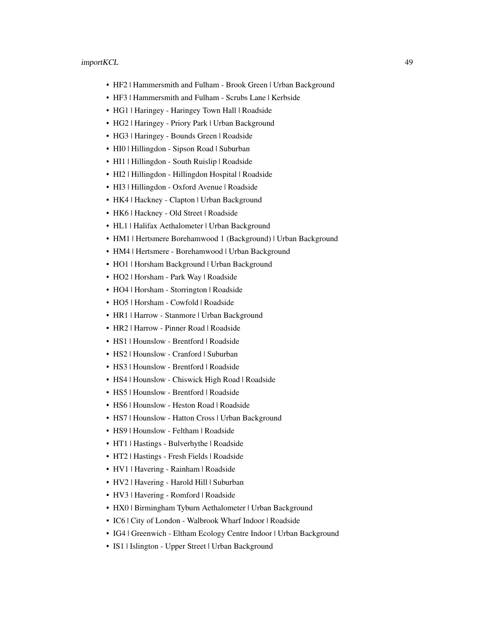- HF2 | Hammersmith and Fulham Brook Green | Urban Background
- HF3 | Hammersmith and Fulham Scrubs Lane | Kerbside
- HG1 | Haringey Haringey Town Hall | Roadside
- HG2 | Haringey Priory Park | Urban Background
- HG3 | Haringey Bounds Green | Roadside
- HI0 | Hillingdon Sipson Road | Suburban
- HI1 | Hillingdon South Ruislip | Roadside
- HI2 | Hillingdon Hillingdon Hospital | Roadside
- HI3 | Hillingdon Oxford Avenue | Roadside
- HK4 | Hackney Clapton | Urban Background
- HK6 | Hackney Old Street | Roadside
- HL1 | Halifax Aethalometer | Urban Background
- HM1 | Hertsmere Borehamwood 1 (Background) | Urban Background
- HM4 | Hertsmere Borehamwood | Urban Background
- HO1 | Horsham Background | Urban Background
- HO2 | Horsham Park Way | Roadside
- HO4 | Horsham Storrington | Roadside
- HO5 | Horsham Cowfold | Roadside
- HR1 | Harrow Stanmore | Urban Background
- HR2 | Harrow Pinner Road | Roadside
- HS1 | Hounslow Brentford | Roadside
- HS2 | Hounslow Cranford | Suburban
- HS3 | Hounslow Brentford | Roadside
- HS4 | Hounslow Chiswick High Road | Roadside
- HS5 | Hounslow Brentford | Roadside
- HS6 | Hounslow Heston Road | Roadside
- HS7 | Hounslow Hatton Cross | Urban Background
- HS9 | Hounslow Feltham | Roadside
- HT1 | Hastings Bulverhythe | Roadside
- HT2 | Hastings Fresh Fields | Roadside
- HV1 | Havering Rainham | Roadside
- HV2 | Havering Harold Hill | Suburban
- HV3 | Havering Romford | Roadside
- HX0 | Birmingham Tyburn Aethalometer | Urban Background
- IC6 | City of London Walbrook Wharf Indoor | Roadside
- IG4 | Greenwich Eltham Ecology Centre Indoor | Urban Background
- IS1 | Islington Upper Street | Urban Background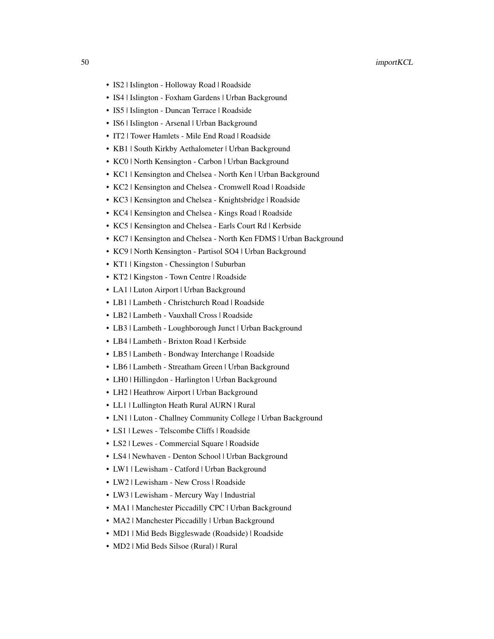- IS2 | Islington Holloway Road | Roadside
- IS4 | Islington Foxham Gardens | Urban Background
- IS5 | Islington Duncan Terrace | Roadside
- IS6 | Islington Arsenal | Urban Background
- IT2 | Tower Hamlets Mile End Road | Roadside
- KB1 | South Kirkby Aethalometer | Urban Background
- KC0 | North Kensington Carbon | Urban Background
- KC1 | Kensington and Chelsea North Ken | Urban Background
- KC2 | Kensington and Chelsea Cromwell Road | Roadside
- KC3 | Kensington and Chelsea Knightsbridge | Roadside
- KC4 | Kensington and Chelsea Kings Road | Roadside
- KC5 | Kensington and Chelsea Earls Court Rd | Kerbside
- KC7 | Kensington and Chelsea North Ken FDMS | Urban Background
- KC9 | North Kensington Partisol SO4 | Urban Background
- KT1 | Kingston Chessington | Suburban
- KT2 | Kingston Town Centre | Roadside
- LA1 | Luton Airport | Urban Background
- LB1 | Lambeth Christchurch Road | Roadside
- LB2 | Lambeth Vauxhall Cross | Roadside
- LB3 | Lambeth Loughborough Junct | Urban Background
- LB4 | Lambeth Brixton Road | Kerbside
- LB5 | Lambeth Bondway Interchange | Roadside
- LB6 | Lambeth Streatham Green | Urban Background
- LH0 | Hillingdon Harlington | Urban Background
- LH2 | Heathrow Airport | Urban Background
- LL1 | Lullington Heath Rural AURN | Rural
- LN1 | Luton Challney Community College | Urban Background
- LS1 | Lewes Telscombe Cliffs | Roadside
- LS2 | Lewes Commercial Square | Roadside
- LS4 | Newhaven Denton School | Urban Background
- LW1 | Lewisham Catford | Urban Background
- LW2 | Lewisham New Cross | Roadside
- LW3 | Lewisham Mercury Way | Industrial
- MA1 | Manchester Piccadilly CPC | Urban Background
- MA2 | Manchester Piccadilly | Urban Background
- MD1 | Mid Beds Biggleswade (Roadside) | Roadside
- MD2 | Mid Beds Silsoe (Rural) | Rural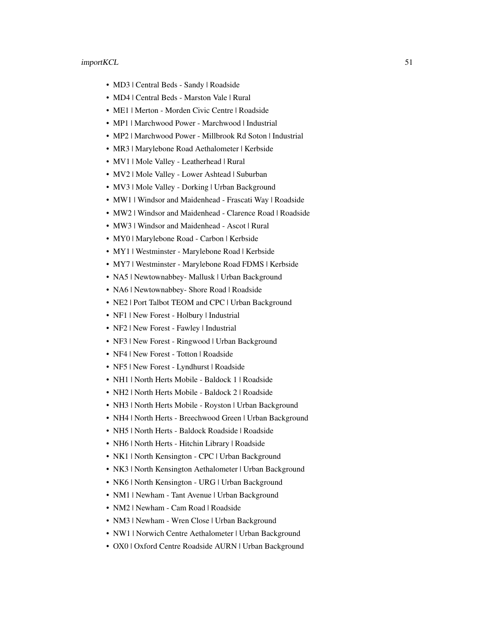- MD3 | Central Beds Sandy | Roadside
- MD4 | Central Beds Marston Vale | Rural
- ME1 | Merton Morden Civic Centre | Roadside
- MP1 | Marchwood Power Marchwood | Industrial
- MP2 | Marchwood Power Millbrook Rd Soton | Industrial
- MR3 | Marylebone Road Aethalometer | Kerbside
- MV1 | Mole Valley Leatherhead | Rural
- MV2 | Mole Valley Lower Ashtead | Suburban
- MV3 | Mole Valley Dorking | Urban Background
- MW1 | Windsor and Maidenhead Frascati Way | Roadside
- MW2 | Windsor and Maidenhead Clarence Road | Roadside
- MW3 | Windsor and Maidenhead Ascot | Rural
- MY0 | Marylebone Road Carbon | Kerbside
- MY1 | Westminster Marylebone Road | Kerbside
- MY7 | Westminster Marylebone Road FDMS | Kerbside
- NA5 | Newtownabbey- Mallusk | Urban Background
- NA6 | Newtownabbey- Shore Road | Roadside
- NE2 | Port Talbot TEOM and CPC | Urban Background
- NF1 | New Forest Holbury | Industrial
- NF2 | New Forest Fawley | Industrial
- NF3 | New Forest Ringwood | Urban Background
- NF4 | New Forest Totton | Roadside
- NF5 | New Forest Lyndhurst | Roadside
- NH1 | North Herts Mobile Baldock 1 | Roadside
- NH2 | North Herts Mobile Baldock 2 | Roadside
- NH3 | North Herts Mobile Royston | Urban Background
- NH4 | North Herts Breechwood Green | Urban Background
- NH5 | North Herts Baldock Roadside | Roadside
- NH6 | North Herts Hitchin Library | Roadside
- NK1 | North Kensington CPC | Urban Background
- NK3 | North Kensington Aethalometer | Urban Background
- NK6 | North Kensington URG | Urban Background
- NM1 | Newham Tant Avenue | Urban Background
- NM2 | Newham Cam Road | Roadside
- NM3 | Newham Wren Close | Urban Background
- NW1 | Norwich Centre Aethalometer | Urban Background
- OX0 | Oxford Centre Roadside AURN | Urban Background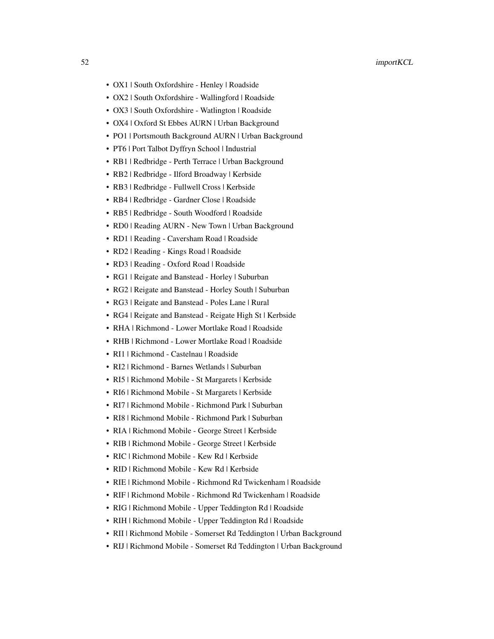- OX1 | South Oxfordshire Henley | Roadside
- OX2 | South Oxfordshire Wallingford | Roadside
- OX3 | South Oxfordshire Watlington | Roadside
- OX4 | Oxford St Ebbes AURN | Urban Background
- PO1 | Portsmouth Background AURN | Urban Background
- PT6 | Port Talbot Dyffryn School | Industrial
- RB1 | Redbridge Perth Terrace | Urban Background
- RB2 | Redbridge Ilford Broadway | Kerbside
- RB3 | Redbridge Fullwell Cross | Kerbside
- RB4 | Redbridge Gardner Close | Roadside
- RB5 | Redbridge South Woodford | Roadside
- RD0 | Reading AURN New Town | Urban Background
- RD1 | Reading Caversham Road | Roadside
- RD2 | Reading Kings Road | Roadside
- RD3 | Reading Oxford Road | Roadside
- RG1 | Reigate and Banstead Horley | Suburban
- RG2 | Reigate and Banstead Horley South | Suburban
- RG3 | Reigate and Banstead Poles Lane | Rural
- RG4 | Reigate and Banstead Reigate High St | Kerbside
- RHA | Richmond Lower Mortlake Road | Roadside
- RHB | Richmond Lower Mortlake Road | Roadside
- RI1 | Richmond Castelnau | Roadside
- RI2 | Richmond Barnes Wetlands | Suburban
- RI5 | Richmond Mobile St Margarets | Kerbside
- RI6 | Richmond Mobile St Margarets | Kerbside
- RI7 | Richmond Mobile Richmond Park | Suburban
- RI8 | Richmond Mobile Richmond Park | Suburban
- RIA | Richmond Mobile George Street | Kerbside
- RIB | Richmond Mobile George Street | Kerbside
- RIC | Richmond Mobile Kew Rd | Kerbside
- RID | Richmond Mobile Kew Rd | Kerbside
- RIE | Richmond Mobile Richmond Rd Twickenham | Roadside
- RIF | Richmond Mobile Richmond Rd Twickenham | Roadside
- RIG | Richmond Mobile Upper Teddington Rd | Roadside
- RIH | Richmond Mobile Upper Teddington Rd | Roadside
- RII | Richmond Mobile Somerset Rd Teddington | Urban Background
- RIJ | Richmond Mobile Somerset Rd Teddington | Urban Background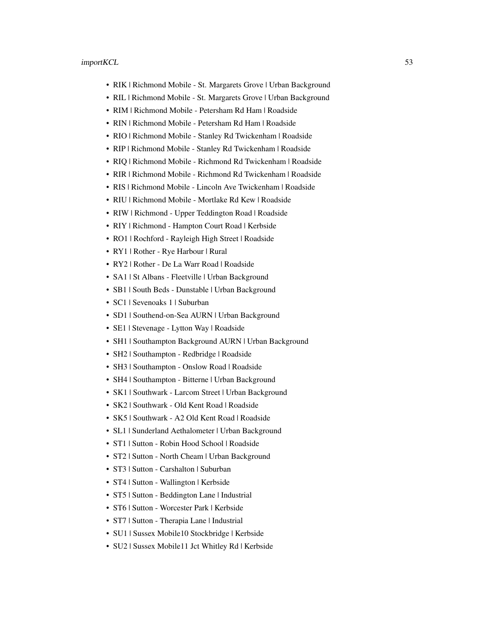- RIK | Richmond Mobile St. Margarets Grove | Urban Background
- RIL | Richmond Mobile St. Margarets Grove | Urban Background
- RIM | Richmond Mobile Petersham Rd Ham | Roadside
- RIN | Richmond Mobile Petersham Rd Ham | Roadside
- RIO | Richmond Mobile Stanley Rd Twickenham | Roadside
- RIP | Richmond Mobile Stanley Rd Twickenham | Roadside
- RIQ | Richmond Mobile Richmond Rd Twickenham | Roadside
- RIR | Richmond Mobile Richmond Rd Twickenham | Roadside
- RIS | Richmond Mobile Lincoln Ave Twickenham | Roadside
- RIU | Richmond Mobile Mortlake Rd Kew | Roadside
- RIW | Richmond Upper Teddington Road | Roadside
- RIY | Richmond Hampton Court Road | Kerbside
- RO1 | Rochford Rayleigh High Street | Roadside
- RY1 | Rother Rye Harbour | Rural
- RY2 | Rother De La Warr Road | Roadside
- SA1 | St Albans Fleetville | Urban Background
- SB1 | South Beds Dunstable | Urban Background
- SC1 | Sevenoaks 1 | Suburban
- SD1 | Southend-on-Sea AURN | Urban Background
- SE1 | Stevenage Lytton Way | Roadside
- SH1 | Southampton Background AURN | Urban Background
- SH2 | Southampton Redbridge | Roadside
- SH3 | Southampton Onslow Road | Roadside
- SH4 | Southampton Bitterne | Urban Background
- SK1 | Southwark Larcom Street | Urban Background
- SK2 | Southwark Old Kent Road | Roadside
- SK5 | Southwark A2 Old Kent Road | Roadside
- SL1 | Sunderland Aethalometer | Urban Background
- ST1 | Sutton Robin Hood School | Roadside
- ST2 | Sutton North Cheam | Urban Background
- ST3 | Sutton Carshalton | Suburban
- ST4 | Sutton Wallington | Kerbside
- ST5 | Sutton Beddington Lane | Industrial
- ST6 | Sutton Worcester Park | Kerbside
- ST7 | Sutton Therapia Lane | Industrial
- SU1 | Sussex Mobile10 Stockbridge | Kerbside
- SU2 | Sussex Mobile11 Jct Whitley Rd | Kerbside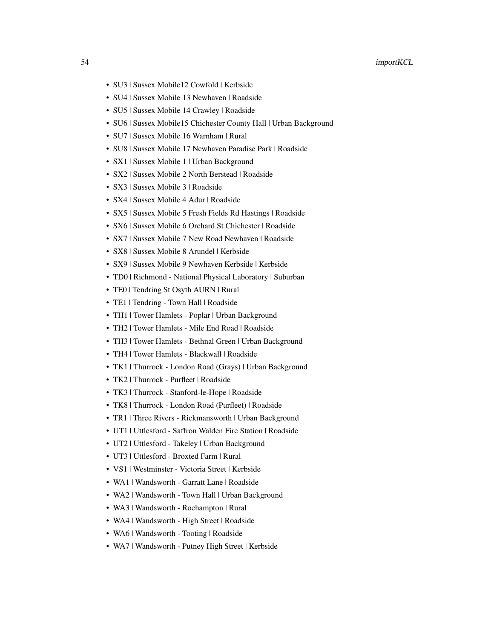- SU3 | Sussex Mobile12 Cowfold | Kerbside
- SU4 | Sussex Mobile 13 Newhaven | Roadside
- SU5 | Sussex Mobile 14 Crawley | Roadside
- SU6 | Sussex Mobile15 Chichester County Hall | Urban Background
- SU7 | Sussex Mobile 16 Warnham | Rural
- SU8 | Sussex Mobile 17 Newhaven Paradise Park | Roadside
- SX1 | Sussex Mobile 1 | Urban Background
- SX2 | Sussex Mobile 2 North Berstead | Roadside
- SX3 | Sussex Mobile 3 | Roadside
- SX4 | Sussex Mobile 4 Adur | Roadside
- SX5 | Sussex Mobile 5 Fresh Fields Rd Hastings | Roadside
- SX6 | Sussex Mobile 6 Orchard St Chichester | Roadside
- SX7 | Sussex Mobile 7 New Road Newhaven | Roadside
- SX8 | Sussex Mobile 8 Arundel | Kerbside
- SX9 | Sussex Mobile 9 Newhaven Kerbside | Kerbside
- TD0 | Richmond National Physical Laboratory | Suburban
- TE0 | Tendring St Osyth AURN | Rural
- TE1 | Tendring Town Hall | Roadside
- TH1 | Tower Hamlets Poplar | Urban Background
- TH2 | Tower Hamlets Mile End Road | Roadside
- TH3 | Tower Hamlets Bethnal Green | Urban Background
- TH4 | Tower Hamlets Blackwall | Roadside
- TK1 | Thurrock London Road (Grays) | Urban Background
- TK2 | Thurrock Purfleet | Roadside
- TK3 | Thurrock Stanford-le-Hope | Roadside
- TK8 | Thurrock London Road (Purfleet) | Roadside
- TR1 | Three Rivers Rickmansworth | Urban Background
- UT1 | Uttlesford Saffron Walden Fire Station | Roadside
- UT2 | Uttlesford Takeley | Urban Background
- UT3 | Uttlesford Broxted Farm | Rural
- VS1 | Westminster Victoria Street | Kerbside
- WA1 | Wandsworth Garratt Lane | Roadside
- WA2 | Wandsworth Town Hall | Urban Background
- WA3 | Wandsworth Roehampton | Rural
- WA4 | Wandsworth High Street | Roadside
- WA6 | Wandsworth Tooting | Roadside
- WA7 | Wandsworth Putney High Street | Kerbside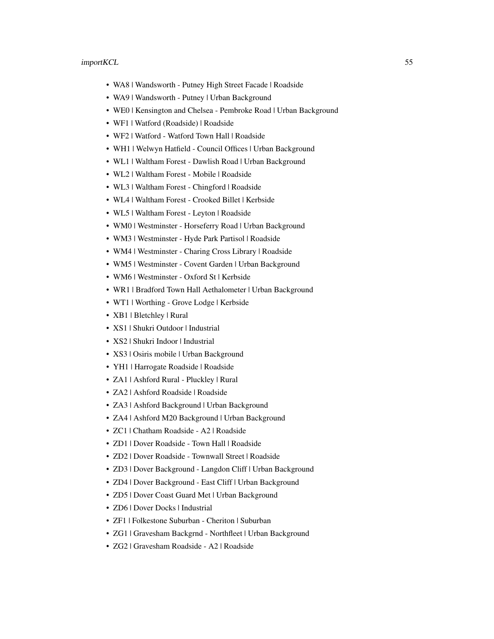- WA8 | Wandsworth Putney High Street Facade | Roadside
- WA9 | Wandsworth Putney | Urban Background
- WE0 | Kensington and Chelsea Pembroke Road | Urban Background
- WF1 | Watford (Roadside) | Roadside
- WF2 | Watford Watford Town Hall | Roadside
- WH1 | Welwyn Hatfield Council Offices | Urban Background
- WL1 | Waltham Forest Dawlish Road | Urban Background
- WL2 | Waltham Forest Mobile | Roadside
- WL3 | Waltham Forest Chingford | Roadside
- WL4 | Waltham Forest Crooked Billet | Kerbside
- WL5 | Waltham Forest Leyton | Roadside
- WM0 | Westminster Horseferry Road | Urban Background
- WM3 | Westminster Hyde Park Partisol | Roadside
- WM4 | Westminster Charing Cross Library | Roadside
- WM5 | Westminster Covent Garden | Urban Background
- WM6 | Westminster Oxford St | Kerbside
- WR1 | Bradford Town Hall Aethalometer | Urban Background
- WT1 | Worthing Grove Lodge | Kerbside
- XB1 | Bletchley | Rural
- XS1 | Shukri Outdoor | Industrial
- XS2 | Shukri Indoor | Industrial
- XS3 | Osiris mobile | Urban Background
- YH1 | Harrogate Roadside | Roadside
- ZA1 | Ashford Rural Pluckley | Rural
- ZA2 | Ashford Roadside | Roadside
- ZA3 | Ashford Background | Urban Background
- ZA4 | Ashford M20 Background | Urban Background
- ZC1 | Chatham Roadside A2 | Roadside
- ZD1 | Dover Roadside Town Hall | Roadside
- ZD2 | Dover Roadside Townwall Street | Roadside
- ZD3 | Dover Background Langdon Cliff | Urban Background
- ZD4 | Dover Background East Cliff | Urban Background
- ZD5 | Dover Coast Guard Met | Urban Background
- ZD6 | Dover Docks | Industrial
- ZF1 | Folkestone Suburban Cheriton | Suburban
- ZG1 | Gravesham Backgrnd Northfleet | Urban Background
- ZG2 | Gravesham Roadside A2 | Roadside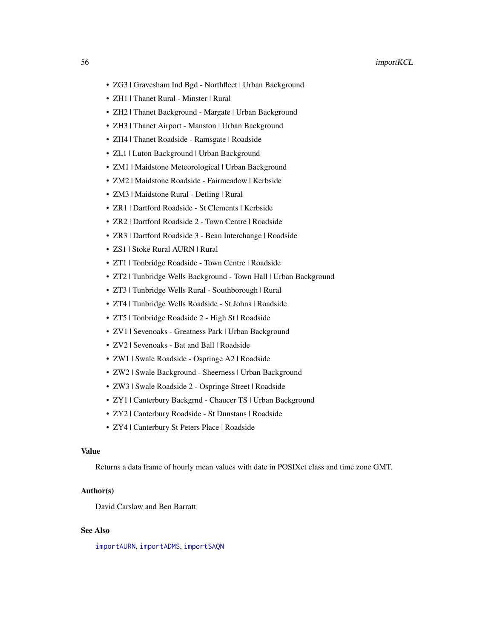- ZG3 | Gravesham Ind Bgd Northfleet | Urban Background
- ZH1 | Thanet Rural Minster | Rural
- ZH2 | Thanet Background Margate | Urban Background
- ZH3 | Thanet Airport Manston | Urban Background
- ZH4 | Thanet Roadside Ramsgate | Roadside
- ZL1 | Luton Background | Urban Background
- ZM1 | Maidstone Meteorological | Urban Background
- ZM2 | Maidstone Roadside Fairmeadow | Kerbside
- ZM3 | Maidstone Rural Detling | Rural
- ZR1 | Dartford Roadside St Clements | Kerbside
- ZR2 | Dartford Roadside 2 Town Centre | Roadside
- ZR3 | Dartford Roadside 3 Bean Interchange | Roadside
- ZS1 | Stoke Rural AURN | Rural
- ZT1 | Tonbridge Roadside Town Centre | Roadside
- ZT2 | Tunbridge Wells Background Town Hall | Urban Background
- ZT3 | Tunbridge Wells Rural Southborough | Rural
- ZT4 | Tunbridge Wells Roadside St Johns | Roadside
- ZT5 | Tonbridge Roadside 2 High St | Roadside
- ZV1 | Sevenoaks Greatness Park | Urban Background
- ZV2 | Sevenoaks Bat and Ball | Roadside
- ZW1 | Swale Roadside Ospringe A2 | Roadside
- ZW2 | Swale Background Sheerness | Urban Background
- ZW3 | Swale Roadside 2 Ospringe Street | Roadside
- ZY1 | Canterbury Backgrnd Chaucer TS | Urban Background
- ZY2 | Canterbury Roadside St Dunstans | Roadside
- ZY4 | Canterbury St Peters Place | Roadside

#### Value

Returns a data frame of hourly mean values with date in POSIXct class and time zone GMT.

# Author(s)

David Carslaw and Ben Barratt

# See Also

[importAURN](#page-33-0), [importADMS](#page-30-0), [importSAQN](#page-33-0)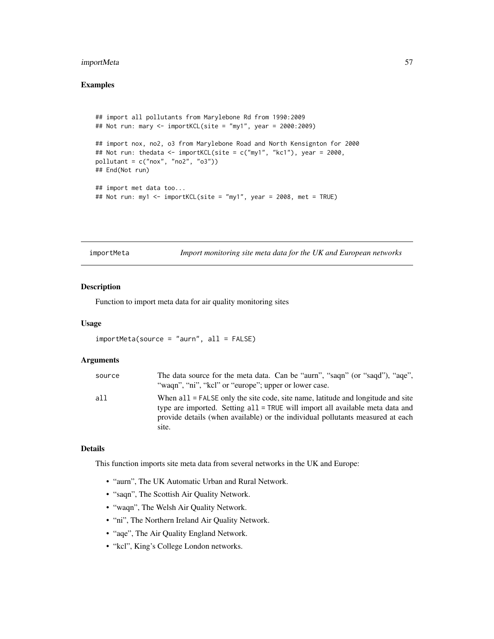# importMeta 57

# Examples

```
## import all pollutants from Marylebone Rd from 1990:2009
## Not run: mary <- importKCL(site = "my1", year = 2000:2009)
## import nox, no2, o3 from Marylebone Road and North Kensignton for 2000
## Not run: thedata <- importKCL(site = c("my1", "kc1"), year = 2000,
pollutant = c("now", "no2", "o3"))## End(Not run)
## import met data too...
## Not run: my1 <- importKCL(site = "my1", year = 2008, met = TRUE)
```
importMeta *Import monitoring site meta data for the UK and European networks*

# Description

Function to import meta data for air quality monitoring sites

# Usage

```
importMeta(source = "aurn", all = FALSE)
```
# Arguments

| source | The data source for the meta data. Can be "aurn", "saqn" (or "saqd"), "aqe",<br>"wagn", "ni", "kcl" or "europe"; upper or lower case.                                                                                                                         |
|--------|---------------------------------------------------------------------------------------------------------------------------------------------------------------------------------------------------------------------------------------------------------------|
| all    | When $all = FALSE$ only the site code, site name, latitude and longitude and site<br>type are imported. Setting all = TRUE will import all available meta data and<br>provide details (when available) or the individual pollutants measured at each<br>site. |

# Details

This function imports site meta data from several networks in the UK and Europe:

- "aurn", The UK Automatic Urban and Rural Network.
- "saqn", The Scottish Air Quality Network.
- "waqn", The Welsh Air Quality Network.
- "ni", The Northern Ireland Air Quality Network.
- "aqe", The Air Quality England Network.
- "kcl", King's College London networks.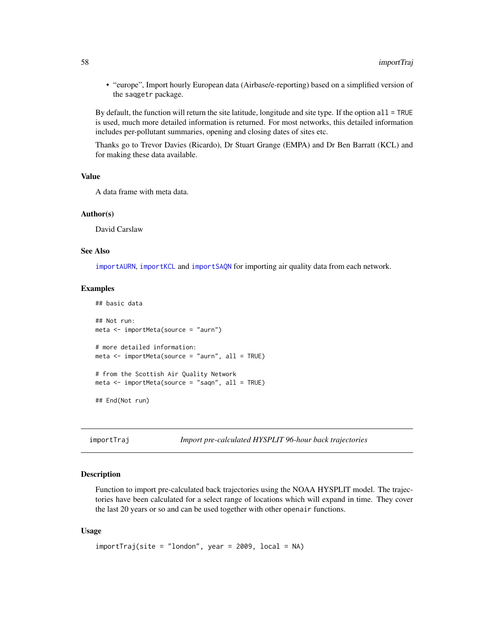• "europe", Import hourly European data (Airbase/e-reporting) based on a simplified version of the saqgetr package.

By default, the function will return the site latitude, longitude and site type. If the option  $all = TRUE$ is used, much more detailed information is returned. For most networks, this detailed information includes per-pollutant summaries, opening and closing dates of sites etc.

Thanks go to Trevor Davies (Ricardo), Dr Stuart Grange (EMPA) and Dr Ben Barratt (KCL) and for making these data available.

#### Value

A data frame with meta data.

#### Author(s)

David Carslaw

#### See Also

[importAURN](#page-33-0), [importKCL](#page-41-0) and [importSAQN](#page-33-0) for importing air quality data from each network.

#### Examples

```
## basic data
## Not run:
meta <- importMeta(source = "aurn")
# more detailed information:
meta \leq importMeta(source = "aurn", all = TRUE)
# from the Scottish Air Quality Network
meta \leq time importMeta(source = "saqn", all = TRUE)
## End(Not run)
```
importTraj *Import pre-calculated HYSPLIT 96-hour back trajectories*

# Description

Function to import pre-calculated back trajectories using the NOAA HYSPLIT model. The trajectories have been calculated for a select range of locations which will expand in time. They cover the last 20 years or so and can be used together with other openair functions.

#### Usage

```
importTraj(site = "london", year = 2009, local = NA)
```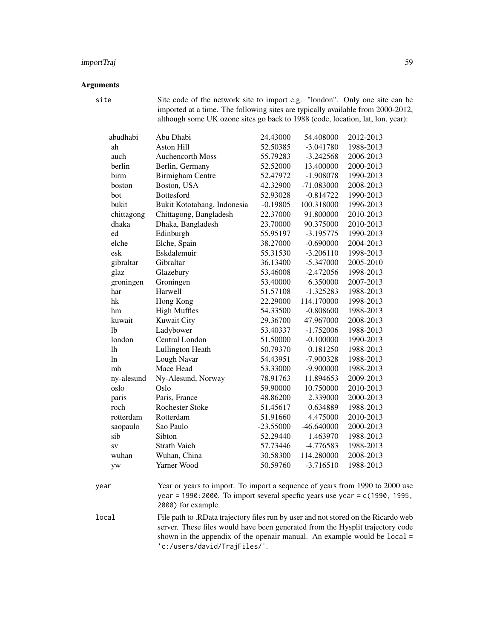# importTraj 59

# Arguments

site Site code of the network site to import e.g. "london". Only one site can be imported at a time. The following sites are typically available from 2000-2012, although some UK ozone sites go back to 1988 (code, location, lat, lon, year):

| abudhabi   | Abu Dhabi                   | 24.43000    | 54.408000    | 2012-2013 |
|------------|-----------------------------|-------------|--------------|-----------|
| ah         | Aston Hill                  | 52.50385    | $-3.041780$  | 1988-2013 |
| auch       | <b>Auchencorth Moss</b>     | 55.79283    | $-3.242568$  | 2006-2013 |
| berlin     | Berlin, Germany             | 52.52000    | 13.400000    | 2000-2013 |
| birm       | <b>Birmigham Centre</b>     | 52.47972    | $-1.908078$  | 1990-2013 |
| boston     | Boston, USA                 | 42.32900    | -71.083000   | 2008-2013 |
| bot        | Bottesford                  | 52.93028    | $-0.814722$  | 1990-2013 |
| bukit      | Bukit Kototabang, Indonesia | $-0.19805$  | 100.318000   | 1996-2013 |
| chittagong | Chittagong, Bangladesh      | 22.37000    | 91.800000    | 2010-2013 |
| dhaka      | Dhaka, Bangladesh           | 23.70000    | 90.375000    | 2010-2013 |
| ed         | Edinburgh                   | 55.95197    | $-3.195775$  | 1990-2013 |
| elche      | Elche, Spain                | 38.27000    | $-0.690000$  | 2004-2013 |
| esk        | Eskdalemuir                 | 55.31530    | $-3.206110$  | 1998-2013 |
| gibraltar  | Gibraltar                   | 36.13400    | $-5.347000$  | 2005-2010 |
| glaz       | Glazebury                   | 53.46008    | $-2.472056$  | 1998-2013 |
| groningen  | Groningen                   | 53.40000    | 6.350000     | 2007-2013 |
| har        | Harwell                     | 51.57108    | $-1.325283$  | 1988-2013 |
| hk         | Hong Kong                   | 22.29000    | 114.170000   | 1998-2013 |
| hm         | <b>High Muffles</b>         | 54.33500    | $-0.808600$  | 1988-2013 |
| kuwait     | <b>Kuwait City</b>          | 29.36700    | 47.967000    | 2008-2013 |
| 1b         | Ladybower                   | 53.40337    | $-1.752006$  | 1988-2013 |
| london     | Central London              | 51.50000    | $-0.100000$  | 1990-2013 |
| lh         | Lullington Heath            | 50.79370    | 0.181250     | 1988-2013 |
| ln         | Lough Navar                 | 54.43951    | $-7.900328$  | 1988-2013 |
| mh         | Mace Head                   | 53.33000    | $-9.900000$  | 1988-2013 |
| ny-alesund | Ny-Alesund, Norway          | 78.91763    | 11.894653    | 2009-2013 |
| oslo       | Oslo                        | 59.90000    | 10.750000    | 2010-2013 |
| paris      | Paris, France               | 48.86200    | 2.339000     | 2000-2013 |
| roch       | <b>Rochester Stoke</b>      | 51.45617    | 0.634889     | 1988-2013 |
| rotterdam  | Rotterdam                   | 51.91660    | 4.475000     | 2010-2013 |
| saopaulo   | Sao Paulo                   | $-23.55000$ | $-46.640000$ | 2000-2013 |
| sib        | Sibton                      | 52.29440    | 1.463970     | 1988-2013 |
| SV         | <b>Strath Vaich</b>         | 57.73446    | -4.776583    | 1988-2013 |
| wuhan      | Wuhan, China                | 30.58300    | 114.280000   | 2008-2013 |
| yw         | Yarner Wood                 | 50.59760    | $-3.716510$  | 1988-2013 |
|            |                             |             |              |           |

year Year or years to import. To import a sequence of years from 1990 to 2000 use year = 1990:2000. To import several specfic years use year = c(1990, 1995, 2000) for example.

local File path to .RData trajectory files run by user and not stored on the Ricardo web server. These files would have been generated from the Hysplit trajectory code shown in the appendix of the openair manual. An example would be local = 'c:/users/david/TrajFiles/'.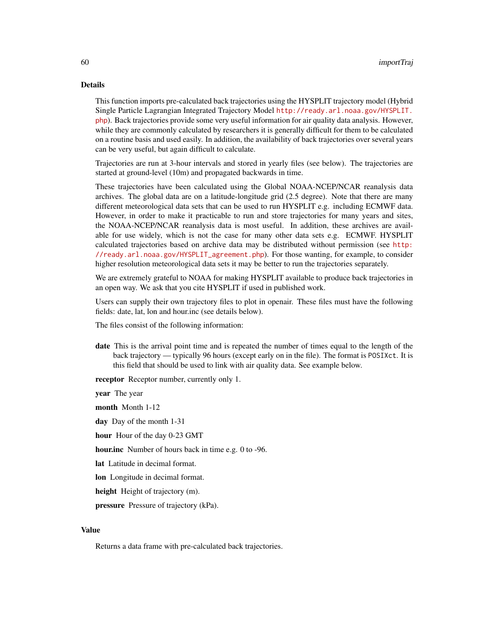#### Details

This function imports pre-calculated back trajectories using the HYSPLIT trajectory model (Hybrid Single Particle Lagrangian Integrated Trajectory Model [http://ready.arl.noaa.gov/HYSPLIT.](http://ready.arl.noaa.gov/HYSPLIT.php) [php](http://ready.arl.noaa.gov/HYSPLIT.php)). Back trajectories provide some very useful information for air quality data analysis. However, while they are commonly calculated by researchers it is generally difficult for them to be calculated on a routine basis and used easily. In addition, the availability of back trajectories over several years can be very useful, but again difficult to calculate.

Trajectories are run at 3-hour intervals and stored in yearly files (see below). The trajectories are started at ground-level (10m) and propagated backwards in time.

These trajectories have been calculated using the Global NOAA-NCEP/NCAR reanalysis data archives. The global data are on a latitude-longitude grid (2.5 degree). Note that there are many different meteorological data sets that can be used to run HYSPLIT e.g. including ECMWF data. However, in order to make it practicable to run and store trajectories for many years and sites, the NOAA-NCEP/NCAR reanalysis data is most useful. In addition, these archives are available for use widely, which is not the case for many other data sets e.g. ECMWF. HYSPLIT calculated trajectories based on archive data may be distributed without permission (see [http:](http://ready.arl.noaa.gov/HYSPLIT_agreement.php) [//ready.arl.noaa.gov/HYSPLIT\\_agreement.php](http://ready.arl.noaa.gov/HYSPLIT_agreement.php)). For those wanting, for example, to consider higher resolution meteorological data sets it may be better to run the trajectories separately.

We are extremely grateful to NOAA for making HYSPLIT available to produce back trajectories in an open way. We ask that you cite HYSPLIT if used in published work.

Users can supply their own trajectory files to plot in openair. These files must have the following fields: date, lat, lon and hour.inc (see details below).

The files consist of the following information:

date This is the arrival point time and is repeated the number of times equal to the length of the back trajectory — typically 96 hours (except early on in the file). The format is POSIXct. It is this field that should be used to link with air quality data. See example below.

receptor Receptor number, currently only 1.

year The year

month Month 1-12

day Day of the month 1-31

hour Hour of the day 0-23 GMT

hour.inc Number of hours back in time e.g. 0 to -96.

lat Latitude in decimal format.

lon Longitude in decimal format.

height Height of trajectory (m).

pressure Pressure of trajectory (kPa).

#### Value

Returns a data frame with pre-calculated back trajectories.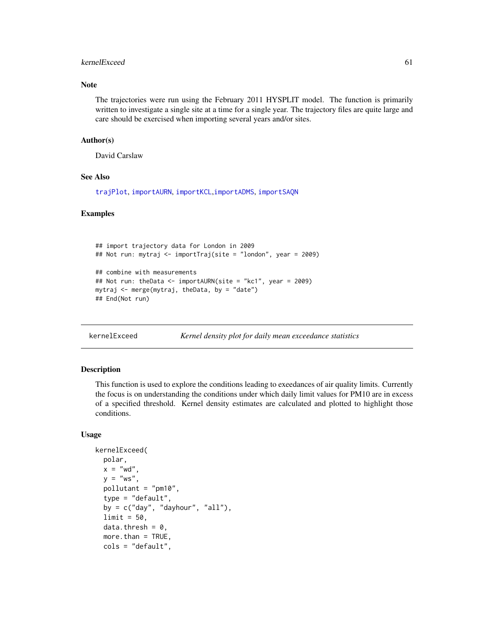# kernelExceed 61 and 51 and 51 and 51 and 51 and 51 and 51 and 51 and 51 and 51 and 51 and 51 and 51 and 51 and 51 and 51 and 51 and 51 and 51 and 51 and 51 and 51 and 51 and 51 and 51 and 51 and 51 and 51 and 51 and 51 and

# Note

The trajectories were run using the February 2011 HYSPLIT model. The function is primarily written to investigate a single site at a time for a single year. The trajectory files are quite large and care should be exercised when importing several years and/or sites.

# Author(s)

David Carslaw

# See Also

[trajPlot](#page-151-0), [importAURN](#page-33-0), [importKCL](#page-41-0),[importADMS](#page-30-0), [importSAQN](#page-33-0)

# Examples

```
## import trajectory data for London in 2009
## Not run: mytraj <- importTraj(site = "london", year = 2009)
## combine with measurements
## Not run: theData <- importAURN(site = "kc1", year = 2009)
mytraj <- merge(mytraj, theData, by = "date")
## End(Not run)
```
kernelExceed *Kernel density plot for daily mean exceedance statistics*

#### Description

This function is used to explore the conditions leading to exeedances of air quality limits. Currently the focus is on understanding the conditions under which daily limit values for PM10 are in excess of a specified threshold. Kernel density estimates are calculated and plotted to highlight those conditions.

#### Usage

```
kernelExceed(
 polar,
  x = "wd",y = "ws",pollutant = "pm10",
  type = "default",
  by = c("day", "dayhour", "all"),
  limit = 50.
  data.thresh = 0,
 more.than = TRUE,
 cols = "default",
```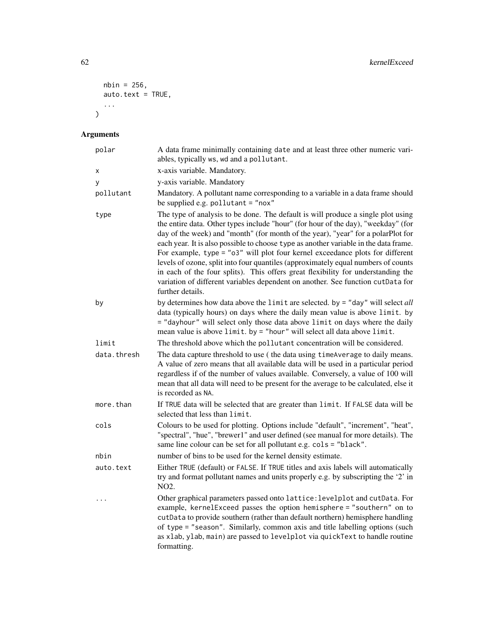```
nbin = 256,
 auto.text = TRUE,
  ...
\lambda
```
# Arguments

| polar       | A data frame minimally containing date and at least three other numeric vari-<br>ables, typically ws, wd and a pollutant.                                                                                                                                                                                                                                                                                                                                                                                                                                                                                                                                                                                          |  |
|-------------|--------------------------------------------------------------------------------------------------------------------------------------------------------------------------------------------------------------------------------------------------------------------------------------------------------------------------------------------------------------------------------------------------------------------------------------------------------------------------------------------------------------------------------------------------------------------------------------------------------------------------------------------------------------------------------------------------------------------|--|
| х           | x-axis variable. Mandatory.                                                                                                                                                                                                                                                                                                                                                                                                                                                                                                                                                                                                                                                                                        |  |
| У           | y-axis variable. Mandatory                                                                                                                                                                                                                                                                                                                                                                                                                                                                                                                                                                                                                                                                                         |  |
| pollutant   | Mandatory. A pollutant name corresponding to a variable in a data frame should<br>be supplied e.g. pollutant = "nox"                                                                                                                                                                                                                                                                                                                                                                                                                                                                                                                                                                                               |  |
| type        | The type of analysis to be done. The default is will produce a single plot using<br>the entire data. Other types include "hour" (for hour of the day), "weekday" (for<br>day of the week) and "month" (for month of the year), "year" for a polarPlot for<br>each year. It is also possible to choose type as another variable in the data frame.<br>For example, type = "o3" will plot four kernel exceedance plots for different<br>levels of ozone, split into four quantiles (approximately equal numbers of counts<br>in each of the four splits). This offers great flexibility for understanding the<br>variation of different variables dependent on another. See function cutData for<br>further details. |  |
| by          | by determines how data above the $limit$ are selected. by = "day" will select all<br>data (typically hours) on days where the daily mean value is above limit. by<br>= "dayhour" will select only those data above limit on days where the daily<br>mean value is above limit. by = "hour" will select all data above limit.                                                                                                                                                                                                                                                                                                                                                                                       |  |
| limit       | The threshold above which the pollutant concentration will be considered.                                                                                                                                                                                                                                                                                                                                                                                                                                                                                                                                                                                                                                          |  |
| data.thresh | The data capture threshold to use (the data using timeAverage to daily means.<br>A value of zero means that all available data will be used in a particular period<br>regardless if of the number of values available. Conversely, a value of 100 will<br>mean that all data will need to be present for the average to be calculated, else it<br>is recorded as NA.                                                                                                                                                                                                                                                                                                                                               |  |
| more.than   | If TRUE data will be selected that are greater than limit. If FALSE data will be<br>selected that less than limit.                                                                                                                                                                                                                                                                                                                                                                                                                                                                                                                                                                                                 |  |
| cols        | Colours to be used for plotting. Options include "default", "increment", "heat",<br>"spectral", "hue", "brewer1" and user defined (see manual for more details). The<br>same line colour can be set for all pollutant e.g. cols = "black".                                                                                                                                                                                                                                                                                                                                                                                                                                                                         |  |
| nbin        | number of bins to be used for the kernel density estimate.                                                                                                                                                                                                                                                                                                                                                                                                                                                                                                                                                                                                                                                         |  |
| auto.text   | Either TRUE (default) or FALSE. If TRUE titles and axis labels will automatically<br>try and format pollutant names and units properly e.g. by subscripting the '2' in<br>NO <sub>2</sub> .                                                                                                                                                                                                                                                                                                                                                                                                                                                                                                                        |  |
| .           | Other graphical parameters passed onto lattice: levelplot and cutData. For<br>example, kernelExceed passes the option hemisphere = "southern" on to<br>cutData to provide southern (rather than default northern) hemisphere handling<br>of type = "season". Similarly, common axis and title labelling options (such<br>as xlab, ylab, main) are passed to levelplot via quickText to handle routine<br>formatting.                                                                                                                                                                                                                                                                                               |  |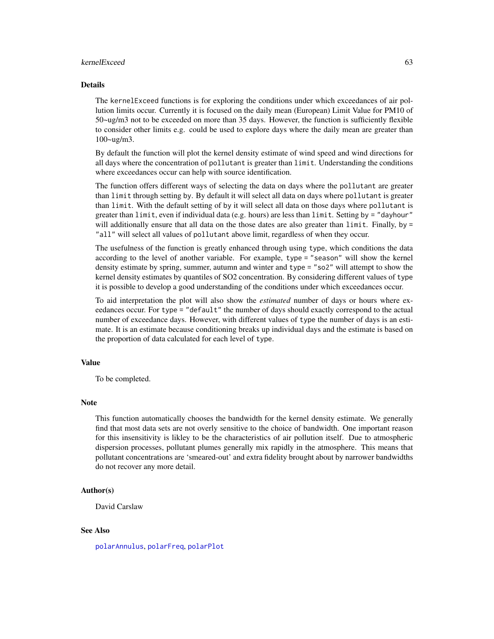#### kernelExceed 63

#### Details

The kernelExceed functions is for exploring the conditions under which exceedances of air pollution limits occur. Currently it is focused on the daily mean (European) Limit Value for PM10 of 50~ug/m3 not to be exceeded on more than 35 days. However, the function is sufficiently flexible to consider other limits e.g. could be used to explore days where the daily mean are greater than 100~ug/m3.

By default the function will plot the kernel density estimate of wind speed and wind directions for all days where the concentration of pollutant is greater than limit. Understanding the conditions where exceedances occur can help with source identification.

The function offers different ways of selecting the data on days where the pollutant are greater than limit through setting by. By default it will select all data on days where pollutant is greater than limit. With the default setting of by it will select all data on those days where pollutant is greater than limit, even if individual data (e.g. hours) are less than limit. Setting by = "dayhour" will additionally ensure that all data on the those dates are also greater than  $limit$ . Finally, by  $=$ "all" will select all values of pollutant above limit, regardless of when they occur.

The usefulness of the function is greatly enhanced through using type, which conditions the data according to the level of another variable. For example, type = "season" will show the kernel density estimate by spring, summer, autumn and winter and type = "so2" will attempt to show the kernel density estimates by quantiles of SO2 concentration. By considering different values of type it is possible to develop a good understanding of the conditions under which exceedances occur.

To aid interpretation the plot will also show the *estimated* number of days or hours where exeedances occur. For type = "default" the number of days should exactly correspond to the actual number of exceedance days. However, with different values of type the number of days is an estimate. It is an estimate because conditioning breaks up individual days and the estimate is based on the proportion of data calculated for each level of type.

### Value

To be completed.

#### Note

This function automatically chooses the bandwidth for the kernel density estimate. We generally find that most data sets are not overly sensitive to the choice of bandwidth. One important reason for this insensitivity is likley to be the characteristics of air pollution itself. Due to atmospheric dispersion processes, pollutant plumes generally mix rapidly in the atmosphere. This means that pollutant concentrations are 'smeared-out' and extra fidelity brought about by narrower bandwidths do not recover any more detail.

#### Author(s)

David Carslaw

# See Also

[polarAnnulus](#page-76-0), [polarFreq](#page-85-0), [polarPlot](#page-89-0)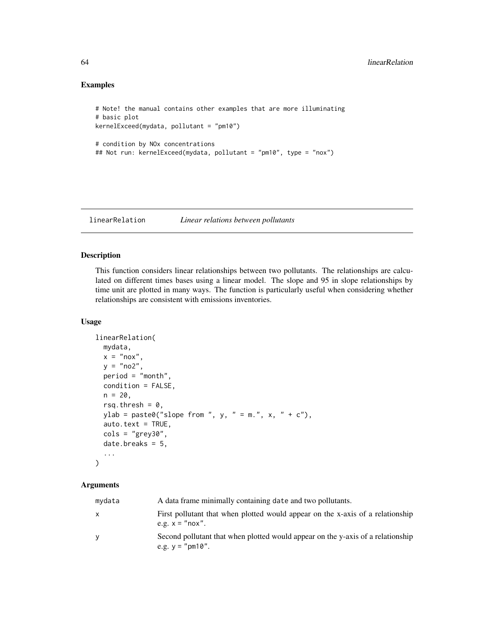# Examples

```
# Note! the manual contains other examples that are more illuminating
# basic plot
kernelExceed(mydata, pollutant = "pm10")
# condition by NOx concentrations
## Not run: kernelExceed(mydata, pollutant = "pm10", type = "nox")
```
linearRelation *Linear relations between pollutants*

## Description

This function considers linear relationships between two pollutants. The relationships are calculated on different times bases using a linear model. The slope and 95 in slope relationships by time unit are plotted in many ways. The function is particularly useful when considering whether relationships are consistent with emissions inventories.

#### Usage

```
linearRelation(
  mydata,
  x = "nox",y = "no2",period = "month",
  condition = FALSE,
 n = 20,
  rsq.thresh = 0,
  ylab = paste0("slope from ", y, " = m.", x, " + c"),
  auto.text = TRUE,cols = "grey30",
  date.breaks = 5,
  ...
\mathcal{L}
```
#### Arguments

| mydata | A data frame minimally containing date and two pollutants.                                            |
|--------|-------------------------------------------------------------------------------------------------------|
| X      | First pollutant that when plotted would appear on the x-axis of a relationship<br>e.g. $x =$ "nox".   |
| y      | Second pollutant that when plotted would appear on the y-axis of a relationship<br>e.g. $y =$ "pm10". |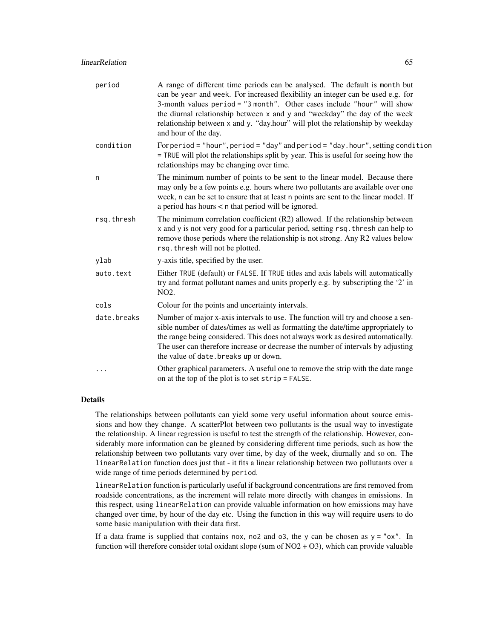| period      | A range of different time periods can be analysed. The default is month but<br>can be year and week. For increased flexibility an integer can be used e.g. for<br>3-month values period = "3 month". Other cases include "hour" will show<br>the diurnal relationship between x and y and "weekday" the day of the week<br>relationship between x and y. "day.hour" will plot the relationship by weekday<br>and hour of the day. |
|-------------|-----------------------------------------------------------------------------------------------------------------------------------------------------------------------------------------------------------------------------------------------------------------------------------------------------------------------------------------------------------------------------------------------------------------------------------|
| condition   | For period = "hour", period = "day" and period = "day.hour", setting condition<br>= TRUE will plot the relationships split by year. This is useful for seeing how the<br>relationships may be changing over time.                                                                                                                                                                                                                 |
| n           | The minimum number of points to be sent to the linear model. Because there<br>may only be a few points e.g. hours where two pollutants are available over one<br>week, n can be set to ensure that at least n points are sent to the linear model. If<br>a period has hours $\lt$ n that period will be ignored.                                                                                                                  |
| rsq.thresh  | The minimum correlation coefficient (R2) allowed. If the relationship between<br>x and y is not very good for a particular period, setting rsq. thresh can help to<br>remove those periods where the relationship is not strong. Any R2 values below<br>rsq. thresh will not be plotted.                                                                                                                                          |
| ylab        | y-axis title, specified by the user.                                                                                                                                                                                                                                                                                                                                                                                              |
| auto.text   | Either TRUE (default) or FALSE. If TRUE titles and axis labels will automatically<br>try and format pollutant names and units properly e.g. by subscripting the '2' in<br>NO <sub>2</sub> .                                                                                                                                                                                                                                       |
| cols        | Colour for the points and uncertainty intervals.                                                                                                                                                                                                                                                                                                                                                                                  |
| date.breaks | Number of major x-axis intervals to use. The function will try and choose a sen-<br>sible number of dates/times as well as formatting the date/time appropriately to<br>the range being considered. This does not always work as desired automatically.<br>The user can therefore increase or decrease the number of intervals by adjusting<br>the value of date. breaks up or down.                                              |
| .           | Other graphical parameters. A useful one to remove the strip with the date range<br>on at the top of the plot is to set strip = FALSE.                                                                                                                                                                                                                                                                                            |

# Details

The relationships between pollutants can yield some very useful information about source emissions and how they change. A scatterPlot between two pollutants is the usual way to investigate the relationship. A linear regression is useful to test the strength of the relationship. However, considerably more information can be gleaned by considering different time periods, such as how the relationship between two pollutants vary over time, by day of the week, diurnally and so on. The linearRelation function does just that - it fits a linear relationship between two pollutants over a wide range of time periods determined by period.

linearRelation function is particularly useful if background concentrations are first removed from roadside concentrations, as the increment will relate more directly with changes in emissions. In this respect, using linearRelation can provide valuable information on how emissions may have changed over time, by hour of the day etc. Using the function in this way will require users to do some basic manipulation with their data first.

If a data frame is supplied that contains nox, no2 and o3, the y can be chosen as  $y = "ox"$ . In function will therefore consider total oxidant slope (sum of  $NO2 + O3$ ), which can provide valuable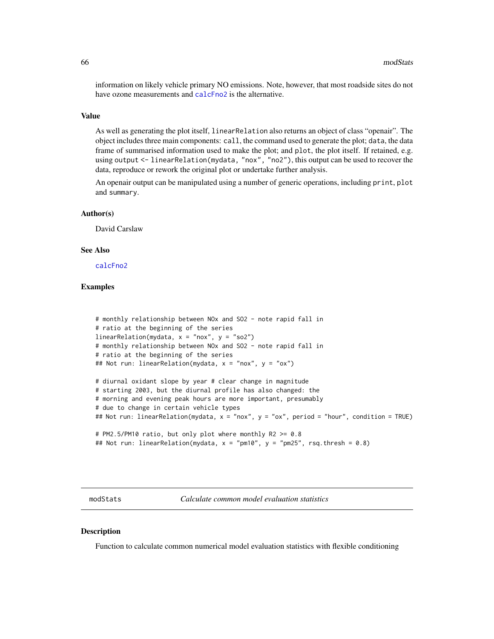information on likely vehicle primary NO emissions. Note, however, that most roadside sites do not have ozone measurements and [calcFno2](#page-5-0) is the alternative.

#### Value

As well as generating the plot itself, linearRelation also returns an object of class "openair". The object includes three main components: call, the command used to generate the plot; data, the data frame of summarised information used to make the plot; and plot, the plot itself. If retained, e.g. using output <- linearRelation(mydata, "nox", "no2"), this output can be used to recover the data, reproduce or rework the original plot or undertake further analysis.

An openair output can be manipulated using a number of generic operations, including print, plot and summary.

#### Author(s)

David Carslaw

#### See Also

[calcFno2](#page-5-0)

# Examples

```
# monthly relationship between NOx and SO2 - note rapid fall in
# ratio at the beginning of the series
linearRelation(mydata, x = "nox", y = "so2")
# monthly relationship between NOx and SO2 - note rapid fall in
# ratio at the beginning of the series
## Not run: linearRelation(mydata, x = "nox", y = "ox")
# diurnal oxidant slope by year # clear change in magnitude
# starting 2003, but the diurnal profile has also changed: the
# morning and evening peak hours are more important, presumably
# due to change in certain vehicle types
## Not run: linearRelation(mydata, x = "nox", y = "ox", period = "hour", condition = TRUE)
# PM2.5/PM10 ratio, but only plot where monthly R2 >= 0.8
## Not run: linearRelation(mydata, x = "pm10", y = "pm25", rsq.thresh = 0.8)
```
modStats *Calculate common model evaluation statistics*

#### **Description**

Function to calculate common numerical model evaluation statistics with flexible conditioning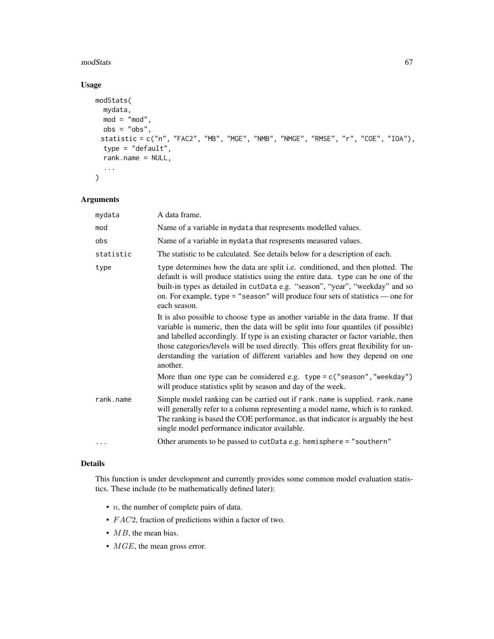#### modStats 67

# Usage

```
modStats(
 mydata,
 mod = "mod",obs = "obs",statistic = c("n", "FAC2", "MB", "MGE", "NMB", "NMGE", "RMSE", "r", "COE", "IOA"),
  type = "default",
 rank.name = NULL,
  ...
)
```
# Arguments

| mydata    | A data frame.                                                                                                                                                                                                                                                                                                                                                                                                                                     |  |
|-----------|---------------------------------------------------------------------------------------------------------------------------------------------------------------------------------------------------------------------------------------------------------------------------------------------------------------------------------------------------------------------------------------------------------------------------------------------------|--|
| mod       | Name of a variable in mydata that respresents modelled values.                                                                                                                                                                                                                                                                                                                                                                                    |  |
| obs       | Name of a variable in mydata that respresents measured values.                                                                                                                                                                                                                                                                                                                                                                                    |  |
| statistic | The statistic to be calculated. See details below for a description of each.                                                                                                                                                                                                                                                                                                                                                                      |  |
| type      | type determines how the data are split <i>i.e.</i> conditioned, and then plotted. The<br>default is will produce statistics using the entire data. type can be one of the<br>built-in types as detailed in cutData e.g. "season", "year", "weekday" and so<br>on. For example, type = "season" will produce four sets of statistics $\sim$ one for<br>each season.                                                                                |  |
|           | It is also possible to choose type as another variable in the data frame. If that<br>variable is numeric, then the data will be split into four quantiles (if possible)<br>and labelled accordingly. If type is an existing character or factor variable, then<br>those categories/levels will be used directly. This offers great flexibility for un-<br>derstanding the variation of different variables and how they depend on one<br>another. |  |
|           | More than one type can be considered e.g. $type = c("season", "weekday")$<br>will produce statistics split by season and day of the week.                                                                                                                                                                                                                                                                                                         |  |
| rank.name | Simple model ranking can be carried out if rank. name is supplied. rank. name<br>will generally refer to a column representing a model name, which is to ranked.<br>The ranking is based the COE performance, as that indicator is arguably the best<br>single model performance indicator available.                                                                                                                                             |  |
| .         | Other aruments to be passed to cutData e.g. hemisphere = "southern"                                                                                                                                                                                                                                                                                                                                                                               |  |

## Details

This function is under development and currently provides some common model evaluation statistics. These include (to be mathematically defined later):

- $\bullet$  *n*, the number of complete pairs of data.
- FAC2, fraction of predictions within a factor of two.
- MB, the mean bias.
- $MGE$ , the mean gross error.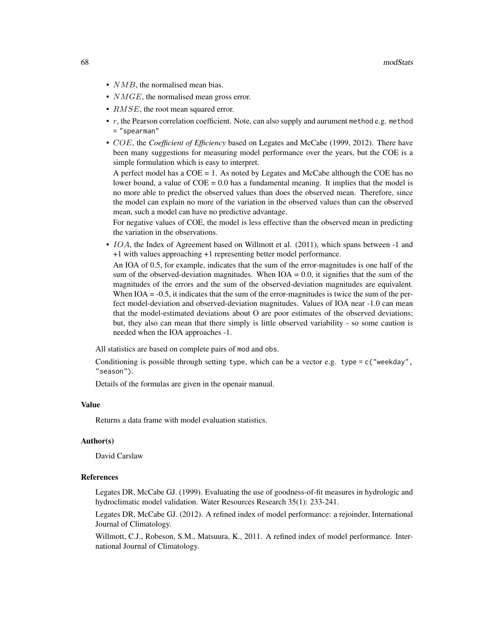- $NMB$ , the normalised mean bias.
- *NMGE*, the normalised mean gross error.
- *RMSE*, the root mean squared error.
- $r$ , the Pearson correlation coefficient. Note, can also supply and aurument method e.g. method = "spearman"
- COE, the *Coefficient of Efficiency* based on Legates and McCabe (1999, 2012). There have been many suggestions for measuring model performance over the years, but the COE is a simple formulation which is easy to interpret.

A perfect model has a COE = 1. As noted by Legates and McCabe although the COE has no lower bound, a value of  $COE = 0.0$  has a fundamental meaning. It implies that the model is no more able to predict the observed values than does the observed mean. Therefore, since the model can explain no more of the variation in the observed values than can the observed mean, such a model can have no predictive advantage.

For negative values of COE, the model is less effective than the observed mean in predicting the variation in the observations.

• *IOA*, the Index of Agreement based on Willmott et al. (2011), which spans between -1 and +1 with values approaching +1 representing better model performance.

An IOA of 0.5, for example, indicates that the sum of the error-magnitudes is one half of the sum of the observed-deviation magnitudes. When  $IOA = 0.0$ , it signifies that the sum of the magnitudes of the errors and the sum of the observed-deviation magnitudes are equivalent. When  $IOA = -0.5$ , it indicates that the sum of the error-magnitudes is twice the sum of the perfect model-deviation and observed-deviation magnitudes. Values of IOA near -1.0 can mean that the model-estimated deviations about O are poor estimates of the observed deviations; but, they also can mean that there simply is little observed variability - so some caution is needed when the IOA approaches -1.

All statistics are based on complete pairs of mod and obs.

Conditioning is possible through setting type, which can be a vector e.g. type =  $c$  ("weekday", "season").

Details of the formulas are given in the openair manual.

#### Value

Returns a data frame with model evaluation statistics.

#### Author(s)

David Carslaw

#### References

Legates DR, McCabe GJ. (1999). Evaluating the use of goodness-of-fit measures in hydrologic and hydroclimatic model validation. Water Resources Research 35(1): 233-241.

Legates DR, McCabe GJ. (2012). A refined index of model performance: a rejoinder, International Journal of Climatology.

Willmott, C.J., Robeson, S.M., Matsuura, K., 2011. A refined index of model performance. International Journal of Climatology.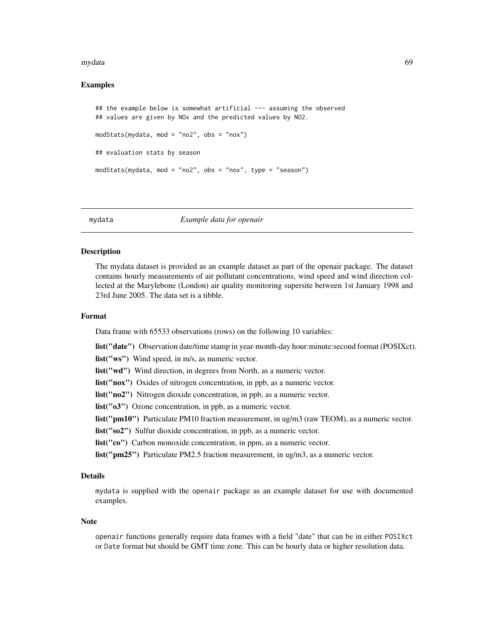#### mydata 69

# Examples

```
## the example below is somewhat artificial --- assuming the observed
## values are given by NOx and the predicted values by NO2.
modStats(mydata, mod = "no2", obs = "nox")
## evaluation stats by season
modStats(mydata, mod = "no2", obs = "nox", type = "season")
```
mydata *Example data for openair*

#### Description

The mydata dataset is provided as an example dataset as part of the openair package. The dataset contains hourly measurements of air pollutant concentrations, wind speed and wind direction collected at the Marylebone (London) air quality monitoring supersite between 1st January 1998 and 23rd June 2005. The data set is a tibble.

# Format

Data frame with 65533 observations (rows) on the following 10 variables:

list("date") Observation date/time stamp in year-month-day hour:minute:second format (POSIXct).

list("ws") Wind speed, in m/s, as numeric vector.

list("wd") Wind direction, in degrees from North, as a numeric vector.

list("nox") Oxides of nitrogen concentration, in ppb, as a numeric vector.

list("no2") Nitrogen dioxide concentration, in ppb, as a numeric vector.

list("o3") Ozone concentration, in ppb, as a numeric vector.

list("pm10") Particulate PM10 fraction measurement, in ug/m3 (raw TEOM), as a numeric vector.

list("so2") Sulfur dioxide concentration, in ppb, as a numeric vector.

list("co") Carbon monoxide concentration, in ppm, as a numeric vector.

list("pm25") Particulate PM2.5 fraction measurement, in ug/m3, as a numeric vector.

# Details

mydata is supplied with the openair package as an example dataset for use with documented examples.

#### Note

openair functions generally require data frames with a field "date" that can be in either POSIXct or Date format but should be GMT time zone. This can be hourly data or higher resolution data.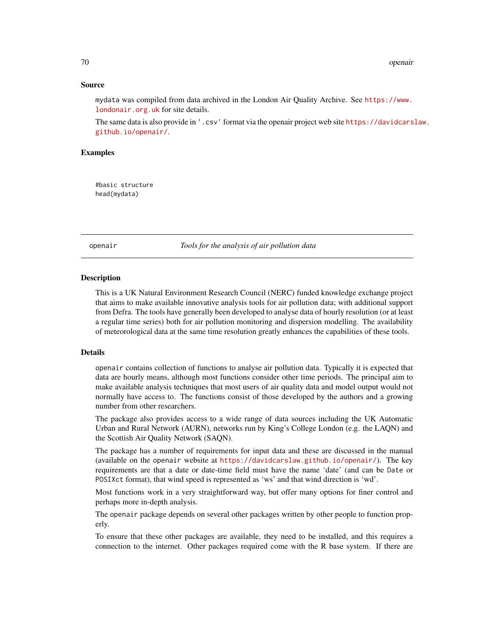# Source

mydata was compiled from data archived in the London Air Quality Archive. See [https://www.](https://www.londonair.org.uk) [londonair.org.uk](https://www.londonair.org.uk) for site details.

The same data is also provide in '.csv' format via the openair project web site [https://davidcars](https://davidcarslaw.github.io/openair/)law. [github.io/openair/](https://davidcarslaw.github.io/openair/).

#### Examples

#basic structure head(mydata)

openair *Tools for the analysis of air pollution data*

#### **Description**

This is a UK Natural Environment Research Council (NERC) funded knowledge exchange project that aims to make available innovative analysis tools for air pollution data; with additional support from Defra. The tools have generally been developed to analyse data of hourly resolution (or at least a regular time series) both for air pollution monitoring and dispersion modelling. The availability of meteorological data at the same time resolution greatly enhances the capabilities of these tools.

#### Details

openair contains collection of functions to analyse air pollution data. Typically it is expected that data are hourly means, although most functions consider other time periods. The principal aim to make available analysis techniques that most users of air quality data and model output would not normally have access to. The functions consist of those developed by the authors and a growing number from other researchers.

The package also provides access to a wide range of data sources including the UK Automatic Urban and Rural Network (AURN), networks run by King's College London (e.g. the LAQN) and the Scottish Air Quality Network (SAQN).

The package has a number of requirements for input data and these are discussed in the manual (available on the openair website at <https://davidcarslaw.github.io/openair/>). The key requirements are that a date or date-time field must have the name 'date' (and can be Date or POSIXct format), that wind speed is represented as 'ws' and that wind direction is 'wd'.

Most functions work in a very straightforward way, but offer many options for finer control and perhaps more in-depth analysis.

The openair package depends on several other packages written by other people to function properly.

To ensure that these other packages are available, they need to be installed, and this requires a connection to the internet. Other packages required come with the R base system. If there are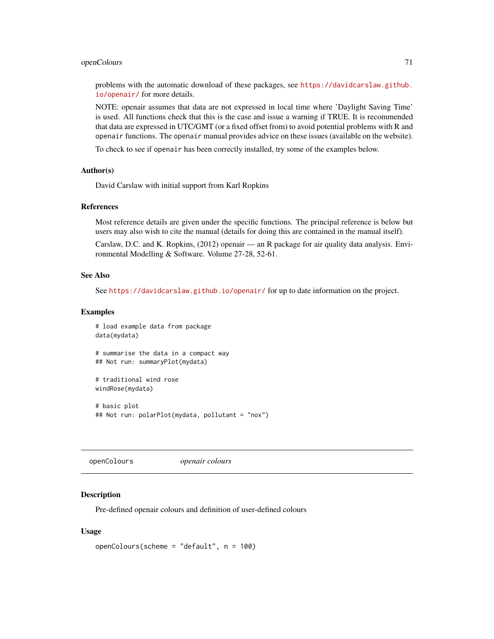# openColours 71

problems with the automatic download of these packages, see [https://davidcarslaw.github.](https://davidcarslaw.github.io/openair/) [io/openair/](https://davidcarslaw.github.io/openair/) for more details.

NOTE: openair assumes that data are not expressed in local time where 'Daylight Saving Time' is used. All functions check that this is the case and issue a warning if TRUE. It is recommended that data are expressed in UTC/GMT (or a fixed offset from) to avoid potential problems with R and openair functions. The openair manual provides advice on these issues (available on the website).

To check to see if openair has been correctly installed, try some of the examples below.

#### Author(s)

David Carslaw with initial support from Karl Ropkins

#### References

Most reference details are given under the specific functions. The principal reference is below but users may also wish to cite the manual (details for doing this are contained in the manual itself).

Carslaw, D.C. and K. Ropkins, (2012) openair — an R package for air quality data analysis. Environmental Modelling & Software. Volume 27-28, 52-61.

# See Also

See <https://davidcarslaw.github.io/openair/> for up to date information on the project.

#### Examples

```
# load example data from package
data(mydata)
# summarise the data in a compact way
```
## Not run: summaryPlot(mydata)

```
# traditional wind rose
windRose(mydata)
```
# basic plot ## Not run: polarPlot(mydata, pollutant = "nox")

openColours *openair colours*

## Description

Pre-defined openair colours and definition of user-defined colours

#### Usage

```
openColours(scheme = "default", n = 100)
```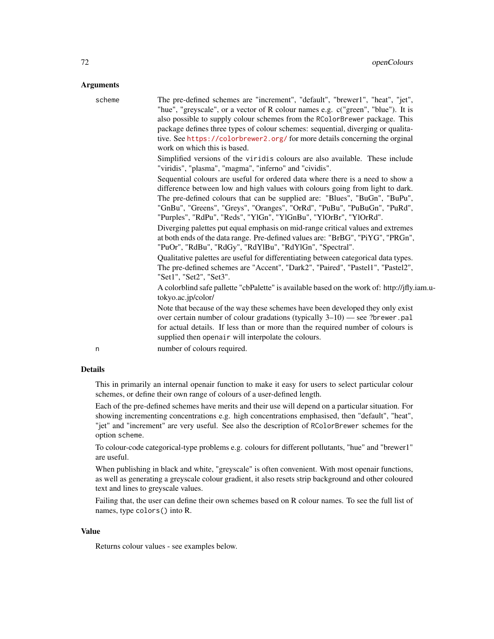## **Arguments**

| scheme | The pre-defined schemes are "increment", "default", "brewer1", "heat", "jet",<br>"hue", "greyscale", or a vector of R colour names e.g. c("green", "blue"). It is<br>also possible to supply colour schemes from the RColorBrewer package. This<br>package defines three types of colour schemes: sequential, diverging or qualita-<br>tive. See https://colorbrewer2.org/ for more details concerning the orginal<br>work on which this is based. |
|--------|----------------------------------------------------------------------------------------------------------------------------------------------------------------------------------------------------------------------------------------------------------------------------------------------------------------------------------------------------------------------------------------------------------------------------------------------------|
|        | Simplified versions of the viridis colours are also available. These include<br>"viridis", "plasma", "magma", "inferno" and "cividis".                                                                                                                                                                                                                                                                                                             |
|        | Sequential colours are useful for ordered data where there is a need to show a<br>difference between low and high values with colours going from light to dark.<br>The pre-defined colours that can be supplied are: "Blues", "BuGn", "BuPu",<br>"GnBu", "Greens", "Greys", "Oranges", "OrRd", "PuBu", "PuBuGn", "PuRd",<br>"Purples", "RdPu", "Reds", "YlGn", "YlGnBu", "YlOrBr", "YlOrRd".                                                       |
|        | Diverging palettes put equal emphasis on mid-range critical values and extremes<br>at both ends of the data range. Pre-defined values are: "BrBG", "PiYG", "PRGn",<br>"PuOr", "RdBu", "RdGy", "RdYlBu", "RdYlGn", "Spectral".                                                                                                                                                                                                                      |
|        | Qualitative palettes are useful for differentiating between categorical data types.<br>The pre-defined schemes are "Accent", "Dark2", "Paired", "Pastel1", "Pastel2",<br>"Set1", "Set2", "Set3".                                                                                                                                                                                                                                                   |
|        | A colorblind safe pallette "cbPalette" is available based on the work of: http://jfly.iam.u-<br>tokyo.ac.jp/color/                                                                                                                                                                                                                                                                                                                                 |
|        | Note that because of the way these schemes have been developed they only exist<br>over certain number of colour gradations (typically $3-10$ ) — see ?brewer.pal<br>for actual details. If less than or more than the required number of colours is<br>supplied then openair will interpolate the colours.                                                                                                                                         |
| n      | number of colours required.                                                                                                                                                                                                                                                                                                                                                                                                                        |
|        |                                                                                                                                                                                                                                                                                                                                                                                                                                                    |

# Details

This in primarily an internal openair function to make it easy for users to select particular colour schemes, or define their own range of colours of a user-defined length.

Each of the pre-defined schemes have merits and their use will depend on a particular situation. For showing incrementing concentrations e.g. high concentrations emphasised, then "default", "heat", "jet" and "increment" are very useful. See also the description of RColorBrewer schemes for the option scheme.

To colour-code categorical-type problems e.g. colours for different pollutants, "hue" and "brewer1" are useful.

When publishing in black and white, "greyscale" is often convenient. With most openair functions, as well as generating a greyscale colour gradient, it also resets strip background and other coloured text and lines to greyscale values.

Failing that, the user can define their own schemes based on R colour names. To see the full list of names, type colors() into R.

# Value

Returns colour values - see examples below.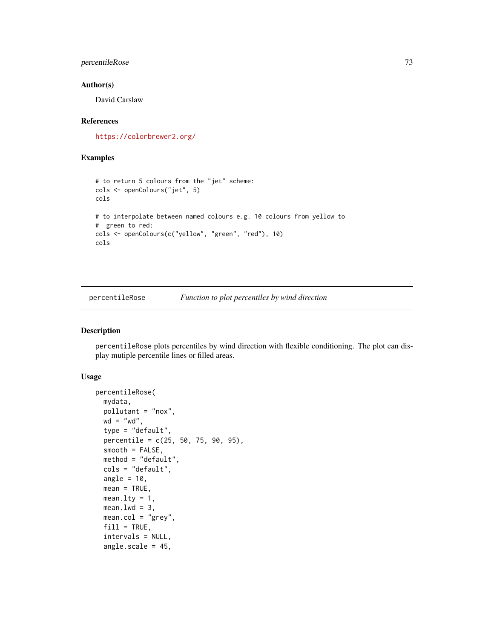### percentileRose 73

#### Author(s)

David Carslaw

### References

<https://colorbrewer2.org/>

### Examples

```
# to return 5 colours from the "jet" scheme:
cols <- openColours("jet", 5)
cols
# to interpolate between named colours e.g. 10 colours from yellow to
# green to red:
cols <- openColours(c("yellow", "green", "red"), 10)
cols
```
<span id="page-72-0"></span>percentileRose *Function to plot percentiles by wind direction*

### Description

percentileRose plots percentiles by wind direction with flexible conditioning. The plot can display mutiple percentile lines or filled areas.

### Usage

```
percentileRose(
 mydata,
 pollutant = "nox",
 wd = "wd",type = "default",
 percentile = c(25, 50, 75, 90, 95),
 smooth = FALSE,method = "default",
 cols = "default",
  angle = 10,
 mean = TRUE,mean.lty = 1,
 mean.lwd = 3,
 mean.col = "grey",fill = TRUE,intervals = NULL,
  angle.scale = 45,
```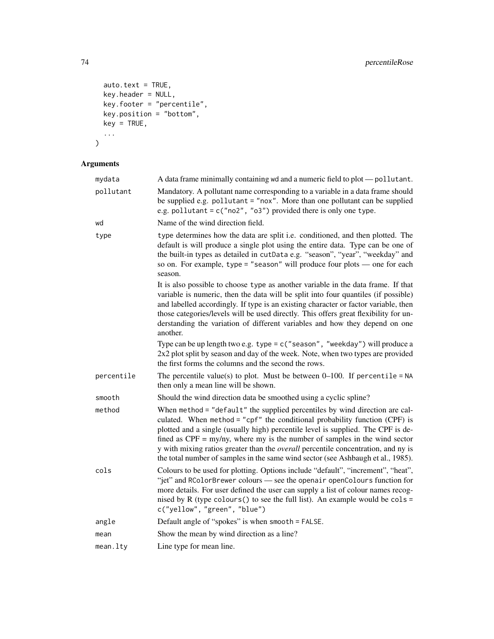```
auto.text = TRUE,key.header = NULL,
 key.footer = "percentile",
 key.position = "bottom",
 key = TRUE,...
\mathcal{L}
```
# Arguments

| mydata     | A data frame minimally containing wd and a numeric field to plot — pollutant.                                                                                                                                                                                                                                                                                                                                                                                                                                          |
|------------|------------------------------------------------------------------------------------------------------------------------------------------------------------------------------------------------------------------------------------------------------------------------------------------------------------------------------------------------------------------------------------------------------------------------------------------------------------------------------------------------------------------------|
| pollutant  | Mandatory. A pollutant name corresponding to a variable in a data frame should<br>be supplied e.g. pollutant = "nox". More than one pollutant can be supplied<br>e.g. pollutant = $c("no2", "o3")$ provided there is only one type.                                                                                                                                                                                                                                                                                    |
| wd         | Name of the wind direction field.                                                                                                                                                                                                                                                                                                                                                                                                                                                                                      |
| type       | type determines how the data are split i.e. conditioned, and then plotted. The<br>default is will produce a single plot using the entire data. Type can be one of<br>the built-in types as detailed in cutData e.g. "season", "year", "weekday" and<br>so on. For example, type = "season" will produce four plots $-$ one for each<br>season.                                                                                                                                                                         |
|            | It is also possible to choose type as another variable in the data frame. If that<br>variable is numeric, then the data will be split into four quantiles (if possible)<br>and labelled accordingly. If type is an existing character or factor variable, then<br>those categories/levels will be used directly. This offers great flexibility for un-<br>derstanding the variation of different variables and how they depend on one<br>another.                                                                      |
|            | Type can be up length two e.g. type = $c$ ("season", "weekday") will produce a<br>2x2 plot split by season and day of the week. Note, when two types are provided<br>the first forms the columns and the second the rows.                                                                                                                                                                                                                                                                                              |
| percentile | The percentile value(s) to plot. Must be between $0-100$ . If percentile = NA<br>then only a mean line will be shown.                                                                                                                                                                                                                                                                                                                                                                                                  |
| smooth     | Should the wind direction data be smoothed using a cyclic spline?                                                                                                                                                                                                                                                                                                                                                                                                                                                      |
| method     | When method = "default" the supplied percentiles by wind direction are cal-<br>culated. When method = "cpf" the conditional probability function (CPF) is<br>plotted and a single (usually high) percentile level is supplied. The CPF is de-<br>fined as $CPF = \frac{my}{ny}$ , where my is the number of samples in the wind sector<br>y with mixing ratios greater than the <i>overall</i> percentile concentration, and ny is<br>the total number of samples in the same wind sector (see Ashbaugh et al., 1985). |
| cols       | Colours to be used for plotting. Options include "default", "increment", "heat",<br>"jet" and RColorBrewer colours - see the openair openColours function for<br>more details. For user defined the user can supply a list of colour names recog-<br>nised by R (type colours () to see the full list). An example would be $\text{cols} =$<br>c("yellow", "green", "blue")                                                                                                                                            |
| angle      | Default angle of "spokes" is when smooth = FALSE.                                                                                                                                                                                                                                                                                                                                                                                                                                                                      |
| mean       | Show the mean by wind direction as a line?                                                                                                                                                                                                                                                                                                                                                                                                                                                                             |
| mean.lty   | Line type for mean line.                                                                                                                                                                                                                                                                                                                                                                                                                                                                                               |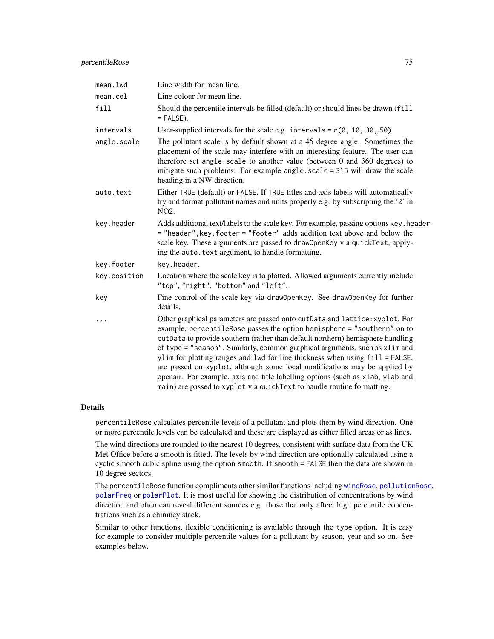### percentileRose 75

| mean.lwd     | Line width for mean line.                                                                                                                                                                                                                                                                                                                                                                                                                                                                                                                                                                                                                        |
|--------------|--------------------------------------------------------------------------------------------------------------------------------------------------------------------------------------------------------------------------------------------------------------------------------------------------------------------------------------------------------------------------------------------------------------------------------------------------------------------------------------------------------------------------------------------------------------------------------------------------------------------------------------------------|
| mean.col     | Line colour for mean line.                                                                                                                                                                                                                                                                                                                                                                                                                                                                                                                                                                                                                       |
| fill         | Should the percentile intervals be filled (default) or should lines be drawn (fill<br>$=$ FALSE).                                                                                                                                                                                                                                                                                                                                                                                                                                                                                                                                                |
| intervals    | User-supplied intervals for the scale e.g. intervals = $c(0, 10, 30, 50)$                                                                                                                                                                                                                                                                                                                                                                                                                                                                                                                                                                        |
| angle.scale  | The pollutant scale is by default shown at a 45 degree angle. Sometimes the<br>placement of the scale may interfere with an interesting feature. The user can<br>therefore set angle.scale to another value (between 0 and 360 degrees) to<br>mitigate such problems. For example angle.scale = 315 will draw the scale<br>heading in a NW direction.                                                                                                                                                                                                                                                                                            |
| auto.text    | Either TRUE (default) or FALSE. If TRUE titles and axis labels will automatically<br>try and format pollutant names and units properly e.g. by subscripting the '2' in<br>NO <sub>2</sub> .                                                                                                                                                                                                                                                                                                                                                                                                                                                      |
| key.header   | Adds additional text/labels to the scale key. For example, passing options key. header<br>= "header", key. footer = "footer" adds addition text above and below the<br>scale key. These arguments are passed to draw0penKey via quickText, apply-<br>ing the auto. text argument, to handle formatting.                                                                                                                                                                                                                                                                                                                                          |
| key.footer   | key.header.                                                                                                                                                                                                                                                                                                                                                                                                                                                                                                                                                                                                                                      |
| key.position | Location where the scale key is to plotted. Allowed arguments currently include<br>"top", "right", "bottom" and "left".                                                                                                                                                                                                                                                                                                                                                                                                                                                                                                                          |
| key          | Fine control of the scale key via draw0penKey. See draw0penKey for further<br>details.                                                                                                                                                                                                                                                                                                                                                                                                                                                                                                                                                           |
|              | Other graphical parameters are passed onto cutData and lattice: xyplot. For<br>example, percentileRose passes the option hemisphere = "southern" on to<br>cutData to provide southern (rather than default northern) hemisphere handling<br>of type = "season". Similarly, common graphical arguments, such as xlim and<br>ylim for plotting ranges and lwd for line thickness when using fill = FALSE,<br>are passed on xyplot, although some local modifications may be applied by<br>openair. For example, axis and title labelling options (such as xlab, ylab and<br>main) are passed to xyplot via quickText to handle routine formatting. |

### Details

percentileRose calculates percentile levels of a pollutant and plots them by wind direction. One or more percentile levels can be calculated and these are displayed as either filled areas or as lines.

The wind directions are rounded to the nearest 10 degrees, consistent with surface data from the UK Met Office before a smooth is fitted. The levels by wind direction are optionally calculated using a cyclic smooth cubic spline using the option smooth. If smooth = FALSE then the data are shown in 10 degree sectors.

The percentileRose function compliments other similar functions including [windRose](#page-158-0), [pollutionRose](#page-158-1), [polarFreq](#page-85-0) or [polarPlot](#page-89-0). It is most useful for showing the distribution of concentrations by wind direction and often can reveal different sources e.g. those that only affect high percentile concentrations such as a chimney stack.

Similar to other functions, flexible conditioning is available through the type option. It is easy for example to consider multiple percentile values for a pollutant by season, year and so on. See examples below.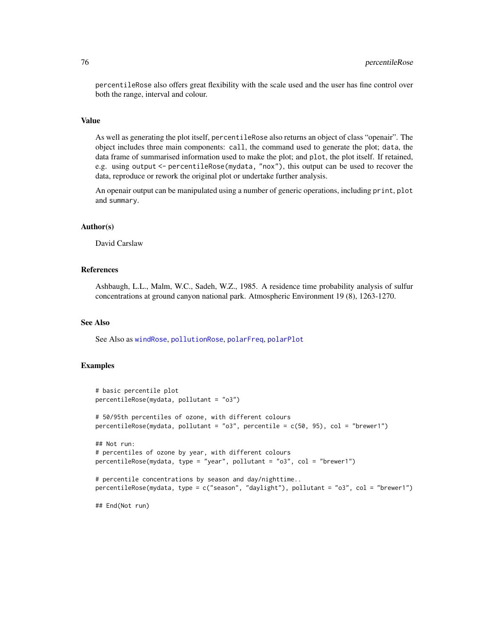percentileRose also offers great flexibility with the scale used and the user has fine control over both the range, interval and colour.

#### Value

As well as generating the plot itself, percentileRose also returns an object of class "openair". The object includes three main components: call, the command used to generate the plot; data, the data frame of summarised information used to make the plot; and plot, the plot itself. If retained, e.g. using output <- percentileRose(mydata, "nox"), this output can be used to recover the data, reproduce or rework the original plot or undertake further analysis.

An openair output can be manipulated using a number of generic operations, including print, plot and summary.

# Author(s)

David Carslaw

#### References

Ashbaugh, L.L., Malm, W.C., Sadeh, W.Z., 1985. A residence time probability analysis of sulfur concentrations at ground canyon national park. Atmospheric Environment 19 (8), 1263-1270.

#### See Also

See Also as [windRose](#page-158-0), [pollutionRose](#page-158-1), [polarFreq](#page-85-0), [polarPlot](#page-89-0)

#### Examples

```
# basic percentile plot
percentileRose(mydata, pollutant = "o3")
# 50/95th percentiles of ozone, with different colours
percentileRose(mydata, pollutant = "o3", percentile = c(50, 95), col = "brewer1")
## Not run:
# percentiles of ozone by year, with different colours
percentileRose(mydata, type = "year", pollutant = "o3", col = "brewer1")
# percentile concentrations by season and day/nighttime..
percentileRose(mydata, type = c("season", "daylight"), pollutant = "o3", col = "brewer1")
```
## End(Not run)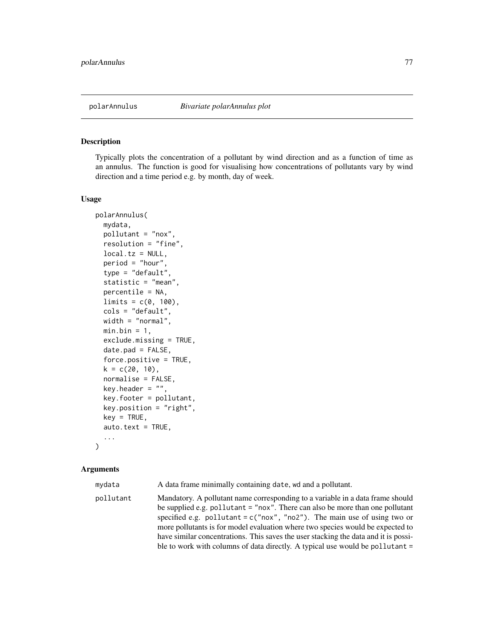### Description

Typically plots the concentration of a pollutant by wind direction and as a function of time as an annulus. The function is good for visualising how concentrations of pollutants vary by wind direction and a time period e.g. by month, day of week.

### Usage

```
polarAnnulus(
  mydata,
  pollutant = "nox",
  resolution = "fine",
  local.tz = NULL,period = "hour",
  type = "default",
  statistic = "mean",
  percentile = NA,
  limits = c(0, 100),
  cols = "default",
  width = "normal",
 min.bin = 1,
  exclude.missing = TRUE,
  date.pad = FALSE,
  force.positive = TRUE,
  k = c(20, 10),
  normalise = FALSE,
  key.header = ",
  key.footer = pollutant,
  key.position = "right",
  key = TRUE,auto.text = TRUE,...
```
#### )

#### Arguments

| mydata    | A data frame minimally containing date, wd and a pollutant.                                                                                                                                                                                                                                                                                                                                                                                                                                               |
|-----------|-----------------------------------------------------------------------------------------------------------------------------------------------------------------------------------------------------------------------------------------------------------------------------------------------------------------------------------------------------------------------------------------------------------------------------------------------------------------------------------------------------------|
| pollutant | Mandatory. A pollutant name corresponding to a variable in a data frame should<br>be supplied e.g. pollutant $=$ "nox". There can also be more than one pollutant<br>specified e.g. pollutant = $c("now", "no2").$ The main use of using two or<br>more pollutants is for model evaluation where two species would be expected to<br>have similar concentrations. This saves the user stacking the data and it is possi-<br>ble to work with columns of data directly. A typical use would be pollutant = |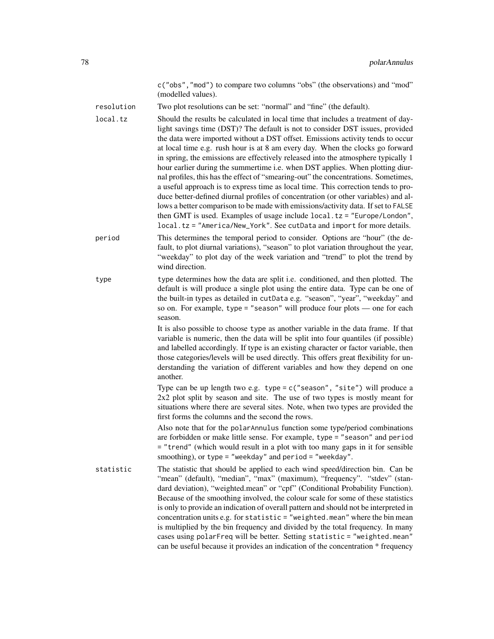c("obs","mod") to compare two columns "obs" (the observations) and "mod" (modelled values).

resolution Two plot resolutions can be set: "normal" and "fine" (the default).

local.tz Should the results be calculated in local time that includes a treatment of daylight savings time (DST)? The default is not to consider DST issues, provided the data were imported without a DST offset. Emissions activity tends to occur at local time e.g. rush hour is at 8 am every day. When the clocks go forward in spring, the emissions are effectively released into the atmosphere typically 1 hour earlier during the summertime i.e. when DST applies. When plotting diurnal profiles, this has the effect of "smearing-out" the concentrations. Sometimes, a useful approach is to express time as local time. This correction tends to produce better-defined diurnal profiles of concentration (or other variables) and allows a better comparison to be made with emissions/activity data. If set to FALSE then GMT is used. Examples of usage include local.tz = "Europe/London", local.tz = "America/New\_York". See cutData and import for more details.

- period This determines the temporal period to consider. Options are "hour" (the default, to plot diurnal variations), "season" to plot variation throughout the year, "weekday" to plot day of the week variation and "trend" to plot the trend by wind direction.
- type type determines how the data are split i.e. conditioned, and then plotted. The default is will produce a single plot using the entire data. Type can be one of the built-in types as detailed in cutData e.g. "season", "year", "weekday" and so on. For example, type = "season" will produce four plots — one for each season.

It is also possible to choose type as another variable in the data frame. If that variable is numeric, then the data will be split into four quantiles (if possible) and labelled accordingly. If type is an existing character or factor variable, then those categories/levels will be used directly. This offers great flexibility for understanding the variation of different variables and how they depend on one another.

Type can be up length two e.g. type =  $c$  ("season", "site") will produce a 2x2 plot split by season and site. The use of two types is mostly meant for situations where there are several sites. Note, when two types are provided the first forms the columns and the second the rows.

Also note that for the polarAnnulus function some type/period combinations are forbidden or make little sense. For example, type = "season" and period = "trend" (which would result in a plot with too many gaps in it for sensible smoothing), or type = "weekday" and period = "weekday".

statistic The statistic that should be applied to each wind speed/direction bin. Can be "mean" (default), "median", "max" (maximum), "frequency". "stdev" (standard deviation), "weighted.mean" or "cpf" (Conditional Probability Function). Because of the smoothing involved, the colour scale for some of these statistics is only to provide an indication of overall pattern and should not be interpreted in concentration units e.g. for statistic = "weighted.mean" where the bin mean is multiplied by the bin frequency and divided by the total frequency. In many cases using polarFreq will be better. Setting statistic = "weighted.mean" can be useful because it provides an indication of the concentration \* frequency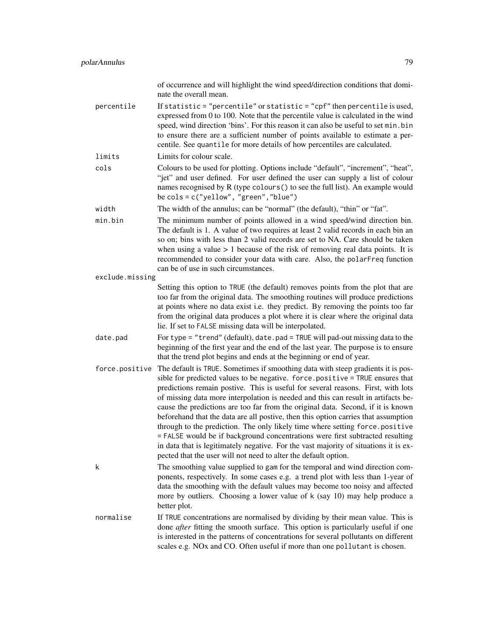of occurrence and will highlight the wind speed/direction conditions that dominate the overall mean.

percentile If statistic = "percentile" or statistic = "cpf" then percentile is used, expressed from 0 to 100. Note that the percentile value is calculated in the wind speed, wind direction 'bins'. For this reason it can also be useful to set min.bin to ensure there are a sufficient number of points available to estimate a percentile. See quantile for more details of how percentiles are calculated.

limits Limits for colour scale.

- cols Colours to be used for plotting. Options include "default", "increment", "heat", "jet" and user defined. For user defined the user can supply a list of colour names recognised by R (type colours() to see the full list). An example would be cols = c("yellow", "green","blue")
- width The width of the annulus; can be "normal" (the default), "thin" or "fat".

min.bin The minimum number of points allowed in a wind speed/wind direction bin. The default is 1. A value of two requires at least 2 valid records in each bin an so on; bins with less than 2 valid records are set to NA. Care should be taken when using a value  $> 1$  because of the risk of removing real data points. It is recommended to consider your data with care. Also, the polarFreq function can be of use in such circumstances.

- exclude.missing Setting this option to TRUE (the default) removes points from the plot that are too far from the original data. The smoothing routines will produce predictions at points where no data exist i.e. they predict. By removing the points too far from the original data produces a plot where it is clear where the original data lie. If set to FALSE missing data will be interpolated.
- date.pad For type = "trend" (default), date.pad = TRUE will pad-out missing data to the beginning of the first year and the end of the last year. The purpose is to ensure that the trend plot begins and ends at the beginning or end of year.
- force.positive The default is TRUE. Sometimes if smoothing data with steep gradients it is possible for predicted values to be negative. force.positive = TRUE ensures that predictions remain postive. This is useful for several reasons. First, with lots of missing data more interpolation is needed and this can result in artifacts because the predictions are too far from the original data. Second, if it is known beforehand that the data are all postive, then this option carries that assumption through to the prediction. The only likely time where setting force.positive = FALSE would be if background concentrations were first subtracted resulting in data that is legitimately negative. For the vast majority of situations it is expected that the user will not need to alter the default option.
- k The smoothing value supplied to gam for the temporal and wind direction components, respectively. In some cases e.g. a trend plot with less than 1-year of data the smoothing with the default values may become too noisy and affected more by outliers. Choosing a lower value of k (say 10) may help produce a better plot.
- normalise If TRUE concentrations are normalised by dividing by their mean value. This is done *after* fitting the smooth surface. This option is particularly useful if one is interested in the patterns of concentrations for several pollutants on different scales e.g. NOx and CO. Often useful if more than one pollutant is chosen.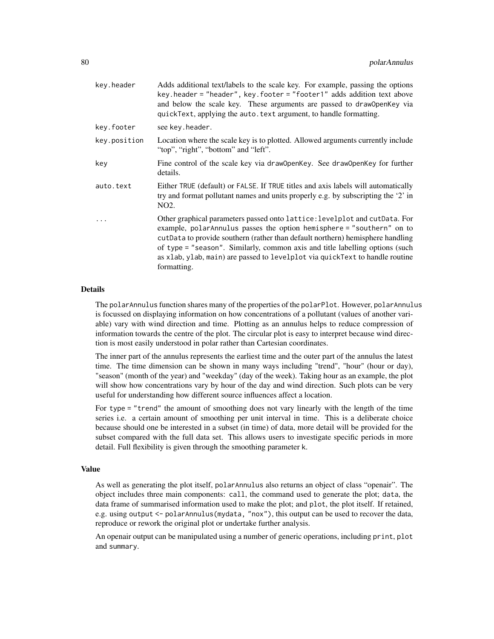| key.header   | Adds additional text/labels to the scale key. For example, passing the options<br>key.header = "header", key.footer = "footer1" adds addition text above<br>and below the scale key. These arguments are passed to draw0penKey via<br>quickText, applying the auto. text argument, to handle formatting.                                                                                                              |
|--------------|-----------------------------------------------------------------------------------------------------------------------------------------------------------------------------------------------------------------------------------------------------------------------------------------------------------------------------------------------------------------------------------------------------------------------|
| kev.footer   | see key.header.                                                                                                                                                                                                                                                                                                                                                                                                       |
| key.position | Location where the scale key is to plotted. Allowed arguments currently include<br>"top", "right", "bottom" and "left".                                                                                                                                                                                                                                                                                               |
| key          | Fine control of the scale key via draw0penKey. See draw0penKey for further<br>details.                                                                                                                                                                                                                                                                                                                                |
| auto.text    | Either TRUE (default) or FALSE. If TRUE titles and axis labels will automatically<br>try and format pollutant names and units properly e.g. by subscripting the '2' in<br>NO <sub>2</sub> .                                                                                                                                                                                                                           |
| .            | Other graphical parameters passed onto lattice: levelplot and cutData. For<br>example, polarAnnulus passes the option hemisphere = "southern" on to<br>cut Data to provide southern (rather than default northern) hemisphere handling<br>of type = "season". Similarly, common axis and title labelling options (such<br>as xlab, ylab, main) are passed to levelplot via quickText to handle routine<br>formatting. |

#### Details

The polarAnnulus function shares many of the properties of the polarPlot. However, polarAnnulus is focussed on displaying information on how concentrations of a pollutant (values of another variable) vary with wind direction and time. Plotting as an annulus helps to reduce compression of information towards the centre of the plot. The circular plot is easy to interpret because wind direction is most easily understood in polar rather than Cartesian coordinates.

The inner part of the annulus represents the earliest time and the outer part of the annulus the latest time. The time dimension can be shown in many ways including "trend", "hour" (hour or day), "season" (month of the year) and "weekday" (day of the week). Taking hour as an example, the plot will show how concentrations vary by hour of the day and wind direction. Such plots can be very useful for understanding how different source influences affect a location.

For type = "trend" the amount of smoothing does not vary linearly with the length of the time series i.e. a certain amount of smoothing per unit interval in time. This is a deliberate choice because should one be interested in a subset (in time) of data, more detail will be provided for the subset compared with the full data set. This allows users to investigate specific periods in more detail. Full flexibility is given through the smoothing parameter k.

#### Value

As well as generating the plot itself, polarAnnulus also returns an object of class "openair". The object includes three main components: call, the command used to generate the plot; data, the data frame of summarised information used to make the plot; and plot, the plot itself. If retained, e.g. using output <- polarAnnulus(mydata, "nox"), this output can be used to recover the data, reproduce or rework the original plot or undertake further analysis.

An openair output can be manipulated using a number of generic operations, including print, plot and summary.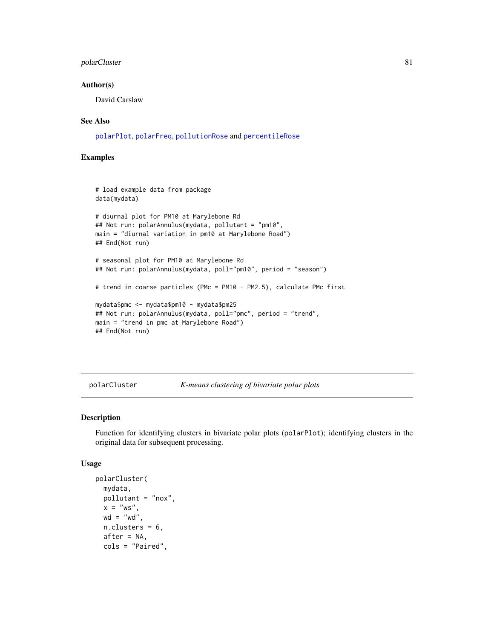### polarCluster 81

#### Author(s)

David Carslaw

### See Also

[polarPlot](#page-89-0), [polarFreq](#page-85-0), [pollutionRose](#page-158-1) and [percentileRose](#page-72-0)

### Examples

```
# load example data from package
data(mydata)
# diurnal plot for PM10 at Marylebone Rd
## Not run: polarAnnulus(mydata, pollutant = "pm10",
main = "diurnal variation in pm10 at Marylebone Road")
## End(Not run)
# seasonal plot for PM10 at Marylebone Rd
## Not run: polarAnnulus(mydata, poll="pm10", period = "season")
# trend in coarse particles (PMc = PM10 - PM2.5), calculate PMc first
mydata$pmc <- mydata$pm10 - mydata$pm25
## Not run: polarAnnulus(mydata, poll="pmc", period = "trend",
main = "trend in pmc at Marylebone Road")
## End(Not run)
```
polarCluster *K-means clustering of bivariate polar plots*

### Description

Function for identifying clusters in bivariate polar plots (polarPlot); identifying clusters in the original data for subsequent processing.

#### Usage

```
polarCluster(
 mydata,
 pollutant = "nox",
 x = "ws".wd = "wd".n.clusters = 6,
 after = NA,cols = "Paired",
```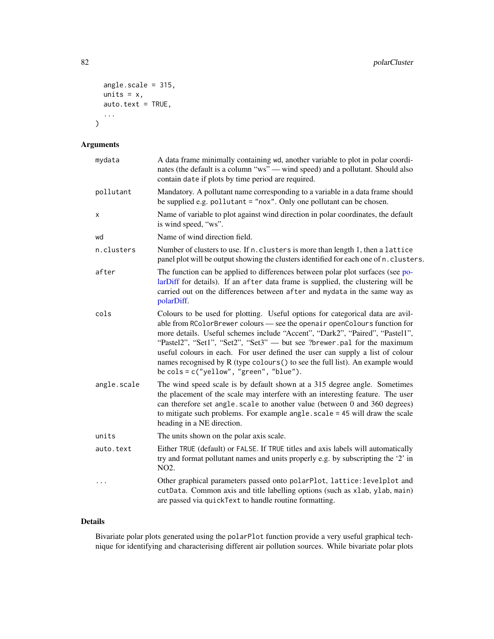```
angle.scale = 315,
  units = x,
  auto.text = TRUE,...
\mathcal{L}
```
# Arguments

| mydata      | A data frame minimally containing wd, another variable to plot in polar coordi-<br>nates (the default is a column "ws" — wind speed) and a pollutant. Should also<br>contain date if plots by time period are required.                                                                                                                                                                                                                                                                                                                       |
|-------------|-----------------------------------------------------------------------------------------------------------------------------------------------------------------------------------------------------------------------------------------------------------------------------------------------------------------------------------------------------------------------------------------------------------------------------------------------------------------------------------------------------------------------------------------------|
| pollutant   | Mandatory. A pollutant name corresponding to a variable in a data frame should<br>be supplied e.g. pollutant = "nox". Only one pollutant can be chosen.                                                                                                                                                                                                                                                                                                                                                                                       |
| X           | Name of variable to plot against wind direction in polar coordinates, the default<br>is wind speed, "ws".                                                                                                                                                                                                                                                                                                                                                                                                                                     |
| wd          | Name of wind direction field.                                                                                                                                                                                                                                                                                                                                                                                                                                                                                                                 |
| n.clusters  | Number of clusters to use. If n. clusters is more than length 1, then a lattice<br>panel plot will be output showing the clusters identified for each one of n. clusters.                                                                                                                                                                                                                                                                                                                                                                     |
| after       | The function can be applied to differences between polar plot surfaces (see po-<br>larDiff for details). If an after data frame is supplied, the clustering will be<br>carried out on the differences between after and mydata in the same way as<br>polarDiff.                                                                                                                                                                                                                                                                               |
| cols        | Colours to be used for plotting. Useful options for categorical data are avil-<br>able from RColorBrewer colours - see the openair openColours function for<br>more details. Useful schemes include "Accent", "Dark2", "Paired", "Pastel1",<br>"Pastel2", "Set1", "Set2", "Set3" — but see ?brewer.pal for the maximum<br>useful colours in each. For user defined the user can supply a list of colour<br>names recognised by R (type colours () to see the full list). An example would<br>be $\text{cols} = c("yellow", "green", "blue").$ |
| angle.scale | The wind speed scale is by default shown at a 315 degree angle. Sometimes<br>the placement of the scale may interfere with an interesting feature. The user<br>can therefore set angle. scale to another value (between 0 and 360 degrees)<br>to mitigate such problems. For example angle. scale = 45 will draw the scale<br>heading in a NE direction.                                                                                                                                                                                      |
| units       | The units shown on the polar axis scale.                                                                                                                                                                                                                                                                                                                                                                                                                                                                                                      |
| auto.text   | Either TRUE (default) or FALSE. If TRUE titles and axis labels will automatically<br>try and format pollutant names and units properly e.g. by subscripting the '2' in<br>NO <sub>2</sub> .                                                                                                                                                                                                                                                                                                                                                   |
| $\cdots$    | Other graphical parameters passed onto polarPlot, lattice: levelplot and<br>cutData. Common axis and title labelling options (such as xlab, ylab, main)<br>are passed via quickText to handle routine formatting.                                                                                                                                                                                                                                                                                                                             |

## Details

Bivariate polar plots generated using the polarPlot function provide a very useful graphical technique for identifying and characterising different air pollution sources. While bivariate polar plots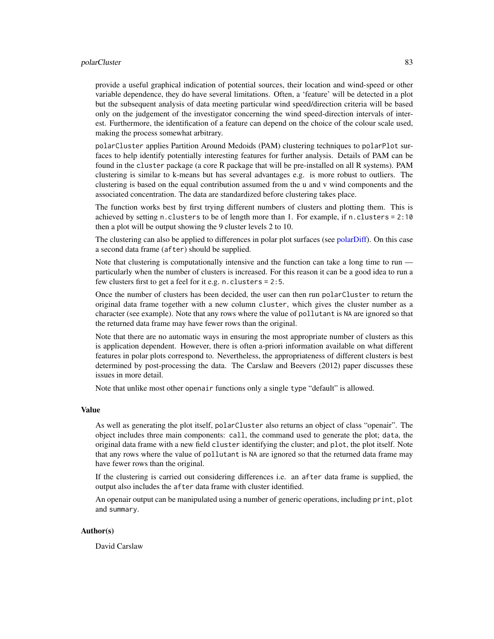#### polarCluster 83

provide a useful graphical indication of potential sources, their location and wind-speed or other variable dependence, they do have several limitations. Often, a 'feature' will be detected in a plot but the subsequent analysis of data meeting particular wind speed/direction criteria will be based only on the judgement of the investigator concerning the wind speed-direction intervals of interest. Furthermore, the identification of a feature can depend on the choice of the colour scale used, making the process somewhat arbitrary.

polarCluster applies Partition Around Medoids (PAM) clustering techniques to polarPlot surfaces to help identify potentially interesting features for further analysis. Details of PAM can be found in the cluster package (a core R package that will be pre-installed on all R systems). PAM clustering is similar to k-means but has several advantages e.g. is more robust to outliers. The clustering is based on the equal contribution assumed from the u and v wind components and the associated concentration. The data are standardized before clustering takes place.

The function works best by first trying different numbers of clusters and plotting them. This is achieved by setting n.clusters to be of length more than 1. For example, if n.clusters =  $2:10$ then a plot will be output showing the 9 cluster levels 2 to 10.

The clustering can also be applied to differences in polar plot surfaces (see [polarDiff\)](#page-83-0). On this case a second data frame (after) should be supplied.

Note that clustering is computationally intensive and the function can take a long time to run particularly when the number of clusters is increased. For this reason it can be a good idea to run a few clusters first to get a feel for it e.g. n.clusters = 2:5.

Once the number of clusters has been decided, the user can then run polarCluster to return the original data frame together with a new column cluster, which gives the cluster number as a character (see example). Note that any rows where the value of pollutant is NA are ignored so that the returned data frame may have fewer rows than the original.

Note that there are no automatic ways in ensuring the most appropriate number of clusters as this is application dependent. However, there is often a-priori information available on what different features in polar plots correspond to. Nevertheless, the appropriateness of different clusters is best determined by post-processing the data. The Carslaw and Beevers (2012) paper discusses these issues in more detail.

Note that unlike most other openair functions only a single type "default" is allowed.

#### Value

As well as generating the plot itself, polarCluster also returns an object of class "openair". The object includes three main components: call, the command used to generate the plot; data, the original data frame with a new field cluster identifying the cluster; and plot, the plot itself. Note that any rows where the value of pollutant is NA are ignored so that the returned data frame may have fewer rows than the original.

If the clustering is carried out considering differences i.e. an after data frame is supplied, the output also includes the after data frame with cluster identified.

An openair output can be manipulated using a number of generic operations, including print, plot and summary.

#### Author(s)

David Carslaw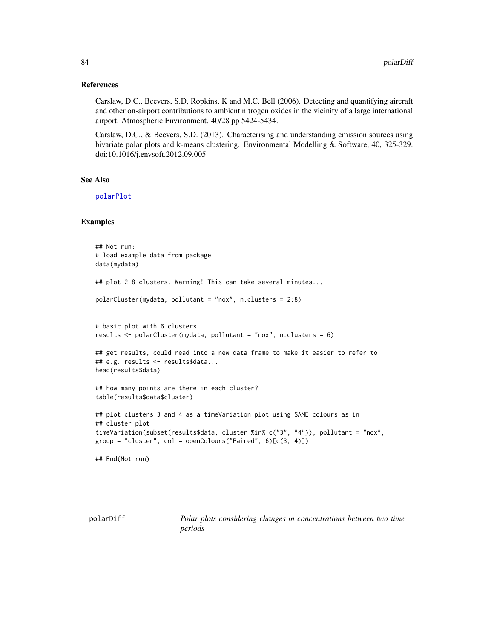#### References

Carslaw, D.C., Beevers, S.D, Ropkins, K and M.C. Bell (2006). Detecting and quantifying aircraft and other on-airport contributions to ambient nitrogen oxides in the vicinity of a large international airport. Atmospheric Environment. 40/28 pp 5424-5434.

Carslaw, D.C., & Beevers, S.D. (2013). Characterising and understanding emission sources using bivariate polar plots and k-means clustering. Environmental Modelling & Software, 40, 325-329. doi:10.1016/j.envsoft.2012.09.005

#### See Also

[polarPlot](#page-89-0)

### Examples

```
## Not run:
# load example data from package
data(mydata)
## plot 2-8 clusters. Warning! This can take several minutes...
polarCluster(mydata, pollutant = "nox", n.clusters = 2:8)
# basic plot with 6 clusters
results <- polarCluster(mydata, pollutant = "nox", n.clusters = 6)
## get results, could read into a new data frame to make it easier to refer to
## e.g. results <- results$data...
head(results$data)
## how many points are there in each cluster?
table(results$data$cluster)
## plot clusters 3 and 4 as a timeVariation plot using SAME colours as in
## cluster plot
timeVariation(subset(results$data, cluster %in% c("3", "4")), pollutant = "nox",
group = "cluster", col = openColumns("Paired", 6)[c(3, 4)]## End(Not run)
```
<span id="page-83-0"></span>polarDiff *Polar plots considering changes in concentrations between two time periods*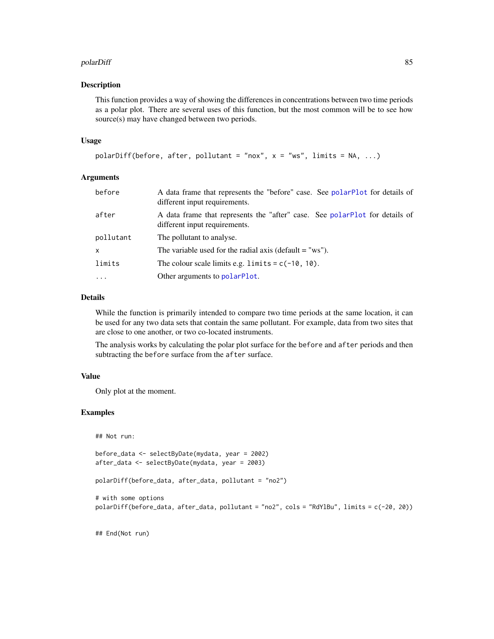#### polarDiff 85

#### Description

This function provides a way of showing the differences in concentrations between two time periods as a polar plot. There are several uses of this function, but the most common will be to see how source(s) may have changed between two periods.

#### Usage

```
polarDiff(before, after, pollutant = "nox", x = "ws", limits = NA, ...)
```
### Arguments

| before    | A data frame that represents the "before" case. See polarPlot for details of<br>different input requirements. |
|-----------|---------------------------------------------------------------------------------------------------------------|
| after     | A data frame that represents the "after" case. See polarPlot for details of<br>different input requirements.  |
| pollutant | The pollutant to analyse.                                                                                     |
| x         | The variable used for the radial axis (default $=$ "ws").                                                     |
| limits    | The colour scale limits e.g. limits = $c(-10, 10)$ .                                                          |
| $\cdots$  | Other arguments to polarPlot.                                                                                 |

# Details

While the function is primarily intended to compare two time periods at the same location, it can be used for any two data sets that contain the same pollutant. For example, data from two sites that are close to one another, or two co-located instruments.

The analysis works by calculating the polar plot surface for the before and after periods and then subtracting the before surface from the after surface.

#### Value

Only plot at the moment.

#### Examples

## Not run:

```
before_data <- selectByDate(mydata, year = 2002)
after_data <- selectByDate(mydata, year = 2003)
```

```
polarDiff(before_data, after_data, pollutant = "no2")
```

```
# with some options
polarDiff(before_data, after_data, pollutant = "no2", cols = "RdYlBu", limits = c(-20, 20))
```
## End(Not run)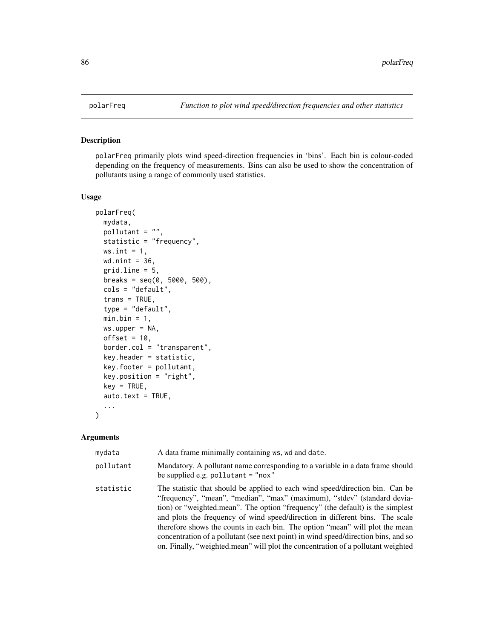<span id="page-85-0"></span>

#### Description

polarFreq primarily plots wind speed-direction frequencies in 'bins'. Each bin is colour-coded depending on the frequency of measurements. Bins can also be used to show the concentration of pollutants using a range of commonly used statistics.

### Usage

```
polarFreq(
 mydata,
 pollutant = ",
 statistic = "frequency",
 ws.int = 1,
 wd.nint = 36,
  grid.line = 5,
 breaks = seq(0, 5000, 500),
  cols = "default",
  trans = TRUE,
  type = "default",
 min.bin = 1,
 ws.upper = NA,
 offset = 10,border.col = "transparent",
  key.header = statistic,
  key.footer = pollutant,
 key.position = "right",
 key = TRUE,
  auto.text = TRUE,...
)
```
### Arguments

| mydata    | A data frame minimally containing ws, wd and date.                                                                                                                                                                                                                                                                                                                                                                                                                                                                                                                                    |
|-----------|---------------------------------------------------------------------------------------------------------------------------------------------------------------------------------------------------------------------------------------------------------------------------------------------------------------------------------------------------------------------------------------------------------------------------------------------------------------------------------------------------------------------------------------------------------------------------------------|
| pollutant | Mandatory. A pollutant name corresponding to a variable in a data frame should<br>be supplied e.g. pollutant $=$ "nox"                                                                                                                                                                                                                                                                                                                                                                                                                                                                |
| statistic | The statistic that should be applied to each wind speed/direction bin. Can be<br>"frequency", "mean", "median", "max" (maximum), "stdev" (standard devia-<br>tion) or "weighted mean". The option "frequency" (the default) is the simplest<br>and plots the frequency of wind speed/direction in different bins. The scale<br>therefore shows the counts in each bin. The option "mean" will plot the mean<br>concentration of a pollutant (see next point) in wind speed/direction bins, and so<br>on. Finally, "weighted mean" will plot the concentration of a pollutant weighted |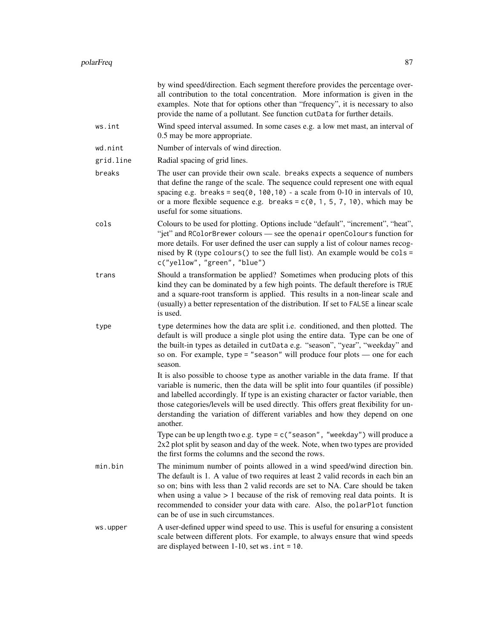|           | by wind speed/direction. Each segment therefore provides the percentage over-<br>all contribution to the total concentration. More information is given in the<br>examples. Note that for options other than "frequency", it is necessary to also<br>provide the name of a pollutant. See function cutData for further details.                                                                                                                          |
|-----------|----------------------------------------------------------------------------------------------------------------------------------------------------------------------------------------------------------------------------------------------------------------------------------------------------------------------------------------------------------------------------------------------------------------------------------------------------------|
| ws.int    | Wind speed interval assumed. In some cases e.g. a low met mast, an interval of<br>0.5 may be more appropriate.                                                                                                                                                                                                                                                                                                                                           |
| wd.nint   | Number of intervals of wind direction.                                                                                                                                                                                                                                                                                                                                                                                                                   |
| grid.line | Radial spacing of grid lines.                                                                                                                                                                                                                                                                                                                                                                                                                            |
| breaks    | The user can provide their own scale. breaks expects a sequence of numbers<br>that define the range of the scale. The sequence could represent one with equal<br>spacing e.g. breaks = $seq(0, 100, 10)$ - a scale from 0-10 in intervals of 10,<br>or a more flexible sequence e.g. breaks = $c(0, 1, 5, 7, 10)$ , which may be<br>useful for some situations.                                                                                          |
| cols      | Colours to be used for plotting. Options include "default", "increment", "heat",<br>"jet" and RColorBrewer colours — see the openair openColours function for<br>more details. For user defined the user can supply a list of colour names recog-<br>nised by R (type colours () to see the full list). An example would be $\text{cols} =$<br>c("yellow", "green", "blue")                                                                              |
| trans     | Should a transformation be applied? Sometimes when producing plots of this<br>kind they can be dominated by a few high points. The default therefore is TRUE<br>and a square-root transform is applied. This results in a non-linear scale and<br>(usually) a better representation of the distribution. If set to FALSE a linear scale<br>is used.                                                                                                      |
| type      | type determines how the data are split i.e. conditioned, and then plotted. The<br>default is will produce a single plot using the entire data. Type can be one of<br>the built-in types as detailed in cutData e.g. "season", "year", "weekday" and<br>so on. For example, type = "season" will produce four plots $-$ one for each<br>season.                                                                                                           |
|           | It is also possible to choose type as another variable in the data frame. If that<br>variable is numeric, then the data will be split into four quantiles (if possible)<br>and labelled accordingly. If type is an existing character or factor variable, then<br>those categories/levels will be used directly. This offers great flexibility for un-<br>derstanding the variation of different variables and how they depend on one<br>another.        |
|           | Type can be up length two e.g. type = $c$ ("season", "weekday") will produce a<br>2x2 plot split by season and day of the week. Note, when two types are provided<br>the first forms the columns and the second the rows.                                                                                                                                                                                                                                |
| min.bin   | The minimum number of points allowed in a wind speed/wind direction bin.<br>The default is 1. A value of two requires at least 2 valid records in each bin an<br>so on; bins with less than 2 valid records are set to NA. Care should be taken<br>when using a value $> 1$ because of the risk of removing real data points. It is<br>recommended to consider your data with care. Also, the polarPlot function<br>can be of use in such circumstances. |
| ws.upper  | A user-defined upper wind speed to use. This is useful for ensuring a consistent<br>scale between different plots. For example, to always ensure that wind speeds<br>are displayed between $1-10$ , set ws. int = 10.                                                                                                                                                                                                                                    |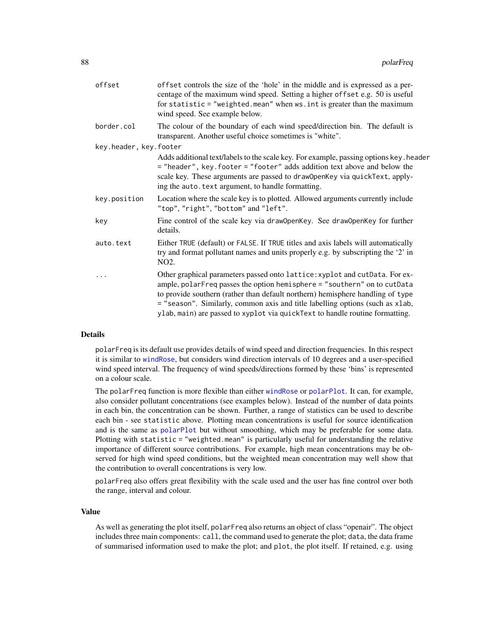| offset controls the size of the 'hole' in the middle and is expressed as a per-<br>centage of the maximum wind speed. Setting a higher offset e.g. 50 is useful<br>for statistic = "weighted.mean" when ws.int is greater than the maximum<br>wind speed. See example below.                                                                                                                               |
|------------------------------------------------------------------------------------------------------------------------------------------------------------------------------------------------------------------------------------------------------------------------------------------------------------------------------------------------------------------------------------------------------------|
| The colour of the boundary of each wind speed/direction bin. The default is<br>transparent. Another useful choice sometimes is "white".                                                                                                                                                                                                                                                                    |
| key.header, key.footer                                                                                                                                                                                                                                                                                                                                                                                     |
| Adds additional text/labels to the scale key. For example, passing options key. header<br>= "header", key. footer = "footer" adds addition text above and below the<br>scale key. These arguments are passed to draw0penKey via quickText, apply-<br>ing the auto. text argument, to handle formatting.                                                                                                    |
| Location where the scale key is to plotted. Allowed arguments currently include<br>"top", "right", "bottom" and "left".                                                                                                                                                                                                                                                                                    |
| Fine control of the scale key via draw0penKey. See draw0penKey for further<br>details.                                                                                                                                                                                                                                                                                                                     |
| Either TRUE (default) or FALSE. If TRUE titles and axis labels will automatically<br>try and format pollutant names and units properly e.g. by subscripting the '2' in<br>NO <sub>2</sub> .                                                                                                                                                                                                                |
| Other graphical parameters passed onto lattice: xyplot and cutData. For ex-<br>ample, polarFreq passes the option hemisphere = "southern" on to cutData<br>to provide southern (rather than default northern) hemisphere handling of type<br>= "season". Similarly, common axis and title labelling options (such as xlab,<br>ylab, main) are passed to xyplot via quickText to handle routine formatting. |
|                                                                                                                                                                                                                                                                                                                                                                                                            |

#### Details

polarFreq is its default use provides details of wind speed and direction frequencies. In this respect it is similar to [windRose](#page-158-0), but considers wind direction intervals of 10 degrees and a user-specified wind speed interval. The frequency of wind speeds/directions formed by these 'bins' is represented on a colour scale.

The polarFreq function is more flexible than either [windRose](#page-158-0) or [polarPlot](#page-89-0). It can, for example, also consider pollutant concentrations (see examples below). Instead of the number of data points in each bin, the concentration can be shown. Further, a range of statistics can be used to describe each bin - see statistic above. Plotting mean concentrations is useful for source identification and is the same as [polarPlot](#page-89-0) but without smoothing, which may be preferable for some data. Plotting with statistic = "weighted.mean" is particularly useful for understanding the relative importance of different source contributions. For example, high mean concentrations may be observed for high wind speed conditions, but the weighted mean concentration may well show that the contribution to overall concentrations is very low.

polarFreq also offers great flexibility with the scale used and the user has fine control over both the range, interval and colour.

#### Value

As well as generating the plot itself, polarFreq also returns an object of class "openair". The object includes three main components: call, the command used to generate the plot; data, the data frame of summarised information used to make the plot; and plot, the plot itself. If retained, e.g. using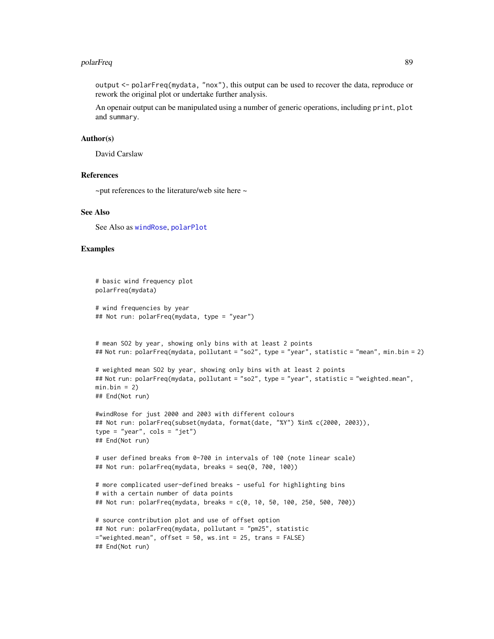#### polarFreq 89

output <- polarFreq(mydata, "nox"), this output can be used to recover the data, reproduce or rework the original plot or undertake further analysis.

An openair output can be manipulated using a number of generic operations, including print, plot and summary.

#### Author(s)

David Carslaw

#### References

 $\sim$ put references to the literature/web site here  $\sim$ 

### See Also

See Also as [windRose](#page-158-0), [polarPlot](#page-89-0)

#### Examples

```
# basic wind frequency plot
polarFreq(mydata)
# wind frequencies by year
## Not run: polarFreq(mydata, type = "year")
# mean SO2 by year, showing only bins with at least 2 points
## Not run: polarFreq(mydata, pollutant = "so2", type = "year", statistic = "mean", min.bin = 2)
# weighted mean SO2 by year, showing only bins with at least 2 points
## Not run: polarFreq(mydata, pollutant = "so2", type = "year", statistic = "weighted.mean",
min.bin = 2)## End(Not run)
#windRose for just 2000 and 2003 with different colours
## Not run: polarFreq(subset(mydata, format(date, "%Y") %in% c(2000, 2003)),
type = "year", \text{cols} = \text{"jet"})
## End(Not run)
# user defined breaks from 0-700 in intervals of 100 (note linear scale)
## Not run: polarFreq(mydata, breaks = seq(0, 700, 100))
# more complicated user-defined breaks - useful for highlighting bins
# with a certain number of data points
## Not run: polarFreq(mydata, breaks = c(0, 10, 50, 100, 250, 500, 700))
# source contribution plot and use of offset option
## Not run: polarFreq(mydata, pollutant = "pm25", statistic
="weighted.mean", offset = 50, ws.int = 25, trans = FALSE)
## End(Not run)
```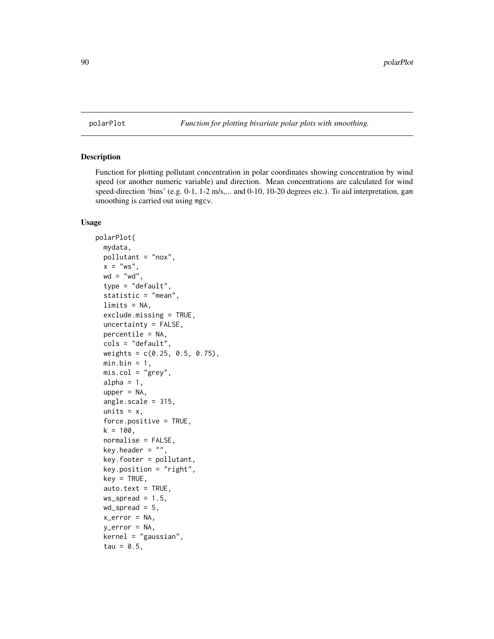<span id="page-89-0"></span>

### Description

Function for plotting pollutant concentration in polar coordinates showing concentration by wind speed (or another numeric variable) and direction. Mean concentrations are calculated for wind speed-direction 'bins' (e.g. 0-1, 1-2 m/s,... and 0-10, 10-20 degrees etc.). To aid interpretation, gam smoothing is carried out using mgcv.

#### Usage

```
polarPlot(
 mydata,
 pollutant = "nox",
 x = "ws",wd = "wd",
  type = "default",
  statistic = "mean",
  limits = NA,
  exclude.missing = TRUE,
 uncertainty = FALSE,
 percentile = NA,
 cols = "default",
 weights = c(0.25, 0.5, 0.75),
 min.bin = 1,
 mis.col = "grey",alpha = 1,
  upper = NA,
  angle.scale = 315,
  units = x,
  force.positive = TRUE,
  k = 100,normalise = FALSE,
  key.header = ",
  key.footer = pollutant,
  key.position = "right",
  key = TRUE,auto.text = TRUE,ws_spread = 1.5,
 wd_spread = 5,
  x_error = NA,
  y_error = NA,
  kernel = "gaussian",
  tau = 0.5,
```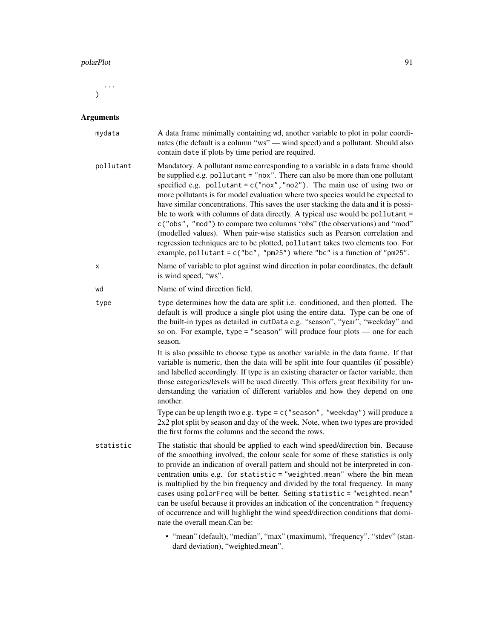#### polarPlot 91

...  $\mathcal{L}$ 

# Arguments

| mydata    | A data frame minimally containing wd, another variable to plot in polar coordi-<br>nates (the default is a column "ws" — wind speed) and a pollutant. Should also<br>contain date if plots by time period are required.                                                                                                                                                                                                                                                                                                                                                                                                                                                                                                                                                                                                               |
|-----------|---------------------------------------------------------------------------------------------------------------------------------------------------------------------------------------------------------------------------------------------------------------------------------------------------------------------------------------------------------------------------------------------------------------------------------------------------------------------------------------------------------------------------------------------------------------------------------------------------------------------------------------------------------------------------------------------------------------------------------------------------------------------------------------------------------------------------------------|
| pollutant | Mandatory. A pollutant name corresponding to a variable in a data frame should<br>be supplied e.g. pollutant = "nox". There can also be more than one pollutant<br>specified e.g. pollutant = $c("now", "no2")$ . The main use of using two or<br>more pollutants is for model evaluation where two species would be expected to<br>have similar concentrations. This saves the user stacking the data and it is possi-<br>ble to work with columns of data directly. A typical use would be pollutant =<br>c("obs", "mod") to compare two columns "obs" (the observations) and "mod"<br>(modelled values). When pair-wise statistics such as Pearson correlation and<br>regression techniques are to be plotted, pollutant takes two elements too. For<br>example, pollutant = $c("bc", "pm25")$ where "bc" is a function of "pm25". |
| х         | Name of variable to plot against wind direction in polar coordinates, the default<br>is wind speed, "ws".                                                                                                                                                                                                                                                                                                                                                                                                                                                                                                                                                                                                                                                                                                                             |
| wd        | Name of wind direction field.                                                                                                                                                                                                                                                                                                                                                                                                                                                                                                                                                                                                                                                                                                                                                                                                         |
| type      | type determines how the data are split i.e. conditioned, and then plotted. The<br>default is will produce a single plot using the entire data. Type can be one of<br>the built-in types as detailed in cutData e.g. "season", "year", "weekday" and<br>so on. For example, type = "season" will produce four plots - one for each<br>season.                                                                                                                                                                                                                                                                                                                                                                                                                                                                                          |
|           | It is also possible to choose type as another variable in the data frame. If that<br>variable is numeric, then the data will be split into four quantiles (if possible)<br>and labelled accordingly. If type is an existing character or factor variable, then<br>those categories/levels will be used directly. This offers great flexibility for un-<br>derstanding the variation of different variables and how they depend on one<br>another.                                                                                                                                                                                                                                                                                                                                                                                     |
|           | Type can be up length two e.g. type = $c$ ("season", "weekday") will produce a<br>2x2 plot split by season and day of the week. Note, when two types are provided<br>the first forms the columns and the second the rows.                                                                                                                                                                                                                                                                                                                                                                                                                                                                                                                                                                                                             |
| statistic | The statistic that should be applied to each wind speed/direction bin. Because<br>of the smoothing involved, the colour scale for some of these statistics is only<br>to provide an indication of overall pattern and should not be interpreted in con-<br>centration units e.g. for statistic = "weighted.mean" where the bin mean<br>is multiplied by the bin frequency and divided by the total frequency. In many<br>cases using polarFreq will be better. Setting statistic = "weighted.mean"<br>can be useful because it provides an indication of the concentration * frequency<br>of occurrence and will highlight the wind speed/direction conditions that domi-<br>nate the overall mean.Can be:                                                                                                                            |
|           | • "mean" (default), "median", "max" (maximum), "frequency". "stdev" (stan-<br>dard deviation), "weighted.mean".                                                                                                                                                                                                                                                                                                                                                                                                                                                                                                                                                                                                                                                                                                                       |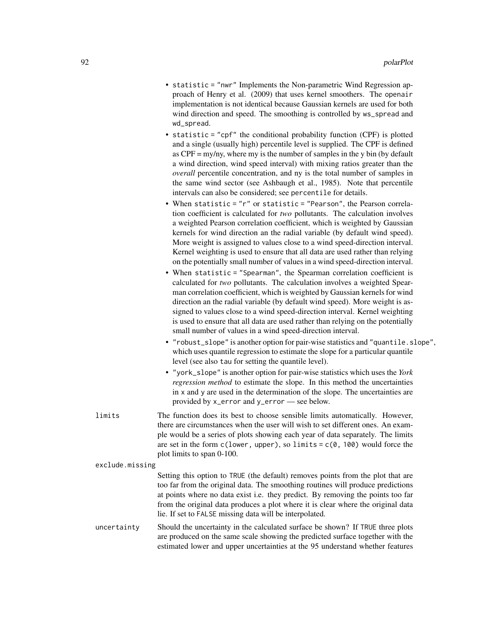- statistic = "nwr" Implements the Non-parametric Wind Regression approach of Henry et al. (2009) that uses kernel smoothers. The openair implementation is not identical because Gaussian kernels are used for both wind direction and speed. The smoothing is controlled by ws\_spread and wd\_spread.
- statistic = "cpf" the conditional probability function (CPF) is plotted and a single (usually high) percentile level is supplied. The CPF is defined as CPF = my/ny, where my is the number of samples in the y bin (by default a wind direction, wind speed interval) with mixing ratios greater than the *overall* percentile concentration, and ny is the total number of samples in the same wind sector (see Ashbaugh et al., 1985). Note that percentile intervals can also be considered; see percentile for details.
- When statistic = "r" or statistic = "Pearson", the Pearson correlation coefficient is calculated for *two* pollutants. The calculation involves a weighted Pearson correlation coefficient, which is weighted by Gaussian kernels for wind direction an the radial variable (by default wind speed). More weight is assigned to values close to a wind speed-direction interval. Kernel weighting is used to ensure that all data are used rather than relying on the potentially small number of values in a wind speed-direction interval.
- When statistic = "Spearman", the Spearman correlation coefficient is calculated for *two* pollutants. The calculation involves a weighted Spearman correlation coefficient, which is weighted by Gaussian kernels for wind direction an the radial variable (by default wind speed). More weight is assigned to values close to a wind speed-direction interval. Kernel weighting is used to ensure that all data are used rather than relying on the potentially small number of values in a wind speed-direction interval.
- "robust\_slope" is another option for pair-wise statistics and "quantile.slope", which uses quantile regression to estimate the slope for a particular quantile level (see also tau for setting the quantile level).
- "york\_slope" is another option for pair-wise statistics which uses the *York regression method* to estimate the slope. In this method the uncertainties in x and y are used in the determination of the slope. The uncertainties are provided by x\_error and y\_error — see below.
- limits The function does its best to choose sensible limits automatically. However, there are circumstances when the user will wish to set different ones. An example would be a series of plots showing each year of data separately. The limits are set in the form  $c(lower, upper), so limits =  $c(0, 100)$  would force the$ plot limits to span 0-100.

```
exclude.missing
```
Setting this option to TRUE (the default) removes points from the plot that are too far from the original data. The smoothing routines will produce predictions at points where no data exist i.e. they predict. By removing the points too far from the original data produces a plot where it is clear where the original data lie. If set to FALSE missing data will be interpolated.

uncertainty Should the uncertainty in the calculated surface be shown? If TRUE three plots are produced on the same scale showing the predicted surface together with the estimated lower and upper uncertainties at the 95 understand whether features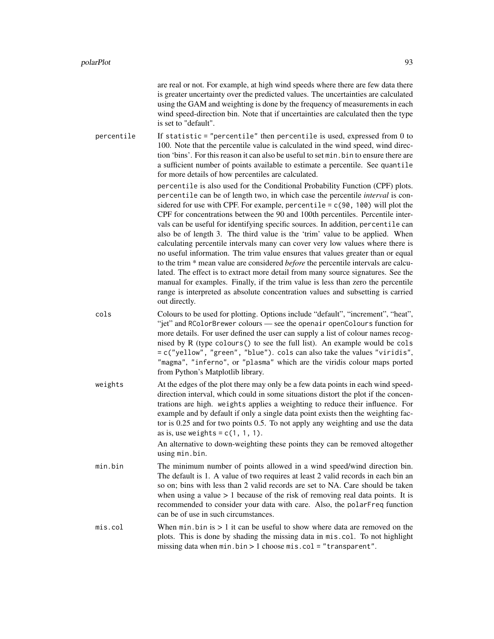|            | are real or not. For example, at high wind speeds where there are few data there<br>is greater uncertainty over the predicted values. The uncertainties are calculated<br>using the GAM and weighting is done by the frequency of measurements in each<br>wind speed-direction bin. Note that if uncertainties are calculated then the type<br>is set to "default".                                                                                                                                                                                                                                                                                                                                                                                                                                                                                                                                                                                                                                                                                                                                                                                                                                                                                                                                                                                                                                                                                               |
|------------|-------------------------------------------------------------------------------------------------------------------------------------------------------------------------------------------------------------------------------------------------------------------------------------------------------------------------------------------------------------------------------------------------------------------------------------------------------------------------------------------------------------------------------------------------------------------------------------------------------------------------------------------------------------------------------------------------------------------------------------------------------------------------------------------------------------------------------------------------------------------------------------------------------------------------------------------------------------------------------------------------------------------------------------------------------------------------------------------------------------------------------------------------------------------------------------------------------------------------------------------------------------------------------------------------------------------------------------------------------------------------------------------------------------------------------------------------------------------|
| percentile | If statistic = "percentile" then percentile is used, expressed from $0$ to<br>100. Note that the percentile value is calculated in the wind speed, wind direc-<br>tion 'bins'. For this reason it can also be useful to set min. bin to ensure there are<br>a sufficient number of points available to estimate a percentile. See quantile<br>for more details of how percentiles are calculated.<br>percentile is also used for the Conditional Probability Function (CPF) plots.<br>percentile can be of length two, in which case the percentile <i>interval</i> is con-<br>sidered for use with CPF. For example, percentile = $c(90, 100)$ will plot the<br>CPF for concentrations between the 90 and 100th percentiles. Percentile inter-<br>vals can be useful for identifying specific sources. In addition, percentile can<br>also be of length 3. The third value is the 'trim' value to be applied. When<br>calculating percentile intervals many can cover very low values where there is<br>no useful information. The trim value ensures that values greater than or equal<br>to the trim * mean value are considered <i>before</i> the percentile intervals are calcu-<br>lated. The effect is to extract more detail from many source signatures. See the<br>manual for examples. Finally, if the trim value is less than zero the percentile<br>range is interpreted as absolute concentration values and subsetting is carried<br>out directly. |
| cols       | Colours to be used for plotting. Options include "default", "increment", "heat",<br>"jet" and RColorBrewer colours - see the openair openColours function for<br>more details. For user defined the user can supply a list of colour names recog-<br>nised by R (type colours() to see the full list). An example would be cols<br>= c("yellow", "green", "blue"). cols can also take the values "viridis",<br>"magma", "inferno", or "plasma" which are the viridis colour maps ported<br>from Python's Matplotlib library.                                                                                                                                                                                                                                                                                                                                                                                                                                                                                                                                                                                                                                                                                                                                                                                                                                                                                                                                      |
| weights    | At the edges of the plot there may only be a few data points in each wind speed-<br>direction interval, which could in some situations distort the plot if the concen-<br>trations are high. weights applies a weighting to reduce their influence. For<br>example and by default if only a single data point exists then the weighting fac-<br>tor is 0.25 and for two points 0.5. To not apply any weighting and use the data<br>as is, use weights = $c(1, 1, 1)$ .<br>An alternative to down-weighting these points they can be removed altogether<br>using min.bin.                                                                                                                                                                                                                                                                                                                                                                                                                                                                                                                                                                                                                                                                                                                                                                                                                                                                                          |
| min.bin    | The minimum number of points allowed in a wind speed/wind direction bin.<br>The default is 1. A value of two requires at least 2 valid records in each bin an<br>so on; bins with less than 2 valid records are set to NA. Care should be taken<br>when using a value $> 1$ because of the risk of removing real data points. It is<br>recommended to consider your data with care. Also, the polarFreq function<br>can be of use in such circumstances.                                                                                                                                                                                                                                                                                                                                                                                                                                                                                                                                                                                                                                                                                                                                                                                                                                                                                                                                                                                                          |
| mis.col    | When $min. bin$ is $> 1$ it can be useful to show where data are removed on the<br>plots. This is done by shading the missing data in mis.col. To not highlight<br>missing data when $min.bin > 1$ choose $mis.col = "transport".$                                                                                                                                                                                                                                                                                                                                                                                                                                                                                                                                                                                                                                                                                                                                                                                                                                                                                                                                                                                                                                                                                                                                                                                                                                |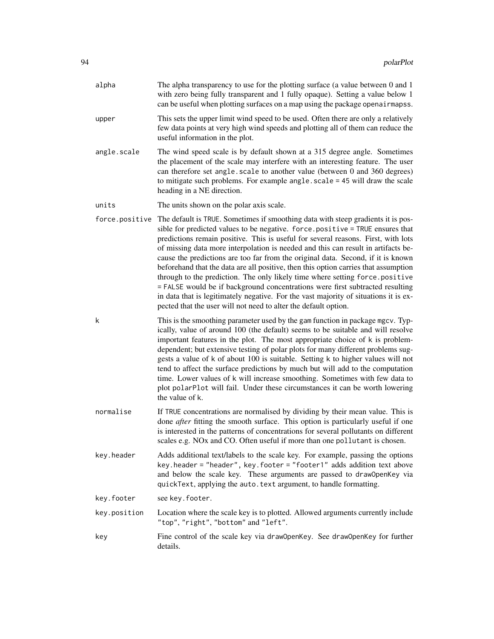| alpha          | The alpha transparency to use for the plotting surface (a value between 0 and 1<br>with zero being fully transparent and 1 fully opaque). Setting a value below 1<br>can be useful when plotting surfaces on a map using the package openairmapss.                                                                                                                                                                                                                                                                                                                                                                                                                                                                                                                                                                                                 |
|----------------|----------------------------------------------------------------------------------------------------------------------------------------------------------------------------------------------------------------------------------------------------------------------------------------------------------------------------------------------------------------------------------------------------------------------------------------------------------------------------------------------------------------------------------------------------------------------------------------------------------------------------------------------------------------------------------------------------------------------------------------------------------------------------------------------------------------------------------------------------|
| upper          | This sets the upper limit wind speed to be used. Often there are only a relatively<br>few data points at very high wind speeds and plotting all of them can reduce the<br>useful information in the plot.                                                                                                                                                                                                                                                                                                                                                                                                                                                                                                                                                                                                                                          |
| angle.scale    | The wind speed scale is by default shown at a 315 degree angle. Sometimes<br>the placement of the scale may interfere with an interesting feature. The user<br>can therefore set angle.scale to another value (between 0 and 360 degrees)<br>to mitigate such problems. For example angle. scale = 45 will draw the scale<br>heading in a NE direction.                                                                                                                                                                                                                                                                                                                                                                                                                                                                                            |
| units          | The units shown on the polar axis scale.                                                                                                                                                                                                                                                                                                                                                                                                                                                                                                                                                                                                                                                                                                                                                                                                           |
| force.positive | The default is TRUE. Sometimes if smoothing data with steep gradients it is pos-<br>sible for predicted values to be negative. force.positive = TRUE ensures that<br>predictions remain positive. This is useful for several reasons. First, with lots<br>of missing data more interpolation is needed and this can result in artifacts be-<br>cause the predictions are too far from the original data. Second, if it is known<br>beforehand that the data are all positive, then this option carries that assumption<br>through to the prediction. The only likely time where setting force.positive<br>= FALSE would be if background concentrations were first subtracted resulting<br>in data that is legitimately negative. For the vast majority of situations it is ex-<br>pected that the user will not need to alter the default option. |
| k              | This is the smoothing parameter used by the gam function in package mgcv. Typ-<br>ically, value of around 100 (the default) seems to be suitable and will resolve<br>important features in the plot. The most appropriate choice of k is problem-<br>dependent; but extensive testing of polar plots for many different problems sug-<br>gests a value of k of about 100 is suitable. Setting k to higher values will not<br>tend to affect the surface predictions by much but will add to the computation<br>time. Lower values of k will increase smoothing. Sometimes with few data to<br>plot polarPlot will fail. Under these circumstances it can be worth lowering<br>the value of k.                                                                                                                                                      |
| normalise      | If TRUE concentrations are normalised by dividing by their mean value. This is<br>done after fitting the smooth surface. This option is particularly useful if one<br>is interested in the patterns of concentrations for several pollutants on different<br>scales e.g. NOx and CO. Often useful if more than one pollutant is chosen.                                                                                                                                                                                                                                                                                                                                                                                                                                                                                                            |
| key.header     | Adds additional text/labels to the scale key. For example, passing the options<br>key. header = "header", key. footer = "footer1" adds addition text above<br>and below the scale key. These arguments are passed to draw0penKey via<br>quickText, applying the auto. text argument, to handle formatting.                                                                                                                                                                                                                                                                                                                                                                                                                                                                                                                                         |
| key.footer     | see key.footer.                                                                                                                                                                                                                                                                                                                                                                                                                                                                                                                                                                                                                                                                                                                                                                                                                                    |
| key.position   | Location where the scale key is to plotted. Allowed arguments currently include<br>"top", "right", "bottom" and "left".                                                                                                                                                                                                                                                                                                                                                                                                                                                                                                                                                                                                                                                                                                                            |
| key            | Fine control of the scale key via draw0penKey. See draw0penKey for further<br>details.                                                                                                                                                                                                                                                                                                                                                                                                                                                                                                                                                                                                                                                                                                                                                             |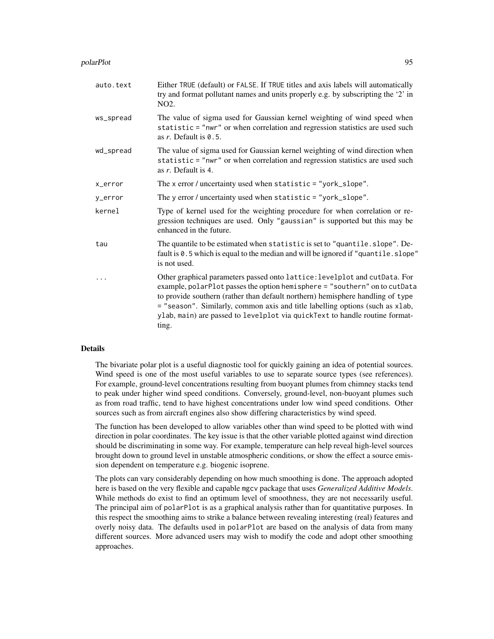#### polarPlot 95

| auto.text | Either TRUE (default) or FALSE. If TRUE titles and axis labels will automatically<br>try and format pollutant names and units properly e.g. by subscripting the '2' in<br>NO <sub>2</sub> .                                                                                                                                                                                                                         |
|-----------|---------------------------------------------------------------------------------------------------------------------------------------------------------------------------------------------------------------------------------------------------------------------------------------------------------------------------------------------------------------------------------------------------------------------|
| ws_spread | The value of sigma used for Gaussian kernel weighting of wind speed when<br>statistic = "nwr" or when correlation and regression statistics are used such<br>as $r$ . Default is $\theta$ . 5.                                                                                                                                                                                                                      |
| wd_spread | The value of sigma used for Gaussian kernel weighting of wind direction when<br>statistic = "nwr" or when correlation and regression statistics are used such<br>as r. Default is 4.                                                                                                                                                                                                                                |
| x_error   | The x error / uncertainty used when statistic = "york_slope".                                                                                                                                                                                                                                                                                                                                                       |
| y_error   | The y error / uncertainty used when statistic = "york_slope".                                                                                                                                                                                                                                                                                                                                                       |
| kernel    | Type of kernel used for the weighting procedure for when correlation or re-<br>gression techniques are used. Only "gaussian" is supported but this may be<br>enhanced in the future.                                                                                                                                                                                                                                |
| tau       | The quantile to be estimated when statistic is set to "quantile.slope". De-<br>fault is 0.5 which is equal to the median and will be ignored if "quantile.slope"<br>is not used.                                                                                                                                                                                                                                    |
|           | Other graphical parameters passed onto lattice: levelplot and cutData. For<br>example, polarPlot passes the option hemisphere = "southern" on to cutData<br>to provide southern (rather than default northern) hemisphere handling of type<br>= "season". Similarly, common axis and title labelling options (such as xlab,<br>ylab, main) are passed to levelplot via quickText to handle routine format-<br>ting. |

#### Details

The bivariate polar plot is a useful diagnostic tool for quickly gaining an idea of potential sources. Wind speed is one of the most useful variables to use to separate source types (see references). For example, ground-level concentrations resulting from buoyant plumes from chimney stacks tend to peak under higher wind speed conditions. Conversely, ground-level, non-buoyant plumes such as from road traffic, tend to have highest concentrations under low wind speed conditions. Other sources such as from aircraft engines also show differing characteristics by wind speed.

The function has been developed to allow variables other than wind speed to be plotted with wind direction in polar coordinates. The key issue is that the other variable plotted against wind direction should be discriminating in some way. For example, temperature can help reveal high-level sources brought down to ground level in unstable atmospheric conditions, or show the effect a source emission dependent on temperature e.g. biogenic isoprene.

The plots can vary considerably depending on how much smoothing is done. The approach adopted here is based on the very flexible and capable mgcv package that uses *Generalized Additive Models*. While methods do exist to find an optimum level of smoothness, they are not necessarily useful. The principal aim of polarPlot is as a graphical analysis rather than for quantitative purposes. In this respect the smoothing aims to strike a balance between revealing interesting (real) features and overly noisy data. The defaults used in polarPlot are based on the analysis of data from many different sources. More advanced users may wish to modify the code and adopt other smoothing approaches.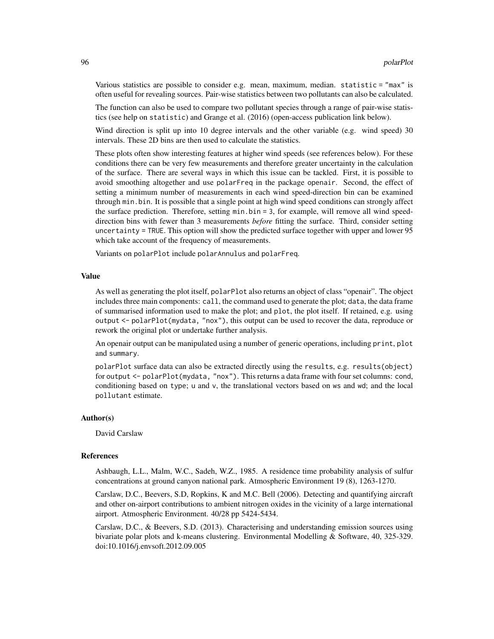Various statistics are possible to consider e.g. mean, maximum, median. statistic = "max" is often useful for revealing sources. Pair-wise statistics between two pollutants can also be calculated.

The function can also be used to compare two pollutant species through a range of pair-wise statistics (see help on statistic) and Grange et al. (2016) (open-access publication link below).

Wind direction is split up into 10 degree intervals and the other variable (e.g. wind speed) 30 intervals. These 2D bins are then used to calculate the statistics.

These plots often show interesting features at higher wind speeds (see references below). For these conditions there can be very few measurements and therefore greater uncertainty in the calculation of the surface. There are several ways in which this issue can be tackled. First, it is possible to avoid smoothing altogether and use polarFreq in the package openair. Second, the effect of setting a minimum number of measurements in each wind speed-direction bin can be examined through min.bin. It is possible that a single point at high wind speed conditions can strongly affect the surface prediction. Therefore, setting min.bin = 3, for example, will remove all wind speeddirection bins with fewer than 3 measurements *before* fitting the surface. Third, consider setting uncertainty = TRUE. This option will show the predicted surface together with upper and lower 95 which take account of the frequency of measurements.

Variants on polarPlot include polarAnnulus and polarFreq.

#### Value

As well as generating the plot itself, polarPlot also returns an object of class "openair". The object includes three main components: call, the command used to generate the plot; data, the data frame of summarised information used to make the plot; and plot, the plot itself. If retained, e.g. using output <- polarPlot(mydata, "nox"), this output can be used to recover the data, reproduce or rework the original plot or undertake further analysis.

An openair output can be manipulated using a number of generic operations, including print, plot and summary.

polarPlot surface data can also be extracted directly using the results, e.g. results(object) for output <- polarPlot(mydata, "nox"). This returns a data frame with four set columns: cond, conditioning based on type; u and v, the translational vectors based on ws and wd; and the local pollutant estimate.

#### Author(s)

David Carslaw

#### References

Ashbaugh, L.L., Malm, W.C., Sadeh, W.Z., 1985. A residence time probability analysis of sulfur concentrations at ground canyon national park. Atmospheric Environment 19 (8), 1263-1270.

Carslaw, D.C., Beevers, S.D, Ropkins, K and M.C. Bell (2006). Detecting and quantifying aircraft and other on-airport contributions to ambient nitrogen oxides in the vicinity of a large international airport. Atmospheric Environment. 40/28 pp 5424-5434.

Carslaw, D.C., & Beevers, S.D. (2013). Characterising and understanding emission sources using bivariate polar plots and k-means clustering. Environmental Modelling & Software, 40, 325-329. doi:10.1016/j.envsoft.2012.09.005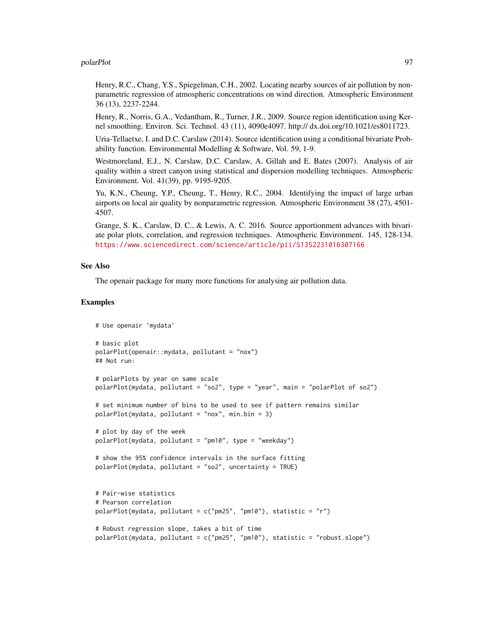#### polarPlot 97

Henry, R.C., Chang, Y.S., Spiegelman, C.H., 2002. Locating nearby sources of air pollution by nonparametric regression of atmospheric concentrations on wind direction. Atmospheric Environment 36 (13), 2237-2244.

Henry, R., Norris, G.A., Vedantham, R., Turner, J.R., 2009. Source region identification using Kernel smoothing. Environ. Sci. Technol. 43 (11), 4090e4097. http:// dx.doi.org/10.1021/es8011723.

Uria-Tellaetxe, I. and D.C. Carslaw (2014). Source identification using a conditional bivariate Probability function. Environmental Modelling & Software, Vol. 59, 1-9.

Westmoreland, E.J., N. Carslaw, D.C. Carslaw, A. Gillah and E. Bates (2007). Analysis of air quality within a street canyon using statistical and dispersion modelling techniques. Atmospheric Environment. Vol. 41(39), pp. 9195-9205.

Yu, K.N., Cheung, Y.P., Cheung, T., Henry, R.C., 2004. Identifying the impact of large urban airports on local air quality by nonparametric regression. Atmospheric Environment 38 (27), 4501- 4507.

Grange, S. K., Carslaw, D. C., & Lewis, A. C. 2016. Source apportionment advances with bivariate polar plots, correlation, and regression techniques. Atmospheric Environment. 145, 128-134. <https://www.sciencedirect.com/science/article/pii/S1352231016307166>

### See Also

The openair package for many more functions for analysing air pollution data.

#### Examples

```
# Use openair 'mydata'
# basic plot
polarPlot(openair::mydata, pollutant = "nox")
## Not run:
# polarPlots by year on same scale
polarPlot(mydata, pollutant = "so2", type = "year", main = "polarPlot of so2")
# set minimum number of bins to be used to see if pattern remains similar
polarPlot(mydata, pollutant = "nox", min.bin = 3)
# plot by day of the week
polarPlot(mydata, pollutant = "pm10", type = "weekday")
# show the 95% confidence intervals in the surface fitting
polarPlot(mydata, pollutant = "so2", uncertainty = TRUE)
# Pair-wise statistics
# Pearson correlation
polarPlot(mydata, pollutant = c("pm25", "pm10"), statistic = "r")
# Robust regression slope, takes a bit of time
polarPlot(mydata, pollutant = c("pm25", "pm10"), statistic = "robust.slope")
```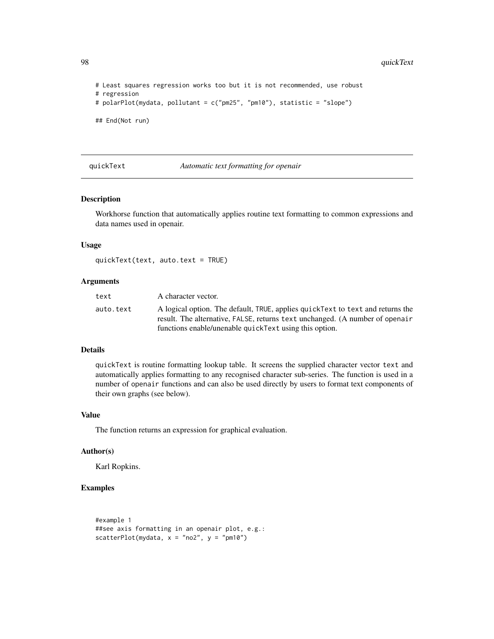98 quickText

```
# Least squares regression works too but it is not recommended, use robust
# regression
# polarPlot(mydata, pollutant = c("pm25", "pm10"), statistic = "slope")
## End(Not run)
```
#### quickText *Automatic text formatting for openair*

### Description

Workhorse function that automatically applies routine text formatting to common expressions and data names used in openair.

#### Usage

quickText(text, auto.text = TRUE)

### Arguments

| text      | A character vector.                                                             |
|-----------|---------------------------------------------------------------------------------|
| auto.text | A logical option. The default, TRUE, applies quick Text to text and returns the |
|           | result. The alternative, FALSE, returns text unchanged. (A number of openair    |
|           | functions enable/unenable quickText using this option.                          |

#### Details

quickText is routine formatting lookup table. It screens the supplied character vector text and automatically applies formatting to any recognised character sub-series. The function is used in a number of openair functions and can also be used directly by users to format text components of their own graphs (see below).

#### Value

The function returns an expression for graphical evaluation.

#### Author(s)

Karl Ropkins.

### Examples

```
#example 1
##see axis formatting in an openair plot, e.g.:
scatterPlot(mydata, x = "no2", y = "pm10")
```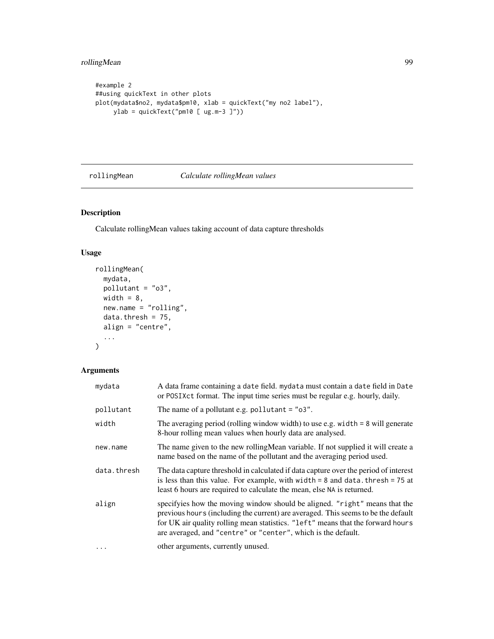```
#example 2
##using quickText in other plots
plot(mydata$no2, mydata$pm10, xlab = quickText("my no2 label"),
    ylab = quickText("pm10 [ ug.m-3 ]"))
```
### rollingMean *Calculate rollingMean values*

# Description

Calculate rollingMean values taking account of data capture thresholds

# Usage

```
rollingMean(
 mydata,
 pollutant = "o3",
 width = 8,
 new.name = "rolling",
 data.thresh = 75,
 align = "centre",
  ...
)
```
### Arguments

| mydata      | A data frame containing a date field. mydata must contain a date field in Date<br>or POSIXct format. The input time series must be regular e.g. hourly, daily.                                                                                                                                                      |
|-------------|---------------------------------------------------------------------------------------------------------------------------------------------------------------------------------------------------------------------------------------------------------------------------------------------------------------------|
| pollutant   | The name of a pollutant e.g. pollutant $=$ " $\sigma$ 3".                                                                                                                                                                                                                                                           |
| width       | The averaging period (rolling window width) to use e.g. width $= 8$ will generate<br>8-hour rolling mean values when hourly data are analysed.                                                                                                                                                                      |
| new.name    | The name given to the new rolling Mean variable. If not supplied it will create a<br>name based on the name of the pollutant and the averaging period used.                                                                                                                                                         |
| data.thresh | The data capture threshold in calculated if data capture over the period of interest<br>is less than this value. For example, with width $= 8$ and data. thresh $= 75$ at<br>least 6 hours are required to calculate the mean, else NA is returned.                                                                 |
| align       | specifyies how the moving window should be aligned. "right" means that the<br>previous hours (including the current) are averaged. This seems to be the default<br>for UK air quality rolling mean statistics. "left" means that the forward hours<br>are averaged, and "centre" or "center", which is the default. |
| $\cdots$    | other arguments, currently unused.                                                                                                                                                                                                                                                                                  |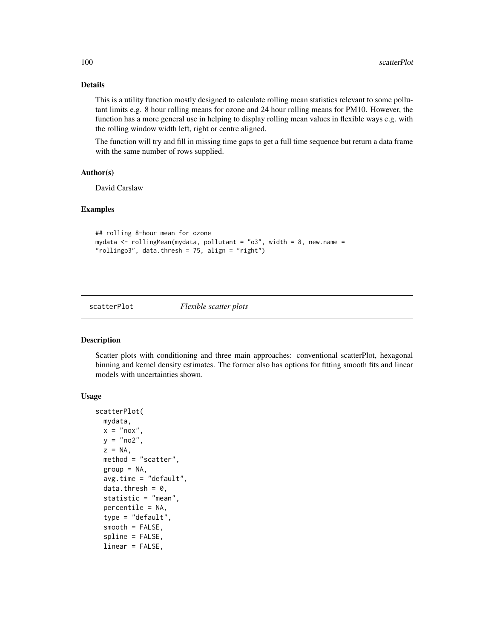### Details

This is a utility function mostly designed to calculate rolling mean statistics relevant to some pollutant limits e.g. 8 hour rolling means for ozone and 24 hour rolling means for PM10. However, the function has a more general use in helping to display rolling mean values in flexible ways e.g. with the rolling window width left, right or centre aligned.

The function will try and fill in missing time gaps to get a full time sequence but return a data frame with the same number of rows supplied.

### Author(s)

David Carslaw

#### Examples

```
## rolling 8-hour mean for ozone
mydata <- rollingMean(mydata, pollutant = "o3", width = 8, new.name =
"rollingo3", data.thresh = 75, align = "right")
```
scatterPlot *Flexible scatter plots*

#### Description

Scatter plots with conditioning and three main approaches: conventional scatterPlot, hexagonal binning and kernel density estimates. The former also has options for fitting smooth fits and linear models with uncertainties shown.

#### Usage

```
scatterPlot(
  mydata,
 x = "now"y = "no2",z = NA,
 method = "scatter",
  group = NA,
  avg.time = "default",
  data.thresh = 0,
  statistic = "mean",
  percentile = NA,
  type = "default",
  smooth = FALSE,
  spline = FALSE,
  linear = FALSE,
```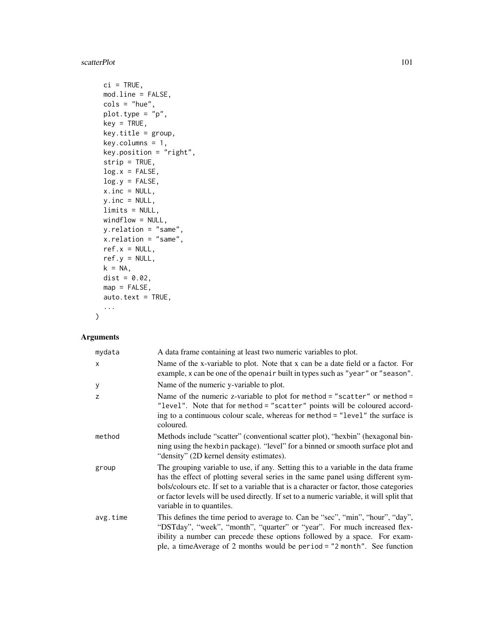#### scatterPlot 101

```
ci = TRUE,mod.line = FALSE,
\text{cols} = \text{"blue",}plot.type = "p",
key = TRUE,
key.title = group,
key.columns = 1,
key.position = "right",
strip = TRUE,
log.x = FALSE,log.y = FALSE,
x.inc = NULL,y.inc = NULL,
limits = NULL,
windflow = NULL,
y.relation = "same",
x.relation = "same",
ref.x = NULL,ref.y = NULL,
k = NA,
dist = 0.02,
map = FALSE,auto.text = TRUE,...
```
### Arguments

 $\mathcal{L}$ 

| mydata       | A data frame containing at least two numeric variables to plot.                                                                                                                                                                                                                                                                                                                           |
|--------------|-------------------------------------------------------------------------------------------------------------------------------------------------------------------------------------------------------------------------------------------------------------------------------------------------------------------------------------------------------------------------------------------|
| $\mathsf{x}$ | Name of the x-variable to plot. Note that x can be a date field or a factor. For<br>example, x can be one of the openair built in types such as "year" or "season".                                                                                                                                                                                                                       |
| У            | Name of the numeric y-variable to plot.                                                                                                                                                                                                                                                                                                                                                   |
| z            | Name of the numeric z-variable to plot for method = "scatter" or method =<br>"level". Note that for method = "scatter" points will be coloured accord-<br>ing to a continuous colour scale, whereas for method = "level" the surface is<br>coloured.                                                                                                                                      |
| method       | Methods include "scatter" (conventional scatter plot), "hexbin" (hexagonal bin-<br>ning using the hexbin package). "level" for a binned or smooth surface plot and<br>"density" (2D kernel density estimates).                                                                                                                                                                            |
| group        | The grouping variable to use, if any. Setting this to a variable in the data frame<br>has the effect of plotting several series in the same panel using different sym-<br>bols/colours etc. If set to a variable that is a character or factor, those categories<br>or factor levels will be used directly. If set to a numeric variable, it will split that<br>variable in to quantiles. |
| avg.time     | This defines the time period to average to. Can be "sec", "min", "hour", "day",<br>"DSTday", "week", "month", "quarter" or "year". For much increased flex-<br>ibility a number can precede these options followed by a space. For exam-<br>ple, a timeAverage of 2 months would be period = "2 month". See function                                                                      |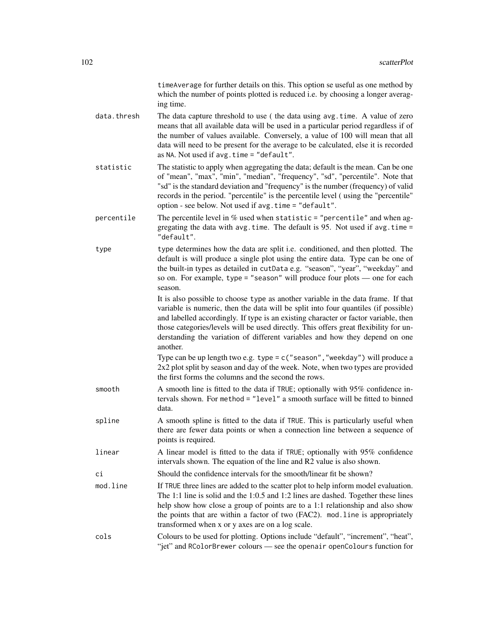timeAverage for further details on this. This option se useful as one method by which the number of points plotted is reduced i.e. by choosing a longer averaging time.

- data.thresh The data capture threshold to use (the data using avg.time. A value of zero means that all available data will be used in a particular period regardless if of the number of values available. Conversely, a value of 100 will mean that all data will need to be present for the average to be calculated, else it is recorded as NA. Not used if avg.time = "default".
- statistic The statistic to apply when aggregating the data; default is the mean. Can be one of "mean", "max", "min", "median", "frequency", "sd", "percentile". Note that "sd" is the standard deviation and "frequency" is the number (frequency) of valid records in the period. "percentile" is the percentile level ( using the "percentile" option - see below. Not used if avg.time = "default".
- percentile The percentile level in  $\%$  used when statistic = "percentile" and when aggregating the data with avg.time. The default is 95. Not used if avg.time  $=$ "default".
- type type determines how the data are split i.e. conditioned, and then plotted. The default is will produce a single plot using the entire data. Type can be one of the built-in types as detailed in cutData e.g. "season", "year", "weekday" and so on. For example, type = "season" will produce four plots — one for each season.

It is also possible to choose type as another variable in the data frame. If that variable is numeric, then the data will be split into four quantiles (if possible) and labelled accordingly. If type is an existing character or factor variable, then those categories/levels will be used directly. This offers great flexibility for understanding the variation of different variables and how they depend on one another.

Type can be up length two e.g. type = c("season","weekday") will produce a 2x2 plot split by season and day of the week. Note, when two types are provided the first forms the columns and the second the rows.

- smooth A smooth line is fitted to the data if TRUE; optionally with 95% confidence intervals shown. For method = "level" a smooth surface will be fitted to binned data.
- spline A smooth spline is fitted to the data if TRUE. This is particularly useful when there are fewer data points or when a connection line between a sequence of points is required.
- linear A linear model is fitted to the data if TRUE; optionally with 95% confidence intervals shown. The equation of the line and R2 value is also shown.
- ci Should the confidence intervals for the smooth/linear fit be shown?
- mod. line If TRUE three lines are added to the scatter plot to help inform model evaluation. The 1:1 line is solid and the 1:0.5 and 1:2 lines are dashed. Together these lines help show how close a group of points are to a 1:1 relationship and also show the points that are within a factor of two (FAC2). mod.line is appropriately transformed when x or y axes are on a log scale.
- cols Colours to be used for plotting. Options include "default", "increment", "heat", "jet" and RColorBrewer colours — see the openair openColours function for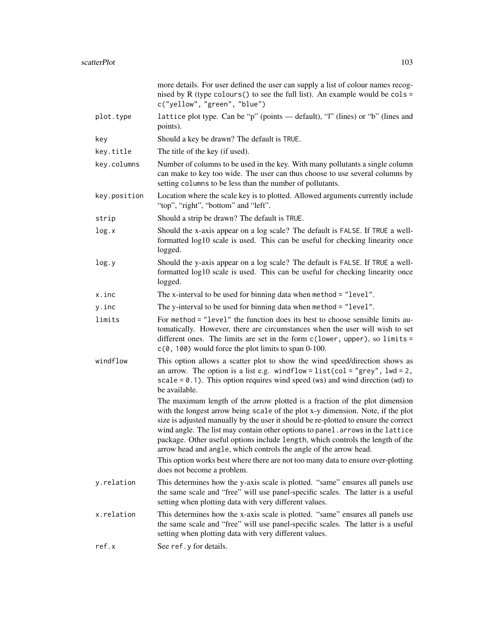|              | more details. For user defined the user can supply a list of colour names recog-<br>nised by R (type colours () to see the full list). An example would be $\text{cols} =$<br>c("yellow", "green", "blue")                                                                                                                                                                                                                                                                                     |
|--------------|------------------------------------------------------------------------------------------------------------------------------------------------------------------------------------------------------------------------------------------------------------------------------------------------------------------------------------------------------------------------------------------------------------------------------------------------------------------------------------------------|
| plot.type    | lattice plot type. Can be "p" (points — default), "l" (lines) or "b" (lines and<br>points).                                                                                                                                                                                                                                                                                                                                                                                                    |
| key          | Should a key be drawn? The default is TRUE.                                                                                                                                                                                                                                                                                                                                                                                                                                                    |
| key.title    | The title of the key (if used).                                                                                                                                                                                                                                                                                                                                                                                                                                                                |
| key.columns  | Number of columns to be used in the key. With many pollutants a single column<br>can make to key too wide. The user can thus choose to use several columns by<br>setting columns to be less than the number of pollutants.                                                                                                                                                                                                                                                                     |
| key.position | Location where the scale key is to plotted. Allowed arguments currently include<br>"top", "right", "bottom" and "left".                                                                                                                                                                                                                                                                                                                                                                        |
| strip        | Should a strip be drawn? The default is TRUE.                                                                                                                                                                                                                                                                                                                                                                                                                                                  |
| log.x        | Should the x-axis appear on a log scale? The default is FALSE. If TRUE a well-<br>formatted log10 scale is used. This can be useful for checking linearity once<br>logged.                                                                                                                                                                                                                                                                                                                     |
| log.y        | Should the y-axis appear on a log scale? The default is FALSE. If TRUE a well-<br>formatted log10 scale is used. This can be useful for checking linearity once<br>logged.                                                                                                                                                                                                                                                                                                                     |
| x.inc        | The x-interval to be used for binning data when method = "level".                                                                                                                                                                                                                                                                                                                                                                                                                              |
| y.inc        | The y-interval to be used for binning data when method = "level".                                                                                                                                                                                                                                                                                                                                                                                                                              |
| limits       | For method = "level" the function does its best to choose sensible limits au-<br>tomatically. However, there are circumstances when the user will wish to set<br>different ones. The limits are set in the form $c(lower, upper), so limits =$<br>$c(0, 100)$ would force the plot limits to span 0-100.                                                                                                                                                                                       |
| windflow     | This option allows a scatter plot to show the wind speed/direction shows as<br>an arrow. The option is a list e.g. windflow = $list$ (col = "grey", $1wd = 2$ ,<br>$scale = 0.1$ . This option requires wind speed (ws) and wind direction (wd) to<br>be available.                                                                                                                                                                                                                            |
|              | The maximum length of the arrow plotted is a fraction of the plot dimension<br>with the longest arrow being scale of the plot x-y dimension. Note, if the plot<br>size is adjusted manually by the user it should be re-plotted to ensure the correct<br>wind angle. The list may contain other options to panel. arrows in the lattice<br>package. Other useful options include length, which controls the length of the<br>arrow head and angle, which controls the angle of the arrow head. |
|              | This option works best where there are not too many data to ensure over-plotting<br>does not become a problem.                                                                                                                                                                                                                                                                                                                                                                                 |
| y.relation   | This determines how the y-axis scale is plotted. "same" ensures all panels use<br>the same scale and "free" will use panel-specific scales. The latter is a useful<br>setting when plotting data with very different values.                                                                                                                                                                                                                                                                   |
| x.relation   | This determines how the x-axis scale is plotted. "same" ensures all panels use<br>the same scale and "free" will use panel-specific scales. The latter is a useful<br>setting when plotting data with very different values.                                                                                                                                                                                                                                                                   |
| ref.x        | See ref.y for details.                                                                                                                                                                                                                                                                                                                                                                                                                                                                         |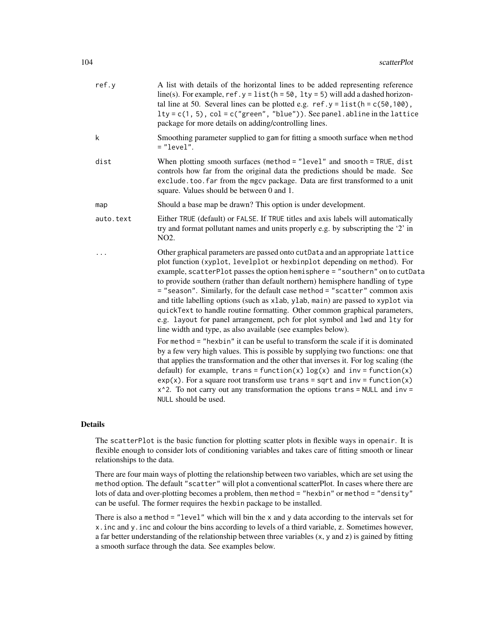| ref.y     | A list with details of the horizontal lines to be added representing reference<br>line(s). For example, $ref.y = list(h = 50, 1ty = 5)$ will add a dashed horizon-<br>tal line at 50. Several lines can be plotted e.g. $ref.y = list(h = c(50, 100))$ ,<br>$lty = c(1, 5)$ , $col = c("green", "blue"))$ . See panel. abline in the lattice<br>package for more details on adding/controlling lines.                                                                                                                                                                                                                                                                                                                                                                                                                                                                                                                                                                                                                                                                                                                                                                                                                                                           |
|-----------|-----------------------------------------------------------------------------------------------------------------------------------------------------------------------------------------------------------------------------------------------------------------------------------------------------------------------------------------------------------------------------------------------------------------------------------------------------------------------------------------------------------------------------------------------------------------------------------------------------------------------------------------------------------------------------------------------------------------------------------------------------------------------------------------------------------------------------------------------------------------------------------------------------------------------------------------------------------------------------------------------------------------------------------------------------------------------------------------------------------------------------------------------------------------------------------------------------------------------------------------------------------------|
| k         | Smoothing parameter supplied to gam for fitting a smooth surface when method<br>$=" "level".$                                                                                                                                                                                                                                                                                                                                                                                                                                                                                                                                                                                                                                                                                                                                                                                                                                                                                                                                                                                                                                                                                                                                                                   |
| dist      | When plotting smooth surfaces (method = $"level"$ and smooth = TRUE, dist<br>controls how far from the original data the predictions should be made. See<br>exclude.too.far from the mgcv package. Data are first transformed to a unit<br>square. Values should be between 0 and 1.                                                                                                                                                                                                                                                                                                                                                                                                                                                                                                                                                                                                                                                                                                                                                                                                                                                                                                                                                                            |
| map       | Should a base map be drawn? This option is under development.                                                                                                                                                                                                                                                                                                                                                                                                                                                                                                                                                                                                                                                                                                                                                                                                                                                                                                                                                                                                                                                                                                                                                                                                   |
| auto.text | Either TRUE (default) or FALSE. If TRUE titles and axis labels will automatically<br>try and format pollutant names and units properly e.g. by subscripting the '2' in<br>NO <sub>2</sub> .                                                                                                                                                                                                                                                                                                                                                                                                                                                                                                                                                                                                                                                                                                                                                                                                                                                                                                                                                                                                                                                                     |
|           | Other graphical parameters are passed onto cutData and an appropriate lattice<br>plot function (xyplot, levelplot or hexbinplot depending on method). For<br>example, scatterPlot passes the option hemisphere = "southern" on to cutData<br>to provide southern (rather than default northern) hemisphere handling of type<br>= "season". Similarly, for the default case method = "scatter" common axis<br>and title labelling options (such as xlab, ylab, main) are passed to xyplot via<br>quickText to handle routine formatting. Other common graphical parameters,<br>e.g. layout for panel arrangement, pch for plot symbol and lwd and lty for<br>line width and type, as also available (see examples below).<br>For method = "hexbin" it can be useful to transform the scale if it is dominated<br>by a few very high values. This is possible by supplying two functions: one that<br>that applies the transformation and the other that inverses it. For log scaling (the<br>default) for example, trans = function(x) $log(x)$ and inv = function(x)<br>$exp(x)$ . For a square root transform use trans = sqrt and inv = function(x)<br>$x^2$ . To not carry out any transformation the options trans = NULL and inv =<br>NULL should be used. |

#### Details

The scatterPlot is the basic function for plotting scatter plots in flexible ways in openair. It is flexible enough to consider lots of conditioning variables and takes care of fitting smooth or linear relationships to the data.

There are four main ways of plotting the relationship between two variables, which are set using the method option. The default "scatter" will plot a conventional scatterPlot. In cases where there are lots of data and over-plotting becomes a problem, then method = "hexbin" or method = "density" can be useful. The former requires the hexbin package to be installed.

There is also a method  $=$  "level" which will bin the x and y data according to the intervals set for x.inc and y.inc and colour the bins according to levels of a third variable, z. Sometimes however, a far better understanding of the relationship between three variables (x, y and z) is gained by fitting a smooth surface through the data. See examples below.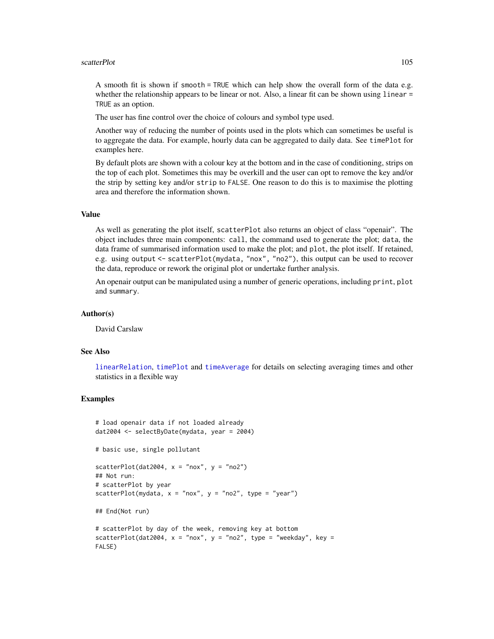#### scatterPlot 105

A smooth fit is shown if smooth = TRUE which can help show the overall form of the data e.g. whether the relationship appears to be linear or not. Also, a linear fit can be shown using linear = TRUE as an option.

The user has fine control over the choice of colours and symbol type used.

Another way of reducing the number of points used in the plots which can sometimes be useful is to aggregate the data. For example, hourly data can be aggregated to daily data. See timePlot for examples here.

By default plots are shown with a colour key at the bottom and in the case of conditioning, strips on the top of each plot. Sometimes this may be overkill and the user can opt to remove the key and/or the strip by setting key and/or strip to FALSE. One reason to do this is to maximise the plotting area and therefore the information shown.

#### Value

As well as generating the plot itself, scatterPlot also returns an object of class "openair". The object includes three main components: call, the command used to generate the plot; data, the data frame of summarised information used to make the plot; and plot, the plot itself. If retained, e.g. using output <- scatterPlot(mydata, "nox", "no2"), this output can be used to recover the data, reproduce or rework the original plot or undertake further analysis.

An openair output can be manipulated using a number of generic operations, including print, plot and summary.

### Author(s)

David Carslaw

#### See Also

[linearRelation](#page-63-0), [timePlot](#page-130-0) and [timeAverage](#page-127-0) for details on selecting averaging times and other statistics in a flexible way

### Examples

```
# load openair data if not loaded already
dat2004 <- selectByDate(mydata, year = 2004)
# basic use, single pollutant
scatterPlot(dat2004, x = "now", y = "no2")## Not run:
# scatterPlot by year
scatterPlot(mydata, x = "now", y = "no2", type = "year")## End(Not run)
# scatterPlot by day of the week, removing key at bottom
scatterPlot(dat2004, x = "now", y = "no2", type = "weekday", key =FALSE)
```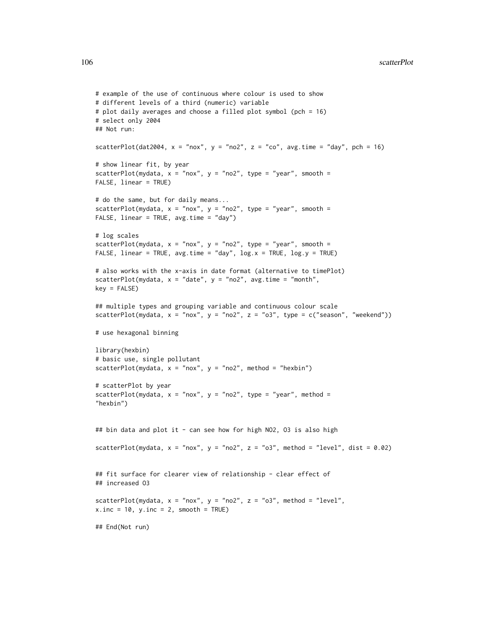```
# example of the use of continuous where colour is used to show
# different levels of a third (numeric) variable
# plot daily averages and choose a filled plot symbol (pch = 16)
# select only 2004
## Not run:
scatterPlot(dat2004, x = "nox", y = "no2", z = "co", avg.time = "day", pch = 16)
# show linear fit, by year
scatterPlot(mydata, x = "now", y = "no2", type = "year", smooth =FALSE, linear = TRUE)
# do the same, but for daily means...
scatterPlot(mydata, x = "nox", y = "no2", type = "year", smooth =FALSE, linear = TRUE, avg.time = "day")
# log scales
scatterPlot(mydata, x = "now", y = "no2", type = "year", smooth =FALSE, linear = TRUE, avg.time = "day", log.x = TRUE, log.y = TRUE)
# also works with the x-axis in date format (alternative to timePlot)
scatterPlot(mydata, x = "date", y = "no2", avg.time = "month",
key = FALSE)
## multiple types and grouping variable and continuous colour scale
scatterPlot(mydata, x = "nox", y = "no2", z = "o3", type = c("season", "weekend"))# use hexagonal binning
library(hexbin)
# basic use, single pollutant
scatterPlot(mydata, x = "now", y = "no2", method = "hexbin")# scatterPlot by year
scatterPlot(mydata, x = "nox", y = "no2", type = "year", method ="hexbin")
## bin data and plot it - can see how for high NO2, O3 is also high
scatterPlot(mydata, x = "now", y = "no2", z = "o3", method = "level", dist = 0.02)## fit surface for clearer view of relationship - clear effect of
## increased O3
scatterPlot(mydata, x = "now", y = "no2", z = "o3", method = "level",x.inc = 10, y.inc = 2, smooth = TRUE)
## End(Not run)
```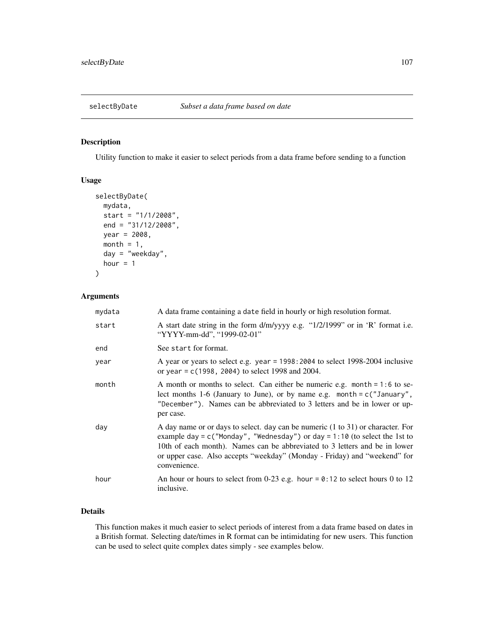# Description

Utility function to make it easier to select periods from a data frame before sending to a function

### Usage

```
selectByDate(
 mydata,
  start = "1/1/2008",
  end = "31/12/2008",
 year = 2008,
  month = 1,
  day = "weekday",
  hour = 1)
```
### Arguments

| mydata | A data frame containing a date field in hourly or high resolution format.                                                                                                                                                                                                                                                                     |
|--------|-----------------------------------------------------------------------------------------------------------------------------------------------------------------------------------------------------------------------------------------------------------------------------------------------------------------------------------------------|
| start  | A start date string in the form d/m/yyyy e.g. "1/2/1999" or in 'R' format i.e.<br>"YYYY-mm-dd", "1999-02-01"                                                                                                                                                                                                                                  |
| end    | See start for format.                                                                                                                                                                                                                                                                                                                         |
| year   | A year or years to select e.g. year = 1998:2004 to select 1998-2004 inclusive<br>or year = $c(1998, 2004)$ to select 1998 and 2004.                                                                                                                                                                                                           |
| month  | A month or months to select. Can either be numeric e.g. month = 1:6 to se-<br>lect months 1-6 (January to June), or by name e.g. month = $c$ ("January",<br>"December"). Names can be abbreviated to 3 letters and be in lower or up-<br>per case.                                                                                            |
| day    | A day name or or days to select. day can be numeric (1 to 31) or character. For<br>example day = $c$ ("Monday", "Wednesday") or day = $1:10$ (to select the 1st to<br>10th of each month). Names can be abbreviated to 3 letters and be in lower<br>or upper case. Also accepts "weekday" (Monday - Friday) and "weekend" for<br>convenience. |
| hour   | An hour or hours to select from 0-23 e.g. hour = $0:12$ to select hours 0 to 12<br>inclusive.                                                                                                                                                                                                                                                 |

### Details

This function makes it much easier to select periods of interest from a data frame based on dates in a British format. Selecting date/times in R format can be intimidating for new users. This function can be used to select quite complex dates simply - see examples below.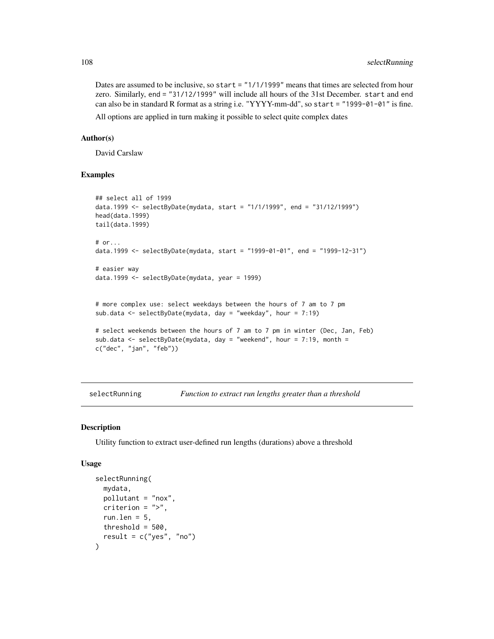Dates are assumed to be inclusive, so start = "1/1/1999" means that times are selected from hour zero. Similarly, end = "31/12/1999" will include all hours of the 31st December. start and end can also be in standard R format as a string i.e. "YYYY-mm-dd", so start = "1999-01-01" is fine.

All options are applied in turn making it possible to select quite complex dates

#### Author(s)

David Carslaw

#### Examples

```
## select all of 1999
data.1999 <- selectByDate(mydata, start = "1/1/1999", end = "31/12/1999")
head(data.1999)
tail(data.1999)
# or...
data.1999 <- selectByDate(mydata, start = "1999-01-01", end = "1999-12-31")
# easier way
data.1999 <- selectByDate(mydata, year = 1999)
# more complex use: select weekdays between the hours of 7 am to 7 pm
sub.data <- selectByDate(mydata, day = "weekday", hour = 7:19)
# select weekends between the hours of 7 am to 7 pm in winter (Dec, Jan, Feb)
sub.data \le selectByDate(mydata, day = "weekend", hour = 7:19, month =
c("dec", "jan", "feb"))
```
selectRunning *Function to extract run lengths greater than a threshold*

#### Description

Utility function to extract user-defined run lengths (durations) above a threshold

### Usage

```
selectRunning(
  mydata,
 pollutant = "nox",
 criterion = ">".run.len = 5,
 threshold = 500,
  result = c("yes", "no")
)
```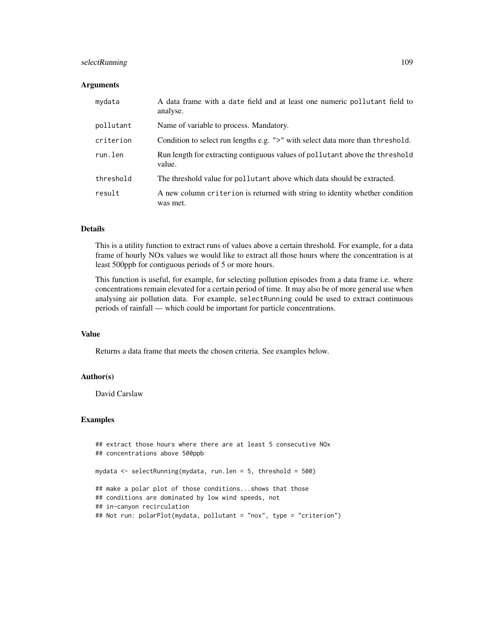# selectRunning 109

### **Arguments**

| mydata    | A data frame with a date field and at least one numeric pollutant field to<br>analyse.   |
|-----------|------------------------------------------------------------------------------------------|
| pollutant | Name of variable to process. Mandatory.                                                  |
| criterion | Condition to select run lengths e.g. ">" with select data more than threshold.           |
| run.len   | Run length for extracting contiguous values of pollutant above the threshold<br>value.   |
| threshold | The threshold value for pollutant above which data should be extracted.                  |
| result    | A new column criterion is returned with string to identity whether condition<br>was met. |

# Details

This is a utility function to extract runs of values above a certain threshold. For example, for a data frame of hourly NOx values we would like to extract all those hours where the concentration is at least 500ppb for contiguous periods of 5 or more hours.

This function is useful, for example, for selecting pollution episodes from a data frame i.e. where concentrations remain elevated for a certain period of time. It may also be of more general use when analysing air pollution data. For example, selectRunning could be used to extract continuous periods of rainfall — which could be important for particle concentrations.

### Value

Returns a data frame that meets the chosen criteria. See examples below.

### Author(s)

David Carslaw

```
## extract those hours where there are at least 5 consecutive NOx
## concentrations above 500ppb
mydata <- selectRunning(mydata, run.len = 5, threshold = 500)
## make a polar plot of those conditions...shows that those
## conditions are dominated by low wind speeds, not
## in-canyon recirculation
## Not run: polarPlot(mydata, pollutant = "nox", type = "criterion")
```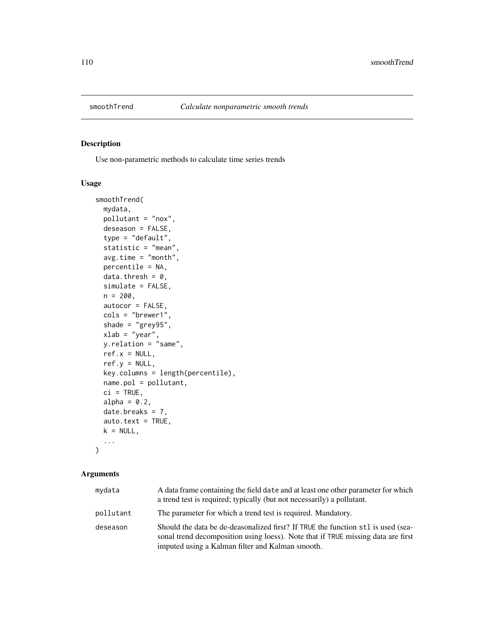<span id="page-109-0"></span>

# Description

Use non-parametric methods to calculate time series trends

### Usage

```
smoothTrend(
 mydata,
 pollutant = "nox",
 deseason = FALSE,
  type = "default",
  statistic = "mean",
 avg.time = "month",percentile = NA,
 data.thresh = 0,
 simulate = FALSE,
 n = 200,
 autocor = FALSE,
  cols = "brewer1",
  shade = "grey95",xlab = "year",
 y.relation = "same",
  ref.x = NULL,ref.y = NULL,key.columns = length(percentile),
 name.pol = pollutant,
 ci = TRUE,alpha = 0.2,
 date.breaks = 7,
  auto.text = TRUE,k = NULL,...
\mathcal{L}
```

| mydata    | A data frame containing the field date and at least one other parameter for which<br>a trend test is required; typically (but not necessarily) a pollutant.                                                              |
|-----------|--------------------------------------------------------------------------------------------------------------------------------------------------------------------------------------------------------------------------|
| pollutant | The parameter for which a trend test is required. Mandatory.                                                                                                                                                             |
| deseason  | Should the data be de-deasonalized first? If TRUE the function st1 is used (sea-<br>sonal trend decomposition using loess). Note that if TRUE missing data are first<br>imputed using a Kalman filter and Kalman smooth. |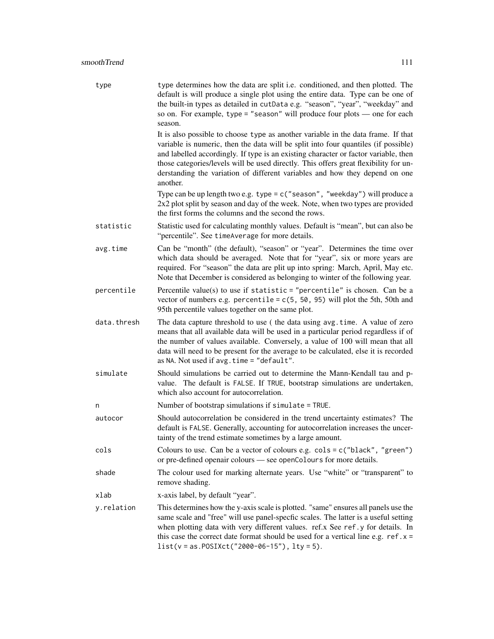type type determines how the data are split i.e. conditioned, and then plotted. The default is will produce a single plot using the entire data. Type can be one of the built-in types as detailed in cutData e.g. "season", "year", "weekday" and so on. For example, type = "season" will produce four plots — one for each season.

> It is also possible to choose type as another variable in the data frame. If that variable is numeric, then the data will be split into four quantiles (if possible) and labelled accordingly. If type is an existing character or factor variable, then those categories/levels will be used directly. This offers great flexibility for understanding the variation of different variables and how they depend on one another.

> Type can be up length two e.g. type = c("season", "weekday") will produce a 2x2 plot split by season and day of the week. Note, when two types are provided the first forms the columns and the second the rows.

- statistic Statistic used for calculating monthly values. Default is "mean", but can also be "percentile". See timeAverage for more details.
- avg.time Can be "month" (the default), "season" or "year". Determines the time over which data should be averaged. Note that for "year", six or more years are required. For "season" the data are plit up into spring: March, April, May etc. Note that December is considered as belonging to winter of the following year.
- percentile Percentile value(s) to use if statistic = "percentile" is chosen. Can be a vector of numbers e.g. percentile =  $c(5, 50, 95)$  will plot the 5th, 50th and 95th percentile values together on the same plot.
- data.thresh The data capture threshold to use ( the data using avg.time. A value of zero means that all available data will be used in a particular period regardless if of the number of values available. Conversely, a value of 100 will mean that all data will need to be present for the average to be calculated, else it is recorded as NA. Not used if avg.time = "default".
- simulate Should simulations be carried out to determine the Mann-Kendall tau and pvalue. The default is FALSE. If TRUE, bootstrap simulations are undertaken, which also account for autocorrelation.
- n Number of bootstrap simulations if simulate = TRUE.
- autocor Should autocorrelation be considered in the trend uncertainty estimates? The default is FALSE. Generally, accounting for autocorrelation increases the uncertainty of the trend estimate sometimes by a large amount.
- cols Colours to use. Can be a vector of colours e.g. cols = c("black", "green") or pre-defined openair colours — see openColours for more details.
- shade The colour used for marking alternate years. Use "white" or "transparent" to remove shading.
- xlab x-axis label, by default "year".
- y.relation This determines how the y-axis scale is plotted. "same" ensures all panels use the same scale and "free" will use panel-specfic scales. The latter is a useful setting when plotting data with very different values. ref.x See ref.y for details. In this case the correct date format should be used for a vertical line e.g.  $ref.x =$ list(v = as.POSIXct("2000-06-15"), lty = 5).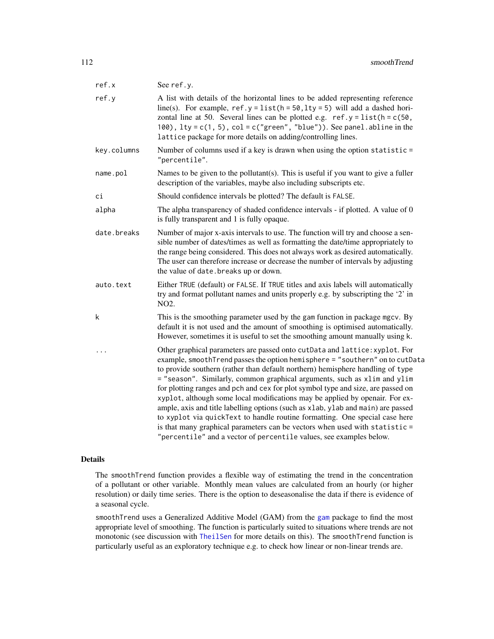| See ref.y.                                                                                                                                                                                                                                                                                                                                                                                                                                                                                                                                                                                                                                                                                                                                                                                                             |
|------------------------------------------------------------------------------------------------------------------------------------------------------------------------------------------------------------------------------------------------------------------------------------------------------------------------------------------------------------------------------------------------------------------------------------------------------------------------------------------------------------------------------------------------------------------------------------------------------------------------------------------------------------------------------------------------------------------------------------------------------------------------------------------------------------------------|
| A list with details of the horizontal lines to be added representing reference<br>line(s). For example, $ref.y = list(h = 50, lty = 5)$ will add a dashed hori-<br>zontal line at 50. Several lines can be plotted e.g. $ref.y = list(h = c(50,$<br>100), $lty = c(1, 5)$ , $col = c("green", "blue"))$ . See panel. abline in the<br>lattice package for more details on adding/controlling lines.                                                                                                                                                                                                                                                                                                                                                                                                                    |
| Number of columns used if a key is drawn when using the option statistic =<br>"percentile".                                                                                                                                                                                                                                                                                                                                                                                                                                                                                                                                                                                                                                                                                                                            |
| Names to be given to the pollutant(s). This is useful if you want to give a fuller<br>description of the variables, maybe also including subscripts etc.                                                                                                                                                                                                                                                                                                                                                                                                                                                                                                                                                                                                                                                               |
| Should confidence intervals be plotted? The default is FALSE.                                                                                                                                                                                                                                                                                                                                                                                                                                                                                                                                                                                                                                                                                                                                                          |
| The alpha transparency of shaded confidence intervals - if plotted. A value of 0<br>is fully transparent and 1 is fully opaque.                                                                                                                                                                                                                                                                                                                                                                                                                                                                                                                                                                                                                                                                                        |
| Number of major x-axis intervals to use. The function will try and choose a sen-<br>sible number of dates/times as well as formatting the date/time appropriately to<br>the range being considered. This does not always work as desired automatically.<br>The user can therefore increase or decrease the number of intervals by adjusting<br>the value of date. breaks up or down.                                                                                                                                                                                                                                                                                                                                                                                                                                   |
| Either TRUE (default) or FALSE. If TRUE titles and axis labels will automatically<br>try and format pollutant names and units properly e.g. by subscripting the '2' in<br>NO2.                                                                                                                                                                                                                                                                                                                                                                                                                                                                                                                                                                                                                                         |
| This is the smoothing parameter used by the gam function in package mgcv. By<br>default it is not used and the amount of smoothing is optimised automatically.<br>However, sometimes it is useful to set the smoothing amount manually using k.                                                                                                                                                                                                                                                                                                                                                                                                                                                                                                                                                                        |
| Other graphical parameters are passed onto cutData and lattice: xyplot. For<br>example, smoothTrend passes the option hemisphere = "southern" on to cutData<br>to provide southern (rather than default northern) hemisphere handling of type<br>= "season". Similarly, common graphical arguments, such as xlim and ylim<br>for plotting ranges and pch and cex for plot symbol type and size, are passed on<br>xyplot, although some local modifications may be applied by openair. For ex-<br>ample, axis and title labelling options (such as xlab, ylab and main) are passed<br>to xyplot via quickText to handle routine formatting. One special case here<br>is that many graphical parameters can be vectors when used with statistic =<br>"percentile" and a vector of percentile values, see examples below. |
|                                                                                                                                                                                                                                                                                                                                                                                                                                                                                                                                                                                                                                                                                                                                                                                                                        |

The smoothTrend function provides a flexible way of estimating the trend in the concentration of a pollutant or other variable. Monthly mean values are calculated from an hourly (or higher resolution) or daily time series. There is the option to deseasonalise the data if there is evidence of a seasonal cycle.

smoothTrend uses a Generalized Additive Model (GAM) from the [gam](#page-0-0) package to find the most appropriate level of smoothing. The function is particularly suited to situations where trends are not monotonic (see discussion with [TheilSen](#page-122-0) for more details on this). The smoothTrend function is particularly useful as an exploratory technique e.g. to check how linear or non-linear trends are.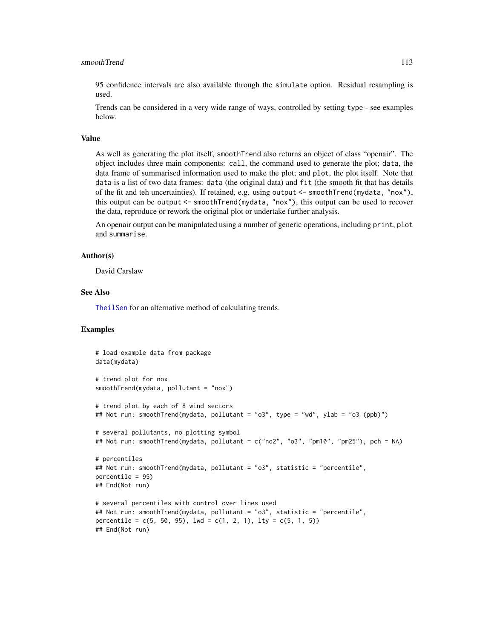### smoothTrend 113

95 confidence intervals are also available through the simulate option. Residual resampling is used.

Trends can be considered in a very wide range of ways, controlled by setting type - see examples below.

### Value

As well as generating the plot itself, smoothTrend also returns an object of class "openair". The object includes three main components: call, the command used to generate the plot; data, the data frame of summarised information used to make the plot; and plot, the plot itself. Note that data is a list of two data frames: data (the original data) and fit (the smooth fit that has details of the fit and teh uncertainties). If retained, e.g. using output <- smoothTrend(mydata, "nox"), this output can be output <- smoothTrend(mydata, "nox"), this output can be used to recover the data, reproduce or rework the original plot or undertake further analysis.

An openair output can be manipulated using a number of generic operations, including print, plot and summarise.

### Author(s)

David Carslaw

# See Also

[TheilSen](#page-122-0) for an alternative method of calculating trends.

```
# load example data from package
data(mydata)
# trend plot for nox
smoothTrend(mydata, pollutant = "nox")
# trend plot by each of 8 wind sectors
## Not run: smoothTrend(mydata, pollutant = "o3", type = "wd", ylab = "o3 (ppb)")
# several pollutants, no plotting symbol
## Not run: smoothTrend(mydata, pollutant = c("no2", "o3", "pm10", "pm25"), pch = NA)
# percentiles
## Not run: smoothTrend(mydata, pollutant = "o3", statistic = "percentile",
percentile = 95)
## End(Not run)
# several percentiles with control over lines used
## Not run: smoothTrend(mydata, pollutant = "o3", statistic = "percentile",
percentile = c(5, 50, 95), lwd = c(1, 2, 1), lty = c(5, 1, 5))
## End(Not run)
```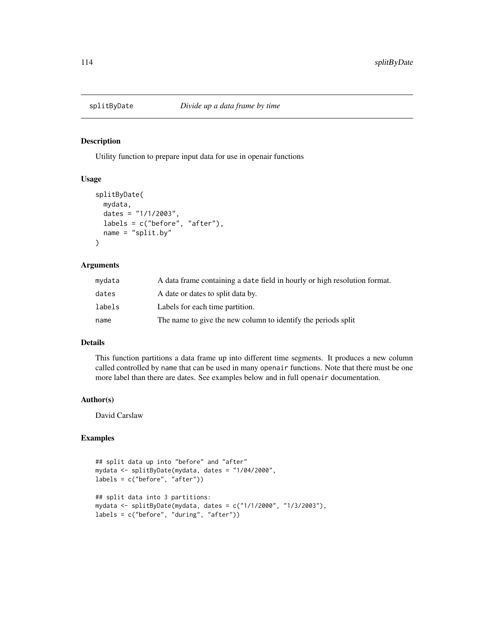# Description

Utility function to prepare input data for use in openair functions

### Usage

```
splitByDate(
 mydata,
 dates = "1/1/2003",
 labels = c("before", "after"),
 name = "split.by")
```
# Arguments

| mydata | A data frame containing a date field in hourly or high resolution format. |
|--------|---------------------------------------------------------------------------|
| dates  | A date or dates to split data by.                                         |
| labels | Labels for each time partition.                                           |
| name   | The name to give the new column to identify the periods split             |

### Details

This function partitions a data frame up into different time segments. It produces a new column called controlled by name that can be used in many openair functions. Note that there must be one more label than there are dates. See examples below and in full openair documentation.

# Author(s)

David Carslaw

```
## split data up into "before" and "after"
mydata <- splitByDate(mydata, dates = "1/04/2000",
labels = c("before", "after"))
## split data into 3 partitions:
mydata <- splitByDate(mydata, dates = c("1/1/2000", "1/3/2003"),
labels = c("before", "during", "after"))
```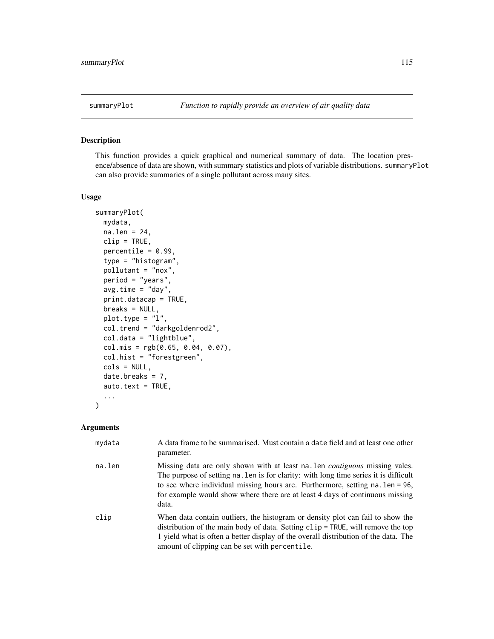### Description

This function provides a quick graphical and numerical summary of data. The location presence/absence of data are shown, with summary statistics and plots of variable distributions. summaryPlot can also provide summaries of a single pollutant across many sites.

# Usage

```
summaryPlot(
 mydata,
 na. len = 24,
 clip = TRUE,
 percentile = 0.99,
  type = "histogram",
  pollutant = "nox",
 period = "years",
  avg.time = "day",print.datacap = TRUE,
 breaks = NULL,plot.type = "l",
  col.trend = "darkgoldenrod2",
  col.data = "lightblue",
 col.mis = rgb(0.65, 0.04, 0.07),
  col.hist = "forestgreen",
  cols = NULL,
  date.breaks = 7,
  auto.text = TRUE,
  ...
)
```

| mydata | A data frame to be summarised. Must contain a date field and at least one other<br>parameter.                                                                                                                                                                                                                                                        |
|--------|------------------------------------------------------------------------------------------------------------------------------------------------------------------------------------------------------------------------------------------------------------------------------------------------------------------------------------------------------|
| na.len | Missing data are only shown with at least na. Len <i>contiguous</i> missing vales.<br>The purpose of setting na. Len is for clarity: with long time series it is difficult<br>to see where individual missing hours are. Furthermore, setting na. len = 96,<br>for example would show where there are at least 4 days of continuous missing<br>data. |
| clip   | When data contain outliers, the histogram or density plot can fail to show the<br>distribution of the main body of data. Setting clip = TRUE, will remove the top<br>1 yield what is often a better display of the overall distribution of the data. The<br>amount of clipping can be set with percentile.                                           |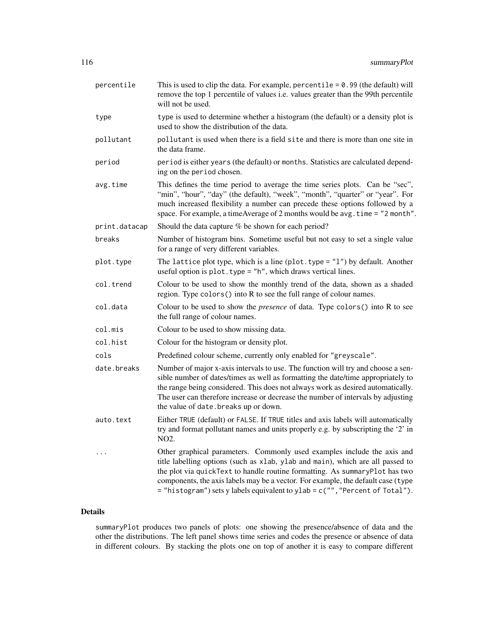| percentile    | This is used to clip the data. For example, percentile = $0.99$ (the default) will<br>remove the top 1 percentile of values i.e. values greater than the 99th percentile<br>will not be used.                                                                                                                                                                                                                |
|---------------|--------------------------------------------------------------------------------------------------------------------------------------------------------------------------------------------------------------------------------------------------------------------------------------------------------------------------------------------------------------------------------------------------------------|
| type          | type is used to determine whether a histogram (the default) or a density plot is<br>used to show the distribution of the data.                                                                                                                                                                                                                                                                               |
| pollutant     | pollutant is used when there is a field site and there is more than one site in<br>the data frame.                                                                                                                                                                                                                                                                                                           |
| period        | period is either years (the default) or months. Statistics are calculated depend-<br>ing on the period chosen.                                                                                                                                                                                                                                                                                               |
| avg.time      | This defines the time period to average the time series plots. Can be "sec",<br>"min", "hour", "day" (the default), "week", "month", "quarter" or "year". For<br>much increased flexibility a number can precede these options followed by a<br>space. For example, a timeAverage of 2 months would be avg. time = "2 month".                                                                                |
| print.datacap | Should the data capture % be shown for each period?                                                                                                                                                                                                                                                                                                                                                          |
| breaks        | Number of histogram bins. Sometime useful but not easy to set a single value<br>for a range of very different variables.                                                                                                                                                                                                                                                                                     |
| plot.type     | The lattice plot type, which is a line (plot. type = $"1"$ ) by default. Another<br>useful option is plot. type = "h", which draws vertical lines.                                                                                                                                                                                                                                                           |
| col.trend     | Colour to be used to show the monthly trend of the data, shown as a shaded<br>region. Type colors () into R to see the full range of colour names.                                                                                                                                                                                                                                                           |
| col.data      | Colour to be used to show the <i>presence</i> of data. Type colors() into R to see<br>the full range of colour names.                                                                                                                                                                                                                                                                                        |
| col.mis       | Colour to be used to show missing data.                                                                                                                                                                                                                                                                                                                                                                      |
| col.hist      | Colour for the histogram or density plot.                                                                                                                                                                                                                                                                                                                                                                    |
| cols          | Predefined colour scheme, currently only enabled for "greyscale".                                                                                                                                                                                                                                                                                                                                            |
| date.breaks   | Number of major x-axis intervals to use. The function will try and choose a sen-<br>sible number of dates/times as well as formatting the date/time appropriately to<br>the range being considered. This does not always work as desired automatically.<br>The user can therefore increase or decrease the number of intervals by adjusting<br>the value of date. breaks up or down.                         |
| auto.text     | Either TRUE (default) or FALSE. If TRUE titles and axis labels will automatically<br>try and format pollutant names and units properly e.g. by subscripting the '2' in<br>NO <sub>2</sub> .                                                                                                                                                                                                                  |
| $\cdots$      | Other graphical parameters. Commonly used examples include the axis and<br>title labelling options (such as xlab, ylab and main), which are all passed to<br>the plot via quickText to handle routine formatting. As summaryPlot has two<br>components, the axis labels may be a vector. For example, the default case (type<br>= "histogram") sets y labels equivalent to ylab = c("", "Percent of Total"). |

summaryPlot produces two panels of plots: one showing the presence/absence of data and the other the distributions. The left panel shows time series and codes the presence or absence of data in different colours. By stacking the plots one on top of another it is easy to compare different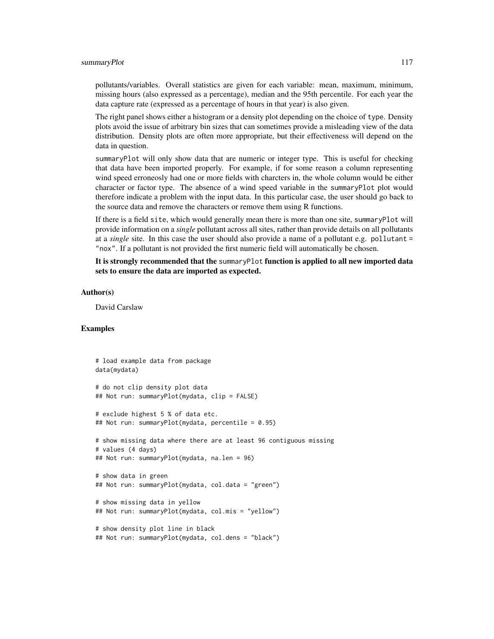### summaryPlot 117

pollutants/variables. Overall statistics are given for each variable: mean, maximum, minimum, missing hours (also expressed as a percentage), median and the 95th percentile. For each year the data capture rate (expressed as a percentage of hours in that year) is also given.

The right panel shows either a histogram or a density plot depending on the choice of type. Density plots avoid the issue of arbitrary bin sizes that can sometimes provide a misleading view of the data distribution. Density plots are often more appropriate, but their effectiveness will depend on the data in question.

summaryPlot will only show data that are numeric or integer type. This is useful for checking that data have been imported properly. For example, if for some reason a column representing wind speed erroneosly had one or more fields with charcters in, the whole column would be either character or factor type. The absence of a wind speed variable in the summaryPlot plot would therefore indicate a problem with the input data. In this particular case, the user should go back to the source data and remove the characters or remove them using R functions.

If there is a field site, which would generally mean there is more than one site, summaryPlot will provide information on a *single* pollutant across all sites, rather than provide details on all pollutants at a *single* site. In this case the user should also provide a name of a pollutant e.g. pollutant = "nox". If a pollutant is not provided the first numeric field will automatically be chosen.

It is strongly recommended that the summaryPlot function is applied to all new imported data sets to ensure the data are imported as expected.

### Author(s)

David Carslaw

```
# load example data from package
data(mydata)
# do not clip density plot data
## Not run: summaryPlot(mydata, clip = FALSE)
# exclude highest 5 % of data etc.
## Not run: summaryPlot(mydata, percentile = 0.95)
# show missing data where there are at least 96 contiguous missing
# values (4 days)
## Not run: summaryPlot(mydata, na.len = 96)
# show data in green
## Not run: summaryPlot(mydata, col.data = "green")
# show missing data in yellow
## Not run: summaryPlot(mydata, col.mis = "yellow")
# show density plot line in black
## Not run: summaryPlot(mydata, col.dens = "black")
```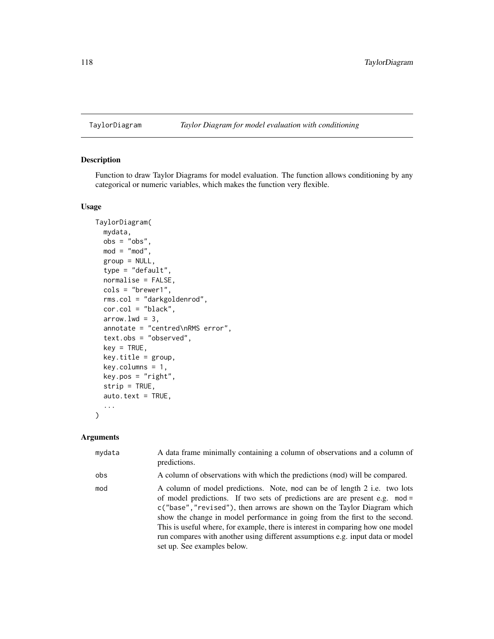### TaylorDiagram *Taylor Diagram for model evaluation with conditioning*

# Description

Function to draw Taylor Diagrams for model evaluation. The function allows conditioning by any categorical or numeric variables, which makes the function very flexible.

# Usage

```
TaylorDiagram(
  mydata,
 obs = "obs",mod = "mod",
  group = NULL,
  type = "default",
  normalise = FALSE,
  cols = "brewer1",
  rms.col = "darkgoldenrod",
  cor.col = "black",
  arrow.lwd = 3,
  annotate = "centred\nRMS error",
  text.obs = "observed",
  key = TRUE,key.title = group,
  key.columns = 1,
  key.pos = "right",
  strip = TRUE,
  auto.text = TRUE,...
)
```

| mydata | A data frame minimally containing a column of observations and a column of<br>predictions.                                                                                                                                                                                                                                                                                                                                                                                                                             |
|--------|------------------------------------------------------------------------------------------------------------------------------------------------------------------------------------------------------------------------------------------------------------------------------------------------------------------------------------------------------------------------------------------------------------------------------------------------------------------------------------------------------------------------|
| obs    | A column of observations with which the predictions (mod) will be compared.                                                                                                                                                                                                                                                                                                                                                                                                                                            |
| mod    | A column of model predictions. Note, mod can be of length 2 i.e. two lots<br>of model predictions. If two sets of predictions are are present e.g. mod =<br>c("base", "revised"), then arrows are shown on the Taylor Diagram which<br>show the change in model performance in going from the first to the second.<br>This is useful where, for example, there is interest in comparing how one model<br>run compares with another using different assumptions e.g. input data or model<br>set up. See examples below. |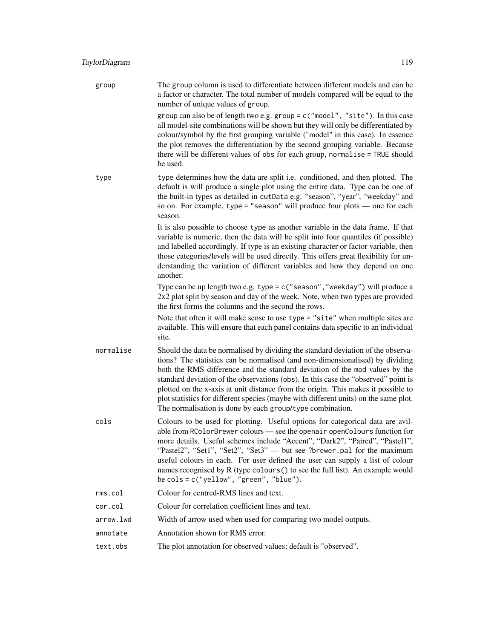| group     | The group column is used to differentiate between different models and can be<br>a factor or character. The total number of models compared will be equal to the<br>number of unique values of group.                                                                                                                                                                                                                                                                                                                                                                            |
|-----------|----------------------------------------------------------------------------------------------------------------------------------------------------------------------------------------------------------------------------------------------------------------------------------------------------------------------------------------------------------------------------------------------------------------------------------------------------------------------------------------------------------------------------------------------------------------------------------|
|           | group can also be of length two e.g. group = c("model", "site"). In this case<br>all model-site combinations will be shown but they will only be differentiated by<br>colour/symbol by the first grouping variable ("model" in this case). In essence<br>the plot removes the differentiation by the second grouping variable. Because<br>there will be different values of obs for each group, normalise = TRUE should<br>be used.                                                                                                                                              |
| type      | type determines how the data are split i.e. conditioned, and then plotted. The<br>default is will produce a single plot using the entire data. Type can be one of<br>the built-in types as detailed in cutData e.g. "season", "year", "weekday" and<br>so on. For example, type = "season" will produce four plots $-$ one for each<br>season.                                                                                                                                                                                                                                   |
|           | It is also possible to choose type as another variable in the data frame. If that<br>variable is numeric, then the data will be split into four quantiles (if possible)<br>and labelled accordingly. If type is an existing character or factor variable, then<br>those categories/levels will be used directly. This offers great flexibility for un-<br>derstanding the variation of different variables and how they depend on one<br>another.                                                                                                                                |
|           | Type can be up length two e.g. type = c("season", "weekday") will produce a<br>2x2 plot split by season and day of the week. Note, when two types are provided<br>the first forms the columns and the second the rows.                                                                                                                                                                                                                                                                                                                                                           |
|           | Note that often it will make sense to use type = "site" when multiple sites are<br>available. This will ensure that each panel contains data specific to an individual<br>site.                                                                                                                                                                                                                                                                                                                                                                                                  |
| normalise | Should the data be normalised by dividing the standard deviation of the observa-<br>tions? The statistics can be normalised (and non-dimensionalised) by dividing<br>both the RMS difference and the standard deviation of the mod values by the<br>standard deviation of the observations (obs). In this case the "observed" point is<br>plotted on the x-axis at unit distance from the origin. This makes it possible to<br>plot statistics for different species (maybe with different units) on the same plot.<br>The normalisation is done by each group/type combination. |
| cols      | Colours to be used for plotting. Useful options for categorical data are avil-<br>able from RColorBrewer colours - see the openair openColours function for<br>more details. Useful schemes include "Accent", "Dark2", "Paired", "Pastel1",<br>"Pastel2", "Set1", "Set2", "Set3" — but see ?brewer.pal for the maximum<br>useful colours in each. For user defined the user can supply a list of colour<br>names recognised by R (type colours () to see the full list). An example would<br>be $\text{cols} = c("yellow", "green", "blue").$                                    |
| rms.col   | Colour for centred-RMS lines and text.                                                                                                                                                                                                                                                                                                                                                                                                                                                                                                                                           |
| cor.col   | Colour for correlation coefficient lines and text.                                                                                                                                                                                                                                                                                                                                                                                                                                                                                                                               |
| arrow.lwd | Width of arrow used when used for comparing two model outputs.                                                                                                                                                                                                                                                                                                                                                                                                                                                                                                                   |
| annotate  | Annotation shown for RMS error.                                                                                                                                                                                                                                                                                                                                                                                                                                                                                                                                                  |
| text.obs  | The plot annotation for observed values; default is "observed".                                                                                                                                                                                                                                                                                                                                                                                                                                                                                                                  |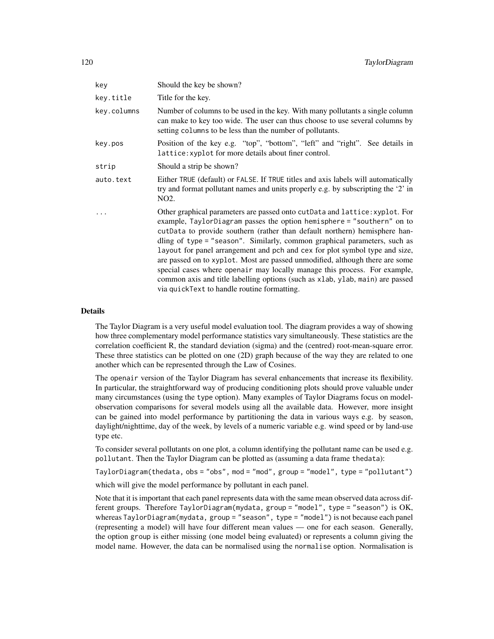| key         | Should the key be shown?                                                                                                                                                                                                                                                                                                                                                                                                                                                                                                                                                                                                                                                                     |
|-------------|----------------------------------------------------------------------------------------------------------------------------------------------------------------------------------------------------------------------------------------------------------------------------------------------------------------------------------------------------------------------------------------------------------------------------------------------------------------------------------------------------------------------------------------------------------------------------------------------------------------------------------------------------------------------------------------------|
| key.title   | Title for the key.                                                                                                                                                                                                                                                                                                                                                                                                                                                                                                                                                                                                                                                                           |
| key.columns | Number of columns to be used in the key. With many pollutants a single column<br>can make to key too wide. The user can thus choose to use several columns by<br>setting columns to be less than the number of pollutants.                                                                                                                                                                                                                                                                                                                                                                                                                                                                   |
| key.pos     | Position of the key e.g. "top", "bottom", "left" and "right". See details in<br>lattice: xyplot for more details about finer control.                                                                                                                                                                                                                                                                                                                                                                                                                                                                                                                                                        |
| strip       | Should a strip be shown?                                                                                                                                                                                                                                                                                                                                                                                                                                                                                                                                                                                                                                                                     |
| auto.text   | Either TRUE (default) or FALSE. If TRUE titles and axis labels will automatically<br>try and format pollutant names and units properly e.g. by subscripting the '2' in<br>NO <sub>2</sub> .                                                                                                                                                                                                                                                                                                                                                                                                                                                                                                  |
| .           | Other graphical parameters are passed onto cutData and lattice: xyplot. For<br>example, TaylorDiagram passes the option hemisphere = "southern" on to<br>cutData to provide southern (rather than default northern) hemisphere han-<br>dling of type = "season". Similarly, common graphical parameters, such as<br>layout for panel arrangement and pch and cex for plot symbol type and size,<br>are passed on to xyplot. Most are passed unmodified, although there are some<br>special cases where openair may locally manage this process. For example,<br>common axis and title labelling options (such as xlab, ylab, main) are passed<br>via quickText to handle routine formatting. |

The Taylor Diagram is a very useful model evaluation tool. The diagram provides a way of showing how three complementary model performance statistics vary simultaneously. These statistics are the correlation coefficient R, the standard deviation (sigma) and the (centred) root-mean-square error. These three statistics can be plotted on one (2D) graph because of the way they are related to one another which can be represented through the Law of Cosines.

The openair version of the Taylor Diagram has several enhancements that increase its flexibility. In particular, the straightforward way of producing conditioning plots should prove valuable under many circumstances (using the type option). Many examples of Taylor Diagrams focus on modelobservation comparisons for several models using all the available data. However, more insight can be gained into model performance by partitioning the data in various ways e.g. by season, daylight/nighttime, day of the week, by levels of a numeric variable e.g. wind speed or by land-use type etc.

To consider several pollutants on one plot, a column identifying the pollutant name can be used e.g. pollutant. Then the Taylor Diagram can be plotted as (assuming a data frame thedata):

TaylorDiagram(thedata, obs = "obs", mod = "mod", group = "model", type = "pollutant")

which will give the model performance by pollutant in each panel.

Note that it is important that each panel represents data with the same mean observed data across different groups. Therefore TaylorDiagram(mydata, group = "model", type = "season") is OK, whereas TaylorDiagram(mydata, group = "season", type = "model") is not because each panel (representing a model) will have four different mean values — one for each season. Generally, the option group is either missing (one model being evaluated) or represents a column giving the model name. However, the data can be normalised using the normalise option. Normalisation is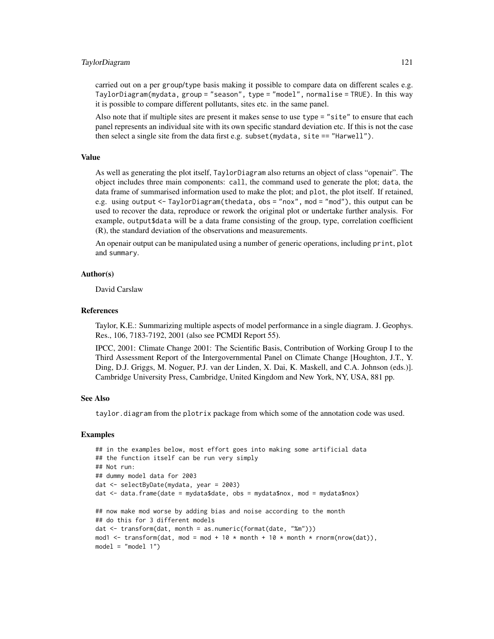### TaylorDiagram 121

carried out on a per group/type basis making it possible to compare data on different scales e.g. TaylorDiagram(mydata, group = "season", type = "model", normalise = TRUE). In this way it is possible to compare different pollutants, sites etc. in the same panel.

Also note that if multiple sites are present it makes sense to use type = "site" to ensure that each panel represents an individual site with its own specific standard deviation etc. If this is not the case then select a single site from the data first e.g. subset(mydata, site == "Harwell").

### Value

As well as generating the plot itself, TaylorDiagram also returns an object of class "openair". The object includes three main components: call, the command used to generate the plot; data, the data frame of summarised information used to make the plot; and plot, the plot itself. If retained, e.g. using output <- TaylorDiagram(thedata, obs = "nox", mod = "mod"), this output can be used to recover the data, reproduce or rework the original plot or undertake further analysis. For example, output\$data will be a data frame consisting of the group, type, correlation coefficient (R), the standard deviation of the observations and measurements.

An openair output can be manipulated using a number of generic operations, including print, plot and summary.

### Author(s)

David Carslaw

### References

Taylor, K.E.: Summarizing multiple aspects of model performance in a single diagram. J. Geophys. Res., 106, 7183-7192, 2001 (also see PCMDI Report 55).

IPCC, 2001: Climate Change 2001: The Scientific Basis, Contribution of Working Group I to the Third Assessment Report of the Intergovernmental Panel on Climate Change [Houghton, J.T., Y. Ding, D.J. Griggs, M. Noguer, P.J. van der Linden, X. Dai, K. Maskell, and C.A. Johnson (eds.)]. Cambridge University Press, Cambridge, United Kingdom and New York, NY, USA, 881 pp.

# See Also

taylor.diagram from the plotrix package from which some of the annotation code was used.

```
## in the examples below, most effort goes into making some artificial data
## the function itself can be run very simply
## Not run:
## dummy model data for 2003
dat <- selectByDate(mydata, year = 2003)
dat <- data.frame(date = mydata$date, obs = mydata$nox, mod = mydata$nox)
## now make mod worse by adding bias and noise according to the month
## do this for 3 different models
dat <- transform(dat, month = as.numeric(format(date, "%m")))
mod1 <- transform(dat, mod = mod + 10 * month + 10 * month * rnorm(nrow(dat)),
model = "model 1")
```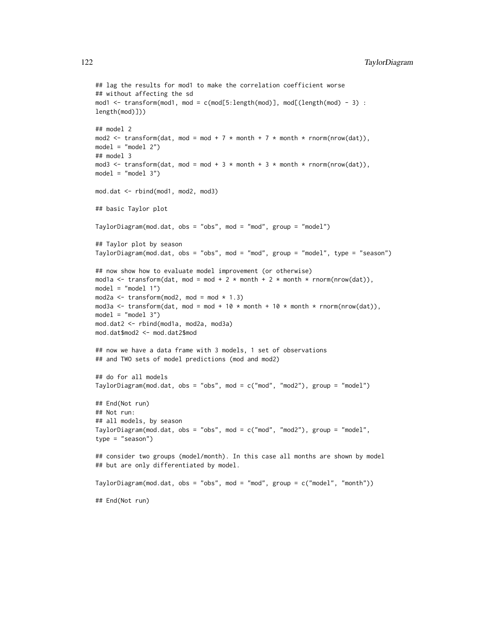```
## lag the results for mod1 to make the correlation coefficient worse
## without affecting the sd
mod1 <- transform(mod1, mod = c(mod[5:length(mod)], mod[(length(mod) - 3) :
length(mod)]))
## model 2
mod2 <- transform(dat, mod = mod + 7 * month + 7 * month * rnorm(nrow(dat)),
model = "model 2")## model 3
mod3 <- transform(dat, mod = mod + 3 * month + 3 * month * rnorm(nrow(dat)),
model = "model 3")
mod.dat <- rbind(mod1, mod2, mod3)
## basic Taylor plot
TaylorDiagram(mod.dat, obs = "obs", mod = "mod", group = "model")
## Taylor plot by season
TaylorDiagram(mod.dat, obs = "obs", mod = "mod", group = "model", type = "season")
## now show how to evaluate model improvement (or otherwise)
mod1a <- transform(dat, mod = mod + 2 * month + 2 * month * rnorm(nrow(dat)),
model = "model 1")
mod2a \le transform(mod2, mod = mod * 1.3)
mod3a <- transform(dat, mod = mod + 10 * month + 10 * month * rnorm(nrow(dat)),
model = "model 3")mod.dat2 <- rbind(mod1a, mod2a, mod3a)
mod.dat$mod2 <- mod.dat2$mod
## now we have a data frame with 3 models, 1 set of observations
## and TWO sets of model predictions (mod and mod2)
## do for all models
TaylorDiagram(mod.dat, obs = "obs", mod = c("mod", "mod2"), group = "model")
## End(Not run)
## Not run:
## all models, by season
TaylorDiagram(mod.dat, obs = "obs", mod = c("mod", "mod2"), group = "model",
type = "season")
## consider two groups (model/month). In this case all months are shown by model
## but are only differentiated by model.
TaylorDiagram(mod.dat, obs = "obs", mod = "mod", group = c("model", "month"))
## End(Not run)
```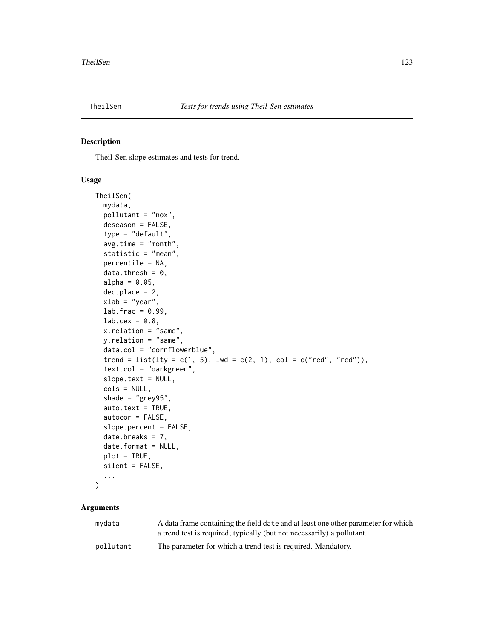<span id="page-122-0"></span>

# Description

Theil-Sen slope estimates and tests for trend.

# Usage

```
TheilSen(
  mydata,
  pollutant = "nox",
  deseason = FALSE,
  type = "default",
  avg.time = "month",statistic = "mean",
  percentile = NA,
  data.thresh = 0,
  alpha = 0.05,
  dec.place = 2,
  xlab = "year",
  lab.frac = 0.99,lab.cex = 0.8,
  x.relation = "same",
  y.relation = "same",
  data.col = "cornflowerblue",
  trend = list(lty = c(1, 5), lwd = c(2, 1), col = c("red", "red")),
  text.col = "darkgreen",
  slope.text = NULL,
  cols = NULL,
  shade = "grey95",auto.text = TRUE,autocor = FALSE,
  slope.percent = FALSE,
  date.breaks = 7,
  date.format = NULL,
  plot = TRUE,
  silent = FALSE,
  ...
)
```

| mydata    | A data frame containing the field date and at least one other parameter for which |
|-----------|-----------------------------------------------------------------------------------|
|           | a trend test is required; typically (but not necessarily) a pollutant.            |
| pollutant | The parameter for which a trend test is required. Mandatory.                      |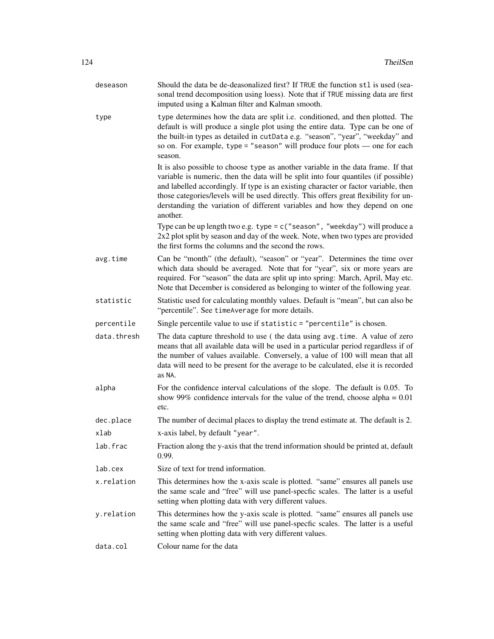| deseason    | Should the data be de-deasonalized first? If TRUE the function stl is used (sea-<br>sonal trend decomposition using loess). Note that if TRUE missing data are first<br>imputed using a Kalman filter and Kalman smooth.                                                                                                                                                                                                                          |
|-------------|---------------------------------------------------------------------------------------------------------------------------------------------------------------------------------------------------------------------------------------------------------------------------------------------------------------------------------------------------------------------------------------------------------------------------------------------------|
| type        | type determines how the data are split i.e. conditioned, and then plotted. The<br>default is will produce a single plot using the entire data. Type can be one of<br>the built-in types as detailed in cutData e.g. "season", "year", "weekday" and<br>so on. For example, type = "season" will produce four plots $-$ one for each<br>season.                                                                                                    |
|             | It is also possible to choose type as another variable in the data frame. If that<br>variable is numeric, then the data will be split into four quantiles (if possible)<br>and labelled accordingly. If type is an existing character or factor variable, then<br>those categories/levels will be used directly. This offers great flexibility for un-<br>derstanding the variation of different variables and how they depend on one<br>another. |
|             | Type can be up length two e.g. type = $c$ ("season", "weekday") will produce a<br>2x2 plot split by season and day of the week. Note, when two types are provided<br>the first forms the columns and the second the rows.                                                                                                                                                                                                                         |
| avg.time    | Can be "month" (the default), "season" or "year". Determines the time over<br>which data should be averaged. Note that for "year", six or more years are<br>required. For "season" the data are split up into spring: March, April, May etc.<br>Note that December is considered as belonging to winter of the following year.                                                                                                                    |
| statistic   | Statistic used for calculating monthly values. Default is "mean", but can also be<br>"percentile". See timeAverage for more details.                                                                                                                                                                                                                                                                                                              |
| percentile  | Single percentile value to use if statistic = "percentile" is chosen.                                                                                                                                                                                                                                                                                                                                                                             |
| data.thresh | The data capture threshold to use (the data using avg.time. A value of zero<br>means that all available data will be used in a particular period regardless if of<br>the number of values available. Conversely, a value of 100 will mean that all<br>data will need to be present for the average to be calculated, else it is recorded<br>as NA.                                                                                                |
| alpha       | For the confidence interval calculations of the slope. The default is 0.05. To<br>show 99% confidence intervals for the value of the trend, choose alpha = $0.01$<br>etc.                                                                                                                                                                                                                                                                         |
| dec.place   | The number of decimal places to display the trend estimate at. The default is 2.                                                                                                                                                                                                                                                                                                                                                                  |
| xlab        | x-axis label, by default "year".                                                                                                                                                                                                                                                                                                                                                                                                                  |
| lab.frac    | Fraction along the y-axis that the trend information should be printed at, default<br>0.99.                                                                                                                                                                                                                                                                                                                                                       |
| lab.cex     | Size of text for trend information.                                                                                                                                                                                                                                                                                                                                                                                                               |
| x.relation  | This determines how the x-axis scale is plotted. "same" ensures all panels use<br>the same scale and "free" will use panel-specfic scales. The latter is a useful<br>setting when plotting data with very different values.                                                                                                                                                                                                                       |
| y.relation  | This determines how the y-axis scale is plotted. "same" ensures all panels use<br>the same scale and "free" will use panel-specfic scales. The latter is a useful<br>setting when plotting data with very different values.                                                                                                                                                                                                                       |
| data.col    | Colour name for the data                                                                                                                                                                                                                                                                                                                                                                                                                          |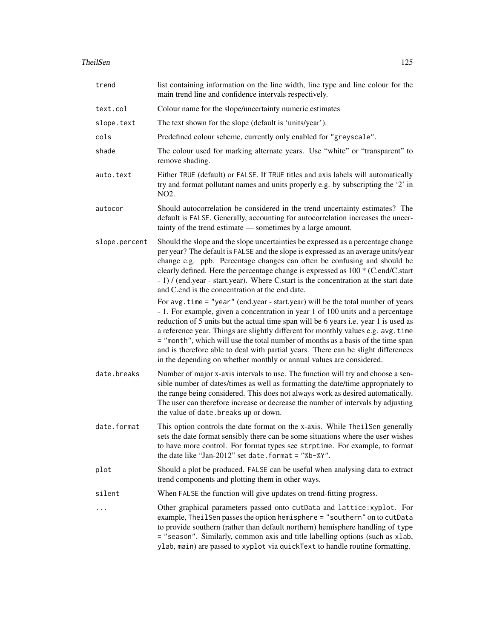### TheilSen 125

| trend         | list containing information on the line width, line type and line colour for the<br>main trend line and confidence intervals respectively.                                                                                                                                                                                                                                                                                                                                                                                                                                                      |
|---------------|-------------------------------------------------------------------------------------------------------------------------------------------------------------------------------------------------------------------------------------------------------------------------------------------------------------------------------------------------------------------------------------------------------------------------------------------------------------------------------------------------------------------------------------------------------------------------------------------------|
| text.col      | Colour name for the slope/uncertainty numeric estimates                                                                                                                                                                                                                                                                                                                                                                                                                                                                                                                                         |
| slope.text    | The text shown for the slope (default is 'units/year').                                                                                                                                                                                                                                                                                                                                                                                                                                                                                                                                         |
| cols          | Predefined colour scheme, currently only enabled for "greyscale".                                                                                                                                                                                                                                                                                                                                                                                                                                                                                                                               |
| shade         | The colour used for marking alternate years. Use "white" or "transparent" to<br>remove shading.                                                                                                                                                                                                                                                                                                                                                                                                                                                                                                 |
| auto.text     | Either TRUE (default) or FALSE. If TRUE titles and axis labels will automatically<br>try and format pollutant names and units properly e.g. by subscripting the '2' in<br>NO <sub>2</sub> .                                                                                                                                                                                                                                                                                                                                                                                                     |
| autocor       | Should autocorrelation be considered in the trend uncertainty estimates? The<br>default is FALSE. Generally, accounting for autocorrelation increases the uncer-<br>tainty of the trend estimate — sometimes by a large amount.                                                                                                                                                                                                                                                                                                                                                                 |
| slope.percent | Should the slope and the slope uncertainties be expressed as a percentage change<br>per year? The default is FALSE and the slope is expressed as an average units/year<br>change e.g. ppb. Percentage changes can often be confusing and should be<br>clearly defined. Here the percentage change is expressed as 100 * (C.end/C.start<br>- 1) / (end.year - start.year). Where C.start is the concentration at the start date<br>and C.end is the concentration at the end date.                                                                                                               |
|               | For avg.time = "year" (end.year - start.year) will be the total number of years<br>- 1. For example, given a concentration in year 1 of 100 units and a percentage<br>reduction of 5 units but the actual time span will be 6 years i.e. year 1 is used as<br>a reference year. Things are slightly different for monthly values e.g. avg.time<br>= "month", which will use the total number of months as a basis of the time span<br>and is therefore able to deal with partial years. There can be slight differences<br>in the depending on whether monthly or annual values are considered. |
| date.breaks   | Number of major x-axis intervals to use. The function will try and choose a sen-<br>sible number of dates/times as well as formatting the date/time appropriately to<br>the range being considered. This does not always work as desired automatically.<br>The user can therefore increase or decrease the number of intervals by adjusting<br>the value of date. breaks up or down.                                                                                                                                                                                                            |
| date.format   | This option controls the date format on the x-axis. While TheilSen generally<br>sets the date format sensibly there can be some situations where the user wishes<br>to have more control. For format types see strptime. For example, to format<br>the date like "Jan-2012" set date.format = "%b-%Y".                                                                                                                                                                                                                                                                                          |
| plot          | Should a plot be produced. FALSE can be useful when analysing data to extract<br>trend components and plotting them in other ways.                                                                                                                                                                                                                                                                                                                                                                                                                                                              |
| silent        | When FALSE the function will give updates on trend-fitting progress.                                                                                                                                                                                                                                                                                                                                                                                                                                                                                                                            |
|               | Other graphical parameters passed onto cutData and lattice: xyplot. For<br>example, TheilSen passes the option hemisphere = "southern" on to cutData<br>to provide southern (rather than default northern) hemisphere handling of type<br>= "season". Similarly, common axis and title labelling options (such as xlab,<br>ylab, main) are passed to xyplot via quickText to handle routine formatting.                                                                                                                                                                                         |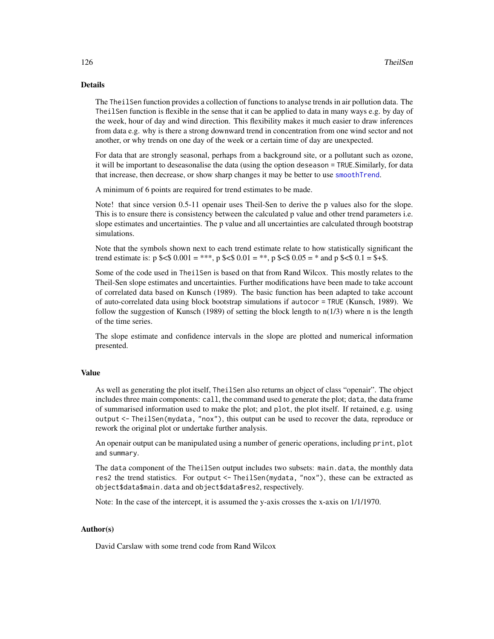The TheilSen function provides a collection of functions to analyse trends in air pollution data. The TheilSen function is flexible in the sense that it can be applied to data in many ways e.g. by day of the week, hour of day and wind direction. This flexibility makes it much easier to draw inferences from data e.g. why is there a strong downward trend in concentration from one wind sector and not another, or why trends on one day of the week or a certain time of day are unexpected.

For data that are strongly seasonal, perhaps from a background site, or a pollutant such as ozone, it will be important to deseasonalise the data (using the option deseason = TRUE.Similarly, for data that increase, then decrease, or show sharp changes it may be better to use [smoothTrend](#page-109-0).

A minimum of 6 points are required for trend estimates to be made.

Note! that since version 0.5-11 openair uses Theil-Sen to derive the p values also for the slope. This is to ensure there is consistency between the calculated p value and other trend parameters i.e. slope estimates and uncertainties. The p value and all uncertainties are calculated through bootstrap simulations.

Note that the symbols shown next to each trend estimate relate to how statistically significant the trend estimate is:  $p$  \$<\$  $0.001 =$  \*\*\*,  $p$  \$<\$  $0.01 =$  \*\*,  $p$  \$<\$  $0.05 =$  \* and  $p$  \$<\$  $0.1 =$  \$+\$.

Some of the code used in TheilSen is based on that from Rand Wilcox. This mostly relates to the Theil-Sen slope estimates and uncertainties. Further modifications have been made to take account of correlated data based on Kunsch (1989). The basic function has been adapted to take account of auto-correlated data using block bootstrap simulations if autocor = TRUE (Kunsch, 1989). We follow the suggestion of Kunsch (1989) of setting the block length to  $n(1/3)$  where n is the length of the time series.

The slope estimate and confidence intervals in the slope are plotted and numerical information presented.

## Value

As well as generating the plot itself, TheilSen also returns an object of class "openair". The object includes three main components: call, the command used to generate the plot; data, the data frame of summarised information used to make the plot; and plot, the plot itself. If retained, e.g. using output <- TheilSen(mydata, "nox"), this output can be used to recover the data, reproduce or rework the original plot or undertake further analysis.

An openair output can be manipulated using a number of generic operations, including print, plot and summary.

The data component of the TheilSen output includes two subsets: main.data, the monthly data res2 the trend statistics. For output <- TheilSen(mydata, "nox"), these can be extracted as object\$data\$main.data and object\$data\$res2, respectively.

Note: In the case of the intercept, it is assumed the y-axis crosses the x-axis on 1/1/1970.

# Author(s)

David Carslaw with some trend code from Rand Wilcox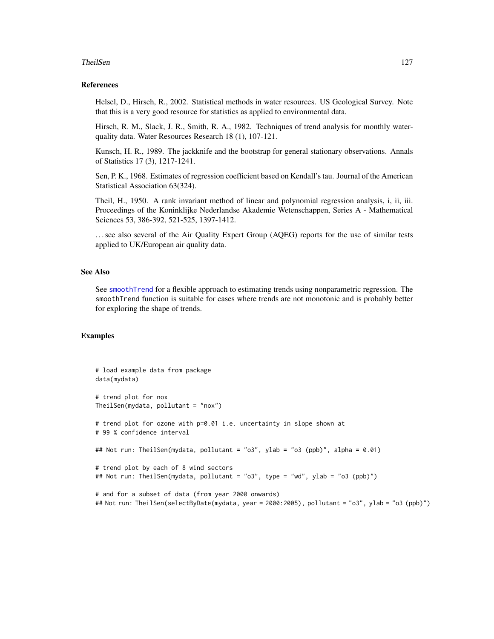### TheilSen 127

### References

Helsel, D., Hirsch, R., 2002. Statistical methods in water resources. US Geological Survey. Note that this is a very good resource for statistics as applied to environmental data.

Hirsch, R. M., Slack, J. R., Smith, R. A., 1982. Techniques of trend analysis for monthly waterquality data. Water Resources Research 18 (1), 107-121.

Kunsch, H. R., 1989. The jackknife and the bootstrap for general stationary observations. Annals of Statistics 17 (3), 1217-1241.

Sen, P. K., 1968. Estimates of regression coefficient based on Kendall's tau. Journal of the American Statistical Association 63(324).

Theil, H., 1950. A rank invariant method of linear and polynomial regression analysis, i, ii, iii. Proceedings of the Koninklijke Nederlandse Akademie Wetenschappen, Series A - Mathematical Sciences 53, 386-392, 521-525, 1397-1412.

. . . see also several of the Air Quality Expert Group (AQEG) reports for the use of similar tests applied to UK/European air quality data.

### See Also

See [smoothTrend](#page-109-0) for a flexible approach to estimating trends using nonparametric regression. The smoothTrend function is suitable for cases where trends are not monotonic and is probably better for exploring the shape of trends.

```
# load example data from package
data(mydata)
# trend plot for nox
TheilSen(mydata, pollutant = "nox")
# trend plot for ozone with p=0.01 i.e. uncertainty in slope shown at
# 99 % confidence interval
## Not run: TheilSen(mydata, pollutant = "o3", ylab = "o3 (ppb)", alpha = 0.01)
# trend plot by each of 8 wind sectors
## Not run: TheilSen(mydata, pollutant = "o3", type = "wd", ylab = "o3 (ppb)")
# and for a subset of data (from year 2000 onwards)
## Not run: TheilSen(selectByDate(mydata, year = 2000:2005), pollutant = "o3", ylab = "o3 (ppb)")
```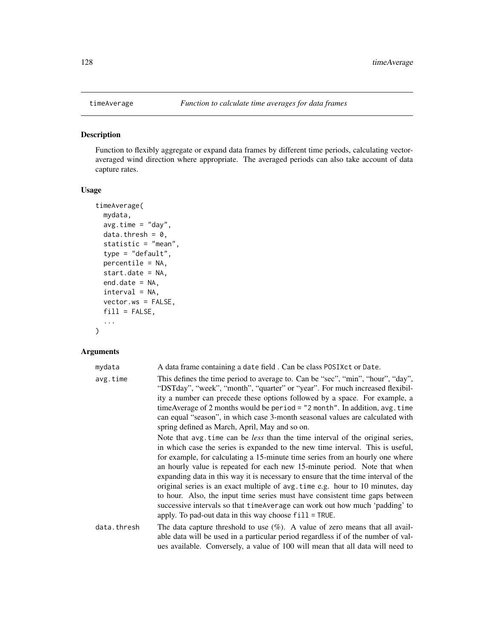<span id="page-127-0"></span>

# Description

Function to flexibly aggregate or expand data frames by different time periods, calculating vectoraveraged wind direction where appropriate. The averaged periods can also take account of data capture rates.

# Usage

```
timeAverage(
 mydata,
 avg.time = "day",
 data.thresh = 0,
  statistic = "mean",
  type = "default",percentile = NA,
  start.date = NA,
 end.date = NA,
  interval = NA,
  vector.ws = FALSE,
 fill = FALSE,...
\mathcal{L}
```

| mydata      | A data frame containing a date field. Can be class POSIX ct or Date.                                                                                                                                                                                                                                                                                                                                                                                                                                                                                                                                                                                                                                                            |
|-------------|---------------------------------------------------------------------------------------------------------------------------------------------------------------------------------------------------------------------------------------------------------------------------------------------------------------------------------------------------------------------------------------------------------------------------------------------------------------------------------------------------------------------------------------------------------------------------------------------------------------------------------------------------------------------------------------------------------------------------------|
| avg.time    | This defines the time period to average to. Can be "sec", "min", "hour", "day",<br>"DSTday", "week", "month", "quarter" or "year". For much increased flexibil-<br>ity a number can precede these options followed by a space. For example, a<br>time Average of 2 months would be period = $"2$ month". In addition, avg. time<br>can equal "season", in which case 3-month seasonal values are calculated with<br>spring defined as March, April, May and so on.                                                                                                                                                                                                                                                              |
|             | Note that avg. time can be less than the time interval of the original series,<br>in which case the series is expanded to the new time interval. This is useful,<br>for example, for calculating a 15-minute time series from an hourly one where<br>an hourly value is repeated for each new 15-minute period. Note that when<br>expanding data in this way it is necessary to ensure that the time interval of the<br>original series is an exact multiple of avg.time e.g. hour to 10 minutes, day<br>to hour. Also, the input time series must have consistent time gaps between<br>successive intervals so that timeAverage can work out how much 'padding' to<br>apply. To pad-out data in this way choose $fill$ = TRUE. |
| data.thresh | The data capture threshold to use $(\%)$ . A value of zero means that all avail-<br>able data will be used in a particular period regardless if of the number of val-<br>ues available. Conversely, a value of 100 will mean that all data will need to                                                                                                                                                                                                                                                                                                                                                                                                                                                                         |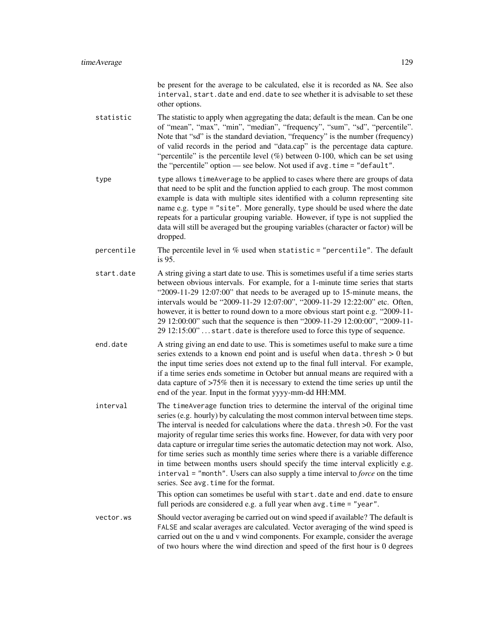be present for the average to be calculated, else it is recorded as NA. See also interval, start.date and end.date to see whether it is advisable to set these other options.

- statistic The statistic to apply when aggregating the data; default is the mean. Can be one of "mean", "max", "min", "median", "frequency", "sum", "sd", "percentile". Note that "sd" is the standard deviation, "frequency" is the number (frequency) of valid records in the period and "data.cap" is the percentage data capture. "percentile" is the percentile level  $(\%)$  between 0-100, which can be set using the "percentile" option — see below. Not used if avg.time = "default".
- type type allows timeAverage to be applied to cases where there are groups of data that need to be split and the function applied to each group. The most common example is data with multiple sites identified with a column representing site name e.g. type = "site". More generally, type should be used where the date repeats for a particular grouping variable. However, if type is not supplied the data will still be averaged but the grouping variables (character or factor) will be dropped.
- percentile The percentile level in  $\%$  used when statistic = "percentile". The default is 95.
- start.date A string giving a start date to use. This is sometimes useful if a time series starts between obvious intervals. For example, for a 1-minute time series that starts "2009-11-29 12:07:00" that needs to be averaged up to 15-minute means, the intervals would be "2009-11-29 12:07:00", "2009-11-29 12:22:00" etc. Often, however, it is better to round down to a more obvious start point e.g. "2009-11- 29 12:00:00" such that the sequence is then "2009-11-29 12:00:00", "2009-11- 29 12:15:00" . . . start.date is therefore used to force this type of sequence.
- end. date A string giving an end date to use. This is sometimes useful to make sure a time series extends to a known end point and is useful when data.thresh  $> 0$  but the input time series does not extend up to the final full interval. For example, if a time series ends sometime in October but annual means are required with a data capture of >75% then it is necessary to extend the time series up until the end of the year. Input in the format yyyy-mm-dd HH:MM.
- interval The timeAverage function tries to determine the interval of the original time series (e.g. hourly) by calculating the most common interval between time steps. The interval is needed for calculations where the data.thresh >0. For the vast majority of regular time series this works fine. However, for data with very poor data capture or irregular time series the automatic detection may not work. Also, for time series such as monthly time series where there is a variable difference in time between months users should specify the time interval explicitly e.g. interval = "month". Users can also supply a time interval to *force* on the time series. See avg.time for the format.

This option can sometimes be useful with start.date and end.date to ensure full periods are considered e.g. a full year when avg.time = "year".

vector.ws Should vector averaging be carried out on wind speed if available? The default is FALSE and scalar averages are calculated. Vector averaging of the wind speed is carried out on the u and v wind components. For example, consider the average of two hours where the wind direction and speed of the first hour is 0 degrees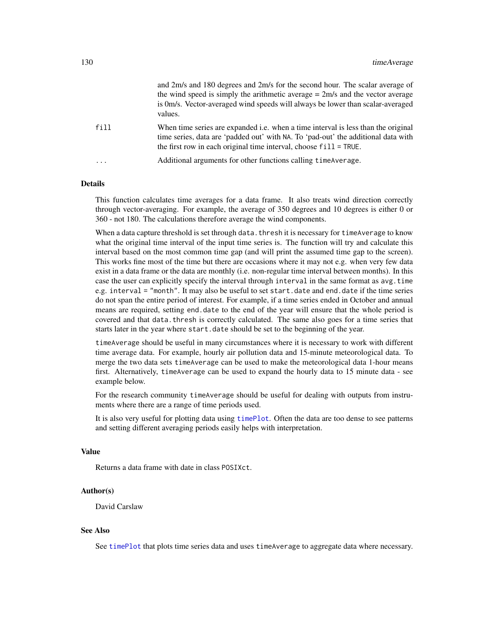|           | and 2m/s and 180 degrees and 2m/s for the second hour. The scalar average of<br>the wind speed is simply the arithmetic average $= 2m/s$ and the vector average<br>is 0m/s. Vector-averaged wind speeds will always be lower than scalar-averaged<br>values. |
|-----------|--------------------------------------------------------------------------------------------------------------------------------------------------------------------------------------------------------------------------------------------------------------|
| fill      | When time series are expanded i.e. when a time interval is less than the original<br>time series, data are 'padded out' with NA. To 'pad-out' the additional data with<br>the first row in each original time interval, choose $fill = TRUE$ .               |
| $\ddotsc$ | Additional arguments for other functions calling time Average.                                                                                                                                                                                               |

This function calculates time averages for a data frame. It also treats wind direction correctly through vector-averaging. For example, the average of 350 degrees and 10 degrees is either 0 or 360 - not 180. The calculations therefore average the wind components.

When a data capture threshold is set through data. thresh it is necessary for timeAverage to know what the original time interval of the input time series is. The function will try and calculate this interval based on the most common time gap (and will print the assumed time gap to the screen). This works fine most of the time but there are occasions where it may not e.g. when very few data exist in a data frame or the data are monthly (i.e. non-regular time interval between months). In this case the user can explicitly specify the interval through interval in the same format as avg.time e.g. interval = "month". It may also be useful to set start.date and end.date if the time series do not span the entire period of interest. For example, if a time series ended in October and annual means are required, setting end.date to the end of the year will ensure that the whole period is covered and that data.thresh is correctly calculated. The same also goes for a time series that starts later in the year where start.date should be set to the beginning of the year.

timeAverage should be useful in many circumstances where it is necessary to work with different time average data. For example, hourly air pollution data and 15-minute meteorological data. To merge the two data sets timeAverage can be used to make the meteorological data 1-hour means first. Alternatively, timeAverage can be used to expand the hourly data to 15 minute data - see example below.

For the research community timeAverage should be useful for dealing with outputs from instruments where there are a range of time periods used.

It is also very useful for plotting data using [timePlot](#page-130-0). Often the data are too dense to see patterns and setting different averaging periods easily helps with interpretation.

# Value

Returns a data frame with date in class POSIXct.

### Author(s)

David Carslaw

### See Also

See [timePlot](#page-130-0) that plots time series data and uses timeAverage to aggregate data where necessary.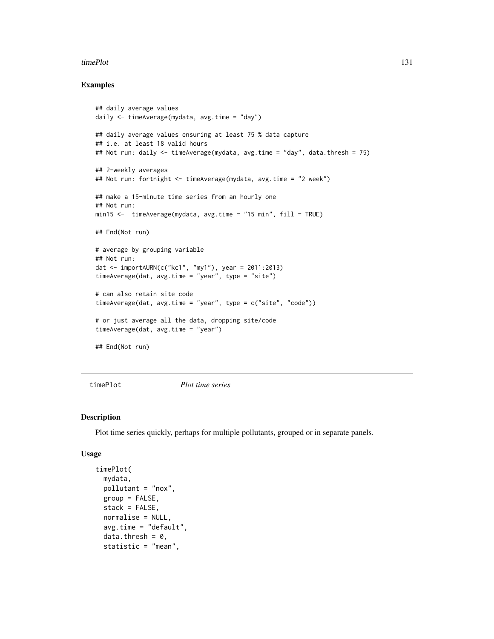### timePlot 131

# Examples

```
## daily average values
daily <- timeAverage(mydata, avg.time = "day")
## daily average values ensuring at least 75 % data capture
## i.e. at least 18 valid hours
## Not run: daily <- timeAverage(mydata, avg.time = "day", data.thresh = 75)
## 2-weekly averages
## Not run: fortnight <- timeAverage(mydata, avg.time = "2 week")
## make a 15-minute time series from an hourly one
## Not run:
min15 <- timeAverage(mydata, avg.time = "15 min", fill = TRUE)
## End(Not run)
# average by grouping variable
## Not run:
dat <- importAURN(c("kc1", "my1"), year = 2011:2013)
timeAverage(dat, avg.time = "year", type = "site")
# can also retain site code
timeAverage(dat, avg.time = "year", type = c("site", "code"))
# or just average all the data, dropping site/code
timeAverage(dat, avg.time = "year")
## End(Not run)
```
<span id="page-130-0"></span>

timePlot *Plot time series*

### Description

Plot time series quickly, perhaps for multiple pollutants, grouped or in separate panels.

### Usage

```
timePlot(
  mydata,
 pollutant = "nox",
  group = FALSE,
  stack = FALSE,
  normalise = NULL,
  avg.time = "default",
  data.thresh = 0,
  statistic = "mean",
```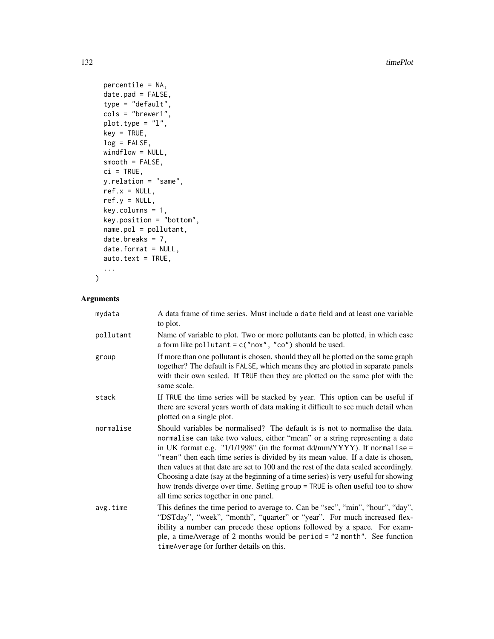132 timePlot

```
percentile = NA,
  date.pad = FALSE,
  type = "default",cols = "brewer1",
 plot.type = "l",
 key = TRUE,
 log = FALSE,
 windflow = NULL,
  smooth = FALSE,
 ci = TRUE,y.relation = "same",
 ref.x = NULL,ref.y = NULL,
 key.column = 1,key.position = "bottom",
  name.pol = pollutant,
 date.breaks = 7,
 date.format = NULL,
 auto.text = TRUE,...
\mathcal{L}
```

| mydata    | A data frame of time series. Must include a date field and at least one variable<br>to plot.                                                                                                                                                                                                                                                                                                                                                                                                                                                                                                                                             |
|-----------|------------------------------------------------------------------------------------------------------------------------------------------------------------------------------------------------------------------------------------------------------------------------------------------------------------------------------------------------------------------------------------------------------------------------------------------------------------------------------------------------------------------------------------------------------------------------------------------------------------------------------------------|
| pollutant | Name of variable to plot. Two or more pollutants can be plotted, in which case<br>a form like pollutant = $c("now", "co")$ should be used.                                                                                                                                                                                                                                                                                                                                                                                                                                                                                               |
| group     | If more than one pollutant is chosen, should they all be plotted on the same graph<br>together? The default is FALSE, which means they are plotted in separate panels<br>with their own scaled. If TRUE then they are plotted on the same plot with the<br>same scale.                                                                                                                                                                                                                                                                                                                                                                   |
| stack     | If TRUE the time series will be stacked by year. This option can be useful if<br>there are several years worth of data making it difficult to see much detail when<br>plotted on a single plot.                                                                                                                                                                                                                                                                                                                                                                                                                                          |
| normalise | Should variables be normalised? The default is is not to normalise the data.<br>normalise can take two values, either "mean" or a string representing a date<br>in UK format e.g. " $1/1/1998$ " (in the format dd/mm/YYYY). If normalise =<br>"mean" then each time series is divided by its mean value. If a date is chosen,<br>then values at that date are set to 100 and the rest of the data scaled accordingly.<br>Choosing a date (say at the beginning of a time series) is very useful for showing<br>how trends diverge over time. Setting group = TRUE is often useful too to show<br>all time series together in one panel. |
| avg.time  | This defines the time period to average to. Can be "sec", "min", "hour", "day",<br>"DSTday", "week", "month", "quarter" or "year". For much increased flex-<br>ibility a number can precede these options followed by a space. For exam-<br>ple, a timeAverage of 2 months would be period = "2 month". See function<br>timeAverage for further details on this.                                                                                                                                                                                                                                                                         |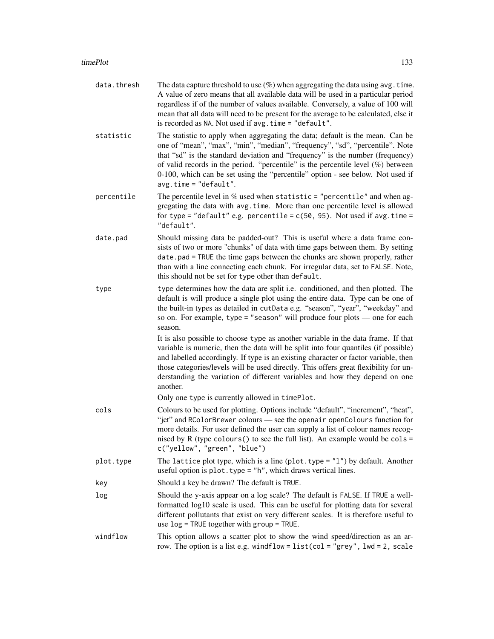- data.thresh The data capture threshold to use  $(\%)$  when aggregating the data using avg.time. A value of zero means that all available data will be used in a particular period regardless if of the number of values available. Conversely, a value of 100 will mean that all data will need to be present for the average to be calculated, else it is recorded as NA. Not used if avg.time = "default".
- statistic The statistic to apply when aggregating the data; default is the mean. Can be one of "mean", "max", "min", "median", "frequency", "sd", "percentile". Note that "sd" is the standard deviation and "frequency" is the number (frequency) of valid records in the period. "percentile" is the percentile level  $(\%)$  between 0-100, which can be set using the "percentile" option - see below. Not used if avg.time = "default".
- percentile The percentile level in  $\%$  used when statistic = "percentile" and when aggregating the data with avg.time. More than one percentile level is allowed for type = "default" e.g. percentile =  $c(50, 95)$ . Not used if avg.time = "default".
- date.pad Should missing data be padded-out? This is useful where a data frame consists of two or more "chunks" of data with time gaps between them. By setting date.pad = TRUE the time gaps between the chunks are shown properly, rather than with a line connecting each chunk. For irregular data, set to FALSE. Note, this should not be set for type other than default.
- type type determines how the data are split i.e. conditioned, and then plotted. The default is will produce a single plot using the entire data. Type can be one of the built-in types as detailed in cutData e.g. "season", "year", "weekday" and so on. For example, type = "season" will produce four plots — one for each season.

It is also possible to choose type as another variable in the data frame. If that variable is numeric, then the data will be split into four quantiles (if possible) and labelled accordingly. If type is an existing character or factor variable, then those categories/levels will be used directly. This offers great flexibility for understanding the variation of different variables and how they depend on one another.

Only one type is currently allowed in timePlot.

- cols Colours to be used for plotting. Options include "default", "increment", "heat", "jet" and RColorBrewer colours — see the openair openColours function for more details. For user defined the user can supply a list of colour names recognised by R (type colours () to see the full list). An example would be cols = c("yellow", "green", "blue")
- plot.type The lattice plot type, which is a line (plot.type = "l") by default. Another useful option is  $plot.type = "h", which draws vertical lines.$
- key Should a key be drawn? The default is TRUE.
- log Should the y-axis appear on a log scale? The default is FALSE. If TRUE a wellformatted log10 scale is used. This can be useful for plotting data for several different pollutants that exist on very different scales. It is therefore useful to use log = TRUE together with group = TRUE.
- windflow This option allows a scatter plot to show the wind speed/direction as an arrow. The option is a list e.g. windflow = list(col = "grey", lwd = 2, scale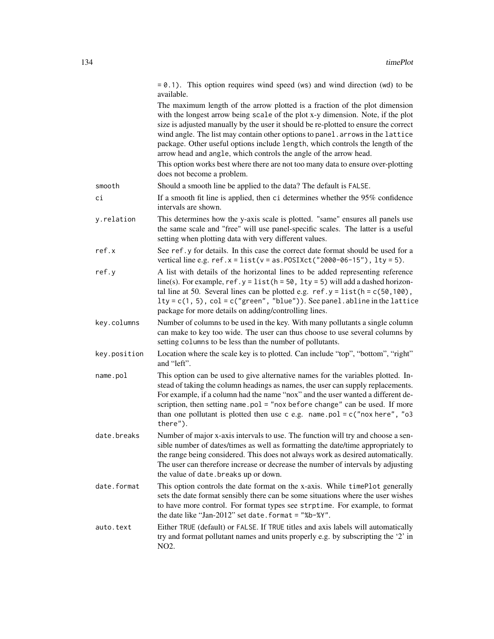|              | $= 0.1$ ). This option requires wind speed (ws) and wind direction (wd) to be<br>available.                                                                                                                                                                                                                                                                                                                                                                                                                                                                                                                      |
|--------------|------------------------------------------------------------------------------------------------------------------------------------------------------------------------------------------------------------------------------------------------------------------------------------------------------------------------------------------------------------------------------------------------------------------------------------------------------------------------------------------------------------------------------------------------------------------------------------------------------------------|
|              | The maximum length of the arrow plotted is a fraction of the plot dimension<br>with the longest arrow being scale of the plot x-y dimension. Note, if the plot<br>size is adjusted manually by the user it should be re-plotted to ensure the correct<br>wind angle. The list may contain other options to panel. arrows in the lattice<br>package. Other useful options include length, which controls the length of the<br>arrow head and angle, which controls the angle of the arrow head.<br>This option works best where there are not too many data to ensure over-plotting<br>does not become a problem. |
| smooth       | Should a smooth line be applied to the data? The default is FALSE.                                                                                                                                                                                                                                                                                                                                                                                                                                                                                                                                               |
| ci           | If a smooth fit line is applied, then ci determines whether the 95% confidence<br>intervals are shown.                                                                                                                                                                                                                                                                                                                                                                                                                                                                                                           |
| y.relation   | This determines how the y-axis scale is plotted. "same" ensures all panels use<br>the same scale and "free" will use panel-specific scales. The latter is a useful<br>setting when plotting data with very different values.                                                                                                                                                                                                                                                                                                                                                                                     |
| ref.x        | See ref.y for details. In this case the correct date format should be used for a<br>vertical line e.g. $ref.x = list(v = as.POSIXct("2000-06-15"), lty = 5).$                                                                                                                                                                                                                                                                                                                                                                                                                                                    |
| ref.y        | A list with details of the horizontal lines to be added representing reference<br>line(s). For example, $ref.y = list(h = 50, lty = 5)$ will add a dashed horizon-<br>tal line at 50. Several lines can be plotted e.g. $ref.y = list(h = c(50, 100))$ ,<br>$lty = c(1, 5)$ , $col = c("green", "blue"))$ . See panel. abline in the lattice<br>package for more details on adding/controlling lines.                                                                                                                                                                                                            |
| key.columns  | Number of columns to be used in the key. With many pollutants a single column<br>can make to key too wide. The user can thus choose to use several columns by<br>setting columns to be less than the number of pollutants.                                                                                                                                                                                                                                                                                                                                                                                       |
| key.position | Location where the scale key is to plotted. Can include "top", "bottom", "right"<br>and "left".                                                                                                                                                                                                                                                                                                                                                                                                                                                                                                                  |
| name.pol     | This option can be used to give alternative names for the variables plotted. In-<br>stead of taking the column headings as names, the user can supply replacements.<br>For example, if a column had the name "nox" and the user wanted a different de-<br>scription, then setting name.pol = "nox before change" can be used. If more<br>than one pollutant is plotted then use c e.g. name.pol = $c("now here", "o3]$<br>there").                                                                                                                                                                               |
| date.breaks  | Number of major x-axis intervals to use. The function will try and choose a sen-<br>sible number of dates/times as well as formatting the date/time appropriately to<br>the range being considered. This does not always work as desired automatically.<br>The user can therefore increase or decrease the number of intervals by adjusting<br>the value of date. breaks up or down.                                                                                                                                                                                                                             |
| date.format  | This option controls the date format on the x-axis. While timePlot generally<br>sets the date format sensibly there can be some situations where the user wishes<br>to have more control. For format types see strptime. For example, to format<br>the date like "Jan-2012" set date.format = "%b-%Y".                                                                                                                                                                                                                                                                                                           |
| auto.text    | Either TRUE (default) or FALSE. If TRUE titles and axis labels will automatically<br>try and format pollutant names and units properly e.g. by subscripting the '2' in<br>NO2.                                                                                                                                                                                                                                                                                                                                                                                                                                   |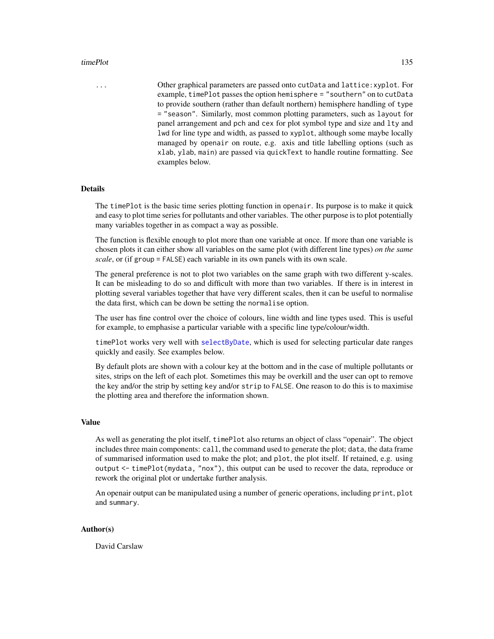### timePlot 135

... Other graphical parameters are passed onto cutData and lattice:xyplot. For example, timePlot passes the option hemisphere = "southern" on to cutData to provide southern (rather than default northern) hemisphere handling of type = "season". Similarly, most common plotting parameters, such as layout for panel arrangement and pch and cex for plot symbol type and size and lty and lwd for line type and width, as passed to xyplot, although some maybe locally managed by openair on route, e.g. axis and title labelling options (such as xlab, ylab, main) are passed via quickText to handle routine formatting. See examples below.

# **Details**

The timePlot is the basic time series plotting function in openair. Its purpose is to make it quick and easy to plot time series for pollutants and other variables. The other purpose is to plot potentially many variables together in as compact a way as possible.

The function is flexible enough to plot more than one variable at once. If more than one variable is chosen plots it can either show all variables on the same plot (with different line types) *on the same scale*, or (if group = FALSE) each variable in its own panels with its own scale.

The general preference is not to plot two variables on the same graph with two different y-scales. It can be misleading to do so and difficult with more than two variables. If there is in interest in plotting several variables together that have very different scales, then it can be useful to normalise the data first, which can be down be setting the normalise option.

The user has fine control over the choice of colours, line width and line types used. This is useful for example, to emphasise a particular variable with a specific line type/colour/width.

timePlot works very well with [selectByDate](#page-106-0), which is used for selecting particular date ranges quickly and easily. See examples below.

By default plots are shown with a colour key at the bottom and in the case of multiple pollutants or sites, strips on the left of each plot. Sometimes this may be overkill and the user can opt to remove the key and/or the strip by setting key and/or strip to FALSE. One reason to do this is to maximise the plotting area and therefore the information shown.

# Value

As well as generating the plot itself, timePlot also returns an object of class "openair". The object includes three main components: call, the command used to generate the plot; data, the data frame of summarised information used to make the plot; and plot, the plot itself. If retained, e.g. using output <- timePlot(mydata, "nox"), this output can be used to recover the data, reproduce or rework the original plot or undertake further analysis.

An openair output can be manipulated using a number of generic operations, including print, plot and summary.

### Author(s)

David Carslaw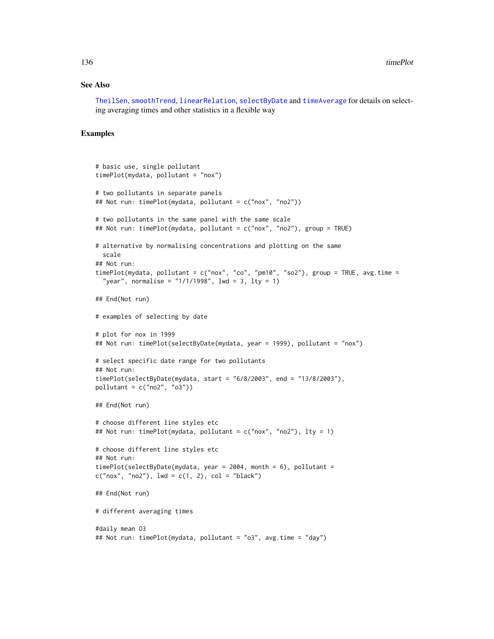### See Also

[TheilSen](#page-122-0), [smoothTrend](#page-109-0), [linearRelation](#page-63-0), [selectByDate](#page-106-0) and [timeAverage](#page-127-0) for details on selecting averaging times and other statistics in a flexible way

```
# basic use, single pollutant
timePlot(mydata, pollutant = "nox")
# two pollutants in separate panels
## Not run: timePlot(mydata, pollutant = c("nox", "no2"))
# two pollutants in the same panel with the same scale
## Not run: timePlot(mydata, pollutant = c("nox", "no2"), group = TRUE)
# alternative by normalising concentrations and plotting on the same
  scale
## Not run:
timePlot(mydata, pollutant = c("nox", "co", "pm10", "so2"), group = TRUE, avg.time =
  "year", normalise = "1/1/1998", lwd = 3, lty = 1)
## End(Not run)
# examples of selecting by date
# plot for nox in 1999
## Not run: timePlot(selectByDate(mydata, year = 1999), pollutant = "nox")
# select specific date range for two pollutants
## Not run:
timePlot(selectByDate(mydata, start = "6/8/2003", end = "13/8/2003"),
pollutant = c("no2", "o3"))## End(Not run)
# choose different line styles etc
## Not run: timePlot(mydata, pollutant = c("nox", "no2"), lty = 1)
# choose different line styles etc
## Not run:
timePlot(selectByDate(mydata, year = 2004, month = 6), pollutant =
c("now", "no2"), lwd = c(1, 2), col = "black")## End(Not run)
# different averaging times
#daily mean O3
## Not run: timePlot(mydata, pollutant = "o3", avg.time = "day")
```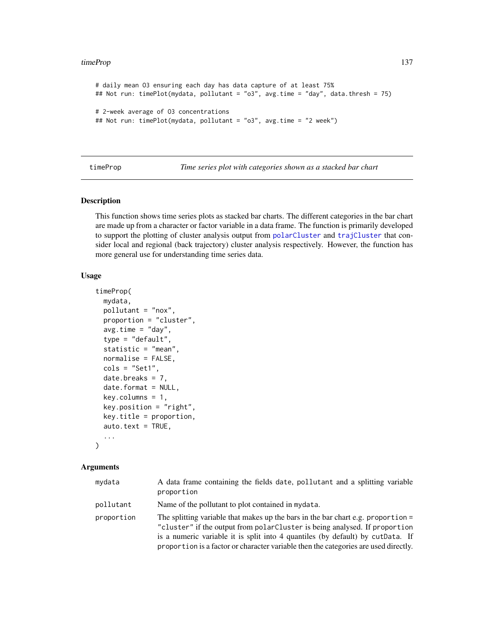```
# daily mean O3 ensuring each day has data capture of at least 75%
## Not run: timePlot(mydata, pollutant = "o3", avg.time = "day", data.thresh = 75)
# 2-week average of O3 concentrations
## Not run: timePlot(mydata, pollutant = "o3", avg.time = "2 week")
```
timeProp *Time series plot with categories shown as a stacked bar chart*

# Description

This function shows time series plots as stacked bar charts. The different categories in the bar chart are made up from a character or factor variable in a data frame. The function is primarily developed to support the plotting of cluster analysis output from [polarCluster](#page-80-0) and [trajCluster](#page-144-0) that consider local and regional (back trajectory) cluster analysis respectively. However, the function has more general use for understanding time series data.

### Usage

```
timeProp(
 mydata,
 pollutant = "nox",
 proportion = "cluster",
  avg.time = "day",type = "default",
  statistic = "mean",
 normalise = FALSE,
  \text{cols} = \text{"Set1",}date.breaks = 7,
  date.format = NULL,
  key.column = 1,key.position = "right",
  key.title = proportion,
  auto.text = TRUE,...
\lambda
```

| mydata     | A data frame containing the fields date, pollutant and a splitting variable<br>proportion                                                                                                                                                                                                                                                 |
|------------|-------------------------------------------------------------------------------------------------------------------------------------------------------------------------------------------------------------------------------------------------------------------------------------------------------------------------------------------|
| pollutant  | Name of the pollutant to plot contained in mydata.                                                                                                                                                                                                                                                                                        |
| proportion | The splitting variable that makes up the bars in the bar chart e.g. proportion $=$<br>"cluster" if the output from polarCluster is being analysed. If proportion<br>is a numeric variable it is split into 4 quantiles (by default) by cutData. If<br>proportion is a factor or character variable then the categories are used directly. |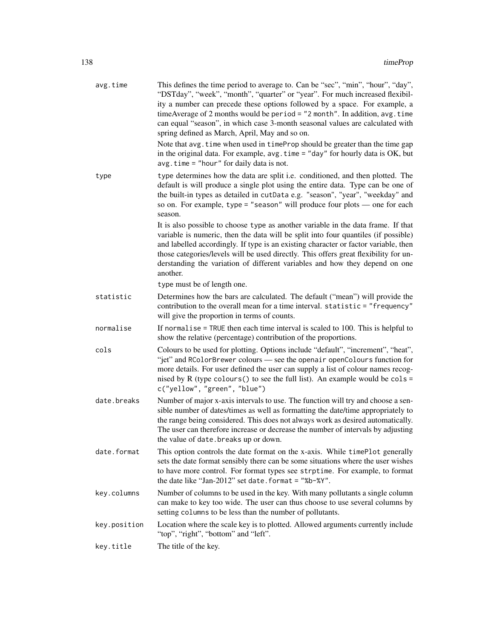| avg.time     | This defines the time period to average to. Can be "sec", "min", "hour", "day",<br>"DSTday", "week", "month", "quarter" or "year". For much increased flexibil-<br>ity a number can precede these options followed by a space. For example, a<br>timeAverage of 2 months would be period = "2 month". In addition, avg. time<br>can equal "season", in which case 3-month seasonal values are calculated with<br>spring defined as March, April, May and so on.<br>Note that avg. time when used in timeProp should be greater than the time gap<br>in the original data. For example, $avg.time = "day"$ for hourly data is OK, but<br>$avg.time = "hour" for daily data is not.$ |
|--------------|------------------------------------------------------------------------------------------------------------------------------------------------------------------------------------------------------------------------------------------------------------------------------------------------------------------------------------------------------------------------------------------------------------------------------------------------------------------------------------------------------------------------------------------------------------------------------------------------------------------------------------------------------------------------------------|
| type         | type determines how the data are split i.e. conditioned, and then plotted. The<br>default is will produce a single plot using the entire data. Type can be one of<br>the built-in types as detailed in cutData e.g. "season", "year", "weekday" and<br>so on. For example, type = "season" will produce four plots — one for each<br>season.                                                                                                                                                                                                                                                                                                                                       |
|              | It is also possible to choose type as another variable in the data frame. If that<br>variable is numeric, then the data will be split into four quantiles (if possible)<br>and labelled accordingly. If type is an existing character or factor variable, then<br>those categories/levels will be used directly. This offers great flexibility for un-<br>derstanding the variation of different variables and how they depend on one<br>another.                                                                                                                                                                                                                                  |
|              | type must be of length one.                                                                                                                                                                                                                                                                                                                                                                                                                                                                                                                                                                                                                                                        |
| statistic    | Determines how the bars are calculated. The default ("mean") will provide the<br>contribution to the overall mean for a time interval. statistic = "frequency"<br>will give the proportion in terms of counts.                                                                                                                                                                                                                                                                                                                                                                                                                                                                     |
| normalise    | If normalise $=$ TRUE then each time interval is scaled to 100. This is helpful to<br>show the relative (percentage) contribution of the proportions.                                                                                                                                                                                                                                                                                                                                                                                                                                                                                                                              |
| cols         | Colours to be used for plotting. Options include "default", "increment", "heat",<br>"jet" and RColorBrewer colours - see the openair openColours function for<br>more details. For user defined the user can supply a list of colour names recog-<br>nised by R (type colours () to see the full list). An example would be cols =<br>c("yellow", "green", "blue")                                                                                                                                                                                                                                                                                                                 |
| date.breaks  | Number of major x-axis intervals to use. The function will try and choose a sen-<br>sible number of dates/times as well as formatting the date/time appropriately to<br>the range being considered. This does not always work as desired automatically.<br>The user can therefore increase or decrease the number of intervals by adjusting<br>the value of date. breaks up or down.                                                                                                                                                                                                                                                                                               |
| date.format  | This option controls the date format on the x-axis. While timePlot generally<br>sets the date format sensibly there can be some situations where the user wishes<br>to have more control. For format types see strptime. For example, to format<br>the date like "Jan-2012" set date. format = "%b-%Y".                                                                                                                                                                                                                                                                                                                                                                            |
| key.columns  | Number of columns to be used in the key. With many pollutants a single column<br>can make to key too wide. The user can thus choose to use several columns by<br>setting columns to be less than the number of pollutants.                                                                                                                                                                                                                                                                                                                                                                                                                                                         |
| key.position | Location where the scale key is to plotted. Allowed arguments currently include<br>"top", "right", "bottom" and "left".                                                                                                                                                                                                                                                                                                                                                                                                                                                                                                                                                            |
| key.title    | The title of the key.                                                                                                                                                                                                                                                                                                                                                                                                                                                                                                                                                                                                                                                              |
|              |                                                                                                                                                                                                                                                                                                                                                                                                                                                                                                                                                                                                                                                                                    |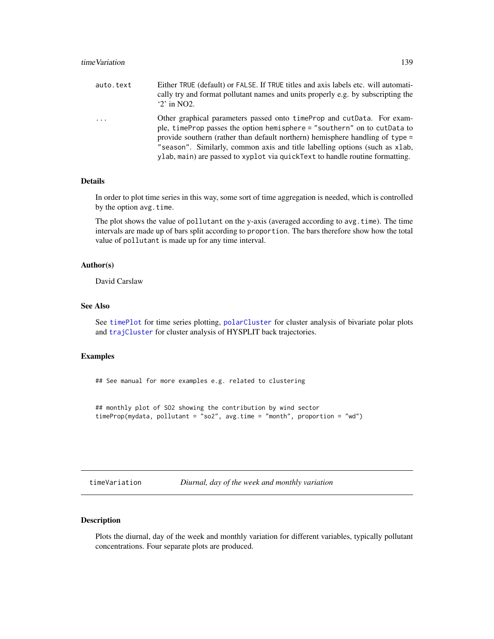| auto.text               | Either TRUE (default) or FALSE. If TRUE titles and axis labels etc. will automati-<br>cally try and format pollutant names and units properly e.g. by subscripting the<br>$2$ in NO2.                                                                                                                                                                                                                  |
|-------------------------|--------------------------------------------------------------------------------------------------------------------------------------------------------------------------------------------------------------------------------------------------------------------------------------------------------------------------------------------------------------------------------------------------------|
| $\cdot$ $\cdot$ $\cdot$ | Other graphical parameters passed onto time Prop and cut Data. For exam-<br>ple, time Prop passes the option hemisphere = "southern" on to cut Data to<br>provide southern (rather than default northern) hemisphere handling of type =<br>"season". Similarly, common axis and title labelling options (such as xlab,<br>ylab, main) are passed to xyplot via quickText to handle routine formatting. |

In order to plot time series in this way, some sort of time aggregation is needed, which is controlled by the option avg.time.

The plot shows the value of pollutant on the y-axis (averaged according to avg.time). The time intervals are made up of bars split according to proportion. The bars therefore show how the total value of pollutant is made up for any time interval.

# Author(s)

David Carslaw

# See Also

See [timePlot](#page-130-0) for time series plotting, [polarCluster](#page-80-0) for cluster analysis of bivariate polar plots and [trajCluster](#page-144-0) for cluster analysis of HYSPLIT back trajectories.

### Examples

## See manual for more examples e.g. related to clustering

```
## monthly plot of SO2 showing the contribution by wind sector
timeProp(mydata, pollutant = "so2", avg.time = "month", proportion = "wd")
```

|  | timeVariation |  |  |  |
|--|---------------|--|--|--|
|  |               |  |  |  |
|  |               |  |  |  |
|  |               |  |  |  |

timeVariation *Diurnal, day of the week and monthly variation*

# Description

Plots the diurnal, day of the week and monthly variation for different variables, typically pollutant concentrations. Four separate plots are produced.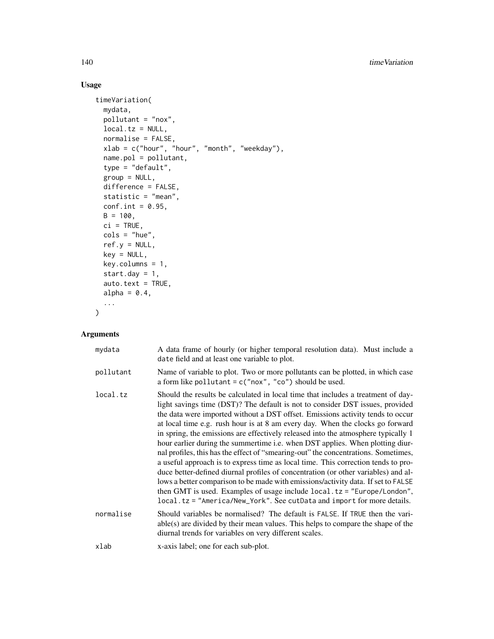# Usage

```
timeVariation(
 mydata,
 pollutant = "nox",
  local.tz = NULL,normalise = FALSE,
  xlab = c("hour", "hour", "month", "weekday"),
  name.pol = pollutant,
  type = "default",group = NULL,difference = FALSE,
 statistic = "mean",
 conf.int = 0.95,
 B = 100,ci = TRUE,\text{cols} = \text{"blue",}ref.y = NULL,
 key = NULL,
 key.columns = 1,
  start.day = 1,
  auto.text = TRUE,alpha = 0.4,
  ...
\mathcal{L}
```

| mydata    | A data frame of hourly (or higher temporal resolution data). Must include a<br>date field and at least one variable to plot.                                                                                                                                                                                                                                                                                                                                                                                                                                                                                                                                                                                                                                                                                                                                                                                                                                                                                              |
|-----------|---------------------------------------------------------------------------------------------------------------------------------------------------------------------------------------------------------------------------------------------------------------------------------------------------------------------------------------------------------------------------------------------------------------------------------------------------------------------------------------------------------------------------------------------------------------------------------------------------------------------------------------------------------------------------------------------------------------------------------------------------------------------------------------------------------------------------------------------------------------------------------------------------------------------------------------------------------------------------------------------------------------------------|
| pollutant | Name of variable to plot. Two or more pollutants can be plotted, in which case<br>a form like pollutant = $c("now", "co")$ should be used.                                                                                                                                                                                                                                                                                                                                                                                                                                                                                                                                                                                                                                                                                                                                                                                                                                                                                |
| local.tz  | Should the results be calculated in local time that includes a treatment of day-<br>light savings time (DST)? The default is not to consider DST issues, provided<br>the data were imported without a DST offset. Emissions activity tends to occur<br>at local time e.g. rush hour is at 8 am every day. When the clocks go forward<br>in spring, the emissions are effectively released into the atmosphere typically 1<br>hour earlier during the summertime i.e. when DST applies. When plotting diur-<br>nal profiles, this has the effect of "smearing-out" the concentrations. Sometimes,<br>a useful approach is to express time as local time. This correction tends to pro-<br>duce better-defined diurnal profiles of concentration (or other variables) and al-<br>lows a better comparison to be made with emissions/activity data. If set to FALSE<br>then GMT is used. Examples of usage include $local. tz = "Europe/London",$<br>local.tz = "America/New_York". See cutData and import for more details. |
| normalise | Should variables be normalised? The default is FALSE. If TRUE then the vari-<br>$able(s)$ are divided by their mean values. This helps to compare the shape of the<br>diurnal trends for variables on very different scales.                                                                                                                                                                                                                                                                                                                                                                                                                                                                                                                                                                                                                                                                                                                                                                                              |
| xlab      | x-axis label; one for each sub-plot.                                                                                                                                                                                                                                                                                                                                                                                                                                                                                                                                                                                                                                                                                                                                                                                                                                                                                                                                                                                      |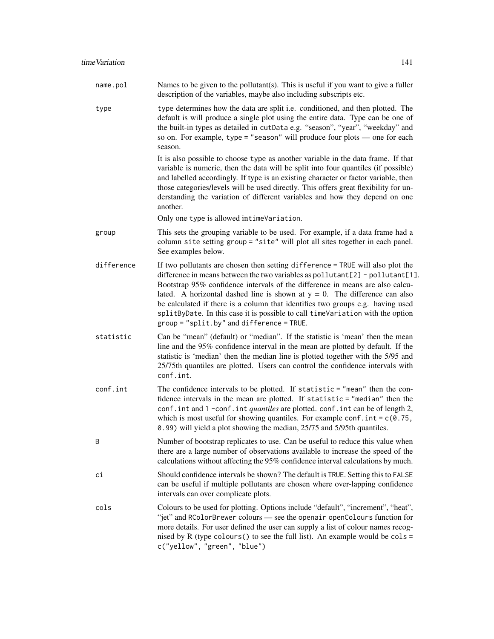type type determines how the data are split i.e. conditioned, and then plotted. The default is will produce a single plot using the entire data. Type can be one of the built-in types as detailed in cutData e.g. "season", "year", "weekday" and so on. For example, type = "season" will produce four plots — one for each season.

> It is also possible to choose type as another variable in the data frame. If that variable is numeric, then the data will be split into four quantiles (if possible) and labelled accordingly. If type is an existing character or factor variable, then those categories/levels will be used directly. This offers great flexibility for understanding the variation of different variables and how they depend on one another.

Only one type is allowed intimeVariation.

- group This sets the grouping variable to be used. For example, if a data frame had a column site setting group = "site" will plot all sites together in each panel. See examples below.
- difference If two pollutants are chosen then setting difference = TRUE will also plot the difference in means between the two variables as pollutant[2] - pollutant[1]. Bootstrap 95% confidence intervals of the difference in means are also calculated. A horizontal dashed line is shown at  $y = 0$ . The difference can also be calculated if there is a column that identifies two groups e.g. having used splitByDate. In this case it is possible to call timeVariation with the option group = "split.by" and difference = TRUE.
- statistic Can be "mean" (default) or "median". If the statistic is 'mean' then the mean line and the 95% confidence interval in the mean are plotted by default. If the statistic is 'median' then the median line is plotted together with the 5/95 and 25/75th quantiles are plotted. Users can control the confidence intervals with conf.int.
- conf.int The confidence intervals to be plotted. If statistic = "mean" then the confidence intervals in the mean are plotted. If statistic = "median" then the conf.int and 1 -conf.int *quantiles* are plotted. conf.int can be of length 2, which is most useful for showing quantiles. For example conf.  $int = c(0.75,$ 0.99) will yield a plot showing the median, 25/75 and 5/95th quantiles.
- B Number of bootstrap replicates to use. Can be useful to reduce this value when there are a large number of observations available to increase the speed of the calculations without affecting the 95% confidence interval calculations by much.
- ci Should confidence intervals be shown? The default is TRUE. Setting this to FALSE can be useful if multiple pollutants are chosen where over-lapping confidence intervals can over complicate plots.
- cols Colours to be used for plotting. Options include "default", "increment", "heat", "jet" and RColorBrewer colours — see the openair openColours function for more details. For user defined the user can supply a list of colour names recognised by R (type colours () to see the full list). An example would be  $\text{cols} =$ c("yellow", "green", "blue")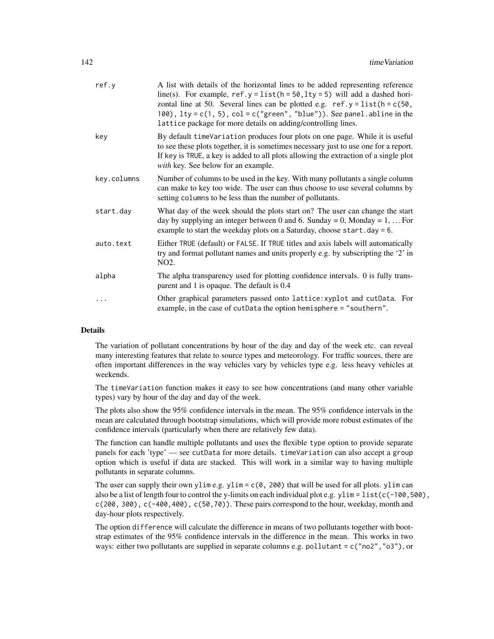| ref.y       | A list with details of the horizontal lines to be added representing reference<br>line(s). For example, $ref.y = list(h = 50, lty = 5)$ will add a dashed hori-<br>zontal line at 50. Several lines can be plotted e.g. $ref.y = list(h = c(50,$<br>100), $lty = c(1, 5)$ , $col = c("green", "blue"))$ . See panel. abline in the<br>lattice package for more details on adding/controlling lines. |
|-------------|-----------------------------------------------------------------------------------------------------------------------------------------------------------------------------------------------------------------------------------------------------------------------------------------------------------------------------------------------------------------------------------------------------|
| key         | By default timeVariation produces four plots on one page. While it is useful<br>to see these plots together, it is sometimes necessary just to use one for a report.<br>If key is TRUE, a key is added to all plots allowing the extraction of a single plot<br>with key. See below for an example.                                                                                                 |
| key.columns | Number of columns to be used in the key. With many pollutants a single column<br>can make to key too wide. The user can thus choose to use several columns by<br>setting columns to be less than the number of pollutants.                                                                                                                                                                          |
| start.day   | What day of the week should the plots start on? The user can change the start<br>day by supplying an integer between 0 and 6. Sunday = 0, Monday = $1, \ldots$ For<br>example to start the weekday plots on a Saturday, choose start.day = 6.                                                                                                                                                       |
| auto.text   | Either TRUE (default) or FALSE. If TRUE titles and axis labels will automatically<br>try and format pollutant names and units properly e.g. by subscripting the '2' in<br>NO <sub>2</sub> .                                                                                                                                                                                                         |
| alpha       | The alpha transparency used for plotting confidence intervals. 0 is fully trans-<br>parent and 1 is opaque. The default is 0.4                                                                                                                                                                                                                                                                      |
| .           | Other graphical parameters passed onto lattice: xyplot and cutData. For<br>example, in the case of cutData the option hemisphere = "southern".                                                                                                                                                                                                                                                      |

The variation of pollutant concentrations by hour of the day and day of the week etc. can reveal many interesting features that relate to source types and meteorology. For traffic sources, there are often important differences in the way vehicles vary by vehicles type e.g. less heavy vehicles at weekends.

The timeVariation function makes it easy to see how concentrations (and many other variable types) vary by hour of the day and day of the week.

The plots also show the 95% confidence intervals in the mean. The 95% confidence intervals in the mean are calculated through bootstrap simulations, which will provide more robust estimates of the confidence intervals (particularly when there are relatively few data).

The function can handle multiple pollutants and uses the flexible type option to provide separate panels for each 'type' — see cutData for more details. timeVariation can also accept a group option which is useful if data are stacked. This will work in a similar way to having multiple pollutants in separate columns.

The user can supply their own ylim e.g. ylim =  $c(0, 200)$  that will be used for all plots. ylim can also be a list of length four to control the y-limits on each individual plot e.g.  $ylim = list(c(-100, 500))$ , c(200, 300), c(-400,400), c(50,70)). These pairs correspond to the hour, weekday, month and day-hour plots respectively.

The option difference will calculate the difference in means of two pollutants together with bootstrap estimates of the 95% confidence intervals in the difference in the mean. This works in two ways: either two pollutants are supplied in separate columns e.g. pollutant = c("no2", "o3"), or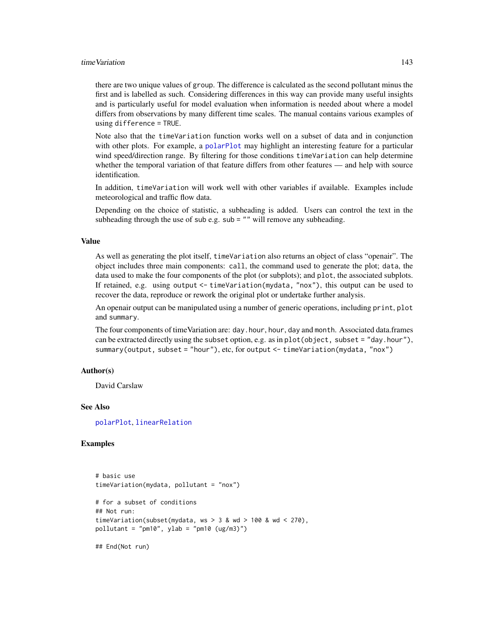### time Variation **143**

there are two unique values of group. The difference is calculated as the second pollutant minus the first and is labelled as such. Considering differences in this way can provide many useful insights and is particularly useful for model evaluation when information is needed about where a model differs from observations by many different time scales. The manual contains various examples of using difference = TRUE.

Note also that the timeVariation function works well on a subset of data and in conjunction with other plots. For example, a [polarPlot](#page-89-0) may highlight an interesting feature for a particular wind speed/direction range. By filtering for those conditions timeVariation can help determine whether the temporal variation of that feature differs from other features — and help with source identification.

In addition, timeVariation will work well with other variables if available. Examples include meteorological and traffic flow data.

Depending on the choice of statistic, a subheading is added. Users can control the text in the subheading through the use of sub e.g. sub  $=$  "" will remove any subheading.

### Value

As well as generating the plot itself, timeVariation also returns an object of class "openair". The object includes three main components: call, the command used to generate the plot; data, the data used to make the four components of the plot (or subplots); and plot, the associated subplots. If retained, e.g. using output <- timeVariation(mydata, "nox"), this output can be used to recover the data, reproduce or rework the original plot or undertake further analysis.

An openair output can be manipulated using a number of generic operations, including print, plot and summary.

The four components of timeVariation are: day.hour, hour, day and month. Associated data.frames can be extracted directly using the subset option, e.g. as in plot(object, subset = "day.hour"), summary(output, subset = "hour"), etc, for output <- timeVariation(mydata, "nox")

### Author(s)

David Carslaw

### See Also

[polarPlot](#page-89-0), [linearRelation](#page-63-0)

```
# basic use
timeVariation(mydata, pollutant = "nox")
# for a subset of conditions
## Not run:
timeVariation(subset(mydata, ws > 3 & wd > 100 & wd < 270),
pollutant = "pm10", ylab = "pm10 (ug/m3)")
```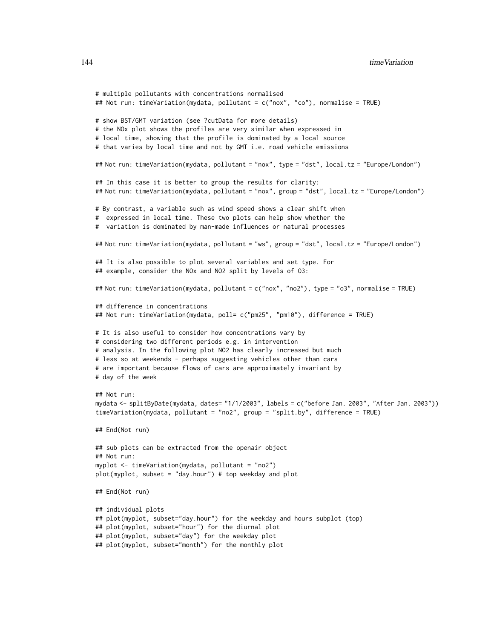```
# multiple pollutants with concentrations normalised
## Not run: timeVariation(mydata, pollutant = c("nox", "co"), normalise = TRUE)
# show BST/GMT variation (see ?cutData for more details)
# the NOx plot shows the profiles are very similar when expressed in
# local time, showing that the profile is dominated by a local source
# that varies by local time and not by GMT i.e. road vehicle emissions
## Not run: timeVariation(mydata, pollutant = "nox", type = "dst", local.tz = "Europe/London")
## In this case it is better to group the results for clarity:
## Not run: timeVariation(mydata, pollutant = "nox", group = "dst", local.tz = "Europe/London")
# By contrast, a variable such as wind speed shows a clear shift when
# expressed in local time. These two plots can help show whether the
# variation is dominated by man-made influences or natural processes
## Not run: timeVariation(mydata, pollutant = "ws", group = "dst", local.tz = "Europe/London")
## It is also possible to plot several variables and set type. For
## example, consider the NOx and NO2 split by levels of O3:
## Not run: timeVariation(mydata, pollutant = c("nox", "no2"), type = "o3", normalise = TRUE)
## difference in concentrations
## Not run: timeVariation(mydata, poll= c("pm25", "pm10"), difference = TRUE)
# It is also useful to consider how concentrations vary by
# considering two different periods e.g. in intervention
# analysis. In the following plot NO2 has clearly increased but much
# less so at weekends - perhaps suggesting vehicles other than cars
# are important because flows of cars are approximately invariant by
# day of the week
## Not run:
mydata <- splitByDate(mydata, dates= "1/1/2003", labels = c("before Jan. 2003", "After Jan. 2003"))
timeVariation(mydata, pollutant = "no2", group = "split.by", difference = TRUE)
## End(Not run)
## sub plots can be extracted from the openair object
## Not run:
myplot <- timeVariation(mydata, pollutant = "no2")
plot(myplot, subset = "day.hour") # top weekday and plot
## End(Not run)
## individual plots
## plot(myplot, subset="day.hour") for the weekday and hours subplot (top)
## plot(myplot, subset="hour") for the diurnal plot
## plot(myplot, subset="day") for the weekday plot
## plot(myplot, subset="month") for the monthly plot
```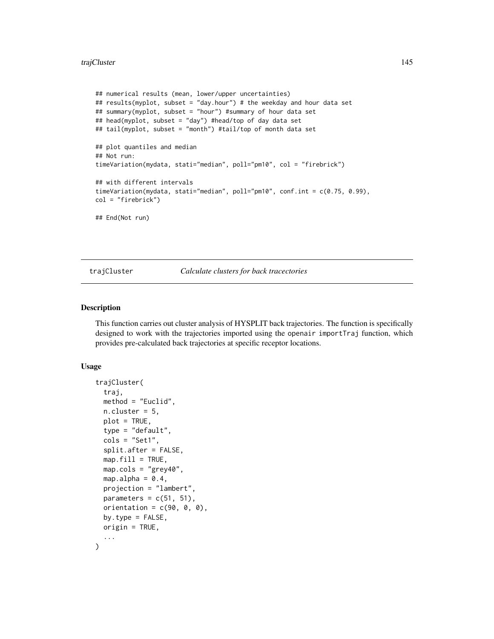#### <span id="page-144-0"></span>trajCluster 145

```
## numerical results (mean, lower/upper uncertainties)
## results(myplot, subset = "day.hour") # the weekday and hour data set
## summary(myplot, subset = "hour") #summary of hour data set
## head(myplot, subset = "day") #head/top of day data set
## tail(myplot, subset = "month") #tail/top of month data set
## plot quantiles and median
## Not run:
timeVariation(mydata, stati="median", poll="pm10", col = "firebrick")
## with different intervals
timeVariation(mydata, stati="median", poll="pm10", conf.int = c(0.75, 0.99),
col = "firebrick")
## End(Not run)
```
trajCluster *Calculate clusters for back tracectories*

#### Description

This function carries out cluster analysis of HYSPLIT back trajectories. The function is specifically designed to work with the trajectories imported using the openair importTraj function, which provides pre-calculated back trajectories at specific receptor locations.

#### Usage

```
trajCluster(
  traj,
 method = "Euclid",
 n.cluster = 5,
 plot = TRUE,
  type = "default",
  \text{cols} = \text{"Set1",}split.after = FALSE,
  map.fit11 = TRUE,map.cols = "grey40",
 map.alpha = 0.4,
 projection = "lambert",
 parameters = c(51, 51),
 orientation = c(90, 0, 0),
 by.type = FALSE,origin = TRUE,
  ...
)
```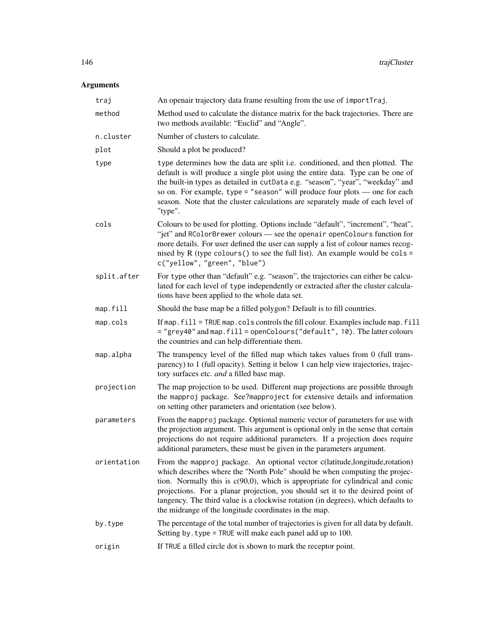| traj        | An openair trajectory data frame resulting from the use of importTraj.                                                                                                                                                                                                                                                                                                                                                                                                             |
|-------------|------------------------------------------------------------------------------------------------------------------------------------------------------------------------------------------------------------------------------------------------------------------------------------------------------------------------------------------------------------------------------------------------------------------------------------------------------------------------------------|
| method      | Method used to calculate the distance matrix for the back trajectories. There are<br>two methods available: "Euclid" and "Angle".                                                                                                                                                                                                                                                                                                                                                  |
| n.cluster   | Number of clusters to calculate.                                                                                                                                                                                                                                                                                                                                                                                                                                                   |
| plot        | Should a plot be produced?                                                                                                                                                                                                                                                                                                                                                                                                                                                         |
| type        | type determines how the data are split i.e. conditioned, and then plotted. The<br>default is will produce a single plot using the entire data. Type can be one of<br>the built-in types as detailed in cutData e.g. "season", "year", "weekday" and<br>so on. For example, type = "season" will produce four plots $-$ one for each<br>season. Note that the cluster calculations are separately made of each level of<br>"type".                                                  |
| cols        | Colours to be used for plotting. Options include "default", "increment", "heat",<br>"jet" and RColorBrewer colours - see the openair openColours function for<br>more details. For user defined the user can supply a list of colour names recog-<br>nised by R (type colours () to see the full list). An example would be cols =<br>c("yellow", "green", "blue")                                                                                                                 |
| split.after | For type other than "default" e.g. "season", the trajectories can either be calcu-<br>lated for each level of type independently or extracted after the cluster calcula-<br>tions have been applied to the whole data set.                                                                                                                                                                                                                                                         |
| map.fill    | Should the base map be a filled polygon? Default is to fill countries.                                                                                                                                                                                                                                                                                                                                                                                                             |
| map.cols    | If map. fill = TRUE map. cols controls the fill colour. Examples include map. fill<br>= "grey40" and map. fill = openColours("default", 10). The latter colours<br>the countries and can help differentiate them.                                                                                                                                                                                                                                                                  |
| map.alpha   | The transpency level of the filled map which takes values from 0 (full trans-<br>parency) to 1 (full opacity). Setting it below 1 can help view trajectories, trajec-<br>tory surfaces etc. and a filled base map.                                                                                                                                                                                                                                                                 |
| projection  | The map projection to be used. Different map projections are possible through<br>the mapproj package. See?mapproject for extensive details and information<br>on setting other parameters and orientation (see below).                                                                                                                                                                                                                                                             |
| parameters  | From the mapproj package. Optional numeric vector of parameters for use with<br>the projection argument. This argument is optional only in the sense that certain<br>projections do not require additional parameters. If a projection does require<br>additional parameters, these must be given in the parameters argument.                                                                                                                                                      |
| orientation | From the mapproj package. An optional vector c(latitude, longitude, rotation)<br>which describes where the "North Pole" should be when computing the projec-<br>tion. Normally this is $c(90,0)$ , which is appropriate for cylindrical and conic<br>projections. For a planar projection, you should set it to the desired point of<br>tangency. The third value is a clockwise rotation (in degrees), which defaults to<br>the midrange of the longitude coordinates in the map. |
| by.type     | The percentage of the total number of trajectories is given for all data by default.<br>Setting by . type = TRUE will make each panel add up to 100.                                                                                                                                                                                                                                                                                                                               |
| origin      | If TRUE a filled circle dot is shown to mark the receptor point.                                                                                                                                                                                                                                                                                                                                                                                                                   |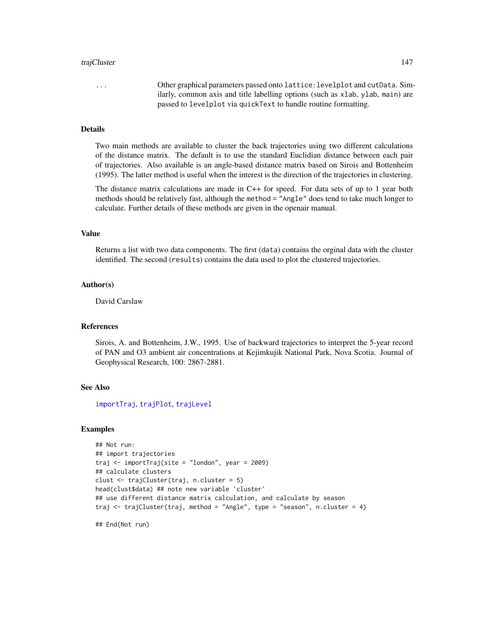#### <span id="page-146-0"></span>trajCluster 147

... Other graphical parameters passed onto lattice:levelplot and cutData. Similarly, common axis and title labelling options (such as xlab, ylab, main) are passed to levelplot via quickText to handle routine formatting.

## Details

Two main methods are available to cluster the back trajectories using two different calculations of the distance matrix. The default is to use the standard Euclidian distance between each pair of trajectories. Also available is an angle-based distance matrix based on Sirois and Bottenheim (1995). The latter method is useful when the interest is the direction of the trajectories in clustering.

The distance matrix calculations are made in C++ for speed. For data sets of up to 1 year both methods should be relatively fast, although the method = "Angle" does tend to take much longer to calculate. Further details of these methods are given in the openair manual.

#### Value

Returns a list with two data components. The first (data) contains the orginal data with the cluster identified. The second (results) contains the data used to plot the clustered trajectories.

#### Author(s)

David Carslaw

#### References

Sirois, A. and Bottenheim, J.W., 1995. Use of backward trajectories to interpret the 5-year record of PAN and O3 ambient air concentrations at Kejimkujik National Park, Nova Scotia. Journal of Geophysical Research, 100: 2867-2881.

#### See Also

[importTraj](#page-57-0), [trajPlot](#page-151-0), [trajLevel](#page-147-0)

## Examples

```
## Not run:
## import trajectories
traj \leq importTraj(site = "london", year = 2009)
## calculate clusters
clust <- trajCluster(traj, n.cluster = 5)
head(clust$data) ## note new variable 'cluster'
## use different distance matrix calculation, and calculate by season
traj <- trajCluster(traj, method = "Angle", type = "season", n.cluster = 4)
```
## End(Not run)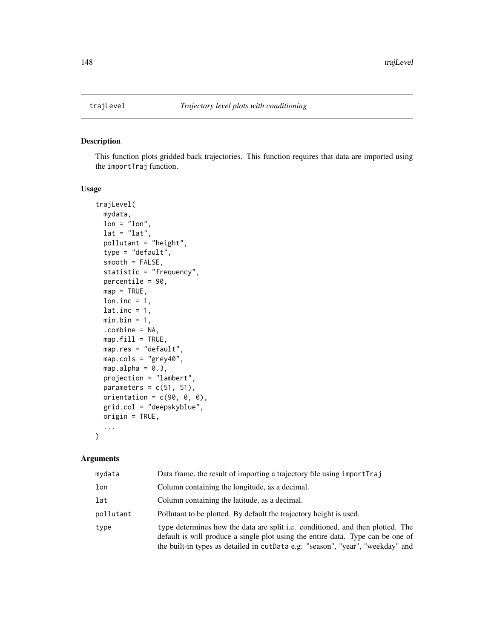<span id="page-147-1"></span><span id="page-147-0"></span>

## Description

This function plots gridded back trajectories. This function requires that data are imported using the importTraj function.

### Usage

```
trajLevel(
 mydata,
 lon = "lon",lat = "lat",pollutant = "height",
  type = "default",
  smooth = FALSE,
  statistic = "frequency",
 percentile = 90,
 map = TRUE,lon.inc = 1,
  lat.inc = 1,
 min.bin = 1,
  .combine = NA,
 map.fit11 = TRUE,map.res = "default",
 map.cols = "grey40",
 map.alpha = 0.3,
 projection = "lambert",
 parameters = c(51, 51),
 orientation = c(90, 0, 0),
 grid.col = "deepskyblue",
 origin = TRUE,
  ...
)
```

| mydata    | Data frame, the result of importing a trajectory file using import Traj                                                                                                                                                                             |
|-----------|-----------------------------------------------------------------------------------------------------------------------------------------------------------------------------------------------------------------------------------------------------|
| lon       | Column containing the longitude, as a decimal.                                                                                                                                                                                                      |
| lat       | Column containing the latitude, as a decimal.                                                                                                                                                                                                       |
| pollutant | Pollutant to be plotted. By default the trajectory height is used.                                                                                                                                                                                  |
| type      | type determines how the data are split i.e. conditioned, and then plotted. The<br>default is will produce a single plot using the entire data. Type can be one of<br>the built-in types as detailed in cutData e.g. "season", "year", "weekday" and |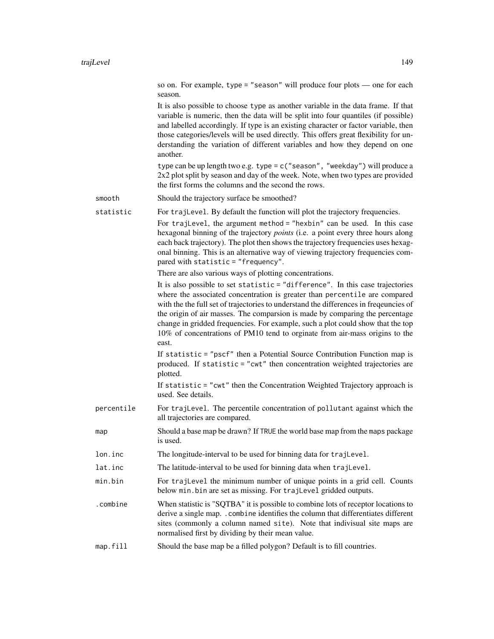so on. For example, type = "season" will produce four plots — one for each season.

It is also possible to choose type as another variable in the data frame. If that variable is numeric, then the data will be split into four quantiles (if possible) and labelled accordingly. If type is an existing character or factor variable, then those categories/levels will be used directly. This offers great flexibility for understanding the variation of different variables and how they depend on one another.

type can be up length two e.g. type =  $c$  ("season", "weekday") will produce a 2x2 plot split by season and day of the week. Note, when two types are provided the first forms the columns and the second the rows.

smooth Should the trajectory surface be smoothed?

statistic For trajLevel. By default the function will plot the trajectory frequencies.

For trajLevel, the argument method = "hexbin" can be used. In this case hexagonal binning of the trajectory *points* (i.e. a point every three hours along each back trajectory). The plot then shows the trajectory frequencies uses hexagonal binning. This is an alternative way of viewing trajectory frequencies compared with statistic = "frequency".

There are also various ways of plotting concentrations.

It is also possible to set statistic = "difference". In this case trajectories where the associated concentration is greater than percentile are compared with the the full set of trajectories to understand the differences in freqeuncies of the origin of air masses. The comparsion is made by comparing the percentage change in gridded frequencies. For example, such a plot could show that the top 10% of concentrations of PM10 tend to orginate from air-mass origins to the east.

If statistic = "pscf" then a Potential Source Contribution Function map is produced. If statistic = "cwt" then concentration weighted trajectories are plotted.

If statistic = "cwt" then the Concentration Weighted Trajectory approach is used. See details.

- percentile For trajLevel. The percentile concentration of pollutant against which the all trajectories are compared.
- map Should a base map be drawn? If TRUE the world base map from the maps package is used.
- lon.inc The longitude-interval to be used for binning data for trajLevel.
- lat.inc The latitude-interval to be used for binning data when trajLevel.
- min.bin For trajLevel the minimum number of unique points in a grid cell. Counts below min.bin are set as missing. For trajLevel gridded outputs.
- .combine When statistic is "SQTBA" it is possible to combine lots of receptor locations to derive a single map. .combine identifies the column that differentiates different sites (commonly a column named site). Note that indivisual site maps are normalised first by dividing by their mean value.

## map. fill Should the base map be a filled polygon? Default is to fill countries.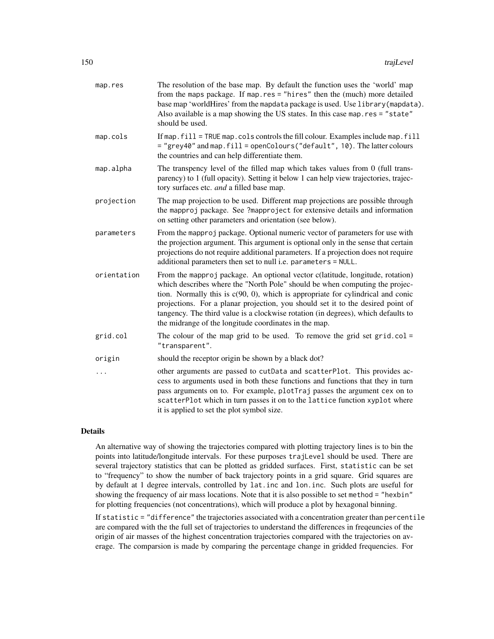| map.res     | The resolution of the base map. By default the function uses the 'world' map<br>from the maps package. If map.res = "hires" then the (much) more detailed<br>base map 'worldHires' from the mapdata package is used. Use library (mapdata).<br>Also available is a map showing the US states. In this case map.res = "state"<br>should be used.                                                                                                                                     |
|-------------|-------------------------------------------------------------------------------------------------------------------------------------------------------------------------------------------------------------------------------------------------------------------------------------------------------------------------------------------------------------------------------------------------------------------------------------------------------------------------------------|
| map.cols    | If map. fill = TRUE map. cols controls the fill colour. Examples include map. fill<br>= "grey40" and map. fill = openColours("default", 10). The latter colours<br>the countries and can help differentiate them.                                                                                                                                                                                                                                                                   |
| map.alpha   | The transpency level of the filled map which takes values from 0 (full trans-<br>parency) to 1 (full opacity). Setting it below 1 can help view trajectories, trajec-<br>tory surfaces etc. and a filled base map.                                                                                                                                                                                                                                                                  |
| projection  | The map projection to be used. Different map projections are possible through<br>the mapproj package. See ?mapproject for extensive details and information<br>on setting other parameters and orientation (see below).                                                                                                                                                                                                                                                             |
| parameters  | From the mapproj package. Optional numeric vector of parameters for use with<br>the projection argument. This argument is optional only in the sense that certain<br>projections do not require additional parameters. If a projection does not require<br>additional parameters then set to null i.e. parameters = NULL.                                                                                                                                                           |
| orientation | From the mapproj package. An optional vector c(latitude, longitude, rotation)<br>which describes where the "North Pole" should be when computing the projec-<br>tion. Normally this is $c(90, 0)$ , which is appropriate for cylindrical and conic<br>projections. For a planar projection, you should set it to the desired point of<br>tangency. The third value is a clockwise rotation (in degrees), which defaults to<br>the midrange of the longitude coordinates in the map. |
| grid.col    | The colour of the map grid to be used. To remove the grid set $grid,col =$<br>"transparent".                                                                                                                                                                                                                                                                                                                                                                                        |
| origin      | should the receptor origin be shown by a black dot?                                                                                                                                                                                                                                                                                                                                                                                                                                 |
|             | other arguments are passed to cutData and scatterPlot. This provides ac-<br>cess to arguments used in both these functions and functions that they in turn<br>pass arguments on to. For example, plotTraj passes the argument cex on to<br>scatterPlot which in turn passes it on to the lattice function xyplot where<br>it is applied to set the plot symbol size.                                                                                                                |
|             |                                                                                                                                                                                                                                                                                                                                                                                                                                                                                     |

An alternative way of showing the trajectories compared with plotting trajectory lines is to bin the points into latitude/longitude intervals. For these purposes trajLevel should be used. There are several trajectory statistics that can be plotted as gridded surfaces. First, statistic can be set to "frequency" to show the number of back trajectory points in a grid square. Grid squares are by default at 1 degree intervals, controlled by lat.inc and lon.inc. Such plots are useful for showing the frequency of air mass locations. Note that it is also possible to set method = "hexbin" for plotting frequencies (not concentrations), which will produce a plot by hexagonal binning.

If statistic = "difference" the trajectories associated with a concentration greater than percentile are compared with the the full set of trajectories to understand the differences in freqeuncies of the origin of air masses of the highest concentration trajectories compared with the trajectories on average. The comparsion is made by comparing the percentage change in gridded frequencies. For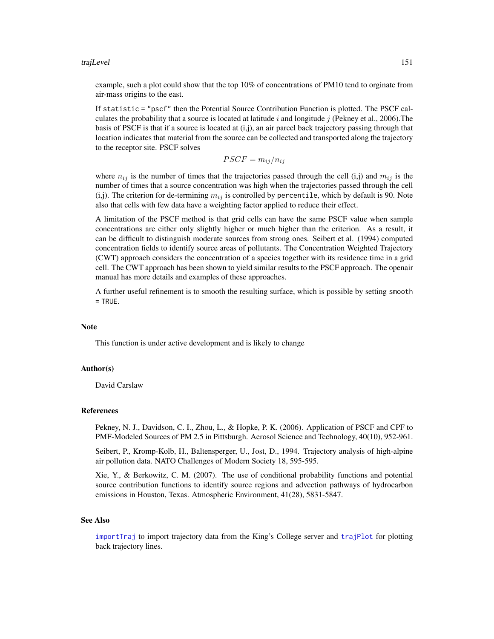#### <span id="page-150-0"></span>trajLevel 151

example, such a plot could show that the top 10% of concentrations of PM10 tend to orginate from air-mass origins to the east.

If statistic = "pscf" then the Potential Source Contribution Function is plotted. The PSCF calculates the probability that a source is located at latitude i and longitude j (Pekney et al., 2006). The basis of PSCF is that if a source is located at (i,j), an air parcel back trajectory passing through that location indicates that material from the source can be collected and transported along the trajectory to the receptor site. PSCF solves

 $PSCF = m_{ij}/n_{ij}$ 

where  $n_{ij}$  is the number of times that the trajectories passed through the cell (i,j) and  $m_{ij}$  is the number of times that a source concentration was high when the trajectories passed through the cell (i,j). The criterion for de-termining  $m_{ij}$  is controlled by percentile, which by default is 90. Note also that cells with few data have a weighting factor applied to reduce their effect.

A limitation of the PSCF method is that grid cells can have the same PSCF value when sample concentrations are either only slightly higher or much higher than the criterion. As a result, it can be difficult to distinguish moderate sources from strong ones. Seibert et al. (1994) computed concentration fields to identify source areas of pollutants. The Concentration Weighted Trajectory (CWT) approach considers the concentration of a species together with its residence time in a grid cell. The CWT approach has been shown to yield similar results to the PSCF approach. The openair manual has more details and examples of these approaches.

A further useful refinement is to smooth the resulting surface, which is possible by setting smooth  $=$  TRUE.

#### **Note**

This function is under active development and is likely to change

#### Author(s)

David Carslaw

#### References

Pekney, N. J., Davidson, C. I., Zhou, L., & Hopke, P. K. (2006). Application of PSCF and CPF to PMF-Modeled Sources of PM 2.5 in Pittsburgh. Aerosol Science and Technology, 40(10), 952-961.

Seibert, P., Kromp-Kolb, H., Baltensperger, U., Jost, D., 1994. Trajectory analysis of high-alpine air pollution data. NATO Challenges of Modern Society 18, 595-595.

Xie, Y., & Berkowitz, C. M. (2007). The use of conditional probability functions and potential source contribution functions to identify source regions and advection pathways of hydrocarbon emissions in Houston, Texas. Atmospheric Environment, 41(28), 5831-5847.

#### See Also

[importTraj](#page-57-0) to import trajectory data from the King's College server and [trajPlot](#page-151-0) for plotting back trajectory lines.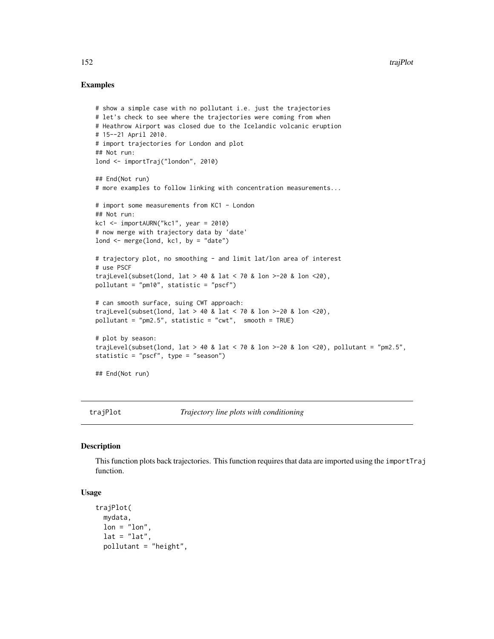## Examples

```
# show a simple case with no pollutant i.e. just the trajectories
# let's check to see where the trajectories were coming from when
# Heathrow Airport was closed due to the Icelandic volcanic eruption
# 15--21 April 2010.
# import trajectories for London and plot
## Not run:
lond <- importTraj("london", 2010)
## End(Not run)
# more examples to follow linking with concentration measurements...
# import some measurements from KC1 - London
## Not run:
kc1 <- importAURN("kc1", year = 2010)
# now merge with trajectory data by 'date'
lond \leq merge(lond, kc1, by = "date")
# trajectory plot, no smoothing - and limit lat/lon area of interest
# use PSCF
trajLevel(subset(lond, lat > 40 & lat < 70 & lon >-20 & lon <20),
pollutant = "pm10", statistic = "pscf")
# can smooth surface, suing CWT approach:
trajLevel(subset(lond, lat > 40 & lat < 70 & lon >-20 & lon <20),
pollutant = "pm2.5", statistic = "cwt", smooth = TRUE)
# plot by season:
trajLevel(subset(lond, lat > 40 & lat < 70 & lon > -20 & lon < 20), pollutant = "pm2.5",
statistic = "pscf", type = "season")
## End(Not run)
```
<span id="page-151-0"></span>trajPlot *Trajectory line plots with conditioning*

## Description

This function plots back trajectories. This function requires that data are imported using the importTraj function.

## Usage

```
trajPlot(
 mydata,
 lon = "lon",lat = "lat",pollutant = "height",
```
<span id="page-151-1"></span>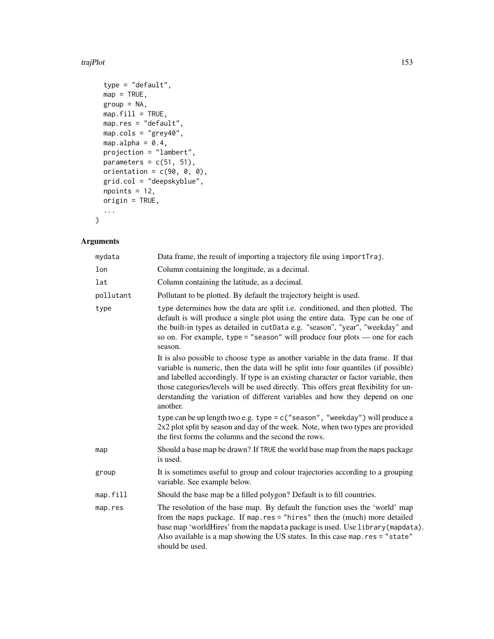#### traj $Plot$  153

```
type = "default",map = TRUE,group = NA,map.fit11 = TRUE,map.res = "default",
map.cols = "grey40",
map.alpha = 0.4,
projection = "lambert",
parameters = c(51, 51),
orientation = c(90, 0, 0),
grid.col = "deepskyblue",
npoints = 12,origin = TRUE,
...
```
 $\mathcal{L}$ 

| mydata    | Data frame, the result of importing a trajectory file using importTraj.                                                                                                                                                                                                                                                                                                                                                                           |
|-----------|---------------------------------------------------------------------------------------------------------------------------------------------------------------------------------------------------------------------------------------------------------------------------------------------------------------------------------------------------------------------------------------------------------------------------------------------------|
| lon       | Column containing the longitude, as a decimal.                                                                                                                                                                                                                                                                                                                                                                                                    |
| lat       | Column containing the latitude, as a decimal.                                                                                                                                                                                                                                                                                                                                                                                                     |
| pollutant | Pollutant to be plotted. By default the trajectory height is used.                                                                                                                                                                                                                                                                                                                                                                                |
| type      | type determines how the data are split i.e. conditioned, and then plotted. The<br>default is will produce a single plot using the entire data. Type can be one of<br>the built-in types as detailed in cutData e.g. "season", "year", "weekday" and<br>so on. For example, type = "season" will produce four plots $-$ one for each<br>season.                                                                                                    |
|           | It is also possible to choose type as another variable in the data frame. If that<br>variable is numeric, then the data will be split into four quantiles (if possible)<br>and labelled accordingly. If type is an existing character or factor variable, then<br>those categories/levels will be used directly. This offers great flexibility for un-<br>derstanding the variation of different variables and how they depend on one<br>another. |
|           | type can be up length two e.g. type = $c$ ("season", "weekday") will produce a<br>$2x2$ plot split by season and day of the week. Note, when two types are provided<br>the first forms the columns and the second the rows.                                                                                                                                                                                                                       |
| map       | Should a base map be drawn? If TRUE the world base map from the maps package<br>is used.                                                                                                                                                                                                                                                                                                                                                          |
| group     | It is sometimes useful to group and colour trajectories according to a grouping<br>variable. See example below.                                                                                                                                                                                                                                                                                                                                   |
| map.fill  | Should the base map be a filled polygon? Default is to fill countries.                                                                                                                                                                                                                                                                                                                                                                            |
| map.res   | The resolution of the base map. By default the function uses the 'world' map<br>from the maps package. If map.res = "hires" then the (much) more detailed<br>base map 'worldHires' from the mapdata package is used. Use library (mapdata).<br>Also available is a map showing the US states. In this case map.res = "state"<br>should be used.                                                                                                   |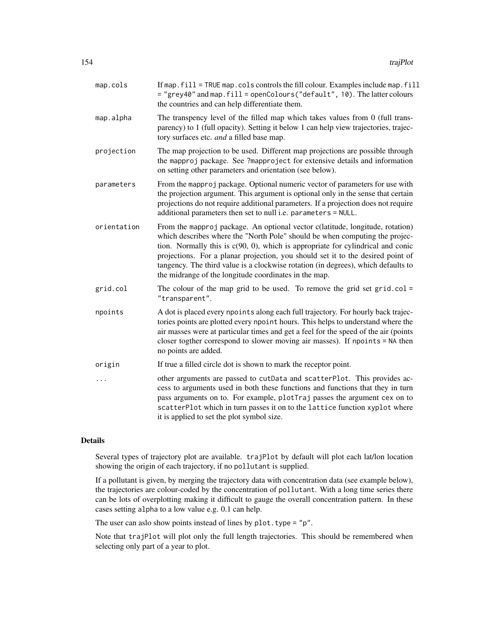| map.cols    | If map. fill = TRUE map. cols controls the fill colour. Examples include map. fill<br>= "grey40" and map. fill = openColours("default", 10). The latter colours<br>the countries and can help differentiate them.                                                                                                                                                                                                                                                                   |
|-------------|-------------------------------------------------------------------------------------------------------------------------------------------------------------------------------------------------------------------------------------------------------------------------------------------------------------------------------------------------------------------------------------------------------------------------------------------------------------------------------------|
| map.alpha   | The transpency level of the filled map which takes values from 0 (full trans-<br>parency) to 1 (full opacity). Setting it below 1 can help view trajectories, trajec-<br>tory surfaces etc. and a filled base map.                                                                                                                                                                                                                                                                  |
| projection  | The map projection to be used. Different map projections are possible through<br>the mapproj package. See ?mapproject for extensive details and information<br>on setting other parameters and orientation (see below).                                                                                                                                                                                                                                                             |
| parameters  | From the mapproj package. Optional numeric vector of parameters for use with<br>the projection argument. This argument is optional only in the sense that certain<br>projections do not require additional parameters. If a projection does not require<br>additional parameters then set to null i.e. parameters = NULL.                                                                                                                                                           |
| orientation | From the mapproj package. An optional vector c(latitude, longitude, rotation)<br>which describes where the "North Pole" should be when computing the projec-<br>tion. Normally this is $c(90, 0)$ , which is appropriate for cylindrical and conic<br>projections. For a planar projection, you should set it to the desired point of<br>tangency. The third value is a clockwise rotation (in degrees), which defaults to<br>the midrange of the longitude coordinates in the map. |
| grid.col    | The colour of the map grid to be used. To remove the grid set $grid,col =$<br>"transparent".                                                                                                                                                                                                                                                                                                                                                                                        |
| npoints     | A dot is placed every npoints along each full trajectory. For hourly back trajec-<br>tories points are plotted every npoint hours. This helps to understand where the<br>air masses were at particular times and get a feel for the speed of the air (points<br>closer togther correspond to slower moving air masses). If npoints = NA then<br>no points are added.                                                                                                                |
| origin      | If true a filled circle dot is shown to mark the receptor point.                                                                                                                                                                                                                                                                                                                                                                                                                    |
| .           | other arguments are passed to cutData and scatterPlot. This provides ac-<br>cess to arguments used in both these functions and functions that they in turn<br>pass arguments on to. For example, plotTraj passes the argument cex on to<br>scatterPlot which in turn passes it on to the lattice function xyplot where<br>it is applied to set the plot symbol size.                                                                                                                |
|             |                                                                                                                                                                                                                                                                                                                                                                                                                                                                                     |

Several types of trajectory plot are available. trajPlot by default will plot each lat/lon location showing the origin of each trajectory, if no pollutant is supplied.

If a pollutant is given, by merging the trajectory data with concentration data (see example below), the trajectories are colour-coded by the concentration of pollutant. With a long time series there can be lots of overplotting making it difficult to gauge the overall concentration pattern. In these cases setting alpha to a low value e.g. 0.1 can help.

The user can aslo show points instead of lines by plot.type = "p".

Note that trajPlot will plot only the full length trajectories. This should be remembered when selecting only part of a year to plot.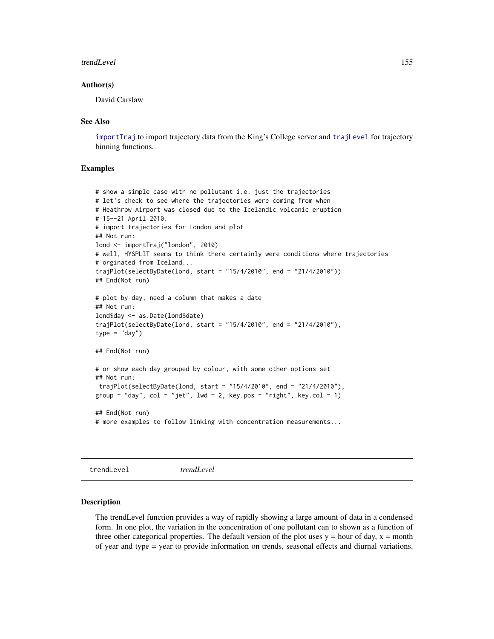#### <span id="page-154-0"></span>trendLevel 155

## Author(s)

David Carslaw

## See Also

[importTraj](#page-57-0) to import trajectory data from the King's College server and [trajLevel](#page-147-0) for trajectory binning functions.

## Examples

```
# show a simple case with no pollutant i.e. just the trajectories
# let's check to see where the trajectories were coming from when
# Heathrow Airport was closed due to the Icelandic volcanic eruption
# 15--21 April 2010.
# import trajectories for London and plot
## Not run:
lond <- importTraj("london", 2010)
# well, HYSPLIT seems to think there certainly were conditions where trajectories
# orginated from Iceland...
trajPlot(selectByDate(lond, start = "15/4/2010", end = "21/4/2010"))
## End(Not run)
# plot by day, need a column that makes a date
## Not run:
lond$day <- as.Date(lond$date)
trajPlot(selectByDate(lond, start = "15/4/2010", end = "21/4/2010"),
type = "day")## End(Not run)
# or show each day grouped by colour, with some other options set
## Not run:
 trajPlot(selectByDate(lond, start = "15/4/2010", end = "21/4/2010"),
group = "day", col = "jet", lwd = 2, key.pos = "right", key.col = 1)
## End(Not run)
# more examples to follow linking with concentration measurements...
```
trendLevel *trendLevel*

#### Description

The trendLevel function provides a way of rapidly showing a large amount of data in a condensed form. In one plot, the variation in the concentration of one pollutant can to shown as a function of three other categorical properties. The default version of the plot uses  $y = hour$  of day,  $x = month$ of year and type = year to provide information on trends, seasonal effects and diurnal variations.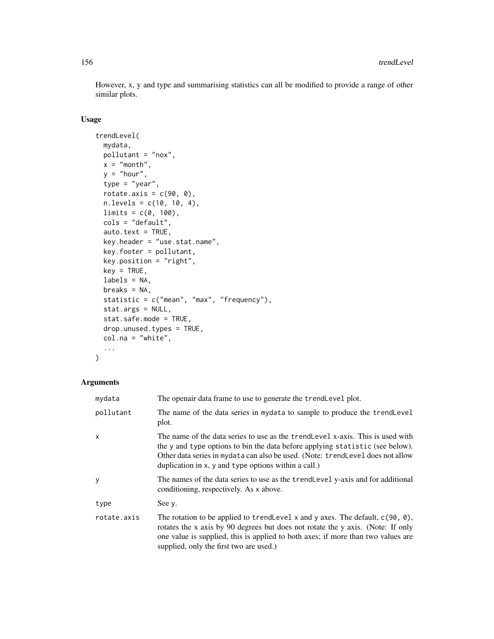However, x, y and type and summarising statistics can all be modified to provide a range of other similar plots.

## Usage

```
trendLevel(
 mydata,
 pollutant = "nox",
 x = "month",y = "hour",type = "year",
 rotate.axis = c(90, 0),
 n.levels = c(10, 10, 4),
 limits = c(0, 100),cols = "default",
 auto.text = TRUE,key.header = "use.stat.name",
 key.footer = pollutant,
 key.position = "right",
 key = TRUE,labels = NA,
 breaks = NA,
 statistic = c("mean", "max", "frequency"),
 stat.args = NULL,
 stat.safe.mode = TRUE,
 drop.unused.types = TRUE,
 col.na = "white",
  ...
)
```

| mydata       | The openair data frame to use to generate the trendLevel plot.                                                                                                                                                                                                                                             |
|--------------|------------------------------------------------------------------------------------------------------------------------------------------------------------------------------------------------------------------------------------------------------------------------------------------------------------|
| pollutant    | The name of the data series in mydata to sample to produce the trendLevel<br>plot.                                                                                                                                                                                                                         |
| $\mathsf{x}$ | The name of the data series to use as the trend Level x-axis. This is used with<br>the y and type options to bin the data before applying statistic (see below).<br>Other data series in mydata can also be used. (Note: trendLevel does not allow<br>duplication in x, y and type options within a call.) |
| y            | The names of the data series to use as the trend Level y-axis and for additional<br>conditioning, respectively. As x above.                                                                                                                                                                                |
| type         | See y.                                                                                                                                                                                                                                                                                                     |
| rotate.axis  | The rotation to be applied to trend Level x and y axes. The default, $c(90, 0)$ ,<br>rotates the x axis by 90 degrees but does not rotate the y axis. (Note: If only<br>one value is supplied, this is applied to both axes; if more than two values are<br>supplied, only the first two are used.)        |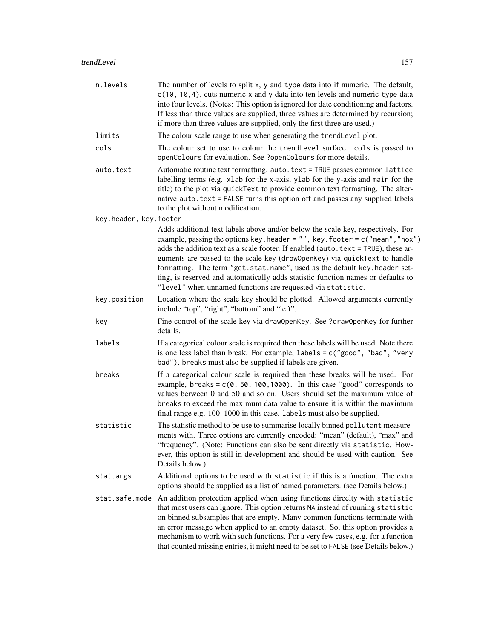| n.levels               | The number of levels to split x, y and type data into if numeric. The default,<br>$c(10, 10, 4)$ , cuts numeric x and y data into ten levels and numeric type data<br>into four levels. (Notes: This option is ignored for date conditioning and factors.<br>If less than three values are supplied, three values are determined by recursion;<br>if more than three values are supplied, only the first three are used.)                                                                                                                                                |
|------------------------|--------------------------------------------------------------------------------------------------------------------------------------------------------------------------------------------------------------------------------------------------------------------------------------------------------------------------------------------------------------------------------------------------------------------------------------------------------------------------------------------------------------------------------------------------------------------------|
| limits                 | The colour scale range to use when generating the trendLevel plot.                                                                                                                                                                                                                                                                                                                                                                                                                                                                                                       |
| cols                   | The colour set to use to colour the trendLevel surface. cols is passed to<br>openColours for evaluation. See ?openColours for more details.                                                                                                                                                                                                                                                                                                                                                                                                                              |
| auto.text              | Automatic routine text formatting. auto. text = TRUE passes common lattice<br>labelling terms (e.g. xlab for the x-axis, ylab for the y-axis and main for the<br>title) to the plot via quickText to provide common text formatting. The alter-<br>native auto. text = FALSE turns this option off and passes any supplied labels<br>to the plot without modification.                                                                                                                                                                                                   |
| key.header, key.footer |                                                                                                                                                                                                                                                                                                                                                                                                                                                                                                                                                                          |
|                        | Adds additional text labels above and/or below the scale key, respectively. For<br>example, passing the options key. header = $"$ , key. footer = $c("mean", "nox")$<br>adds the addition text as a scale footer. If enabled (auto. text = TRUE), these ar-<br>guments are passed to the scale key (draw0penKey) via quickText to handle<br>formatting. The term "get.stat.name", used as the default key.header set-<br>ting, is reserved and automatically adds statistic function names or defaults to<br>"level" when unnamed functions are requested via statistic. |
| key.position           | Location where the scale key should be plotted. Allowed arguments currently<br>include "top", "right", "bottom" and "left".                                                                                                                                                                                                                                                                                                                                                                                                                                              |
| key                    | Fine control of the scale key via draw0penKey. See ?draw0penKey for further<br>details.                                                                                                                                                                                                                                                                                                                                                                                                                                                                                  |
| labels                 | If a categorical colour scale is required then these labels will be used. Note there<br>is one less label than break. For example, $labels = c("good", "bad", "very$<br>bad"). breaks must also be supplied if labels are given.                                                                                                                                                                                                                                                                                                                                         |
| breaks                 | If a categorical colour scale is required then these breaks will be used. For<br>example, breaks = $c(0, 50, 100, 1000)$ . In this case "good" corresponds to<br>values berween 0 and 50 and so on. Users should set the maximum value of<br>breaks to exceed the maximum data value to ensure it is within the maximum<br>final range e.g. 100–1000 in this case. labels must also be supplied.                                                                                                                                                                         |
| statistic              | The statistic method to be use to summarise locally binned pollutant measure-<br>ments with. Three options are currently encoded: "mean" (default), "max" and<br>'frequency". (Note: Functions can also be sent directly via statistic. How-<br>ever, this option is still in development and should be used with caution. See<br>Details below.)                                                                                                                                                                                                                        |
| stat.args              | Additional options to be used with statistic if this is a function. The extra<br>options should be supplied as a list of named parameters. (see Details below.)                                                                                                                                                                                                                                                                                                                                                                                                          |
| stat.safe.mode         | An addition protection applied when using functions direclty with statistic<br>that most users can ignore. This option returns NA instead of running statistic<br>on binned subsamples that are empty. Many common functions terminate with<br>an error message when applied to an empty dataset. So, this option provides a<br>mechanism to work with such functions. For a very few cases, e.g. for a function<br>that counted missing entries, it might need to be set to FALSE (see Details below.)                                                                  |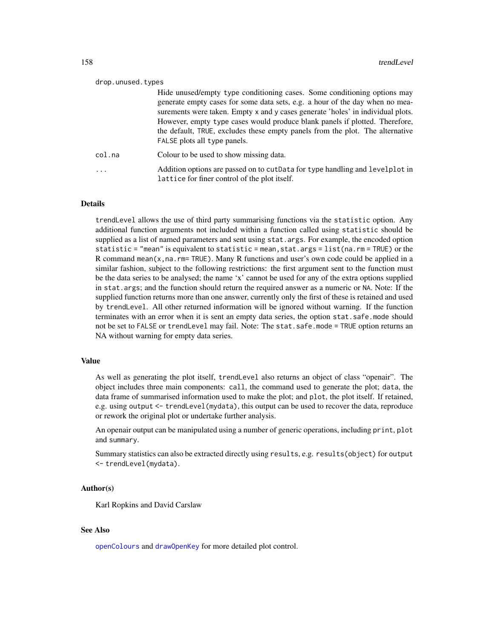<span id="page-157-0"></span>

| drop.unused.types |                                                                                                                                                                                                                                                                                                                                                                                                                                             |
|-------------------|---------------------------------------------------------------------------------------------------------------------------------------------------------------------------------------------------------------------------------------------------------------------------------------------------------------------------------------------------------------------------------------------------------------------------------------------|
|                   | Hide unused/empty type conditioning cases. Some conditioning options may<br>generate empty cases for some data sets, e.g. a hour of the day when no mea-<br>surements were taken. Empty x and y cases generate 'holes' in individual plots.<br>However, empty type cases would produce blank panels if plotted. Therefore,<br>the default, TRUE, excludes these empty panels from the plot. The alternative<br>FALSE plots all type panels. |
| col.na            | Colour to be used to show missing data.                                                                                                                                                                                                                                                                                                                                                                                                     |
| $\cdots$          | Addition options are passed on to cut Data for type handling and levelplot in<br>lattice for finer control of the plot itself.                                                                                                                                                                                                                                                                                                              |

trendLevel allows the use of third party summarising functions via the statistic option. Any additional function arguments not included within a function called using statistic should be supplied as a list of named parameters and sent using stat.args. For example, the encoded option statistic = "mean" is equivalent to statistic = mean,stat.args = list(na.rm = TRUE) or the R command mean( $x$ , na. rm= TRUE). Many R functions and user's own code could be applied in a similar fashion, subject to the following restrictions: the first argument sent to the function must be the data series to be analysed; the name 'x' cannot be used for any of the extra options supplied in stat.args; and the function should return the required answer as a numeric or NA. Note: If the supplied function returns more than one answer, currently only the first of these is retained and used by trendLevel. All other returned information will be ignored without warning. If the function terminates with an error when it is sent an empty data series, the option stat.safe.mode should not be set to FALSE or trendLevel may fail. Note: The stat.safe.mode = TRUE option returns an NA without warning for empty data series.

## Value

As well as generating the plot itself, trendLevel also returns an object of class "openair". The object includes three main components: call, the command used to generate the plot; data, the data frame of summarised information used to make the plot; and plot, the plot itself. If retained, e.g. using output <- trendLevel(mydata), this output can be used to recover the data, reproduce or rework the original plot or undertake further analysis.

An openair output can be manipulated using a number of generic operations, including print, plot and summary.

Summary statistics can also be extracted directly using results, e.g. results(object) for output <- trendLevel(mydata).

## Author(s)

Karl Ropkins and David Carslaw

#### See Also

[openColours](#page-70-0) and [drawOpenKey](#page-24-0) for more detailed plot control.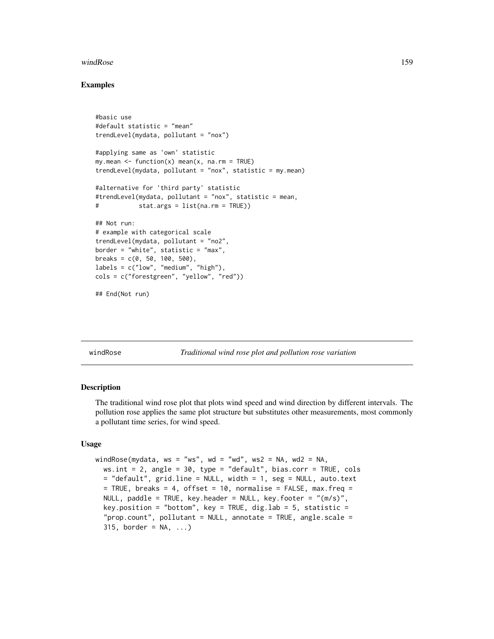#### <span id="page-158-0"></span>windRose 159

## Examples

```
#basic use
#default statistic = "mean"
trendLevel(mydata, pollutant = "nox")
#applying same as 'own' statistic
my.macan \leq function(x) mean(x, na.rm = TRUE)trendLevel(mydata, pollutant = "nox", statistic = my.mean)
#alternative for 'third party' statistic
#trendLevel(mydata, pollutant = "nox", statistic = mean,
# stat.args = list(na.rm = TRUE))
## Not run:
# example with categorical scale
trendLevel(mydata, pollutant = "no2",
border = "white", statistic = "max",
breaks = c(0, 50, 100, 500),
labels = c("low", "medium", "high"),
cols = c("forestgreen", "yellow", "red"))
## End(Not run)
```
windRose *Traditional wind rose plot and pollution rose variation*

#### **Description**

The traditional wind rose plot that plots wind speed and wind direction by different intervals. The pollution rose applies the same plot structure but substitutes other measurements, most commonly a pollutant time series, for wind speed.

## Usage

```
windRose(mydata, ws = "ws", wd = "wd", ws2 = NA, wd2 = NA,
 ws.int = 2, angle = 30, type = "default", bias.corr = TRUE, cols
 = "default", grid.line = NULL, width = 1, seg = NULL, auto.text
 = TRUE, breaks = 4, offset = 10, normalise = FALSE, max.freq =
 NULL, paddle = TRUE, key.header = NULL, key.footer = "(m/s)",
 key.position = "bottom", key = TRUE, dig.lab = 5, statistic =
  "prop.count", pollutant = NULL, annotate = TRUE, angle.scale =
  315, border = NA, \ldots)
```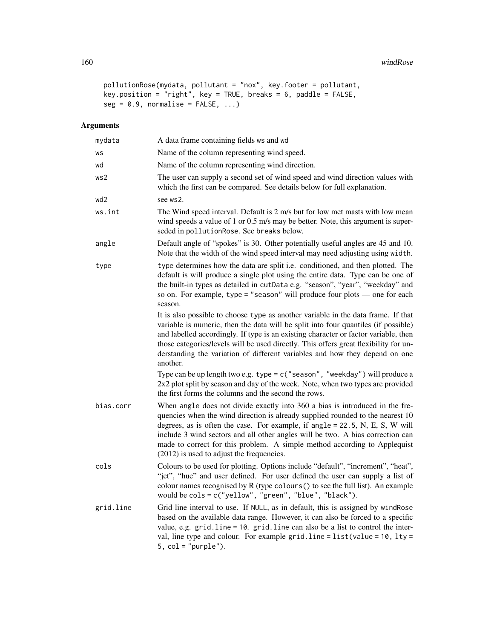```
pollutionRose(mydata, pollutant = "nox", key.footer = pollutant,
key.position = "right", key = TRUE, breaks = 6, paddle = FALSE,
seg = 0.9, normalise = FALSE, ...)
```

| mydata    | A data frame containing fields ws and wd                                                                                                                                                                                                                                                                                                                                                                                                                      |
|-----------|---------------------------------------------------------------------------------------------------------------------------------------------------------------------------------------------------------------------------------------------------------------------------------------------------------------------------------------------------------------------------------------------------------------------------------------------------------------|
| WS        | Name of the column representing wind speed.                                                                                                                                                                                                                                                                                                                                                                                                                   |
| wd        | Name of the column representing wind direction.                                                                                                                                                                                                                                                                                                                                                                                                               |
| ws2       | The user can supply a second set of wind speed and wind direction values with<br>which the first can be compared. See details below for full explanation.                                                                                                                                                                                                                                                                                                     |
| wd2       | see ws2.                                                                                                                                                                                                                                                                                                                                                                                                                                                      |
| ws.int    | The Wind speed interval. Default is 2 m/s but for low met masts with low mean<br>wind speeds a value of 1 or 0.5 m/s may be better. Note, this argument is super-<br>seded in pollutionRose. See breaks below.                                                                                                                                                                                                                                                |
| angle     | Default angle of "spokes" is 30. Other potentially useful angles are 45 and 10.<br>Note that the width of the wind speed interval may need adjusting using width.                                                                                                                                                                                                                                                                                             |
| type      | type determines how the data are split i.e. conditioned, and then plotted. The<br>default is will produce a single plot using the entire data. Type can be one of<br>the built-in types as detailed in cutData e.g. "season", "year", "weekday" and<br>so on. For example, type = "season" will produce four plots $-$ one for each<br>season.                                                                                                                |
|           | It is also possible to choose type as another variable in the data frame. If that<br>variable is numeric, then the data will be split into four quantiles (if possible)<br>and labelled accordingly. If type is an existing character or factor variable, then<br>those categories/levels will be used directly. This offers great flexibility for un-<br>derstanding the variation of different variables and how they depend on one<br>another.             |
|           | Type can be up length two e.g. type = $c$ ("season", "weekday") will produce a<br>2x2 plot split by season and day of the week. Note, when two types are provided<br>the first forms the columns and the second the rows.                                                                                                                                                                                                                                     |
| bias.corr | When angle does not divide exactly into 360 a bias is introduced in the fre-<br>quencies when the wind direction is already supplied rounded to the nearest 10<br>degrees, as is often the case. For example, if angle $= 22.5$ , N, E, S, W will<br>include 3 wind sectors and all other angles will be two. A bias correction can<br>made to correct for this problem. A simple method according to Applequist<br>(2012) is used to adjust the frequencies. |
| cols      | Colours to be used for plotting. Options include "default", "increment", "heat",<br>"jet", "hue" and user defined. For user defined the user can supply a list of<br>colour names recognised by R (type colours () to see the full list). An example<br>would be cols = c("yellow", "green", "blue", "black").                                                                                                                                                |
| grid.line | Grid line interval to use. If NULL, as in default, this is assigned by windRose<br>based on the available data range. However, it can also be forced to a specific<br>value, e.g. grid.line = 10. grid.line can also be a list to control the inter-<br>val, line type and colour. For example grid. line = $list(value = 10, lty =$<br>$5, col = "purple").$                                                                                                 |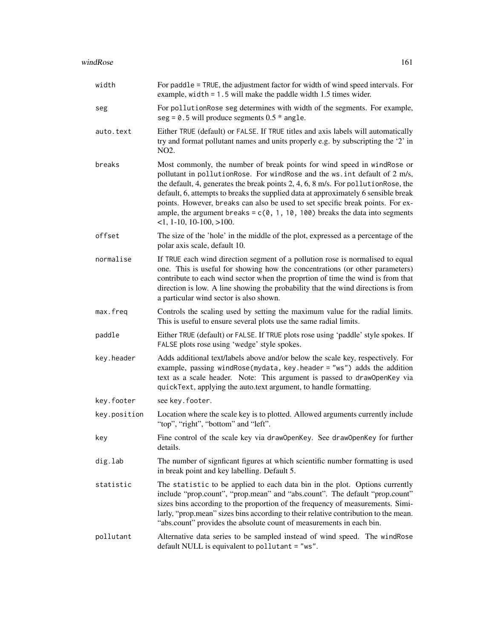| width        | For paddle = TRUE, the adjustment factor for width of wind speed intervals. For<br>example, width $= 1.5$ will make the paddle width 1.5 times wider.                                                                                                                                                                                                                                                                                                                                                                                 |
|--------------|---------------------------------------------------------------------------------------------------------------------------------------------------------------------------------------------------------------------------------------------------------------------------------------------------------------------------------------------------------------------------------------------------------------------------------------------------------------------------------------------------------------------------------------|
| seg          | For pollutionRose seg determines with width of the segments. For example,<br>$seg = 0.5$ will produce segments $0.5$ * angle.                                                                                                                                                                                                                                                                                                                                                                                                         |
| auto.text    | Either TRUE (default) or FALSE. If TRUE titles and axis labels will automatically<br>try and format pollutant names and units properly e.g. by subscripting the '2' in<br>NO2.                                                                                                                                                                                                                                                                                                                                                        |
| breaks       | Most commonly, the number of break points for wind speed in windRose or<br>pollutant in pollutionRose. For windRose and the ws. int default of 2 m/s,<br>the default, 4, generates the break points 2, 4, 6, 8 m/s. For pollution Rose, the<br>default, 6, attempts to breaks the supplied data at approximately 6 sensible break<br>points. However, breaks can also be used to set specific break points. For ex-<br>ample, the argument breaks = $c(0, 1, 10, 100)$ breaks the data into segments<br>$-1$ , 1-10, 10-100, $>100$ . |
| offset       | The size of the 'hole' in the middle of the plot, expressed as a percentage of the<br>polar axis scale, default 10.                                                                                                                                                                                                                                                                                                                                                                                                                   |
| normalise    | If TRUE each wind direction segment of a pollution rose is normalised to equal<br>one. This is useful for showing how the concentrations (or other parameters)<br>contribute to each wind sector when the proprtion of time the wind is from that<br>direction is low. A line showing the probability that the wind directions is from<br>a particular wind sector is also shown.                                                                                                                                                     |
| max.freq     | Controls the scaling used by setting the maximum value for the radial limits.<br>This is useful to ensure several plots use the same radial limits.                                                                                                                                                                                                                                                                                                                                                                                   |
| paddle       | Either TRUE (default) or FALSE. If TRUE plots rose using 'paddle' style spokes. If<br>FALSE plots rose using 'wedge' style spokes.                                                                                                                                                                                                                                                                                                                                                                                                    |
| key.header   | Adds additional text/labels above and/or below the scale key, respectively. For<br>example, passing windRose(mydata, key.header = "ws") adds the addition<br>text as a scale header. Note: This argument is passed to draw0penKey via<br>quickText, applying the auto.text argument, to handle formatting.                                                                                                                                                                                                                            |
| key.footer   | see key. footer.                                                                                                                                                                                                                                                                                                                                                                                                                                                                                                                      |
| key.position | Location where the scale key is to plotted. Allowed arguments currently include<br>"top", "right", "bottom" and "left".                                                                                                                                                                                                                                                                                                                                                                                                               |
| key          | Fine control of the scale key via draw0penKey. See draw0penKey for further<br>details.                                                                                                                                                                                                                                                                                                                                                                                                                                                |
| dig.lab      | The number of signficant figures at which scientific number formatting is used<br>in break point and key labelling. Default 5.                                                                                                                                                                                                                                                                                                                                                                                                        |
| statistic    | The statistic to be applied to each data bin in the plot. Options currently<br>include "prop.count", "prop.mean" and "abs.count". The default "prop.count"<br>sizes bins according to the proportion of the frequency of measurements. Simi-<br>larly, "prop.mean" sizes bins according to their relative contribution to the mean.<br>"abs.count" provides the absolute count of measurements in each bin.                                                                                                                           |
| pollutant    | Alternative data series to be sampled instead of wind speed. The windRose<br>default NULL is equivalent to pollutant = "ws".                                                                                                                                                                                                                                                                                                                                                                                                          |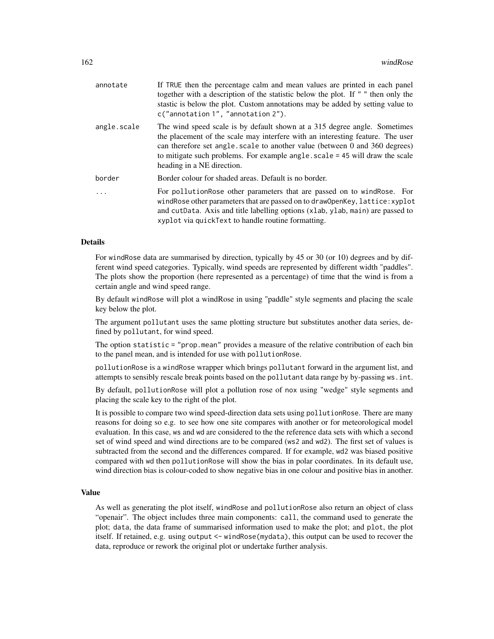| annotate    | If TRUE then the percentage calm and mean values are printed in each panel<br>together with a description of the statistic below the plot. If " " then only the<br>stastic is below the plot. Custom annotations may be added by setting value to<br>c("annotation 1", "annotation 2").                                                                 |
|-------------|---------------------------------------------------------------------------------------------------------------------------------------------------------------------------------------------------------------------------------------------------------------------------------------------------------------------------------------------------------|
| angle.scale | The wind speed scale is by default shown at a 315 degree angle. Sometimes<br>the placement of the scale may interfere with an interesting feature. The user<br>can therefore set angle. scale to another value (between 0 and 360 degrees)<br>to mitigate such problems. For example angle scale = 45 will draw the scale<br>heading in a NE direction. |
| border      | Border colour for shaded areas. Default is no border.                                                                                                                                                                                                                                                                                                   |
|             | For pollutionRose other parameters that are passed on to windRose. For<br>windRose other parameters that are passed on to draw0penKey, lattice: xyplot<br>and cutData. Axis and title labelling options (xlab, ylab, main) are passed to<br>xyplot via quick Text to handle routine formatting.                                                         |

For windRose data are summarised by direction, typically by 45 or 30 (or 10) degrees and by different wind speed categories. Typically, wind speeds are represented by different width "paddles". The plots show the proportion (here represented as a percentage) of time that the wind is from a certain angle and wind speed range.

By default windRose will plot a windRose in using "paddle" style segments and placing the scale key below the plot.

The argument pollutant uses the same plotting structure but substitutes another data series, defined by pollutant, for wind speed.

The option statistic = "prop.mean" provides a measure of the relative contribution of each bin to the panel mean, and is intended for use with pollutionRose.

pollutionRose is a windRose wrapper which brings pollutant forward in the argument list, and attempts to sensibly rescale break points based on the pollutant data range by by-passing ws.int.

By default, pollutionRose will plot a pollution rose of nox using "wedge" style segments and placing the scale key to the right of the plot.

It is possible to compare two wind speed-direction data sets using pollutionRose. There are many reasons for doing so e.g. to see how one site compares with another or for meteorological model evaluation. In this case, ws and wd are considered to the the reference data sets with which a second set of wind speed and wind directions are to be compared (ws2 and wd2). The first set of values is subtracted from the second and the differences compared. If for example, wd2 was biased positive compared with wd then pollutionRose will show the bias in polar coordinates. In its default use, wind direction bias is colour-coded to show negative bias in one colour and positive bias in another.

## Value

As well as generating the plot itself, windRose and pollutionRose also return an object of class "openair". The object includes three main components: call, the command used to generate the plot; data, the data frame of summarised information used to make the plot; and plot, the plot itself. If retained, e.g. using output <- windRose(mydata), this output can be used to recover the data, reproduce or rework the original plot or undertake further analysis.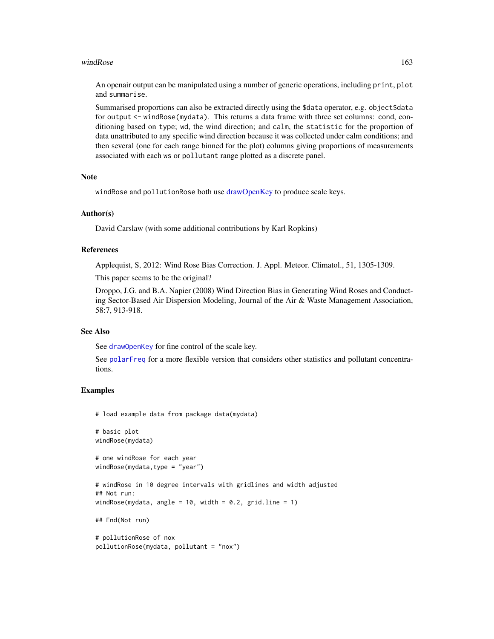#### <span id="page-162-0"></span>windRose 163

An openair output can be manipulated using a number of generic operations, including print, plot and summarise.

Summarised proportions can also be extracted directly using the \$data operator, e.g. object\$data for output <- windRose(mydata). This returns a data frame with three set columns: cond, conditioning based on type; wd, the wind direction; and calm, the statistic for the proportion of data unattributed to any specific wind direction because it was collected under calm conditions; and then several (one for each range binned for the plot) columns giving proportions of measurements associated with each ws or pollutant range plotted as a discrete panel.

## Note

windRose and pollutionRose both use [drawOpenKey](#page-24-0) to produce scale keys.

## Author(s)

David Carslaw (with some additional contributions by Karl Ropkins)

#### References

Applequist, S, 2012: Wind Rose Bias Correction. J. Appl. Meteor. Climatol., 51, 1305-1309.

This paper seems to be the original?

Droppo, J.G. and B.A. Napier (2008) Wind Direction Bias in Generating Wind Roses and Conducting Sector-Based Air Dispersion Modeling, Journal of the Air & Waste Management Association, 58:7, 913-918.

#### See Also

See [drawOpenKey](#page-24-0) for fine control of the scale key.

See [polarFreq](#page-85-0) for a more flexible version that considers other statistics and pollutant concentrations.

## Examples

# load example data from package data(mydata)

```
# basic plot
windRose(mydata)
```
# one windRose for each year windRose(mydata,type = "year")

# windRose in 10 degree intervals with gridlines and width adjusted ## Not run: windRose(mydata, angle = 10, width = 0.2, grid.line = 1)

## End(Not run)

```
# pollutionRose of nox
pollutionRose(mydata, pollutant = "nox")
```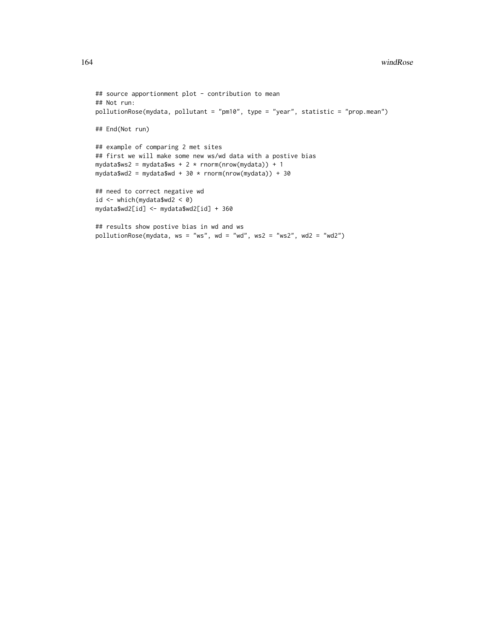```
## source apportionment plot - contribution to mean
## Not run:
pollutionRose(mydata, pollutant = "pm10", type = "year", statistic = "prop.mean")
## End(Not run)
## example of comparing 2 met sites
## first we will make some new ws/wd data with a postive bias
mydata$ws2 = mydata$ws + 2 * rnorm(nrow(mydata)) + 1
mydata$wd2 = mydata$wd + 30 * rnorm(nrow(mydata)) + 30
## need to correct negative wd
id \leq which(mydata$wd2 \leq 0)
mydata$wd2[id] <- mydata$wd2[id] + 360
## results show postive bias in wd and ws
pollutionRose(mydata, ws = "ws", wd = "wd", ws2 = "ws2", wd2 = "wd2")
```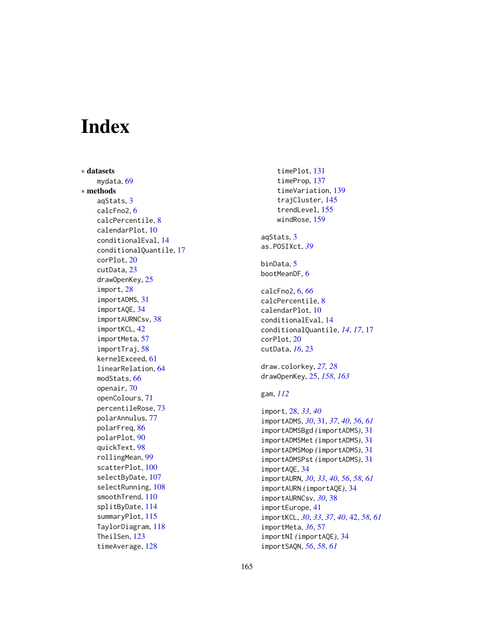# Index

∗ datasets mydata, [69](#page-68-0) ∗ methods aqStats, [3](#page-2-0) calcFno2, [6](#page-5-0) calcPercentile, [8](#page-7-0) calendarPlot, [10](#page-9-0) conditionalEval, [14](#page-13-0) conditionalQuantile, [17](#page-16-0) corPlot, [20](#page-19-0) cutData, [23](#page-22-0) drawOpenKey, [25](#page-24-1) import, [28](#page-27-0) importADMS, [31](#page-30-0) importAQE, [34](#page-33-0) importAURNCsv, [38](#page-37-0) importKCL, [42](#page-41-0) importMeta, [57](#page-56-0) importTraj, [58](#page-57-1) kernelExceed, [61](#page-60-0) linearRelation, [64](#page-63-0) modStats, [66](#page-65-0) openair, [70](#page-69-0) openColours, [71](#page-70-1) percentileRose, [73](#page-72-0) polarAnnulus, [77](#page-76-0) polarFreq, [86](#page-85-1) polarPlot, [90](#page-89-0) quickText, [98](#page-97-0) rollingMean, [99](#page-98-0) scatterPlot, [100](#page-99-0) selectByDate, [107](#page-106-0) selectRunning, [108](#page-107-0) smoothTrend, [110](#page-109-0) splitByDate, [114](#page-113-0) summaryPlot, [115](#page-114-0) TaylorDiagram, [118](#page-117-0) TheilSen, [123](#page-122-0) timeAverage, [128](#page-127-0)

timePlot, [131](#page-130-0) timeProp, [137](#page-136-0) timeVariation, [139](#page-138-0) trajCluster, [145](#page-144-0) trendLevel, [155](#page-154-0) windRose, [159](#page-158-0) aqStats, [3](#page-2-0) as.POSIXct, *[39](#page-38-0)* binData, [5](#page-4-0) bootMeanDF, [6](#page-5-0) calcFno2, [6,](#page-5-0) *[66](#page-65-0)* calcPercentile, [8](#page-7-0) calendarPlot, [10](#page-9-0) conditionalEval, [14](#page-13-0) conditionalQuantile, *[14](#page-13-0)*, *[17](#page-16-0)*, [17](#page-16-0) corPlot, [20](#page-19-0) cutData, *[16](#page-15-0)*, [23](#page-22-0) draw.colorkey, *[27,](#page-26-0) [28](#page-27-0)* drawOpenKey, [25,](#page-24-1) *[158](#page-157-0)*, *[163](#page-162-0)* gam, *[112](#page-111-0)* import, [28,](#page-27-0) *[33](#page-32-0)*, *[40](#page-39-0)* importADMS, *[30](#page-29-0)*, [31,](#page-30-0) *[37](#page-36-0)*, *[40](#page-39-0)*, *[56](#page-55-0)*, *[61](#page-60-0)* importADMSBgd *(*importADMS*)*, [31](#page-30-0) importADMSMet *(*importADMS*)*, [31](#page-30-0) importADMSMop *(*importADMS*)*, [31](#page-30-0) importADMSPst *(*importADMS*)*, [31](#page-30-0) importAQE, [34](#page-33-0) importAURN, *[30](#page-29-0)*, *[33](#page-32-0)*, *[40](#page-39-0)*, *[56](#page-55-0)*, *[58](#page-57-1)*, *[61](#page-60-0)* importAURN *(*importAQE*)*, [34](#page-33-0) importAURNCsv, *[30](#page-29-0)*, [38](#page-37-0) importEurope, [41](#page-40-0) importKCL, *[30](#page-29-0)*, *[33](#page-32-0)*, *[37](#page-36-0)*, *[40](#page-39-0)*, [42,](#page-41-0) *[58](#page-57-1)*, *[61](#page-60-0)* importMeta, *[36](#page-35-0)*, [57](#page-56-0) importNI *(*importAQE*)*, [34](#page-33-0) importSAQN, *[56](#page-55-0)*, *[58](#page-57-1)*, *[61](#page-60-0)*